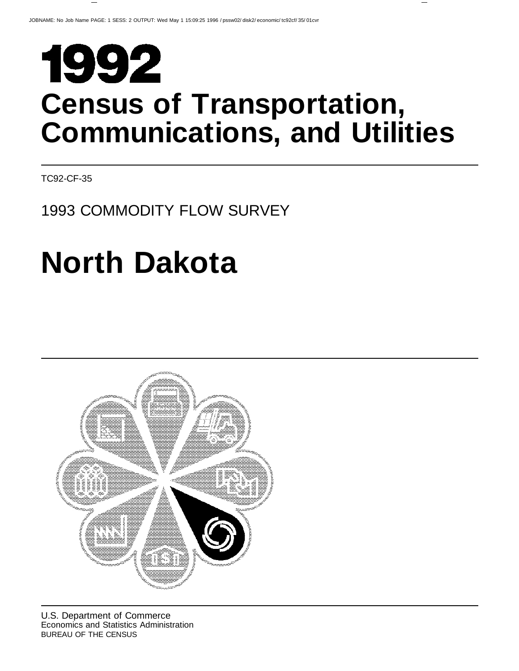# 1992 **Census of Transportation, Communications, and Utilities**

TC92-CF-35

# 1993 COMMODITY FLOW SURVEY

# **North Dakota**

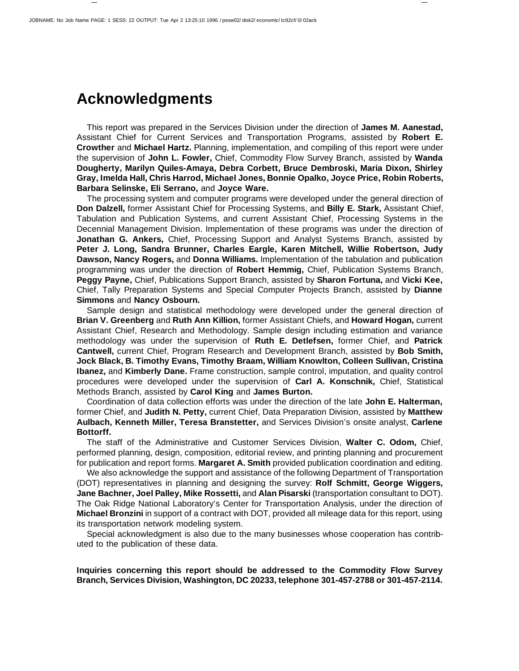# **Acknowledgments**

This report was prepared in the Services Division under the direction of **James M. Aanestad,** Assistant Chief for Current Services and Transportation Programs, assisted by **Robert E. Crowther** and **Michael Hartz.** Planning, implementation, and compiling of this report were under the supervision of **John L. Fowler,** Chief, Commodity Flow Survey Branch, assisted by **Wanda Dougherty, Marilyn Quiles-Amaya, Debra Corbett, Bruce Dembroski, Maria Dixon, Shirley Gray, Imelda Hall, Chris Harrod, Michael Jones, Bonnie Opalko, Joyce Price, Robin Roberts, Barbara Selinske, Eli Serrano,** and **Joyce Ware.**

The processing system and computer programs were developed under the general direction of **Don Dalzell,** former Assistant Chief for Processing Systems, and **Billy E. Stark,** Assistant Chief, Tabulation and Publication Systems, and current Assistant Chief, Processing Systems in the Decennial Management Division. Implementation of these programs was under the direction of **Jonathan G. Ankers,** Chief, Processing Support and Analyst Systems Branch, assisted by **Peter J. Long, Sandra Brunner, Charles Eargle, Karen Mitchell, Willie Robertson, Judy Dawson, Nancy Rogers,** and **Donna Williams.** Implementation of the tabulation and publication programming was under the direction of **Robert Hemmig,** Chief, Publication Systems Branch, **Peggy Payne,** Chief, Publications Support Branch, assisted by **Sharon Fortuna,** and **Vicki Kee,** Chief, Tally Preparation Systems and Special Computer Projects Branch, assisted by **Dianne Simmons** and **Nancy Osbourn.**

Sample design and statistical methodology were developed under the general direction of **Brian V. Greenberg** and **Ruth Ann Killion,** former Assistant Chiefs, and **Howard Hogan,** current Assistant Chief, Research and Methodology. Sample design including estimation and variance methodology was under the supervision of **Ruth E. Detlefsen,** former Chief, and **Patrick Cantwell,** current Chief, Program Research and Development Branch, assisted by **Bob Smith, Jock Black, B. Timothy Evans, Timothy Braam, William Knowlton, Colleen Sullivan, Cristina Ibanez,** and **Kimberly Dane.** Frame construction, sample control, imputation, and quality control procedures were developed under the supervision of **Carl A. Konschnik,** Chief, Statistical Methods Branch, assisted by **Carol King** and **James Burton.**

Coordination of data collection efforts was under the direction of the late **John E. Halterman,** former Chief, and **Judith N. Petty,** current Chief, Data Preparation Division, assisted by **Matthew Aulbach, Kenneth Miller, Teresa Branstetter,** and Services Division's onsite analyst, **Carlene Bottorff.**

The staff of the Administrative and Customer Services Division, **Walter C. Odom,** Chief, performed planning, design, composition, editorial review, and printing planning and procurement for publication and report forms. **Margaret A. Smith** provided publication coordination and editing.

We also acknowledge the support and assistance of the following Department of Transportation (DOT) representatives in planning and designing the survey: **Rolf Schmitt, George Wiggers, Jane Bachner, Joel Palley, Mike Rossetti,** and **Alan Pisarski** (transportation consultant to DOT). The Oak Ridge National Laboratory's Center for Transportation Analysis, under the direction of **Michael Bronzini** in support of a contract with DOT, provided all mileage data for this report, using its transportation network modeling system.

Special acknowledgment is also due to the many businesses whose cooperation has contributed to the publication of these data.

**Inquiries concerning this report should be addressed to the Commodity Flow Survey Branch, Services Division, Washington, DC 20233, telephone 301-457-2788 or 301-457-2114.**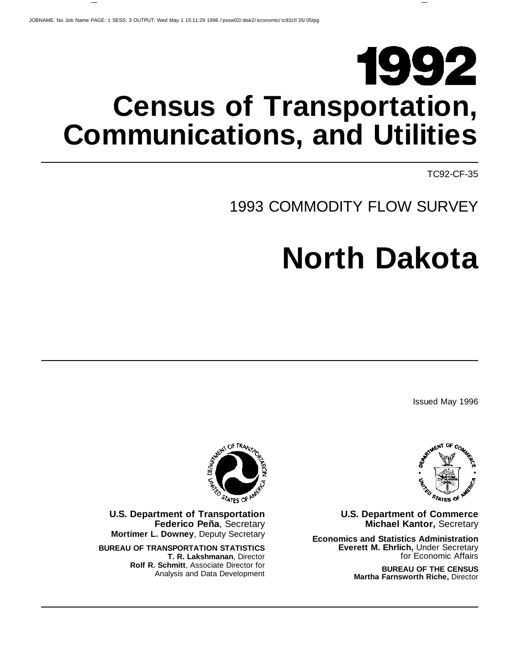# 1992 **Census of Transportation, Communications, and Utilities**

TC92-CF-35

# 1993 COMMODITY FLOW SURVEY

# **North Dakota**

Issued May 1996



**U.S. Department of Commerce Michael Kantor,** Secretary

**Economics and Statistics Administration Everett M. Ehrlich,** Under Secretary for Economic Affairs

> **BUREAU OF THE CENSUS Martha Farnsworth Riche,** Director



**U.S. Department of Transportation Federico Peña**, Secretary **Mortimer L. Downey**, Deputy Secretary

**BUREAU OF TRANSPORTATION STATISTICS T. R. Lakshmanan**, Director **Rolf R. Schmitt**, Associate Director for Analysis and Data Development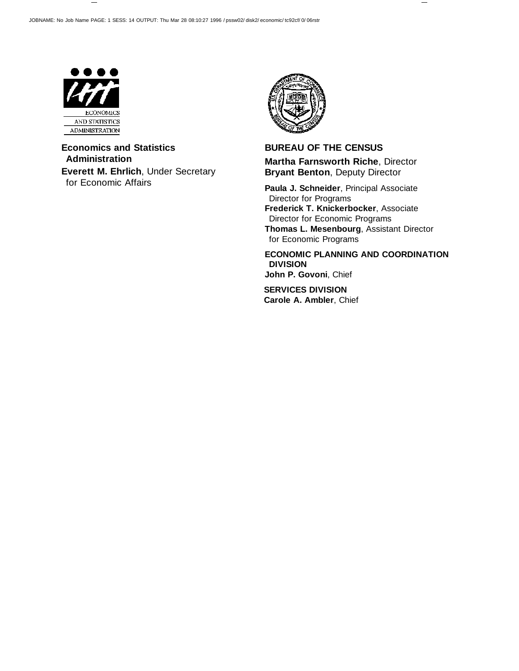

**Economics and Statistics Administration Everett M. Ehrlich**, Under Secretary for Economic Affairs



**BUREAU OF THE CENSUS Martha Farnsworth Riche**, Director **Bryant Benton**, Deputy Director

**Paula J. Schneider**, Principal Associate Director for Programs **Frederick T. Knickerbocker**, Associate Director for Economic Programs **Thomas L. Mesenbourg**, Assistant Director for Economic Programs

**ECONOMIC PLANNING AND COORDINATION DIVISION John P. Govoni**, Chief

**SERVICES DIVISION Carole A. Ambler**, Chief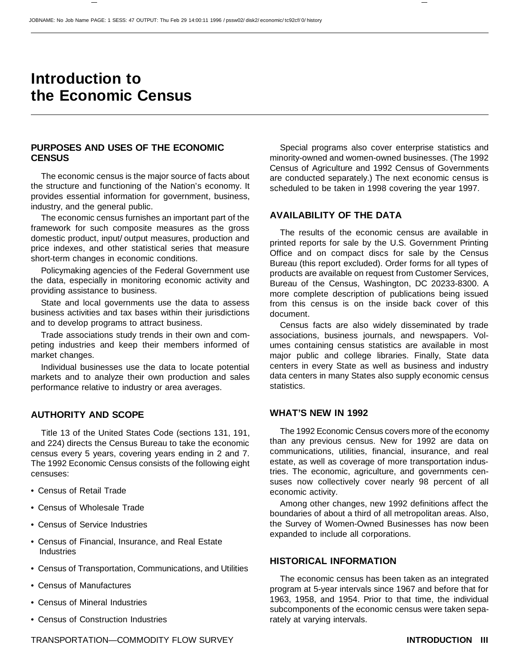# **Introduction to the Economic Census**

### **PURPOSES AND USES OF THE ECONOMIC CENSUS**

The economic census is the major source of facts about the structure and functioning of the Nation's economy. It provides essential information for government, business, industry, and the general public.

The economic census furnishes an important part of the framework for such composite measures as the gross domestic product, input/ output measures, production and price indexes, and other statistical series that measure short-term changes in economic conditions.

Policymaking agencies of the Federal Government use the data, especially in monitoring economic activity and providing assistance to business.

State and local governments use the data to assess business activities and tax bases within their jurisdictions and to develop programs to attract business.

Trade associations study trends in their own and competing industries and keep their members informed of market changes.

Individual businesses use the data to locate potential markets and to analyze their own production and sales performance relative to industry or area averages.

# **AUTHORITY AND SCOPE**

Title 13 of the United States Code (sections 131, 191, and 224) directs the Census Bureau to take the economic census every 5 years, covering years ending in 2 and 7. The 1992 Economic Census consists of the following eight censuses:

- Census of Retail Trade
- Census of Wholesale Trade
- Census of Service Industries
- Census of Financial, Insurance, and Real Estate **Industries**
- Census of Transportation, Communications, and Utilities
- Census of Manufactures
- Census of Mineral Industries
- Census of Construction Industries

Special programs also cover enterprise statistics and minority-owned and women-owned businesses. (The 1992 Census of Agriculture and 1992 Census of Governments are conducted separately.) The next economic census is scheduled to be taken in 1998 covering the year 1997.

### **AVAILABILITY OF THE DATA**

The results of the economic census are available in printed reports for sale by the U.S. Government Printing Office and on compact discs for sale by the Census Bureau (this report excluded). Order forms for all types of products are available on request from Customer Services, Bureau of the Census, Washington, DC 20233-8300. A more complete description of publications being issued from this census is on the inside back cover of this document.

Census facts are also widely disseminated by trade associations, business journals, and newspapers. Volumes containing census statistics are available in most major public and college libraries. Finally, State data centers in every State as well as business and industry data centers in many States also supply economic census statistics.

### **WHAT'S NEW IN 1992**

The 1992 Economic Census covers more of the economy than any previous census. New for 1992 are data on communications, utilities, financial, insurance, and real estate, as well as coverage of more transportation industries. The economic, agriculture, and governments censuses now collectively cover nearly 98 percent of all economic activity.

Among other changes, new 1992 definitions affect the boundaries of about a third of all metropolitan areas. Also, the Survey of Women-Owned Businesses has now been expanded to include all corporations.

### **HISTORICAL INFORMATION**

The economic census has been taken as an integrated program at 5-year intervals since 1967 and before that for 1963, 1958, and 1954. Prior to that time, the individual subcomponents of the economic census were taken separately at varying intervals.

TRANSPORTATION—COMMODITY FLOW SURVEY **INTRODUCTION III**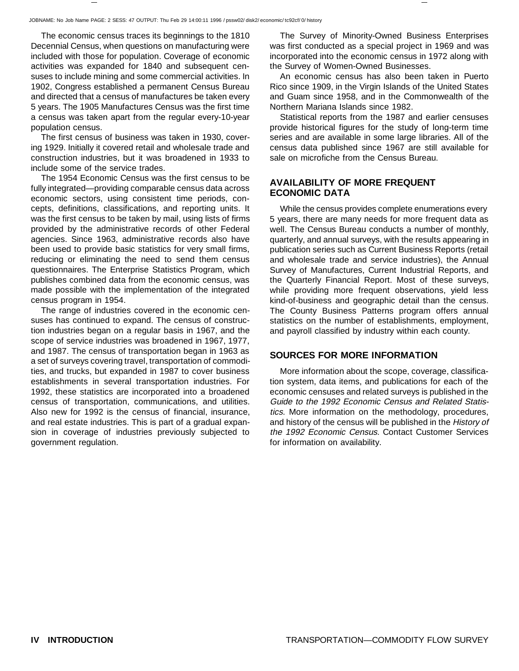The economic census traces its beginnings to the 1810 Decennial Census, when questions on manufacturing were included with those for population. Coverage of economic activities was expanded for 1840 and subsequent censuses to include mining and some commercial activities. In 1902, Congress established a permanent Census Bureau and directed that a census of manufactures be taken every 5 years. The 1905 Manufactures Census was the first time a census was taken apart from the regular every-10-year population census.

The first census of business was taken in 1930, covering 1929. Initially it covered retail and wholesale trade and construction industries, but it was broadened in 1933 to include some of the service trades.

The 1954 Economic Census was the first census to be fully integrated—providing comparable census data across economic sectors, using consistent time periods, concepts, definitions, classifications, and reporting units. It was the first census to be taken by mail, using lists of firms provided by the administrative records of other Federal agencies. Since 1963, administrative records also have been used to provide basic statistics for very small firms, reducing or eliminating the need to send them census questionnaires. The Enterprise Statistics Program, which publishes combined data from the economic census, was made possible with the implementation of the integrated census program in 1954.

The range of industries covered in the economic censuses has continued to expand. The census of construction industries began on a regular basis in 1967, and the scope of service industries was broadened in 1967, 1977, and 1987. The census of transportation began in 1963 as a set of surveys covering travel, transportation of commodities, and trucks, but expanded in 1987 to cover business establishments in several transportation industries. For 1992, these statistics are incorporated into a broadened census of transportation, communications, and utilities. Also new for 1992 is the census of financial, insurance, and real estate industries. This is part of a gradual expansion in coverage of industries previously subjected to government regulation.

The Survey of Minority-Owned Business Enterprises was first conducted as a special project in 1969 and was incorporated into the economic census in 1972 along with the Survey of Women-Owned Businesses.

An economic census has also been taken in Puerto Rico since 1909, in the Virgin Islands of the United States and Guam since 1958, and in the Commonwealth of the Northern Mariana Islands since 1982.

Statistical reports from the 1987 and earlier censuses provide historical figures for the study of long-term time series and are available in some large libraries. All of the census data published since 1967 are still available for sale on microfiche from the Census Bureau.

## **AVAILABILITY OF MORE FREQUENT ECONOMIC DATA**

While the census provides complete enumerations every 5 years, there are many needs for more frequent data as well. The Census Bureau conducts a number of monthly, quarterly, and annual surveys, with the results appearing in publication series such as Current Business Reports (retail and wholesale trade and service industries), the Annual Survey of Manufactures, Current Industrial Reports, and the Quarterly Financial Report. Most of these surveys, while providing more frequent observations, yield less kind-of-business and geographic detail than the census. The County Business Patterns program offers annual statistics on the number of establishments, employment, and payroll classified by industry within each county.

# **SOURCES FOR MORE INFORMATION**

More information about the scope, coverage, classification system, data items, and publications for each of the economic censuses and related surveys is published in the Guide to the 1992 Economic Census and Related Statistics. More information on the methodology, procedures, and history of the census will be published in the History of the 1992 Economic Census. Contact Customer Services for information on availability.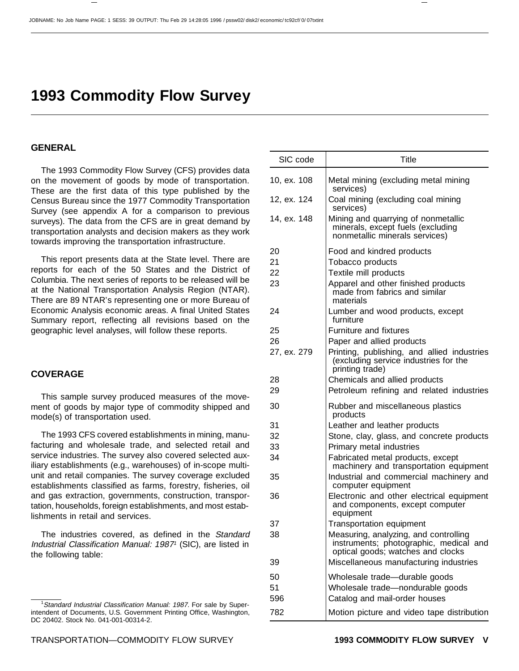# **1993 Commodity Flow Survey**

#### **GENERAL**

The 1993 Commodity Flow Survey (CFS) provides data on the movement of goods by mode of transportation. These are the first data of this type published by the Census Bureau since the 1977 Commodity Transportation Survey (see appendix A for a comparison to previous surveys). The data from the CFS are in great demand by transportation analysts and decision makers as they work towards improving the transportation infrastructure.

This report presents data at the State level. There are reports for each of the 50 States and the District of Columbia. The next series of reports to be released will be at the National Transportation Analysis Region (NTAR). There are 89 NTAR's representing one or more Bureau of Economic Analysis economic areas. A final United States Summary report, reflecting all revisions based on the geographic level analyses, will follow these reports.

#### **COVERAGE**

This sample survey produced measures of the movement of goods by major type of commodity shipped and mode(s) of transportation used.

The 1993 CFS covered establishments in mining, manufacturing and wholesale trade, and selected retail and service industries. The survey also covered selected auxiliary establishments (e.g., warehouses) of in-scope multiunit and retail companies. The survey coverage excluded establishments classified as farms, forestry, fisheries, oil and gas extraction, governments, construction, transportation, households, foreign establishments, and most establishments in retail and services.

The industries covered, as defined in the Standard Industrial Classification Manual: 1987<sup>1</sup> (SIC), are listed in the following table:

<sup>&</sup>lt;sup>1</sup>Standard Industrial Classification Manual: 1987. For sale by Superintendent of Documents, U.S. Government Printing Office, Washington, DC 20402. Stock No. 041-001-00314-2.

| SIC code    | Title                                                                                                                |
|-------------|----------------------------------------------------------------------------------------------------------------------|
| 10, ex. 108 | Metal mining (excluding metal mining<br>services)                                                                    |
| 12, ex. 124 | Coal mining (excluding coal mining<br>services)                                                                      |
| 14, ex. 148 | Mining and quarrying of nonmetallic<br>minerals, except fuels (excluding<br>nonmetallic minerals services)           |
| 20          | Food and kindred products                                                                                            |
| 21          | Tobacco products                                                                                                     |
| 22          | Textile mill products                                                                                                |
| 23          | Apparel and other finished products<br>made from fabrics and similar<br>materials                                    |
| 24          | Lumber and wood products, except<br>furniture                                                                        |
| 25          | <b>Furniture and fixtures</b>                                                                                        |
| 26          | Paper and allied products                                                                                            |
| 27, ex. 279 | Printing, publishing, and allied industries<br>(excluding service industries for the<br>printing trade)              |
| 28          | Chemicals and allied products                                                                                        |
| 29          | Petroleum refining and related industries                                                                            |
| 30          | Rubber and miscellaneous plastics<br>products                                                                        |
| 31          | Leather and leather products                                                                                         |
| 32          | Stone, clay, glass, and concrete products                                                                            |
| 33          | Primary metal industries                                                                                             |
| 34          | Fabricated metal products, except<br>machinery and transportation equipment                                          |
| 35          | Industrial and commercial machinery and<br>computer equipment                                                        |
| 36          | Electronic and other electrical equipment<br>and components, except computer<br>equipment                            |
| 37          | <b>Transportation equipment</b>                                                                                      |
| 38          | Measuring, analyzing, and controlling<br>instruments; photographic, medical and<br>optical goods; watches and clocks |
| 39          | Miscellaneous manufacturing industries                                                                               |
| 50          | Wholesale trade-durable goods                                                                                        |
| 51          | Wholesale trade-nondurable goods                                                                                     |
| 596         | Catalog and mail-order houses                                                                                        |
| 782         | Motion picture and video tape distribution                                                                           |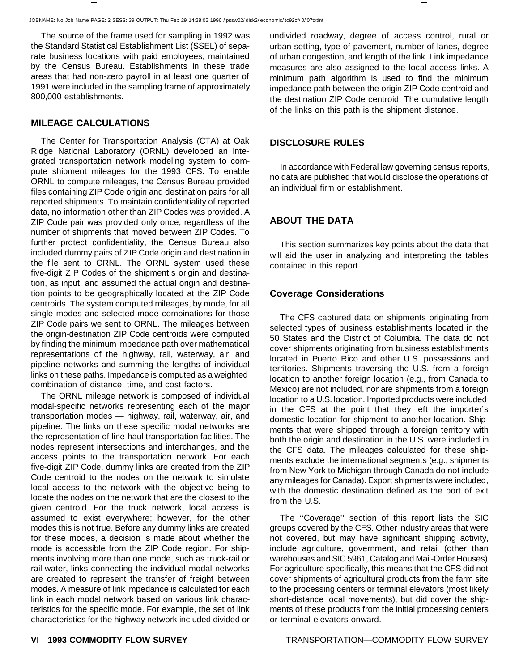The source of the frame used for sampling in 1992 was the Standard Statistical Establishment List (SSEL) of separate business locations with paid employees, maintained by the Census Bureau. Establishments in these trade areas that had non-zero payroll in at least one quarter of 1991 were included in the sampling frame of approximately 800,000 establishments.

### **MILEAGE CALCULATIONS**

The Center for Transportation Analysis (CTA) at Oak Ridge National Laboratory (ORNL) developed an integrated transportation network modeling system to compute shipment mileages for the 1993 CFS. To enable ORNL to compute mileages, the Census Bureau provided files containing ZIP Code origin and destination pairs for all reported shipments. To maintain confidentiality of reported data, no information other than ZIP Codes was provided. A ZIP Code pair was provided only once, regardless of the number of shipments that moved between ZIP Codes. To further protect confidentiality, the Census Bureau also included dummy pairs of ZIP Code origin and destination in the file sent to ORNL. The ORNL system used these five-digit ZIP Codes of the shipment's origin and destination, as input, and assumed the actual origin and destination points to be geographically located at the ZIP Code centroids. The system computed mileages, by mode, for all single modes and selected mode combinations for those ZIP Code pairs we sent to ORNL. The mileages between the origin-destination ZIP Code centroids were computed by finding the minimum impedance path over mathematical representations of the highway, rail, waterway, air, and pipeline networks and summing the lengths of individual links on these paths. Impedance is computed as a weighted combination of distance, time, and cost factors.

The ORNL mileage network is composed of individual modal-specific networks representing each of the major transportation modes — highway, rail, waterway, air, and pipeline. The links on these specific modal networks are the representation of line-haul transportation facilities. The nodes represent intersections and interchanges, and the access points to the transportation network. For each five-digit ZIP Code, dummy links are created from the ZIP Code centroid to the nodes on the network to simulate local access to the network with the objective being to locate the nodes on the network that are the closest to the given centroid. For the truck network, local access is assumed to exist everywhere; however, for the other modes this is not true. Before any dummy links are created for these modes, a decision is made about whether the mode is accessible from the ZIP Code region. For shipments involving more than one mode, such as truck-rail or rail-water, links connecting the individual modal networks are created to represent the transfer of freight between modes. A measure of link impedance is calculated for each link in each modal network based on various link characteristics for the specific mode. For example, the set of link characteristics for the highway network included divided or undivided roadway, degree of access control, rural or urban setting, type of pavement, number of lanes, degree of urban congestion, and length of the link. Link impedance measures are also assigned to the local access links. A minimum path algorithm is used to find the minimum impedance path between the origin ZIP Code centroid and the destination ZIP Code centroid. The cumulative length of the links on this path is the shipment distance.

#### **DISCLOSURE RULES**

In accordance with Federal law governing census reports, no data are published that would disclose the operations of an individual firm or establishment.

# **ABOUT THE DATA**

This section summarizes key points about the data that will aid the user in analyzing and interpreting the tables contained in this report.

### **Coverage Considerations**

The CFS captured data on shipments originating from selected types of business establishments located in the 50 States and the District of Columbia. The data do not cover shipments originating from business establishments located in Puerto Rico and other U.S. possessions and territories. Shipments traversing the U.S. from a foreign location to another foreign location (e.g., from Canada to Mexico) are not included, nor are shipments from a foreign location to a U.S. location. Imported products were included in the CFS at the point that they left the importer's domestic location for shipment to another location. Shipments that were shipped through a foreign territory with both the origin and destination in the U.S. were included in the CFS data. The mileages calculated for these shipments exclude the international segments (e.g., shipments from New York to Michigan through Canada do not include any mileages for Canada). Export shipments were included, with the domestic destination defined as the port of exit from the U.S.

The ''Coverage'' section of this report lists the SIC groups covered by the CFS. Other industry areas that were not covered, but may have significant shipping activity, include agriculture, government, and retail (other than warehouses and SIC 5961, Catalog and Mail-Order Houses). For agriculture specifically, this means that the CFS did not cover shipments of agricultural products from the farm site to the processing centers or terminal elevators (most likely short-distance local movements), but did cover the shipments of these products from the initial processing centers or terminal elevators onward.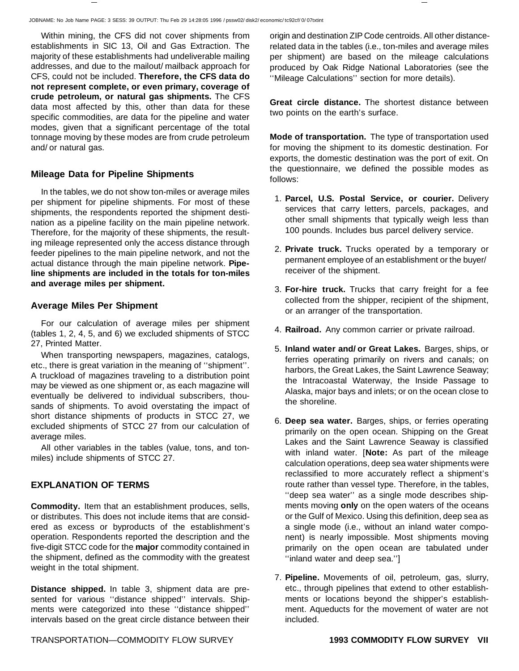Within mining, the CFS did not cover shipments from establishments in SIC 13, Oil and Gas Extraction. The majority of these establishments had undeliverable mailing addresses, and due to the mailout/ mailback approach for CFS, could not be included. **Therefore, the CFS data do not represent complete, or even primary, coverage of crude petroleum, or natural gas shipments.** The CFS data most affected by this, other than data for these specific commodities, are data for the pipeline and water modes, given that a significant percentage of the total tonnage moving by these modes are from crude petroleum and/ or natural gas.

### **Mileage Data for Pipeline Shipments**

In the tables, we do not show ton-miles or average miles per shipment for pipeline shipments. For most of these shipments, the respondents reported the shipment destination as a pipeline facility on the main pipeline network. Therefore, for the majority of these shipments, the resulting mileage represented only the access distance through feeder pipelines to the main pipeline network, and not the actual distance through the main pipeline network. **Pipeline shipments are included in the totals for ton-miles and average miles per shipment.**

#### **Average Miles Per Shipment**

For our calculation of average miles per shipment (tables 1, 2, 4, 5, and 6) we excluded shipments of STCC 27, Printed Matter.

When transporting newspapers, magazines, catalogs, etc., there is great variation in the meaning of ''shipment''. A truckload of magazines traveling to a distribution point may be viewed as one shipment or, as each magazine will eventually be delivered to individual subscribers, thousands of shipments. To avoid overstating the impact of short distance shipments of products in STCC 27, we excluded shipments of STCC 27 from our calculation of average miles.

All other variables in the tables (value, tons, and tonmiles) include shipments of STCC 27.

### **EXPLANATION OF TERMS**

**Commodity.** Item that an establishment produces, sells, or distributes. This does not include items that are considered as excess or byproducts of the establishment's operation. Respondents reported the description and the five-digit STCC code for the **major** commodity contained in the shipment, defined as the commodity with the greatest weight in the total shipment.

**Distance shipped.** In table 3, shipment data are presented for various ''distance shipped'' intervals. Shipments were categorized into these ''distance shipped'' intervals based on the great circle distance between their origin and destination ZIP Code centroids. All other distancerelated data in the tables (i.e., ton-miles and average miles per shipment) are based on the mileage calculations produced by Oak Ridge National Laboratories (see the ''Mileage Calculations'' section for more details).

**Great circle distance.** The shortest distance between two points on the earth's surface.

**Mode of transportation.** The type of transportation used for moving the shipment to its domestic destination. For exports, the domestic destination was the port of exit. On the questionnaire, we defined the possible modes as follows:

- 1. **Parcel, U.S. Postal Service, or courier.** Delivery services that carry letters, parcels, packages, and other small shipments that typically weigh less than 100 pounds. Includes bus parcel delivery service.
- 2. **Private truck.** Trucks operated by a temporary or permanent employee of an establishment or the buyer/ receiver of the shipment.
- 3. **For-hire truck.** Trucks that carry freight for a fee collected from the shipper, recipient of the shipment, or an arranger of the transportation.
- 4. **Railroad.** Any common carrier or private railroad.
- 5. **Inland water and/ or Great Lakes.** Barges, ships, or ferries operating primarily on rivers and canals; on harbors, the Great Lakes, the Saint Lawrence Seaway; the Intracoastal Waterway, the Inside Passage to Alaska, major bays and inlets; or on the ocean close to the shoreline.
- 6. **Deep sea water.** Barges, ships, or ferries operating primarily on the open ocean. Shipping on the Great Lakes and the Saint Lawrence Seaway is classified with inland water. [**Note:** As part of the mileage calculation operations, deep sea water shipments were reclassified to more accurately reflect a shipment's route rather than vessel type. Therefore, in the tables, ''deep sea water'' as a single mode describes shipments moving **only** on the open waters of the oceans or the Gulf of Mexico. Using this definition, deep sea as a single mode (i.e., without an inland water component) is nearly impossible. Most shipments moving primarily on the open ocean are tabulated under ''inland water and deep sea.'']
- 7. **Pipeline.** Movements of oil, petroleum, gas, slurry, etc., through pipelines that extend to other establishments or locations beyond the shipper's establishment. Aqueducts for the movement of water are not included.

TRANSPORTATION—COMMODITY FLOW SURVEY **1993 COMMODITY FLOW SURVEY VII**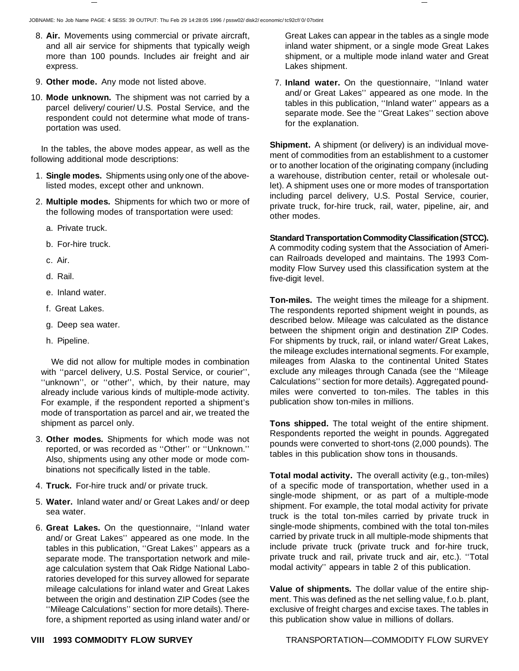- 8. **Air.** Movements using commercial or private aircraft, and all air service for shipments that typically weigh more than 100 pounds. Includes air freight and air express.
- 9. **Other mode.** Any mode not listed above.
- 10. **Mode unknown.** The shipment was not carried by a parcel delivery/ courier/ U.S. Postal Service, and the respondent could not determine what mode of transportation was used.

In the tables, the above modes appear, as well as the following additional mode descriptions:

- 1. **Single modes.** Shipments using only one of the abovelisted modes, except other and unknown.
- 2. **Multiple modes.** Shipments for which two or more of the following modes of transportation were used:
	- a. Private truck.
	- b. For-hire truck.
	- c. Air.
	- d. Rail.
	- e. Inland water.
	- f. Great Lakes.
	- g. Deep sea water.
	- h. Pipeline.

We did not allow for multiple modes in combination with ''parcel delivery, U.S. Postal Service, or courier'', "unknown", or "other", which, by their nature, may already include various kinds of multiple-mode activity. For example, if the respondent reported a shipment's mode of transportation as parcel and air, we treated the shipment as parcel only.

- 3. **Other modes.** Shipments for which mode was not reported, or was recorded as ''Other'' or ''Unknown.'' Also, shipments using any other mode or mode combinations not specifically listed in the table.
- 4. **Truck.** For-hire truck and/ or private truck.
- 5. **Water.** Inland water and/ or Great Lakes and/ or deep sea water.
- 6. **Great Lakes.** On the questionnaire, ''Inland water and/ or Great Lakes'' appeared as one mode. In the tables in this publication, ''Great Lakes'' appears as a separate mode. The transportation network and mileage calculation system that Oak Ridge National Laboratories developed for this survey allowed for separate mileage calculations for inland water and Great Lakes between the origin and destination ZIP Codes (see the ''Mileage Calculations'' section for more details). Therefore, a shipment reported as using inland water and/ or

Great Lakes can appear in the tables as a single mode inland water shipment, or a single mode Great Lakes shipment, or a multiple mode inland water and Great Lakes shipment.

7. **Inland water.** On the questionnaire, ''Inland water and/ or Great Lakes'' appeared as one mode. In the tables in this publication, ''Inland water'' appears as a separate mode. See the ''Great Lakes'' section above for the explanation.

**Shipment.** A shipment (or delivery) is an individual movement of commodities from an establishment to a customer or to another location of the originating company (including a warehouse, distribution center, retail or wholesale outlet). A shipment uses one or more modes of transportation including parcel delivery, U.S. Postal Service, courier, private truck, for-hire truck, rail, water, pipeline, air, and other modes.

#### **Standard Transportation Commodity Classification (STCC).**

A commodity coding system that the Association of American Railroads developed and maintains. The 1993 Commodity Flow Survey used this classification system at the five-digit level.

**Ton-miles.** The weight times the mileage for a shipment. The respondents reported shipment weight in pounds, as described below. Mileage was calculated as the distance between the shipment origin and destination ZIP Codes. For shipments by truck, rail, or inland water/ Great Lakes, the mileage excludes international segments. For example, mileages from Alaska to the continental United States exclude any mileages through Canada (see the ''Mileage Calculations'' section for more details). Aggregated poundmiles were converted to ton-miles. The tables in this publication show ton-miles in millions.

**Tons shipped.** The total weight of the entire shipment. Respondents reported the weight in pounds. Aggregated pounds were converted to short-tons (2,000 pounds). The tables in this publication show tons in thousands.

**Total modal activity.** The overall activity (e.g., ton-miles) of a specific mode of transportation, whether used in a single-mode shipment, or as part of a multiple-mode shipment. For example, the total modal activity for private truck is the total ton-miles carried by private truck in single-mode shipments, combined with the total ton-miles carried by private truck in all multiple-mode shipments that include private truck (private truck and for-hire truck, private truck and rail, private truck and air, etc.). ''Total modal activity'' appears in table 2 of this publication.

**Value of shipments.** The dollar value of the entire shipment. This was defined as the net selling value, f.o.b. plant, exclusive of freight charges and excise taxes. The tables in this publication show value in millions of dollars.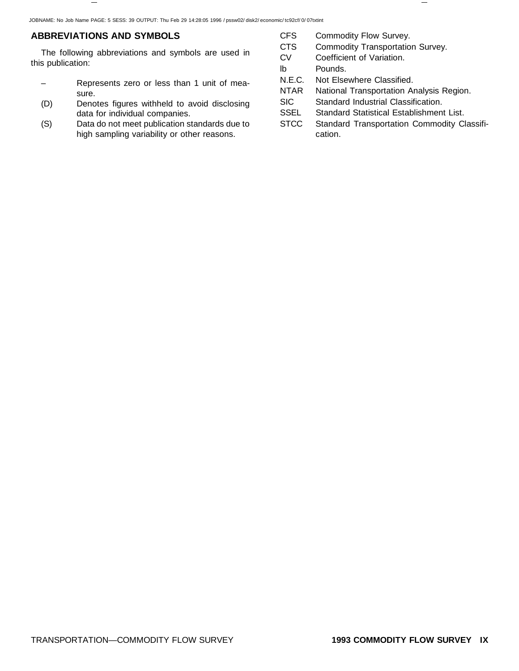# **ABBREVIATIONS AND SYMBOLS**

The following abbreviations and symbols are used in this publication:

- Represents zero or less than 1 unit of measure.
- (D) Denotes figures withheld to avoid disclosing data for individual companies.
- (S) Data do not meet publication standards due to high sampling variability or other reasons.
- CFS Commodity Flow Survey.
- CTS Commodity Transportation Survey.
- CV Coefficient of Variation.
- lb Pounds.
- N.E.C. Not Elsewhere Classified.
- NTAR National Transportation Analysis Region.
- SIC Standard Industrial Classification.
- SSEL Standard Statistical Establishment List.
- STCC Standard Transportation Commodity Classification.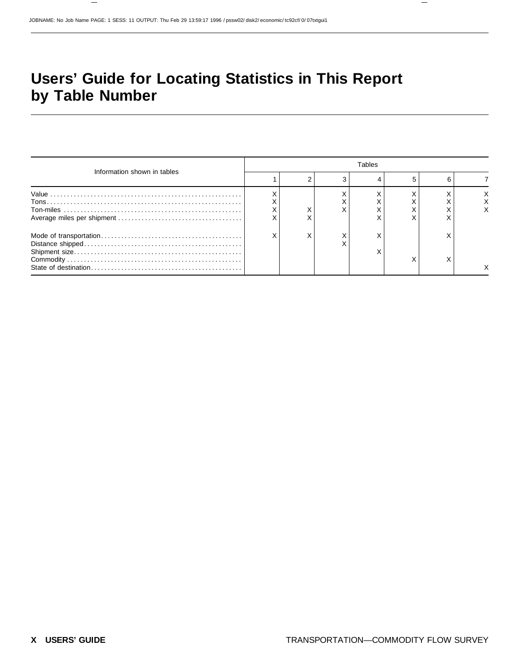# **Users' Guide for Locating Statistics in This Report by Table Number**

| Information shown in tables |  | <b>Tables</b> |  |  |  |        |  |  |  |  |
|-----------------------------|--|---------------|--|--|--|--------|--|--|--|--|
|                             |  |               |  |  |  | 6      |  |  |  |  |
|                             |  |               |  |  |  |        |  |  |  |  |
|                             |  |               |  |  |  | ⋏<br>X |  |  |  |  |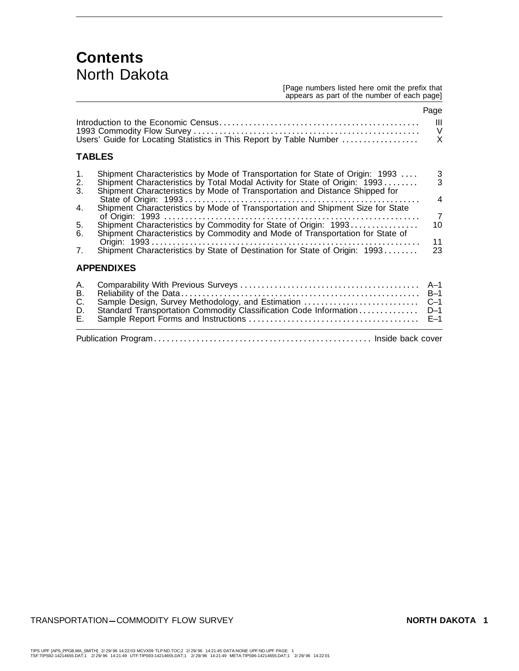# **Contents** North Dakota

#### [Page numbers listed here omit the prefix that appears as part of the number of each page]

|                                  | Users' Guide for Locating Statistics in This Report by Table Number                                                                                                                                                                       | Page<br>Ш<br>V<br>X              |
|----------------------------------|-------------------------------------------------------------------------------------------------------------------------------------------------------------------------------------------------------------------------------------------|----------------------------------|
|                                  | <b>TABLES</b>                                                                                                                                                                                                                             |                                  |
| 1.<br>2.<br>3.                   | Shipment Characteristics by Mode of Transportation for State of Origin: 1993<br>Shipment Characteristics by Total Modal Activity for State of Origin: 1993<br>Shipment Characteristics by Mode of Transportation and Distance Shipped for | $\frac{3}{3}$<br>4               |
| 4.<br>5.<br>6.<br>7 <sub>1</sub> | Shipment Characteristics by Commodity and Mode of Transportation for State of                                                                                                                                                             | $\overline{7}$<br>10<br>11<br>23 |
|                                  | <b>APPENDIXES</b>                                                                                                                                                                                                                         |                                  |
| А.<br>В.<br>C.<br>D.<br>Е.       | Reliability of the Data……………………………………………………… B–1<br>Sample Design, Survey Methodology, and Estimation<br>Standard Transportation Commodity Classification Code Information                                                                | $C-1$<br>$D-1$<br>$E-1$          |
|                                  |                                                                                                                                                                                                                                           |                                  |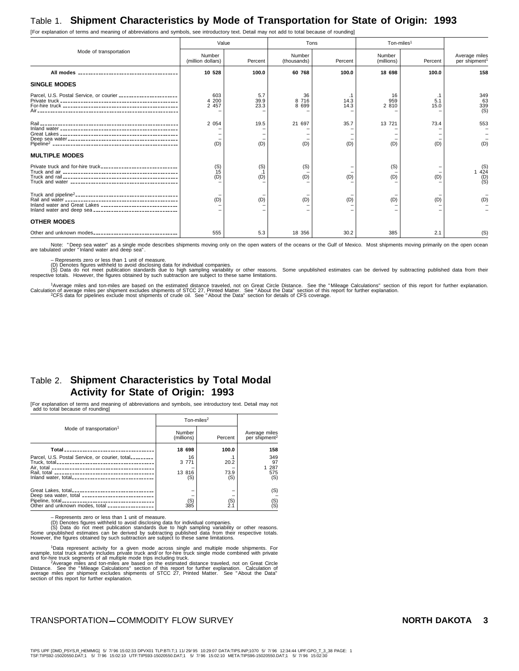# Table 1. **Shipment Characteristics by Mode of Transportation for State of Origin: 1993**

[For explanation of terms and meaning of abbreviations and symbols, see introductory text. Detail may not add to total because of rounding]

Mode of transportation Value **Tons** Tons Ton-miles<sup>1</sup> Number (million dollars) Percent Number<br>
(thousands) Percent Number (millions) Percent Average miles<br>per shipment<sup>1</sup> **All modes 10** --------------------------------------- **528 100.0 60 768 100.0 18 698 100.0 158 SINGLE MODES** Parcel, U.S. Postal Service, or courier 603 ----------------------- 5.7 36 .1 16 .1 349 Private truck 4 ---------------------------------------------- 200 39.9 8 716 14.3 959 5.1 63 For-hire truck 2 --------------------------------------------- 457 23.3 8 699 14.3 2 810 15.0 339 -------------------------------------Rail ------------------------------------------------------ 2 054 19.5 21 697 35.7 13 721 73.4 553 Inland water – ---------------------------------------------- ––––– – Great Lakes – ---------------------------------------------- ––––– – Deep sea water – ------------------------------------------- ––––– – Pipeline2 ------------------------------------------------- (D) (D) (D) (D) (D) (D) (D) **MULTIPLE MODES** Private truck and for-hire truck (S) ------------------------------ (S) (S) – (S) – (S) Truck and air 15 --------------------------------------------- .1 – – – – 1 424 Truck and rail (D) --------------------------------------------- (D) (D) (D) (D) (D) (D) Truck and water – ------------------------------------------ – – – – – (S) Truck and pipeline2---------------------------------------- – ––––– – Rail and water (D) -------------------------------------------- (D) (D) (D) (D) (D) (D) Inland water and Great Lakes – ------------------------------ ––––– – Inland water and deep sea – --------------------------------- ––––– – **OTHER MODES** Other and unknown modes 555 --------------------------------- 5.3 18 356 30.2 385 2.1 (S)

Note: "Deep sea water" as a single mode describes shipments moving only on the open waters of the oceans or the Gulf of Mexico. Most shipments moving primarily on the open ocean<br>are tabulated under "Inland water and deep s

– Represents zero or less than 1 unit of measure.

(D) Denotes figures withheld to avoid disclosing data for individual companies.<br>(S) Data do not meet publication standards due to high sampling variability or other reasons. Some unpublished estimates can be derived by sub

1Average miles and ton-miles are based on the estimated distance traveled, not on Great Circle Distance. See the "Mileage Calculations" section of this report for further explanation.<br>Calculation of average miles per shipm

# Table 2. **Shipment Characteristics by Total Modal Activity for State of Origin: 1993**

[For explanation of terms and meaning of abbreviations and symbols, see introductory text. Detail may not add to total because of rounding]

|                                                                                                            | Ton-miles $2$           |                    |                                            |
|------------------------------------------------------------------------------------------------------------|-------------------------|--------------------|--------------------------------------------|
| Mode of transportation <sup>1</sup>                                                                        | Number<br>(millions)    | Percent            | Average miles<br>per shipment <sup>2</sup> |
| Total _________________________________                                                                    | 18 698                  | 100.0              | 158                                        |
| Parcel, U.S. Postal Service, or courier, total________                                                     | 16<br>3 7 7 1<br>13 816 | .1<br>20.2<br>73.9 | 349<br>97<br>1 287<br>575                  |
| Inland water, total__________________________________                                                      | (S)                     | (S)                | (S)                                        |
| Great Lakes, total_________________________________<br>Deep sea water, total _____________________________ |                         |                    | (S)                                        |
| Other and unknown modes, total _________________                                                           | (S)<br>385              | $^{(S)}_{2.1}$     | (S)<br>(S)                                 |

– Represents zero or less than 1 unit of measure.

(D) Denotes figures withheld to avoid disclosing data for individual companies.<br>
(S) Data do not meet publication standards due to high sampling variability or other reasons.<br>
Some unpublished estimates can be derived by s

<sup>1</sup>Data represent activity for a given mode across single and multiple mode shipments. For<br>example, total truck activity includes private truck single mode combined with private<br>and for-hire truck segments of all multiple

section of this report for further explanation.

### TRANSPORTATION-COMMODITY FLOW SURVEY **NORTH DAKOTA 3**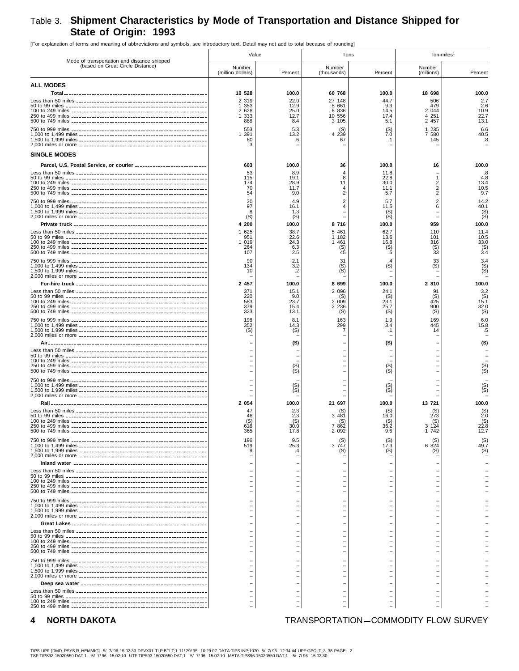# Table 3. **Shipment Characteristics by Mode of Transportation and Distance Shipped for State of Origin: 1993**

[For explanation of terms and meaning of abbreviations and symbols, see introductory text. Detail may not add to total because of rounding]

| Mode of transportation and distance shipped                         | Value                                                                          |                                                                   | Tons                                                                            |                                                          | Ton-miles <sup>1</sup>                                                    |                                                                  |  |
|---------------------------------------------------------------------|--------------------------------------------------------------------------------|-------------------------------------------------------------------|---------------------------------------------------------------------------------|----------------------------------------------------------|---------------------------------------------------------------------------|------------------------------------------------------------------|--|
| (based on Great Circle Distance)                                    | Number<br>(million dollars)                                                    | Percent                                                           | Number<br>(thousands)                                                           | Percent                                                  | Number<br>(millions)                                                      | Percent                                                          |  |
| <b>ALL MODES</b>                                                    |                                                                                |                                                                   |                                                                                 |                                                          |                                                                           |                                                                  |  |
| Total <sub>--</sub>                                                 | 10 528<br>2 3 1 9<br>1 353<br>2 6 2 8<br>1 333<br>888<br>553<br>391<br>60<br>3 | 100.0<br>22.0<br>12.9<br>25.0<br>12.7<br>8.4<br>5.3<br>13.2<br>.6 | 60 768<br>27 148<br>5 661<br>8 8 3 6<br>10 556<br>3 105<br>(S)<br>4 2 3 9<br>67 | 100.0<br>44.7<br>9.3<br>14.5<br>17.4<br>5.1<br>Ź.Ó<br>.1 | 18 698<br>506<br>479<br>2 0 4 4<br>4 251<br>2 457<br>1 235<br>7580<br>145 | 100.0<br>2.7<br>2.6<br>10.9<br>22.7<br>13.1<br>6.6<br>40.5<br>.8 |  |
| <b>SINGLE MODES</b>                                                 |                                                                                |                                                                   |                                                                                 |                                                          |                                                                           |                                                                  |  |
| Parcel, U.S. Postal Service, or courier ___________________________ | 603<br>53<br>115<br>174<br>70<br>54<br>30                                      | 100.0<br>8.9<br>19.1<br>28.9<br>11.7<br>9.0<br>4.9                | 36<br>$\overline{4}$<br>8<br>11<br>4<br>$\overline{2}$<br>$\overline{2}$        | 100.0<br>11.8<br>22.8<br>30.0<br>11.1<br>5.7<br>5.7      | 16<br>2<br>$\overline{2}$<br>$\overline{2}$                               | 100.0<br>8.<br>4.8<br>13.4<br>10.5<br>9.7<br>14.2                |  |
|                                                                     | 97<br>8<br>(S)<br>4 200                                                        | 16.1<br>1.3<br>(S)<br>100.0                                       | $\overline{4}$<br>8716                                                          | 11.5<br>(S)<br>(S)<br>100.0                              | 6<br>959                                                                  | 40.1<br>(S)<br>100.0                                             |  |
|                                                                     | 1 625<br>951<br>019<br>-1<br>264<br>107                                        | 38.7<br>22.6<br>24.3<br>6.3<br>2.5                                | 5 4 6 1<br>1 182<br>1 4 6 1<br>(S)<br>45                                        | 62.7<br>13.6<br>16.8<br>(S)<br>.5                        | 110<br>101<br>316<br>(S)<br>33                                            | 11.4<br>10.5<br>33.0<br>$(S)$<br>3.4                             |  |
|                                                                     | 90<br>134<br>10                                                                | 2.1<br>3.2<br>$\cdot$                                             | 31<br>(S)<br>(S)                                                                | (S)                                                      | 33<br>(S)                                                                 | 3.4<br>(S)<br>(S)                                                |  |
|                                                                     | 2 457<br>371<br>220<br>583<br>379<br>323                                       | 100.0<br>15.1<br>9.0<br>23.7<br>15.4<br>13.1                      | 8 699<br>2 0 9 6<br>(S)<br>2 009<br>2 2 3 6<br>(S)                              | 100.0<br>24.1<br>(S)<br>23.1<br>25.7<br>(S)              | 2 810<br>(S)<br>425<br>900<br>(S)                                         | 100.0<br>3.2<br>(S)<br>15.1<br>32.0<br>(S)                       |  |
|                                                                     | 198<br>352<br>(S)                                                              | 8.1<br>14.3<br>(S)                                                | 163<br>299<br>7                                                                 | 1.9<br>3.4<br>.1                                         | 169<br>445<br>14                                                          | 6.0<br>15.8<br>.5                                                |  |
|                                                                     |                                                                                | (S)<br>(S)<br>(S)                                                 |                                                                                 | (S)<br>(S)<br>(S)                                        |                                                                           | (S)<br>$(S)$<br>$(S)$                                            |  |
|                                                                     |                                                                                | $(S)$<br>$(S)$                                                    |                                                                                 | (S)<br>(S)                                               |                                                                           | $S($ S)                                                          |  |
|                                                                     | 2 0 5 4<br>47<br>48<br>(S)<br>616<br>365                                       | 100.0<br>2.3<br>2.3<br>$^{(S)}_{30.0}$<br>17.8                    | 21 697<br>(S<br>3 4 8 1<br>(S)<br>7 862<br>2 092                                | 100.0<br>16.0<br>(S)<br>36.2<br>9.6                      | 13 721<br>(S)<br>273<br>(S)<br>3 1 2 4<br>1 742                           | 100.0<br>$^{(S)}_{2.0}$<br>(S)<br>22.8<br>12.7                   |  |
|                                                                     | 196<br>519<br>9                                                                | 9.5<br>25.3<br>.4                                                 | 3 747<br>(S)                                                                    | 17.3<br>(S)                                              | 6 824<br>(S)                                                              | $^{(S)}_{49.7}$<br>(S)                                           |  |
|                                                                     |                                                                                |                                                                   |                                                                                 |                                                          |                                                                           |                                                                  |  |
|                                                                     |                                                                                |                                                                   |                                                                                 |                                                          |                                                                           |                                                                  |  |
|                                                                     |                                                                                |                                                                   |                                                                                 |                                                          |                                                                           |                                                                  |  |
|                                                                     |                                                                                |                                                                   |                                                                                 |                                                          |                                                                           |                                                                  |  |
|                                                                     |                                                                                |                                                                   |                                                                                 |                                                          |                                                                           |                                                                  |  |

# **4** NORTH DAKOTA **TRANSPORTATION-COMMODITY FLOW SURVEY**

TIPS UPF [DMD\_PSYS,R\_HEMMIG] 5/ 7/96 15:02:33 DPVX01 TLP:BTI.T;1 11/29/95 10:29:07 DATA:TIPS.INP;1070 5/ 7/96 12:34:44 UPF:GPO\_T\_3\_38 PAGE: 2<br>TSF:TIPS92-15020550.DAT;1 5/ 7/96 15:02:10 UTF:TIPS93-15020550.DAT;1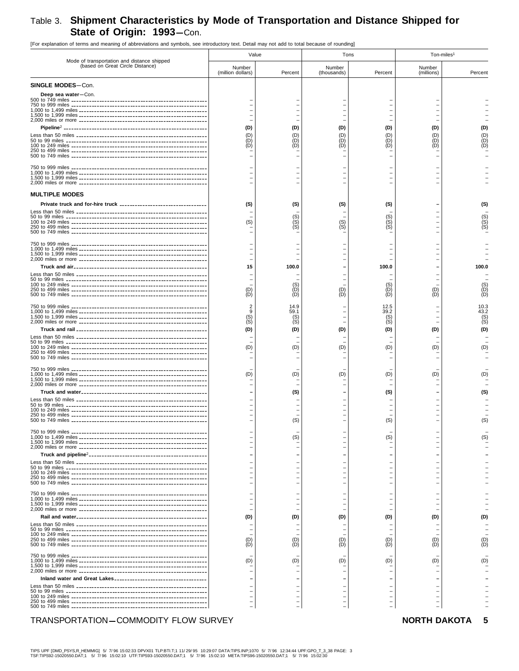# Table 3. Shipment Characteristics by Mode of Transportation and Distance Shipped for State of Origin: 1993-Con.

[For explanation of terms and meaning of abbreviations and symbols, see introductory text. Detail may not add to total because of rounding]

| Mode of transportation and distance shipped | Value                       |                                   | Tons                     |                                                      | Ton-miles <sup>1</sup>                                                           |                                     |  |
|---------------------------------------------|-----------------------------|-----------------------------------|--------------------------|------------------------------------------------------|----------------------------------------------------------------------------------|-------------------------------------|--|
| (based on Great Circle Distance)            | Number<br>(million dollars) | Percent                           | Number<br>(thousands)    | Percent                                              | Number<br>(millions)                                                             | Percent                             |  |
| SINGLE MODES-Con.                           |                             |                                   |                          |                                                      |                                                                                  |                                     |  |
| Deep sea water-Con.                         |                             |                                   |                          |                                                      |                                                                                  |                                     |  |
|                                             | (D)<br>(D)<br>(D)<br>(D)    | (D)<br>(D)<br>(D)<br>(D)          | (D)<br>(D)<br>(D)<br>(D) | (D)<br>(D)<br>(D)<br>(D)                             | (D)<br>(D)<br>(D)<br>(D)                                                         | (D)                                 |  |
|                                             |                             |                                   |                          |                                                      |                                                                                  |                                     |  |
| <b>MULTIPLE MODES</b>                       |                             |                                   |                          |                                                      |                                                                                  |                                     |  |
|                                             | (S)<br>(S)                  | (S)<br>(S)<br>$\mathsf{(S)}$      | (S)<br>(S)<br>(S)        | (S)<br>(S)<br>(S)<br>(S)                             |                                                                                  | (S)                                 |  |
|                                             |                             |                                   |                          |                                                      |                                                                                  |                                     |  |
|                                             |                             |                                   |                          |                                                      |                                                                                  |                                     |  |
|                                             | 15                          | 100.0                             |                          | 100.0                                                |                                                                                  | 100.0                               |  |
|                                             | (D)<br>(D)                  | (D)<br>(D)                        | (D)<br>(D)               | (D)<br>(D)                                           | (D)<br>(D)                                                                       | (D<br>(D                            |  |
|                                             | $(S)$<br>$(S)$<br>(D)       | 14.9<br>59.1<br>(S)<br>(S)<br>(D) | (D)                      | 12.5<br>39.2<br>(S)<br>(S)<br>(D)                    | (D)                                                                              | 10.3<br>43.2<br>$S_{\rm (S)}^{(S)}$ |  |
|                                             | (D)                         | (D)                               | (D)                      | (D)                                                  | (D)                                                                              |                                     |  |
|                                             | (D)                         | (D)                               | (D)                      | (D)                                                  | (D)                                                                              |                                     |  |
|                                             |                             | (S)                               |                          | (S)                                                  |                                                                                  |                                     |  |
|                                             |                             | (S)                               |                          | (S)                                                  |                                                                                  | (S)                                 |  |
|                                             |                             | (S)                               |                          | (S)<br>—                                             | $\overline{\phantom{0}}$<br>$\overline{\phantom{0}}$                             | (S)                                 |  |
|                                             |                             |                                   |                          |                                                      | -                                                                                |                                     |  |
|                                             |                             |                                   |                          | $\equiv$<br>$\equiv$                                 | $\overline{\phantom{0}}$<br>$\overline{\phantom{0}}$<br>$\overline{\phantom{0}}$ |                                     |  |
|                                             |                             |                                   |                          |                                                      |                                                                                  |                                     |  |
|                                             | (D)                         | (D)                               | (D)                      | (D)                                                  | (D)                                                                              | (D)                                 |  |
|                                             | (D)<br>(D)                  | (D)<br>(D)                        | (D)<br>ÌDÍ               | (D)<br>(D)                                           | (D)<br>(D)                                                                       | ίD,                                 |  |
|                                             | (D)                         | (D)                               | (D)                      | (D)                                                  | (D)                                                                              |                                     |  |
|                                             |                             |                                   |                          |                                                      |                                                                                  |                                     |  |
|                                             |                             |                                   |                          | $\overline{\phantom{a}}$<br>$\overline{\phantom{m}}$ | $\overline{\phantom{0}}$<br>$\overline{\phantom{0}}$<br>-                        |                                     |  |

# TRANSPORTATION-COMMODITY FLOW SURVEY

### NORTH DAKOTA 5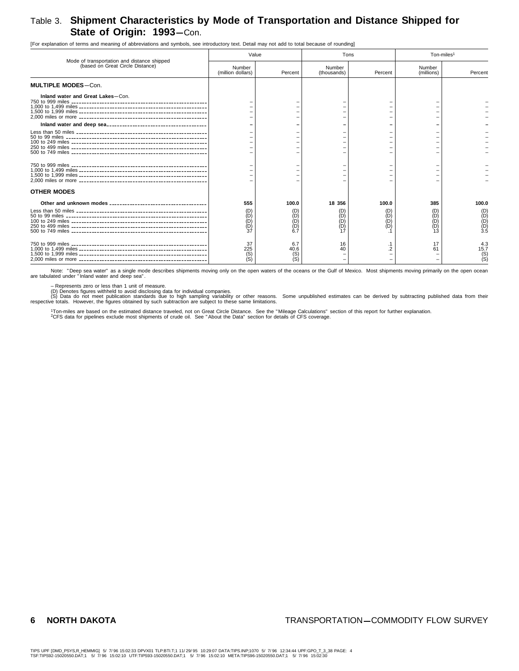# Table 3. **Shipment Characteristics by Mode of Transportation and Distance Shipped for State of Origin: 1993**-Con.

[For explanation of terms and meaning of abbreviations and symbols, see introductory text. Detail may not add to total because of rounding]

| Mode of transportation and distance shipped | Value                       |                           |                             | Tons                | Ton-miles <sup>1</sup>   |                                   |
|---------------------------------------------|-----------------------------|---------------------------|-----------------------------|---------------------|--------------------------|-----------------------------------|
| (based on Great Circle Distance)            | Number<br>(million dollars) | Percent                   | Number<br>(thousands)       | Percent             | Number<br>(millions)     | Percent                           |
| <b>MULTIPLE MODES-Con.</b>                  |                             |                           |                             |                     |                          |                                   |
| Inland water and Great Lakes-Con.           |                             |                           |                             |                     |                          |                                   |
|                                             |                             |                           |                             |                     |                          |                                   |
|                                             |                             |                           |                             |                     |                          |                                   |
|                                             |                             |                           |                             |                     |                          |                                   |
| <b>OTHER MODES</b>                          |                             |                           |                             |                     |                          |                                   |
|                                             | 555<br>(D)<br>ÌDÌ<br>(D)    | 100.0<br>(D)              | 18 356<br>(D)<br>(D)<br>ÌDÍ | 100.0<br>(D)<br>ÌDÍ | 385<br>(D)<br>(D)<br>(D) | 100.0<br>(D)<br>(D)<br>(D)<br>3.5 |
|                                             | 37<br>225<br>(S)            | 6.7<br>40.6<br>(S)<br>ÌSÍ | 16<br>40                    |                     | 17<br>61                 | 4.3<br>15.7<br>$^{(S)}_{(S)}$     |

Note: "Deep sea water" as a single mode describes shipments moving only on the open waters of the oceans or the Gulf of Mexico. Most shipments moving primarily on the open ocean<br>are tabulated under "Inland water and deep s

– Represents zero or less than 1 unit of measure.<br>(D) Denotes figures withheld to avoid disclosing data for individual companies.<br>respective totals. do not meet publication standards due to high sampling variability or oth

<sup>1</sup>Ton-miles are based on the estimated distance traveled, not on Great Circle Distance. See the "Mileage Calculations" section of this report for further explanation.<br><sup>2</sup>CFS data for pipelines exclude most shipments of cr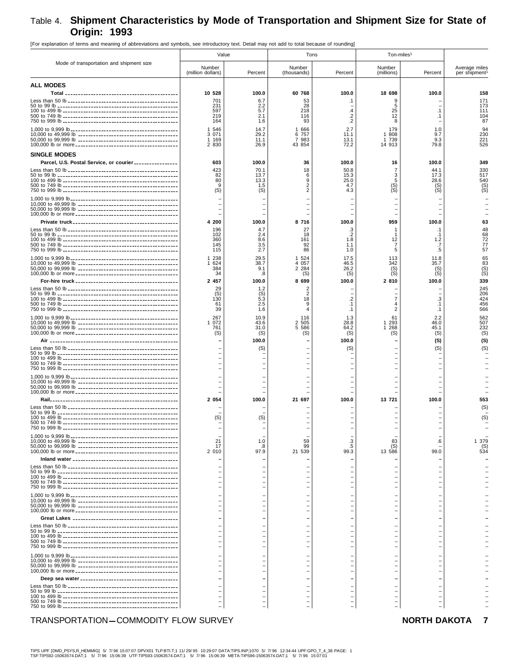# Table 4. **Shipment Characteristics by Mode of Transportation and Shipment Size for State of Origin: 1993**

[For explanation of terms and meaning of abbreviations and symbols, see introductory text. Detail may not add to total because of rounding]

|                                                         | Value                       |                   |                       | Tons              | Ton-miles <sup>1</sup> |                        |                               |
|---------------------------------------------------------|-----------------------------|-------------------|-----------------------|-------------------|------------------------|------------------------|-------------------------------|
| Mode of transportation and shipment size                | Number<br>(million dollars) | Percent           | Number<br>(thousands) | Percent           | Number<br>(millions)   | Percent                | Average miles<br>per shipment |
| <b>ALL MODES</b>                                        |                             |                   |                       |                   |                        |                        |                               |
|                                                         | 10 528<br>701               | 100.0<br>6.7      | 60 768<br>53          | 100.0<br>.1       | 18 698<br>9            | 100.0                  | 158<br>171                    |
|                                                         | 231<br>597                  | 2.2<br>5.7        | 28<br>218             | $\cdot$           | 5<br>25                | $\cdot$ 1              | 173<br>111                    |
|                                                         | 219<br>164                  | 2.1<br>1.6        | 116<br>93             | .2<br>$\cdot$     | 12<br>8                | $\cdot$ 1              | 104<br>87                     |
|                                                         | 1 546                       | 14.7              | 1 666                 | 2.7               | 179                    | 1.0                    | 94                            |
|                                                         | 3 0 7 1<br>1 169            | 29.2<br>11.1      | 6 757<br>7 983        | 11.1<br>13.1      | 1 808<br>1 739         | 9.7<br>9.3             | 230<br>221<br>526             |
| <b>SINGLE MODES</b>                                     | 2 8 3 0                     | 26.9              | 43 854                | 72.2              | 14 913                 | 79.8                   |                               |
| Parcel, U.S. Postal Service, or courier _______________ | 603                         | 100.0             | 36                    | 100.0             | 16                     | 100.0                  | 349                           |
|                                                         | 423<br>82                   | 70.1<br>13.7      | 18<br>6               | 50.8<br>15.3      | $\overline{7}$<br>3    | 44.1<br>17.3           | 330<br>517                    |
|                                                         | 80<br>9                     | 13.3<br>1.5       | 9<br>2                | 25.0<br>4.7       | 5                      | 28.6<br>(S)            | 540                           |
|                                                         | (S)                         | (S)               | 2                     | 4.3               | $(S)$<br>$(S)$         | (S)                    | $^{(S)}_{(S)}$                |
|                                                         |                             |                   |                       |                   |                        |                        |                               |
|                                                         |                             |                   |                       |                   |                        |                        |                               |
|                                                         | 4 200                       | 100.0             | 8 716                 | 100.0             | 959                    | 100.0                  | 63                            |
|                                                         | 196<br>102                  | 4.7<br>2.4        | 27<br>18              | .3<br>.2          | 1                      | .1<br>.1               | 48<br>68                      |
|                                                         | 360<br>145<br>115           | 8.6<br>3.5<br>2.7 | 161<br>92<br>86       | 1.8<br>1.1<br>1.0 | 12<br>7<br>5           | 1.2<br>.7              | 72<br>77<br>57                |
|                                                         | 1 2 3 8                     | 29.5              | 1 524                 | 17.5              | 113                    | .5<br>11.8             | 65                            |
|                                                         | 1 624<br>384                | 38.7<br>9.1       | 4 0 5 7<br>2 2 8 4    | 46.5<br>26.2      | 342<br>(S)             | 35.7<br>(S)            | 83                            |
|                                                         | 34<br>2 457                 | .8<br>100.0       | (S)<br>8 699          | (S)<br>100.0      | (S)<br>2810            | (S)<br>100.0           | (S)<br>339                    |
|                                                         | 29                          | 1.2               | 2                     |                   |                        |                        | 245                           |
|                                                         | (S)<br>130                  | (S)<br>5.3        | 2<br>18               | .2                | 7                      | .3                     | 206<br>424                    |
|                                                         | 61<br>39                    | 2.5<br>1.6        | 9<br>4                | $\cdot$ 1<br>.1   | 4<br>2                 | $\cdot$ 1<br>$\cdot$ 1 | 456<br>566                    |
|                                                         | 267<br>1 072                | 10.9<br>43.6      | 116<br>2 505          | 1.3<br>28.8       | 61<br>1 293            | 2.2<br>46.0            | 562<br>507                    |
|                                                         | 761<br>(S)                  | 31.0<br>(S)       | 5 586<br>(S)          | 64.2<br>(S)       | 268<br>1<br>(S)        | 45.1<br>(S)            | 232<br>(S)                    |
| Air                                                     |                             | 100.0             |                       | 100.0             |                        | (S)                    | (S)                           |
|                                                         |                             | (S)               |                       | (S)               |                        | (S)                    | (S)                           |
|                                                         |                             |                   |                       |                   |                        |                        |                               |
|                                                         |                             |                   |                       |                   |                        |                        |                               |
|                                                         |                             |                   |                       |                   |                        |                        |                               |
|                                                         |                             |                   |                       |                   |                        |                        |                               |
|                                                         | 2 0 5 4                     | 100.0             | 21 697                | 100.0             | 13 721                 | 100.0                  | 553<br>(S)                    |
|                                                         | (S)                         | (S)               |                       |                   |                        |                        | (S)                           |
|                                                         |                             |                   |                       |                   |                        |                        |                               |
|                                                         |                             |                   |                       |                   |                        |                        |                               |
|                                                         | 21<br>17<br>2 010           | 1.0<br>.8<br>97.9 | 59<br>99<br>21 539    | .3<br>.5<br>99.3  | 83<br>(S)<br>13 586    | .6<br>99.0             | 1 379<br>$(S)$<br>534         |
|                                                         |                             |                   |                       |                   |                        |                        |                               |
|                                                         |                             |                   |                       |                   |                        |                        |                               |
|                                                         |                             |                   |                       |                   |                        |                        |                               |
|                                                         |                             |                   |                       |                   |                        |                        |                               |
|                                                         |                             |                   |                       |                   |                        |                        |                               |
|                                                         |                             |                   |                       |                   |                        |                        |                               |
|                                                         |                             |                   |                       |                   |                        |                        |                               |
|                                                         |                             |                   |                       |                   |                        |                        |                               |
|                                                         |                             |                   |                       |                   |                        |                        |                               |
|                                                         |                             |                   |                       |                   |                        |                        |                               |
|                                                         |                             |                   |                       |                   |                        |                        |                               |
|                                                         |                             |                   |                       |                   |                        |                        |                               |
|                                                         |                             |                   |                       |                   |                        |                        |                               |
|                                                         |                             |                   |                       |                   |                        |                        |                               |
|                                                         |                             |                   |                       |                   |                        |                        |                               |
| TRANSPORTATION-COMMODITY FLOW SURVEY                    |                             |                   |                       |                   |                        | <b>NORTH DAKOTA</b>    | $\overline{\phantom{a}}$      |

# TIPS UPF [DMD\_PSYS,R\_HEMMIG] 5/ 7/96 15:07:07 DPVX01 TLP:BTI.T;1 11/29/95 10:29:07 DATA:TIPS.INP;1070 5/ 7/96 12:34:44 UPF:GPO\_T\_4\_38 PAGE: 1<br>TSF:TIPS92-15063574.DAT;1 5/ 7/96 15:06:39 UTF:TIPS93-15063574.DAT;1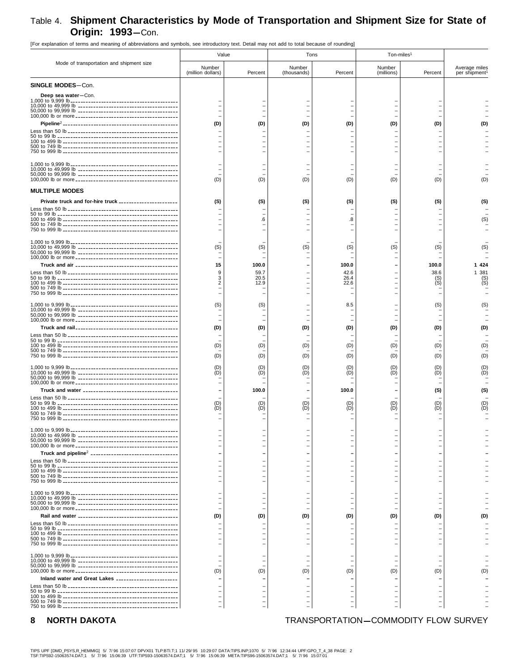# Table 4. Shipment Characteristics by Mode of Transportation and Shipment Size for State of Origin: 1993-Con.

|                                                         | Value                          |                               | Tons                  |                                      | Ton-miles <sup>1</sup> |                                                                              |                                            |  |
|---------------------------------------------------------|--------------------------------|-------------------------------|-----------------------|--------------------------------------|------------------------|------------------------------------------------------------------------------|--------------------------------------------|--|
| Mode of transportation and shipment size                | Number<br>(million dollars)    | Percent                       | Number<br>(thousands) | Percent                              | Number<br>(millions)   | Percent                                                                      | Average miles<br>per shipment <sup>1</sup> |  |
| <b>SINGLE MODES-Con.</b>                                |                                |                               |                       |                                      |                        |                                                                              |                                            |  |
| Deep sea water-Con.                                     |                                |                               |                       |                                      |                        |                                                                              |                                            |  |
|                                                         | (D)                            | (D)                           | (D)                   | (D)                                  | (D)                    | (D)                                                                          |                                            |  |
|                                                         | (D)                            | (D)                           | (D)                   | (D)                                  | (D)                    | (D)                                                                          | (D)                                        |  |
| <b>MULTIPLE MODES</b>                                   |                                |                               |                       |                                      |                        |                                                                              |                                            |  |
| Private truck and for-hire truck ______________________ | (S)                            | (S)<br>.6                     | (S)                   | (S)<br>8.                            | (S)                    | (S)                                                                          | (S)<br>(S)                                 |  |
|                                                         |                                |                               |                       |                                      |                        |                                                                              |                                            |  |
|                                                         | (S)                            | (S)                           | (S)                   | (S)                                  | (S)                    | (S)                                                                          | (S)                                        |  |
|                                                         | 15<br>9<br>3<br>$\overline{2}$ | 100.0<br>59.7<br>20.5<br>12.9 |                       | 100.0<br>42.6<br>26.4<br>22.6        |                        | 100.0<br>38.6<br>(S)<br>(S)                                                  | 1 4 2 4<br>1 381<br>(S)<br>(S)             |  |
|                                                         | (S)                            | (S)                           |                       | 8.5                                  |                        | (S)                                                                          |                                            |  |
|                                                         | (D)                            | (D)                           | (D)                   | (D)                                  | (D)                    | (D)                                                                          |                                            |  |
|                                                         | (D)<br>(D)                     | (D)<br>(D)                    | (D)<br>(D)            | (D)<br>(D)                           | (D)<br>(D)             | (D)<br>(D)                                                                   |                                            |  |
|                                                         | (D)<br>(D)                     | (D)<br>(D)                    | (D)<br>(D)            | (D)                                  | (D)<br>(D)             | (D)<br>(D)                                                                   |                                            |  |
|                                                         | (D)<br>(D)                     | 100.0<br>(D)<br>(D)           | (D)<br>(D)            | 100.0<br>(D)<br>(D)                  | (D)<br>(D)             | (S)<br>(D)<br>(D)                                                            |                                            |  |
|                                                         |                                |                               |                       |                                      |                        |                                                                              |                                            |  |
|                                                         | -<br>$\overline{\phantom{0}}$  |                               | $\equiv$              | $\equiv$<br>$\equiv$                 |                        | $\overline{\phantom{0}}$<br>$\equiv$<br>$\equiv$                             |                                            |  |
|                                                         | $\equiv$<br>-<br>-             |                               | $\equiv$              | $\equiv$<br>$\overline{\phantom{0}}$ |                        | $\overline{\phantom{0}}$<br>$\overline{\phantom{0}}$<br>$\equiv$<br>$\equiv$ |                                            |  |
|                                                         | $\equiv$                       |                               |                       |                                      |                        | $\equiv$<br>$\qquad \qquad -$                                                |                                            |  |
|                                                         | (D)                            | (D)                           | (D)                   | (D)                                  | (D)                    | (D)                                                                          |                                            |  |
|                                                         |                                |                               |                       |                                      |                        |                                                                              |                                            |  |
|                                                         | (D)                            | (D)                           | (D)                   | (D)                                  | (D)                    | $\qquad \qquad -$<br>(D)                                                     | (D)                                        |  |
| Inland water and Great Lakes                            |                                |                               |                       |                                      |                        |                                                                              |                                            |  |
|                                                         |                                |                               |                       |                                      |                        |                                                                              |                                            |  |

loning of abbreviations and symbols, see introductory text. Detail may not add to total because of rounding

#### **NORTH DAKOTA** 8

## TRANSPORTATION-COMMODITY FLOW SURVEY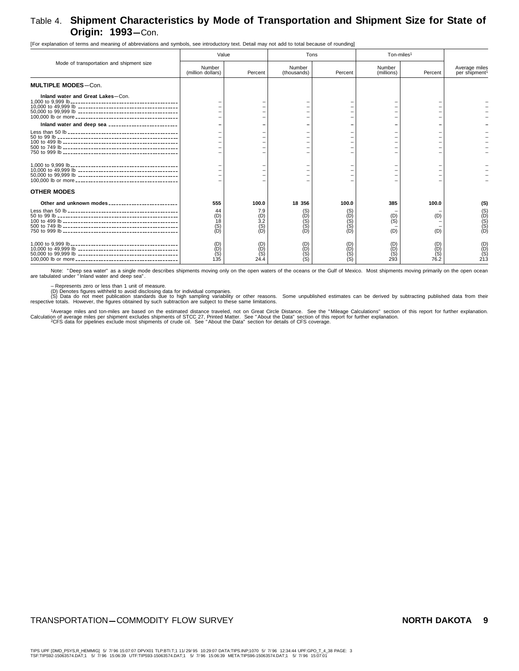# Table 4. **Shipment Characteristics by Mode of Transportation and Shipment Size for State of Origin: 1993**-Con.

[For explanation of terms and meaning of abbreviations and symbols, see introductory text. Detail may not add to total because of rounding]

|                                          | Value                                  |                                                            | Tons                     |                   | Ton-miles <sup>1</sup>   |                               |                                            |
|------------------------------------------|----------------------------------------|------------------------------------------------------------|--------------------------|-------------------|--------------------------|-------------------------------|--------------------------------------------|
| Mode of transportation and shipment size | Number<br>(million dollars)            | Percent                                                    | Number<br>(thousands)    | Percent           | Number<br>(millions)     | Percent                       | Average miles<br>per shipment <sup>1</sup> |
| <b>MULTIPLE MODES-Con.</b>               |                                        |                                                            |                          |                   |                          |                               |                                            |
| Inland water and Great Lakes-Con.        |                                        |                                                            |                          |                   |                          |                               |                                            |
| Inland water and deep sea                |                                        |                                                            |                          |                   |                          |                               |                                            |
|                                          |                                        |                                                            |                          |                   |                          |                               |                                            |
|                                          |                                        |                                                            |                          |                   |                          |                               |                                            |
| <b>OTHER MODES</b>                       |                                        |                                                            |                          |                   |                          |                               |                                            |
| Other and unknown modes                  | 555<br>44                              | 100.0<br>7.9                                               | 18 356<br>(S)            | 100.0<br>(S)      | 385                      | 100.0                         | (S)                                        |
|                                          | (D)<br>18<br>$\overline{(\mathsf{D})}$ | $_{3.2}^{(D)}$<br>(S)<br>íDÍ                               | (D)<br>ÌS)<br>(S)<br>(D) | (D)<br>(S)<br>(D) | (D)<br>(S)<br>(D)        | (D)<br>(D)                    | (9)<br>(9)<br>(9)                          |
|                                          | $(D)$<br>$(D)$<br>$(S)$<br>135         | (D)<br>$\begin{array}{c} (D) \\ (S) \\ (24.4) \end{array}$ | (D)<br>(D)<br>(S)        | (D)<br>(D)<br>(S) | (D)<br>(D)<br>(S)<br>293 | (D)<br>$\binom{D}{S}$<br>76.2 | $(D)$<br>(D)<br>(S)<br>213                 |

Note: "Deep sea water" as a single mode describes shipments moving only on the open waters of the oceans or the Gulf of Mexico. Most shipments moving primarily on the open ocean<br>are tabulated under "Inland water and deep s

– Represents zero or less than 1 unit of measure.<br>(D) Denotes figures withheld to avoid disclosing data for individual companies.<br>respective totals. do not meet publication standards due to high sampling variability or oth

1Average miles and ton-miles are based on the estimated distance traveled, not on Great Circle Distance. See the "Mileage Calculations" section of this report for further explanation.<br>Calculation of average miles per shipm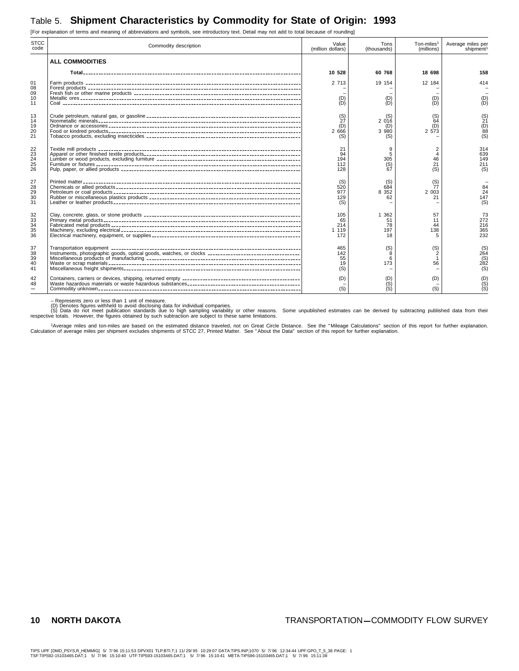# Table 5. **Shipment Characteristics by Commodity for State of Origin: 1993**

STCC<br>code code Commodity description Value (million dollars) Tons (thousands) Ton-miles1 (millions) Average miles per shipment<sup>1</sup> **ALL COMMODITIES Total**------------------------------------------------------------------------------------- **10 528 60 768 18 698 158** 01 Farm products ------------------------------------------------------------------------------------ 2 713 19 154 12 184 414 08 Forest products ----------------------------------------------------------------------------------- – –– – 09 Fresh fish or other marine products ----------------------------------------------------------------- – –– – 10 Metallic ores -------------------------------------------------------------------------------------- (D) (D) (D) (D) 11 Coal --------------------------------------------------------------------------------------------- (D) (D) (D) (D) 13 Crude petroleum, natural gas, or gasoline ------------------------------------------------------------ (S) (S) (S) (S) 14 Nonmetallic minerals------------------------------------------------------------------------------- 27 2 016 64 21 19 Ordnance or accessories --------------------------------------------------------------------------- (D) (D) (D) (D) 20 Food or kindred products--------------------------------------------------------------------------- 2 666 3 980 2 573 88 21 Tobacco products, excluding insecticides ------------------------------------------------------------ (S) (S) – (S) 22 Textile mill products ------------------------------------------------------------------------------- 21 9 2 314 23 Apparel or other finished textile products------------------------------------------------------------- 94 5 4 639 24 Lumber or wood products, excluding furniture -------------------------------------------------------- 194 305 46 149 25 Furniture or fixtures -------------------------------------------------------------------------------- 112 (S) 21 211 26 Pulp, paper, or allied products ---------------------------------------------------------------------- 128 67 (S) (S) 27 Printed matter------------------------------------------------------------------------------------- (S) (S) (S) – 28 Chemicals or allied products ------------------------------------------------------------------------ 520 684 77 84 29 Petroleum or coal products ------------------------------------------------------------------------- 977 8 352 2 003 24 30 Rubber or miscellaneous plastics products ----------------------------------------------------------- 129 62 21 147 31 Leather or leather products ------------------------------------------------------------------------- (S) – – (S)  $\begin{array}{|l|l|l|l|}\n \hline\n 212&\n 221&\n 33&\n 34&\n 45&\n 57&\n 58&\n 59&\n 51&\n 50&\n 51&\n 52&\n 53&\n 54&\n 55&\n 56&\n 57&\n 58&\n 59&\n 50&\n 51&\n 52&\n 53&\n 54&\n 57&\n 58&\n 59&\n 50&\n 51&\n 52&\n 53&\n 54&\n 56&\n$ 33 Primary metal products----------------------------------------------------------------------------- 65 51 11 272 34 Fabricated metal products -------------------------------------------------------------------------- 214 78 44 216 35 Machinery, excluding electrical ---------------------------------------------------------------------- 1 119 197 138 365 36 Electrical machinery, equipment, or supplies---------------------------------------------------------- 172 18 5 232 37 Transportation equipment -------------------------------------------------------------------------- 465 (S) (S) (S) 38 Instruments, photographic goods, optical goods, watches, or clocks 142 ------------------------------------ 8 2 264 39 Miscellaneous products of manufacturing ------------------------------------------------------------ 55 6 1 (S) 40 Waste or scrap materials --------------------------------------------------------------------------- 19 173 56 282 41 Miscellaneous freight shipments--------------------------------------------------------------------- (S) – – (S) 42 Containers, carriers or devices, shipping, returned empty (D) ---------------------------------------------- (D) (D) (D) 48 Waste hazardous materials or waste hazardous substances – -------------------------------------------- (S) – (S) m Commodity unknown------------------------------------------------------------------------------- (S) (S) (S) (S)

[For explanation of terms and meaning of abbreviations and symbols, see introductory text. Detail may not add to total because of rounding]

– Represents zero or less than 1 unit of measure.

(D) Denotes figures withheld to avoid disclosing data for individual companies.<br>(S) Data do not meet publication standards due to high sampling variability or other reasons. Some unpublished estimates can be derived by sub

<sup>1</sup>Average miles and ton-miles are based on the estimated distance traveled, not on Great Circle Distance. See the "Mileage Calculations" section of this report for further explanation.<br>Calculation of average miles per shi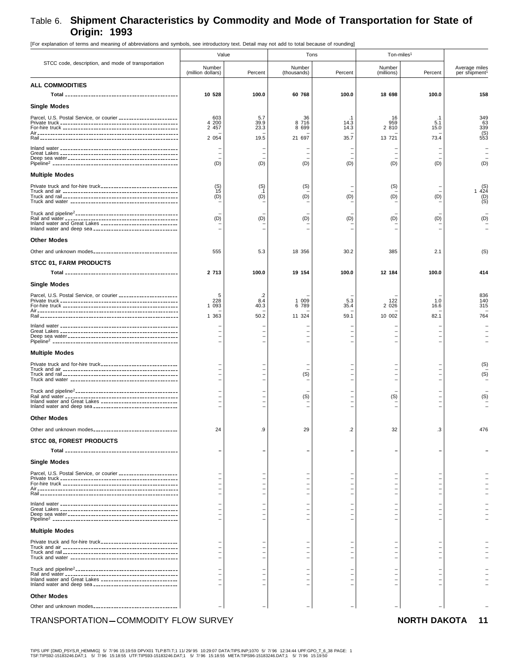[For explanation of terms and meaning of abbreviations and symbols, see introductory text. Detail may not add to total because of rounding]

|                                                                | Value                                     |              |                       | Tons                     | Ton-miles <sup>1</sup> |                                                      |                               |
|----------------------------------------------------------------|-------------------------------------------|--------------|-----------------------|--------------------------|------------------------|------------------------------------------------------|-------------------------------|
| STCC code, description, and mode of transportation             | Number<br>(million dollars)               | Percent      | Number<br>(thousands) | Percent                  | Number<br>(millions)   | Percent                                              | Average miles<br>per shipment |
| <b>ALL COMMODITIES</b>                                         |                                           |              |                       |                          |                        |                                                      |                               |
|                                                                | 10 528                                    | 100.0        | 60 768                | 100.0                    | 18 698                 | 100.0                                                | 158                           |
| <b>Single Modes</b>                                            |                                           |              |                       |                          |                        |                                                      |                               |
| Parcel, U.S. Postal Service, or courier ______________________ | 603                                       | 5.7          | 36                    | .1                       | 16                     | $\cdot$ 1                                            | 349                           |
|                                                                | 4 200<br>2 457                            | 39.9<br>23.3 | 8 7 1 6<br>8 6 9 9    | 14.3<br>14.3             | 959<br>2 810           | 5.1<br>15.0                                          | 63<br>339                     |
|                                                                | 2 0 5 4                                   | 19.5         | 21 697                | 35.7                     | 13 721                 | 73.4                                                 | $(S)$<br>553                  |
|                                                                |                                           |              |                       |                          |                        |                                                      |                               |
|                                                                | $\overline{\phantom{0}}$                  |              |                       | $\overline{\phantom{0}}$ |                        |                                                      |                               |
|                                                                | (D)                                       | (D)          | (D)                   | (D)                      | (D)                    | (D)                                                  | (D)                           |
| <b>Multiple Modes</b>                                          |                                           |              |                       |                          |                        |                                                      |                               |
|                                                                | $(S)$ 15                                  | (S)          | (S)                   |                          | (S)                    |                                                      |                               |
|                                                                | (D)                                       | (D)          | (D)                   | (D)                      | (D)                    | (D)                                                  | (S)<br>1 424<br>(D)<br>(S)    |
|                                                                |                                           |              |                       |                          |                        |                                                      |                               |
|                                                                |                                           |              |                       |                          |                        |                                                      |                               |
| Inland water and Great Lakes _______________________________   | (D)                                       | (D)          | (D)                   | (D)                      | (D)                    | (D)                                                  | (D)                           |
|                                                                |                                           |              |                       |                          |                        |                                                      |                               |
| <b>Other Modes</b>                                             |                                           |              |                       |                          |                        |                                                      |                               |
|                                                                | 555                                       | 5.3          | 18 356                | 30.2                     | 385                    | 2.1                                                  | (S)                           |
| <b>STCC 01, FARM PRODUCTS</b>                                  |                                           |              |                       |                          |                        |                                                      |                               |
|                                                                | 2 713                                     | 100.0        | 19 154                | 100.0                    | 12 184                 | 100.0                                                | 414                           |
| <b>Single Modes</b>                                            |                                           |              |                       |                          |                        |                                                      |                               |
| Parcel, U.S. Postal Service, or courier ______________________ | 5                                         | .2           |                       |                          |                        |                                                      | 836                           |
|                                                                | 228<br>1 0 9 3                            | 8.4<br>40.3  | 1 009<br>6 789        | 5.3<br>35.4              | 122<br>2 0 2 6         | 1.0<br>16.6                                          | 140<br>315                    |
|                                                                | 1 3 6 3                                   | 50.2         | 11 324                | 59.1                     | 10 002                 | 82.1                                                 | 764                           |
|                                                                |                                           |              |                       |                          |                        |                                                      |                               |
|                                                                | $\overline{\phantom{0}}$                  |              |                       |                          |                        |                                                      |                               |
|                                                                | $\overline{\phantom{0}}$<br>$\equiv$      |              |                       |                          |                        |                                                      |                               |
| <b>Multiple Modes</b>                                          |                                           |              |                       |                          |                        |                                                      |                               |
|                                                                |                                           |              |                       |                          |                        |                                                      | (S)                           |
|                                                                | $\overline{\phantom{0}}$<br>$\rightarrow$ |              | (S)                   | $\equiv$<br>▃            |                        | $\overline{\phantom{0}}$<br>$\overline{\phantom{0}}$ | (S)                           |
|                                                                |                                           |              |                       | $\overline{\phantom{0}}$ |                        |                                                      |                               |
|                                                                |                                           |              |                       |                          |                        |                                                      |                               |
| Inland water and Great Lakes ________________________________  |                                           |              | (S)                   |                          | (S)                    |                                                      | (S)                           |
|                                                                |                                           |              |                       |                          |                        |                                                      |                               |
| <b>Other Modes</b>                                             |                                           |              |                       |                          |                        |                                                      |                               |
| Other and unknown modes________________________________        | 24                                        | .9           | 29                    | .2                       | 32                     | .3                                                   | 476                           |
| <b>STCC 08, FOREST PRODUCTS</b>                                |                                           |              |                       |                          |                        |                                                      |                               |
|                                                                |                                           |              |                       | -                        |                        |                                                      |                               |
| <b>Single Modes</b>                                            |                                           |              |                       |                          |                        |                                                      |                               |
| Parcel, U.S. Postal Service, or courier ______________________ |                                           |              |                       |                          |                        |                                                      |                               |
|                                                                |                                           |              |                       |                          |                        |                                                      |                               |
|                                                                | $\rightarrow$                             |              |                       |                          |                        |                                                      |                               |
|                                                                |                                           |              |                       |                          |                        |                                                      |                               |
|                                                                | $\rightarrow$<br>$\rightarrow$            |              |                       |                          |                        |                                                      |                               |
|                                                                |                                           |              |                       |                          |                        |                                                      |                               |
| <b>Multiple Modes</b>                                          |                                           |              |                       |                          |                        |                                                      |                               |
|                                                                | $\rightarrow$                             |              |                       |                          |                        |                                                      |                               |
|                                                                |                                           |              |                       |                          |                        |                                                      |                               |
|                                                                |                                           |              |                       |                          |                        |                                                      |                               |
|                                                                |                                           |              |                       |                          |                        |                                                      |                               |
| Inland water and Great Lakes ________________________________  |                                           |              |                       |                          |                        |                                                      |                               |
| Inland water and deep sea __________________________________   |                                           |              |                       |                          |                        |                                                      |                               |
| <b>Other Modes</b>                                             |                                           |              |                       |                          |                        |                                                      |                               |
|                                                                |                                           |              |                       |                          |                        |                                                      |                               |
| TRANSPORTATION-COMMODITY FLOW SURVEY                           |                                           |              |                       |                          |                        | <b>NORTH DAKOTA</b>                                  | 11                            |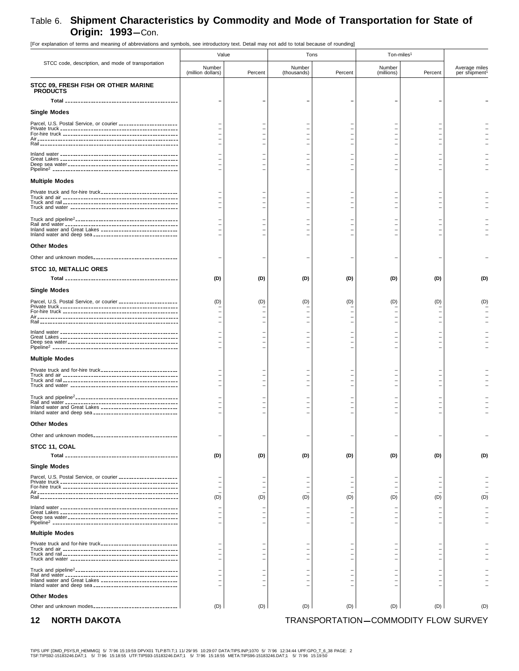|                                                                 | Value                       |                          |                       | Tons    | Ton-miles <sup>1</sup> |         |                               |
|-----------------------------------------------------------------|-----------------------------|--------------------------|-----------------------|---------|------------------------|---------|-------------------------------|
| STCC code, description, and mode of transportation              | Number<br>(million dollars) | Percent                  | Number<br>(thousands) | Percent | Number<br>(millions)   | Percent | Average miles<br>per shipment |
| STCC 09, FRESH FISH OR OTHER MARINE<br><b>PRODUCTS</b>          |                             |                          |                       |         |                        |         |                               |
|                                                                 |                             |                          |                       |         |                        |         |                               |
| <b>Single Modes</b>                                             |                             |                          |                       |         |                        |         |                               |
| Parcel, U.S. Postal Service, or courier ______________________  |                             |                          |                       |         |                        |         |                               |
|                                                                 |                             |                          |                       |         |                        |         |                               |
|                                                                 |                             |                          |                       |         |                        |         |                               |
|                                                                 |                             |                          |                       |         |                        |         |                               |
|                                                                 |                             |                          |                       |         |                        |         |                               |
| <b>Multiple Modes</b>                                           |                             |                          |                       |         |                        |         |                               |
| Private truck and for-hire truck                                |                             |                          |                       |         |                        |         |                               |
|                                                                 |                             |                          |                       |         |                        |         |                               |
|                                                                 |                             |                          |                       |         |                        |         |                               |
|                                                                 |                             |                          |                       |         |                        |         |                               |
| Inland water and Great Lakes ________________________________   |                             |                          |                       |         |                        |         |                               |
| <b>Other Modes</b>                                              |                             |                          |                       |         |                        |         |                               |
|                                                                 |                             |                          |                       |         |                        |         |                               |
| <b>STCC 10, METALLIC ORES</b>                                   |                             |                          |                       |         |                        |         |                               |
|                                                                 | (D)                         | (D)                      | (D)                   | (D)     | (D)                    | (D)     | (D)                           |
| Single Modes                                                    |                             |                          |                       |         |                        |         |                               |
| Parcel, U.S. Postal Service, or courier ______________________  | (D)                         | (D)                      | (D)                   | (D)     | (D)                    | (D)     | (D)                           |
|                                                                 |                             | $\overline{\phantom{0}}$ |                       |         |                        |         |                               |
|                                                                 |                             |                          |                       |         |                        |         |                               |
|                                                                 |                             |                          |                       |         |                        |         |                               |
|                                                                 |                             |                          |                       |         |                        |         |                               |
| <b>Multiple Modes</b>                                           |                             |                          |                       |         |                        |         |                               |
| Private truck and for-hire truck------------------------------- |                             |                          |                       |         |                        |         |                               |
|                                                                 |                             |                          |                       |         |                        |         |                               |
|                                                                 |                             |                          |                       |         |                        |         |                               |
|                                                                 |                             |                          |                       |         |                        |         |                               |
| Inland water and Great Lakes _______________________________    |                             |                          |                       |         |                        |         |                               |
| Other Modes                                                     |                             |                          |                       |         |                        |         |                               |
| Other and unknown modes___________________________________      |                             |                          |                       |         |                        |         |                               |
| <b>STCC 11, COAL</b>                                            |                             |                          |                       |         |                        |         |                               |
|                                                                 | (D)                         | (D)                      | (D)                   | (D)     | (D)                    | (D)     | (D)                           |
| <b>Single Modes</b>                                             |                             |                          |                       |         |                        |         |                               |
| Parcel, U.S. Postal Service, or courier ______________________  |                             |                          |                       |         |                        |         |                               |
|                                                                 |                             | $\overline{\phantom{0}}$ |                       |         |                        |         |                               |
|                                                                 | (D)                         | (D)                      | (D)                   | (D)     | (D)                    | (D)     | (D)                           |
|                                                                 |                             | $\overline{\phantom{0}}$ |                       |         |                        |         |                               |
|                                                                 |                             |                          |                       |         |                        |         |                               |
| <b>Multiple Modes</b>                                           |                             |                          |                       |         |                        |         |                               |
| Private truck and for-hire truck_______________________________ |                             |                          |                       |         |                        |         |                               |
|                                                                 |                             |                          |                       |         |                        |         |                               |
|                                                                 |                             |                          |                       |         |                        |         |                               |
| Inland water and Great Lakes _______________________________    |                             |                          |                       |         |                        |         |                               |
| <b>Other Modes</b>                                              |                             |                          |                       |         |                        |         |                               |
| Other and unknown modes__________________________________       | (D)                         | (D)                      | (D)                   | (D)     | (D)                    | (D)     | (D)                           |
|                                                                 |                             |                          |                       |         |                        |         |                               |

[For explanation of terms and meaning of abbreviations and symbols, see introductory text. Detail may not add to total because of rounding]

### **12 NORTH DAKOTA TRANSPORTATION-COMMODITY FLOW SURVEY**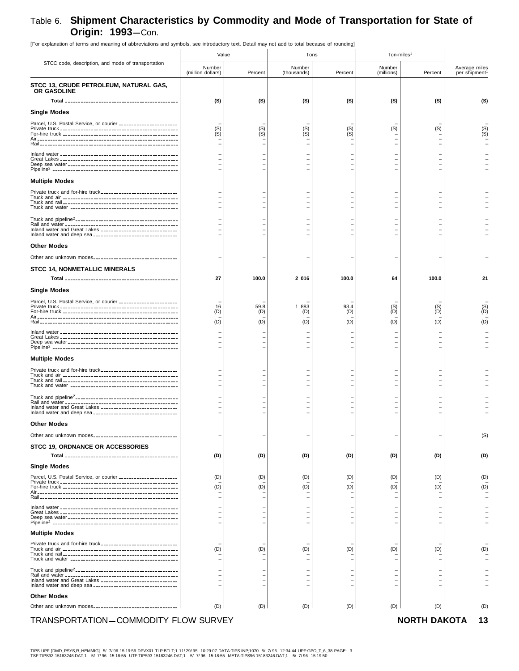[For explanation of terms and meaning of abbreviations and symbols, see introductory text. Detail may not add to total because of rounding] STCC code, description, and mode of transportation Value **Tons** Tons and Ton-miles<sup>1</sup> Number (million dollars) Percent Number (thousands) Percent Numbe (millions) Percent Average miles per shipment<sup>1</sup> **STCC 13, CRUDE PETROLEUM, NATURAL GAS, OR GASOLINE Total (S)** -------------------------------------------- **(S) (S) (S) (S) (S) (S) Single Modes** Parcel, U.S. Postal Service, or courier – ----------------------- ––––– – Private truck (S) ---------------------------------------------- (S) (S) (S) (S) (S) (S) For-hire truck (S) --------------------------------------------- (S) (S) (S) – – (S) Air------------------------------------------------------- – ––––– – Rail ------------------------------------------------------ – ––––– – Inland water – ---------------------------------------------- ––––– – Great Lakes – ---------------------------------------------- ––––– – Deep sea water – ------------------------------------------- ––––– – Pipeline2 ------------------------------------------------- – ––––– – **Multiple Modes** Private truck and for-hire truck – ------------------------------ ––––– – Truck and air – --------------------------------------------- ––––– – Truck and rail – --------------------------------------------- ––––– – Truck and water – ------------------------------------------ ––––– – Truck and pipeline2---------------------------------------- – ––––– – Rail and water – -------------------------------------------- ––––– – Inland water and Great Lakes – ------------------------------ ––––– – Inland water and deep sea – --------------------------------- ––––– – **Other Modes** Other and unknown modes – --------------------------------- ––––– – **STCC 14, NONMETALLIC MINERALS Total 27** -------------------------------------------- **100.0 2 016 100.0 64 100.0 21 Single Modes** Parcel, U.S. Postal Service, or courier – ----------------------- ––––– – Private truck 16 ---------------------------------------------- 59.8 1 883 93.4 (S) (S) (S) For-hire truck (D) --------------------------------------------- (D) (D) (D) (D) (D) (D) Air------------------------------------------------------- – ––––– – Rail ------------------------------------------------------ (D) (D) (D) (D) (D) (D) (D) Inland water – ---------------------------------------------- ––––– – Great Lakes – ---------------------------------------------- ––––– – Deep sea water – ------------------------------------------- ––––– – Pipeline2 ------------------------------------------------- – ––––– – **Multiple Modes** Private truck and for-hire truck – ------------------------------ ––––– – Truck and air – --------------------------------------------- ––––– – Truck and rail – --------------------------------------------- ––––– – Truck and water – ------------------------------------------ ––––– – Truck and pipeline<sup>2</sup>------------------------------Rail and water – -------------------------------------------- ––––– – Inland water and Great Lakes – ------------------------------ ––––– – Inland water and deep sea **-------------------------------Other Modes** Other and unknown modes – --------------------------------- – – – – – (S) **STCC 19, ORDNANCE OR ACCESSORIES Total (D)** -------------------------------------------- **(D) (D) (D) (D) (D) (D) Single Modes** Parcel, U.S. Postal Service, or courier (D) ----------------------- (D) (D) (D) (D) (D) (D) Private truck – ---------------------------------------------- ––––– – For-hire truck (D) --------------------------------------------- (D) (D) (D) (D) (D) (D) Air------------------------------------------------------- – ––––– – Rail ------------------------------------------------------ – ––––– – Inland water – ---------------------------------------------- ––––– – Great Lakes – ---------------------------------------------- ––––– – Deep sea water – ------------------------------------------- ––––– – Pipeline2 ------------------------------------------------- – ––––– – **Multiple Modes** Private truck and for-hire truck – ------------------------------ ––––– – Truck and air (D) --------------------------------------------- (D) (D) (D) (D) (D) (D) Truck and rail – --------------------------------------------- ––––– – Truck and water – ------------------------------------------ ––––– – Truck and pipeline2---------------------------------------- – ––––– – Rail and water – -------------------------------------------- ––––– – Inland water and Great Lakes – ------------------------------ ––––– – Inland water and deep sea – --------------------------------- ––––– – **Other Modes** Other and unknown modes (D) --------------------------------- (D) (D) (D) (D) (D) (D)

#### TRANSPORTATION—COMMODITY FLOW SURVEY **NORTH DAKOTA 13**

TIPS UPF [DMD\_PSYS,R\_HEMMIG] 5/ 7/ 96 15:19:59 DPVX01 TLP:BTI.T;1 11/ 29/ 95 10:29:07 DATA:TIPS.INP;1070 5/ 7/ 96 12:34:44 UPF:GPO\_T\_6\_38 PAGE: 3 TSF:TIPS92-15183246.DAT;1 5/ 7/ 96 15:18:55 UTF:TIPS93-15183246.DAT;1 5/ 7/ 96 15:18:55 META:TIPS96-15183246.DAT;1 5/ 7/ 96 15:19:50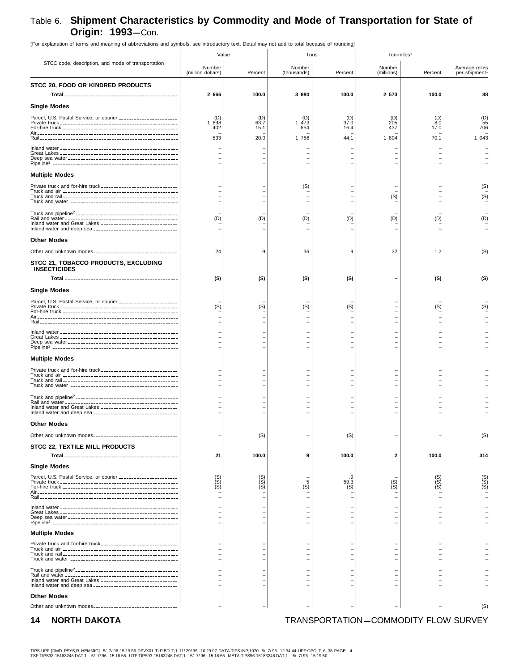## Table 6. **Shipment Characteristics by Commodity and Mode of Transportation for State of Origin: 1993**-Con. [For explanation of terms and meaning of abbreviations and symbols, see introductory text. Detail may not add to total because of rounding]

| [For explanation or terms and meaning or abbreviations and symbols, see introductory text. Detail may not add to total because or rounding] |                             |                   |                       |              |                        |                   |                                            |
|---------------------------------------------------------------------------------------------------------------------------------------------|-----------------------------|-------------------|-----------------------|--------------|------------------------|-------------------|--------------------------------------------|
|                                                                                                                                             | Value                       |                   | Tons                  |              | Ton-miles <sup>1</sup> |                   |                                            |
| STCC code, description, and mode of transportation                                                                                          | Number<br>(million dollars) | Percent           | Number<br>(thousands) | Percent      | Number<br>(millions)   | Percent           | Average miles<br>per shipment <sup>1</sup> |
| STCC 20, FOOD OR KINDRED PRODUCTS                                                                                                           |                             |                   |                       |              |                        |                   |                                            |
|                                                                                                                                             | 2 666                       | 100.0             | 3 980                 | 100.0        | 2 573                  | 100.0             | 88                                         |
| <b>Single Modes</b>                                                                                                                         |                             |                   |                       |              |                        |                   |                                            |
| Parcel, U.S. Postal Service, or courier ______________________                                                                              | (D)                         | $^{(D)}_{63.7}$   | (D)                   | (D)          | (D)                    | $_{8.0}^{(D)}$    | $\binom{D}{55}$                            |
|                                                                                                                                             | 1698<br>402                 | 15.1              | 1473<br>654           | 37.0<br>16.4 | 205<br>437             | 17.0              | 706                                        |
|                                                                                                                                             | 533                         | 20.0              | 1 756                 | 44.1         | 1 804                  | 70.1              | 1 0 4 3                                    |
|                                                                                                                                             |                             |                   |                       |              |                        |                   |                                            |
|                                                                                                                                             |                             |                   |                       |              |                        |                   |                                            |
| <b>Multiple Modes</b>                                                                                                                       |                             |                   |                       |              |                        |                   |                                            |
|                                                                                                                                             |                             |                   | (S)                   |              |                        |                   | (S)                                        |
|                                                                                                                                             |                             |                   |                       |              | (S)                    |                   | (S)                                        |
|                                                                                                                                             |                             |                   |                       |              |                        |                   |                                            |
|                                                                                                                                             | (D)                         | (D)               | (D)                   | (D)          | (D)                    | (D)               |                                            |
| Inland water and Great Lakes _______________________________                                                                                |                             |                   |                       |              |                        |                   |                                            |
| <b>Other Modes</b>                                                                                                                          |                             |                   |                       |              |                        |                   |                                            |
| Other and unknown modes___________________________________                                                                                  | 24                          | .9                | 36                    | .9           | 32                     | 1.2               | (S)                                        |
| STCC 21, TOBACCO PRODUCTS, EXCLUDING                                                                                                        |                             |                   |                       |              |                        |                   |                                            |
| <b>INSECTICIDES</b>                                                                                                                         |                             |                   |                       |              |                        |                   |                                            |
|                                                                                                                                             | (S)                         | (S)               | (S)                   | (S)          |                        | (S)               | (S)                                        |
| <b>Single Modes</b>                                                                                                                         |                             |                   |                       |              |                        |                   |                                            |
| Parcel, U.S. Postal Service, or courier ______________________                                                                              | (S)                         | (S)               | (S)                   | (S)          |                        | (S)               | (S)                                        |
|                                                                                                                                             |                             |                   |                       |              |                        |                   |                                            |
|                                                                                                                                             |                             |                   |                       |              |                        |                   |                                            |
|                                                                                                                                             |                             |                   |                       |              |                        |                   |                                            |
|                                                                                                                                             |                             |                   |                       |              |                        |                   |                                            |
| <b>Multiple Modes</b>                                                                                                                       |                             |                   |                       |              |                        |                   |                                            |
| Private truck and for-hire truck                                                                                                            |                             |                   |                       |              |                        |                   |                                            |
|                                                                                                                                             |                             |                   |                       |              |                        |                   |                                            |
|                                                                                                                                             |                             |                   |                       |              |                        |                   |                                            |
| Inland water and Great Lakes _______________________________                                                                                |                             |                   |                       |              |                        |                   |                                            |
|                                                                                                                                             |                             |                   |                       |              |                        |                   |                                            |
| <b>Other Modes</b>                                                                                                                          |                             |                   |                       |              |                        |                   |                                            |
|                                                                                                                                             |                             | (S)               |                       | (S)          |                        |                   | (S)                                        |
| STCC 22, TEXTILE MILL PRODUCTS                                                                                                              |                             |                   |                       |              |                        |                   |                                            |
|                                                                                                                                             | 21                          | 100.0             | 9                     | 100.0        | 2                      | 100.0             | 314                                        |
| <b>Single Modes</b>                                                                                                                         |                             |                   |                       |              |                        |                   |                                            |
| Parcel, U.S. Postal Service, or courier ______________________                                                                              | (S)<br>(S)<br>(S)           | (S)<br>(S)<br>(S) | 5                     | 59.3         | $(S)$<br>$(S)$         | (S)<br>(S)<br>(S) | (S)<br>(S)<br>(S)                          |
|                                                                                                                                             |                             |                   | (S)                   | (S)          |                        |                   |                                            |
|                                                                                                                                             |                             |                   |                       |              |                        |                   |                                            |
|                                                                                                                                             |                             |                   |                       |              |                        |                   |                                            |
|                                                                                                                                             |                             |                   |                       |              |                        |                   |                                            |
| <b>Multiple Modes</b>                                                                                                                       |                             |                   |                       |              |                        |                   |                                            |
| Private truck and for-hire truck________________________________                                                                            |                             |                   |                       |              |                        |                   |                                            |
|                                                                                                                                             |                             |                   |                       |              |                        |                   |                                            |
|                                                                                                                                             |                             |                   |                       |              |                        |                   |                                            |
| Inland water and Great Lakes _______________________________                                                                                |                             |                   |                       |              |                        |                   |                                            |
| <b>Other Modes</b>                                                                                                                          |                             |                   |                       |              |                        |                   |                                            |
| Other and unknown modes________________________________                                                                                     |                             |                   |                       |              |                        |                   | (S)                                        |
|                                                                                                                                             |                             |                   |                       |              |                        |                   |                                            |

## **14 NORTH DAKOTA TRANSPORTATION-COMMODITY FLOW SURVEY**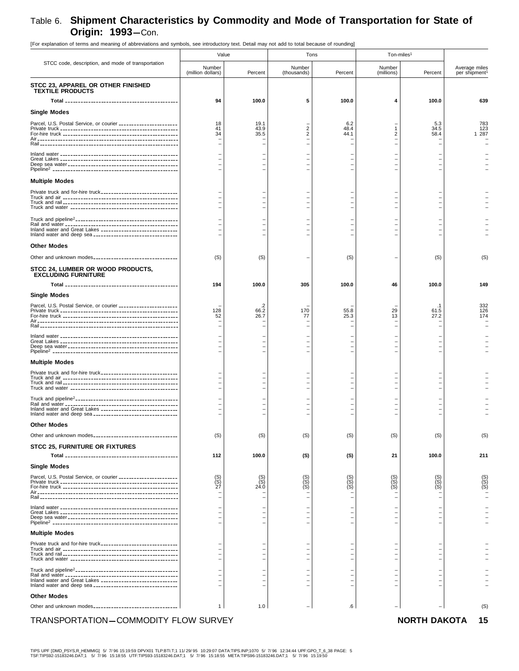[For explanation of terms and meaning of abbreviations and symbols, see introductory text. Detail may not add to total because of rounding] STCC code, description, and mode of transportation Value **Tons** Tons and Ton-miles<sup>1</sup> Number (million dollars) Percent Number (thousands) Percent Numbe (millions) Percent Average miles per shipment<sup>1</sup> **STCC 23, APPAREL OR OTHER FINISHED TEXTILE PRODUCTS Total 94** -------------------------------------------- **100.0 5 100.0 4 100.0 639 Single Modes** Parcel, U.S. Postal Service, or courier 18 ----------------------- 19.1 – 6.2 – 5.3 783 Private truck 41 ---------------------------------------------- 43.9 2 48.4 1 34.5 123 For-hire truck 34 --------------------------------------------- 35.5 2 44.1 2 58.4 1 287 Air------------------------------------------------------- – ––––– – Rail ------------------------------------------------------ – ––––– – Inland water – ---------------------------------------------- ––––– – Great Lakes – ---------------------------------------------- ––––– – Deep sea water – ------------------------------------------- ––––– – Pipeline2 ------------------------------------------------- – ––––– – **Multiple Modes** Private truck and for-hire truck – ------------------------------ ––––– – Truck and air – --------------------------------------------- ––––– – Truck and rail – --------------------------------------------- ––––– – Truck and water – ------------------------------------------ ––––– – Truck and pipeline2---------------------------------------- – ––––– – Rail and water – -------------------------------------------- ––––– – Inland water and Great Lakes – ------------------------------ ––––– – Inland water and deep sea – --------------------------------- ––––– – **Other Modes** Other and unknown modes (S) --------------------------------- (S) – (S) – (S) (S) **STCC 24, LUMBER OR WOOD PRODUCTS, EXCLUDING FURNITURE Total 194** -------------------------------------------- **100.0 305 100.0 46 100.0 149 Single Modes** Parcel, U.S. Postal Service, or courier – ----------------------- .2 – – – .1 332 Private truck 128 ---------------------------------------------- 66.2 170 55.8 29 61.5 126 For-hire truck 52 --------------------------------------------- 26.7 77 25.3 13 27.2 174 Air------------------------------------------------------- – ––––– – Rail ------------------------------------------------------ – ––––– – Inland water – ---------------------------------------------- ––––– – Great Lakes – ---------------------------------------------- ––––– – Deep sea water – ------------------------------------------- ––––– – Pipeline2 ------------------------------------------------- – ––––– – **Multiple Modes** Private truck and for-hire truck – ------------------------------ ––––– – Truck and air – --------------------------------------------- ––––– – Truck and rail – --------------------------------------------- ––––– – Truck and water – ------------------------------------------ ––––– – Truck and pipeline2---------------------------------------- – ––––– – Rail and water – -------------------------------------------- ––––– – Inland water and Great Lakes – ------------------------------ ––––– – Inland water and deep sea – --------------------------------- ––––– – **Other Modes** Other and unknown modes \_\_\_\_\_\_\_\_\_\_\_\_\_\_\_\_\_\_\_\_\_\_\_\_\_\_\_\_\_\_\_| (S) | (S) (S) | (S) (S) (S) (S) (S) (S) (S) (S) (S) (S **STCC 25, FURNITURE OR FIXTURES Total 112** -------------------------------------------- **100.0 (S) (S) 21 100.0 211 Single Modes** Parcel, U.S. Postal Service, or courier (S) ----------------------- (S) (S) (S) (S) (S) (S) Private truck (S) ---------------------------------------------- (S) (S) (S) (S) (S) (S) For-hire truck 27 --------------------------------------------- 24.0 (S) (S) (S) (S) (S) Air------------------------------------------------------- – ––––– – Rail ------------------------------------------------------ – ––––– – Inland water – ---------------------------------------------- ––––– – Great Lakes – ---------------------------------------------- ––––– – Deep sea water – ------------------------------------------- ––––– – Pipeline2 ------------------------------------------------- – ––––– – **Multiple Modes** Private truck and for-hire truck – ------------------------------ ––––– – Truck and air – --------------------------------------------- ––––– – Truck and rail – --------------------------------------------- ––––– – Truck and water – ------------------------------------------ ––––– – Truck and pipeline2---------------------------------------- – ––––– – Rail and water – -------------------------------------------- ––––– – Inland water and Great Lakes – ------------------------------ ––––– – Inland water and deep sea – --------------------------------- ––––– – **Other Modes** Other and unknown modes 1 --------------------------------- 1.0 – .6 – – (S)

#### TRANSPORTATION-COMMODITY FLOW SURVEY **NORTH DAKOTA 15**

TIPS UPF [DMD\_PSYS,R\_HEMMIG] 5/ 7/ 96 15:19:59 DPVX01 TLP:BTI.T;1 11/ 29/ 95 10:29:07 DATA:TIPS.INP;1070 5/ 7/ 96 12:34:44 UPF:GPO\_T\_6\_38 PAGE: 5 TSF:TIPS92-15183246.DAT;1 5/ 7/ 96 15:18:55 UTF:TIPS93-15183246.DAT;1 5/ 7/ 96 15:18:55 META:TIPS96-15183246.DAT;1 5/ 7/ 96 15:19:50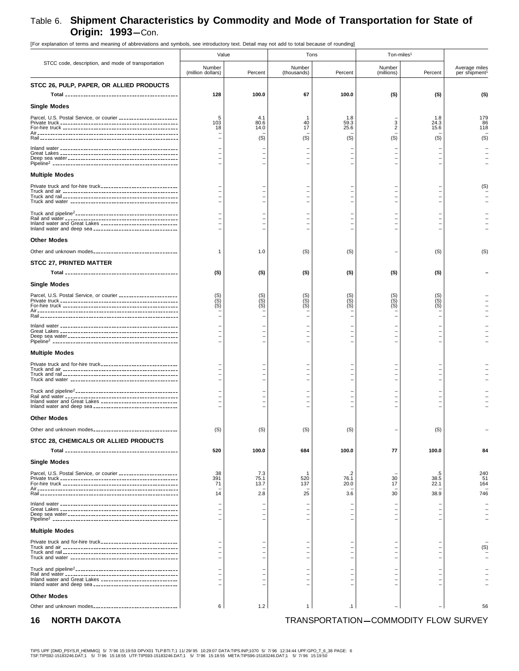| [For explanation of terms and meaning of abbreviations and symbols, see introductory text. Detail may not add to total because of rounding] |                                                                     |                            |                                                                     |                           |                            |                         |                               |
|---------------------------------------------------------------------------------------------------------------------------------------------|---------------------------------------------------------------------|----------------------------|---------------------------------------------------------------------|---------------------------|----------------------------|-------------------------|-------------------------------|
|                                                                                                                                             | Value                                                               |                            | Tons                                                                |                           | Ton-miles <sup>1</sup>     |                         |                               |
| STCC code, description, and mode of transportation                                                                                          | Number<br>(million dollars)                                         | Percent                    | Number<br>(thousands)                                               | Percent                   | Number<br>(millions)       | Percent                 | Average miles<br>per shipment |
| STCC 26, PULP, PAPER, OR ALLIED PRODUCTS                                                                                                    | 128                                                                 | 100.0                      | 67                                                                  | 100.0                     | (S)                        | (S)                     | (S)                           |
| Single Modes                                                                                                                                |                                                                     |                            |                                                                     |                           |                            |                         |                               |
| Parcel, U.S. Postal Service, or courier ______________________                                                                              | 5<br>103<br>18                                                      | 4.1<br>80.6<br>14.0        | 40<br>17<br>(S)                                                     | 1.8<br>59.3<br>25.6       | 3<br>$\overline{c}$<br>(S) | 1.8<br>24.3<br>15.6     | 179<br>86<br>118<br>(S)       |
|                                                                                                                                             |                                                                     | (S)                        |                                                                     | (S)                       |                            | (S)                     |                               |
| <b>Multiple Modes</b>                                                                                                                       |                                                                     |                            |                                                                     |                           |                            |                         |                               |
|                                                                                                                                             |                                                                     | $\overline{\phantom{0}}$   |                                                                     |                           |                            |                         | (S)                           |
| Inland water and Great Lakes _______________________________                                                                                |                                                                     |                            |                                                                     |                           |                            |                         |                               |
| <b>Other Modes</b>                                                                                                                          |                                                                     |                            |                                                                     |                           |                            |                         |                               |
|                                                                                                                                             | 1                                                                   | 1.0                        | (S)                                                                 | (S)                       |                            | (S)                     | (S)                           |
| <b>STCC 27, PRINTED MATTER</b>                                                                                                              | (S)                                                                 | (S)                        | (S)                                                                 | (S)                       | (S)                        | (S)                     |                               |
| <b>Single Modes</b>                                                                                                                         |                                                                     |                            |                                                                     |                           |                            |                         |                               |
| Parcel, U.S. Postal Service, or courier ______________________                                                                              | $\begin{array}{c} \text{(S)}\\ \text{(S)}\\ \text{(S)} \end{array}$ | (S)<br>(S)<br>(S)          | $\begin{array}{c} \text{(S)}\\ \text{(S)}\\ \text{(S)} \end{array}$ | (S)<br>(S)                | (S)<br>$\binom{S}{S}$      | $(S)$<br>$(S)$<br>$(S)$ |                               |
|                                                                                                                                             |                                                                     |                            |                                                                     |                           |                            |                         |                               |
|                                                                                                                                             |                                                                     |                            |                                                                     |                           |                            |                         |                               |
| <b>Multiple Modes</b>                                                                                                                       |                                                                     |                            |                                                                     |                           |                            |                         |                               |
| Private truck and for-hire truck                                                                                                            |                                                                     | $\overline{\phantom{0}}$   |                                                                     |                           |                            |                         |                               |
| Inland water and Great Lakes _______________________________                                                                                |                                                                     |                            |                                                                     |                           |                            |                         |                               |
| <b>Other Modes</b>                                                                                                                          |                                                                     |                            |                                                                     |                           |                            |                         |                               |
|                                                                                                                                             | (S)                                                                 | (S)                        | (S)                                                                 | (S)                       |                            | (S)                     |                               |
| STCC 28, CHEMICALS OR ALLIED PRODUCTS                                                                                                       | 520                                                                 | 100.0                      | 684                                                                 | 100.0                     | 77                         | 100.0                   | 84                            |
| <b>Single Modes</b>                                                                                                                         |                                                                     |                            |                                                                     |                           |                            |                         |                               |
| Parcel, U.S. Postal Service, or courier ______________________                                                                              | 38<br>391<br>71<br>14                                               | 7.3<br>75.1<br>13.7<br>2.8 | 520<br>137<br>25                                                    | .2<br>76.1<br>20.0<br>3.6 | 30<br>17<br>30             | 38.5<br>22.1<br>38.9    | 240<br>51<br>164<br>746       |
|                                                                                                                                             |                                                                     |                            |                                                                     |                           |                            |                         |                               |
| <b>Multiple Modes</b>                                                                                                                       |                                                                     |                            |                                                                     |                           |                            |                         |                               |
|                                                                                                                                             |                                                                     |                            |                                                                     |                           |                            |                         |                               |
|                                                                                                                                             |                                                                     | $\overline{\phantom{0}}$   |                                                                     |                           |                            |                         | (S)                           |
| Inland water and Great Lakes _______________________________                                                                                |                                                                     |                            |                                                                     |                           |                            |                         |                               |
| <b>Other Modes</b><br>Other and unknown modes__________________________________                                                             | 6                                                                   | 1.2                        | $\mathbf{1}$                                                        | $\cdot$ 1                 |                            |                         | 56                            |

### **16 NORTH DAKOTA TRANSPORTATION-COMMODITY FLOW SURVEY**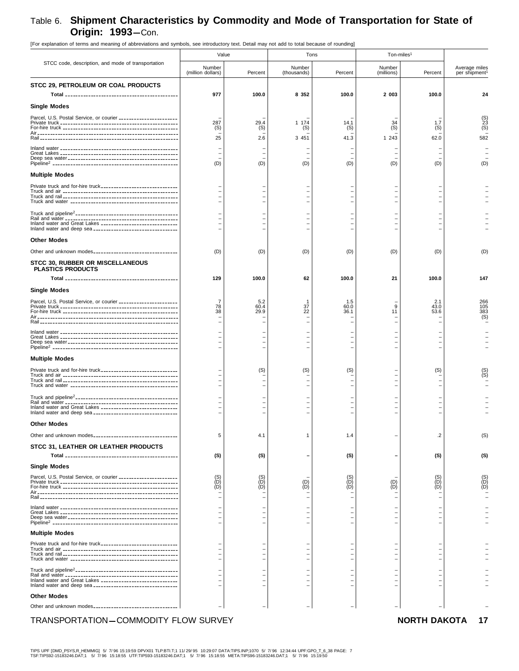[For explanation of terms and meaning of abbreviations and symbols, see introductory text. Detail may not add to total because of rounding] STCC code, description, and mode of transportation Value **Tons** Tons and Ton-miles<sup>1</sup> Number (million dollars) Percent Number (thousands) Percent Numbe (millions) Percent Average miles per shipment<sup>1</sup> **STCC 29, PETROLEUM OR COAL PRODUCTS Total 977** -------------------------------------------- **100.0 8 352 100.0 2 003 100.0 24 Single Modes** Parcel, U.S. Postal Service, or courier – ----------------------- – – – – – (S) Private truck 287 ---------------------------------------------- 29.4 1 174 14.1 34 1.7 23 For-hire truck (S) --------------------------------------------- (S) (S) (S) (S) (S) (S) Air------------------------------------------------------- – ––––– – Rail ------------------------------------------------------ 25 2.6 3 451 41.3 1 243 62.0 582 Inland water – ---------------------------------------------- ––––– – Great Lakes – ---------------------------------------------- ––––– – Deep sea water – ------------------------------------------- ––––– – Pipeline2 ------------------------------------------------- (D) (D) (D) (D) (D) (D) (D) **Multiple Modes** Private truck and for-hire truck – ------------------------------ ––––– – Truck and air – --------------------------------------------- ––––– – Truck and rail – --------------------------------------------- ––––– – Truck and water – ------------------------------------------ ––––– – Truck and pipeline2---------------------------------------- – ––––– – Rail and water – -------------------------------------------- ––––– – Inland water and Great Lakes – ------------------------------ ––––– – Inland water and deep sea – --------------------------------- ––––– – **Other Modes** Other and unknown modes (D) --------------------------------- (D) (D) (D) (D) (D) (D) **STCC 30, RUBBER OR MISCELLANEOUS PLASTICS PRODUCTS Total 129** -------------------------------------------- **100.0 62 100.0 21 100.0 147 Single Modes** Parcel, U.S. Postal Service, or courier 7 ----------------------- 5.2 1 1.5 – 2.1 266 Private truck 78 ---------------------------------------------- 60.4 37 60.0 9 43.0 105 For-hire truck 38 --------------------------------------------- 29.9 22 36.1 11 53.6 383 Air------------------------------------------------------- – – – – – – (S) Rail ------------------------------------------------------ – ––––– – Inland water – ---------------------------------------------- ––––– – Great Lakes – ---------------------------------------------- ––––– – Deep sea water – ------------------------------------------- ––––– – Pipeline2 ------------------------------------------------- – ––––– – **Multiple Modes** Private truck and for-hire truck – ------------------------------ (S) (S) (S) – (S) (S) Truck and air – --------------------------------------------- – – – – – (S) Truck and rail – --------------------------------------------- ––––– – Truck and water – ------------------------------------------ ––––– – Truck and pipeline<sup>2</sup>------------------------------Rail and water – -------------------------------------------- ––––– – Inland water and Great Lakes – ------------------------------ ––––– – Inland water and deep sea **-------------------------------Other Modes** Other and unknown modes 5 --------------------------------- 4.1 1 1.4 – .2 (S) **STCC 31, LEATHER OR LEATHER PRODUCTS Total (S)** -------------------------------------------- **(S) – (S) – (S) (S) Single Modes** Parcel, U.S. Postal Service, or courier (S) ----------------------- (S) – (S) – (S) (S) Private truck (D) ---------------------------------------------- (D) (D) (D) (D) (D) (D) For-hire truck (D) --------------------------------------------- (D) (D) (D) (D) (D) (D) Air------------------------------------------------------- – ––––– – Rail ------------------------------------------------------ – ––––– – Inland water – ---------------------------------------------- ––––– – Great Lakes – ---------------------------------------------- ––––– – Deep sea water – ------------------------------------------- ––––– – Pipeline2 ------------------------------------------------- – ––––– – **Multiple Modes** Private truck and for-hire truck – ------------------------------ ––––– – Truck and air – --------------------------------------------- ––––– – Truck and rail – --------------------------------------------- ––––– – Truck and water – ------------------------------------------ ––––– – Truck and pipeline2---------------------------------------- – ––––– – Rail and water – -------------------------------------------- ––––– – Inland water and Great Lakes – ------------------------------ ––––– – Inland water and deep sea – --------------------------------- ––––– – **Other Modes** Other and unknown modes – --------------------------------- ––––– –

#### TRANSPORTATION-COMMODITY FLOW SURVEY **NORTH DAKOTA 17**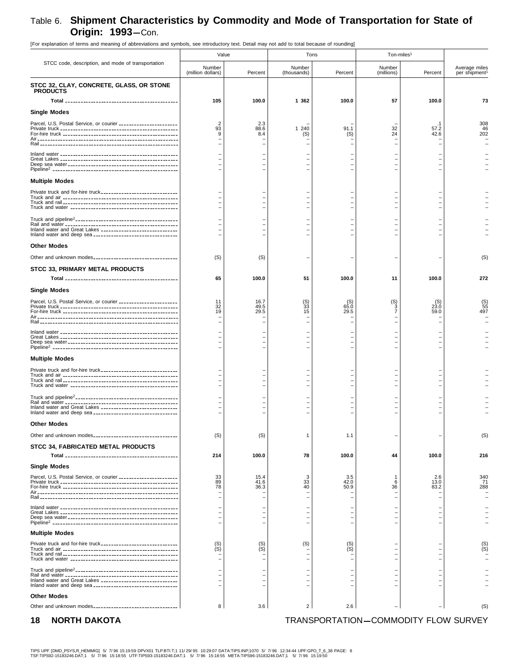[For explanation of terms and meaning of abbreviations and symbols, see introductory text. Detail may not add to total because of rounding] STCC code, description, and mode of transportation Value **Tons** Tons and Ton-miles<sup>1</sup> Number (million dollars) Percent Numbe (thousands) Percent Numbe (millions) Percent Average miles per shipment<sup>1</sup> **STCC 32, CLAY, CONCRETE, GLASS, OR STONE PRODUCTS Total 105** -------------------------------------------- **100.0 1 362 100.0 57 100.0 73 Single Modes** Parcel, U.S. Postal Service, or courier 2 ----------------------- 2.3 – – – .1 308 Private truck 93 ---------------------------------------------- 88.6 1 240 91.1 32 57.2 46 For-hire truck 9 --------------------------------------------- 8.4 (S) (S) 24 42.6 202 Air------------------------------------------------------- – ––––– – Rail ------------------------------------------------------ – ––––– – Inland water – ---------------------------------------------- ––––– – Great Lakes – ---------------------------------------------- ––––– – Deep sea water – ------------------------------------------- ––––– – Pipeline2 ------------------------------------------------- – ––––– – **Multiple Modes** Private truck and for-hire truck – ------------------------------ ––––– – Truck and air – --------------------------------------------- ––––– – Truck and rail – --------------------------------------------- ––––– – Truck and water – ------------------------------------------ ––––– – Truck and pipeline2---------------------------------------- – ––––– – Rail and water – -------------------------------------------- ––––– – Inland water and Great Lakes – ------------------------------ ––––– – Inland water and deep sea – --------------------------------- ––––– – **Other Modes** Other and unknown modes (S) --------------------------------- (S) – – – – (S) **STCC 33, PRIMARY METAL PRODUCTS Total 65** -------------------------------------------- **100.0 51 100.0 11 100.0 272 Single Modes** Parcel, U.S. Postal Service, or courier 11 ----------------------- 16.7 (S) (S) (S) (S) (S) Private truck 32 ---------------------------------------------- 49.5 33 65.0 3 23.0 55 For-hire truck 19 --------------------------------------------- 29.5 15 29.5 7 59.0 497 Air------------------------------------------------------- – ––––– – Rail ------------------------------------------------------ – ––––– – Inland water – ---------------------------------------------- ––––– – Great Lakes – ---------------------------------------------- ––––– – Deep sea water – ------------------------------------------- ––––– – Pipeline2 ------------------------------------------------- – ––––– – **Multiple Modes** Private truck and for-hire truck – ------------------------------ ––––– – Truck and air – --------------------------------------------- ––––– – Truck and rail – --------------------------------------------- ––––– – Truck and water – ------------------------------------------ ––––– – Truck and pipeline<sup>2</sup>------------------------------Rail and water – -------------------------------------------- ––––– – Inland water and Great Lakes – ------------------------------ ––––– – Inland water and deep sea **-------------------------------Other Modes** Other and unknown modes \_\_\_\_\_\_\_\_\_\_\_\_\_\_\_\_\_\_\_\_\_\_\_\_\_\_\_\_\_\_\_\_\_| (S)  $|S|$  1.1 1.1 – | – (S) **STCC 34, FABRICATED METAL PRODUCTS Total 214** -------------------------------------------- **100.0 78 100.0 44 100.0 216 Single Modes** Parcel, U.S. Postal Service, or courier 33 ----------------------- 15.4 3 3.5 1 2.6 340 Private truck 89 ---------------------------------------------- 41.6 33 42.0 6 13.0 71 For-hire truck 78 --------------------------------------------- 36.3 40 50.9 36 83.2 288 Air------------------------------------------------------- – ––––– – Rail ------------------------------------------------------ – ––––– – Inland water – ---------------------------------------------- ––––– – Great Lakes – ---------------------------------------------- ––––– – Deep sea water – ------------------------------------------- ––––– – Pipeline2 ------------------------------------------------- – ––––– – **Multiple Modes** Private truck and for-hire truck (S) ------------------------------ (S) (S) (S) – – (S) Truck and air (S) --------------------------------------------- (S) – (S) – – (S) Truck and rail – --------------------------------------------- ––––– – Truck and water – ------------------------------------------ ––––– – Truck and pipeline<sup>2</sup>---------------------------------Rail and water – -------------------------------------------- ––––– – Inland water and Great Lakes – ------------------------------ ––––– – Inland water and deep sea – --------------------------------- ––––– – **Other Modes** Other and unknown modes \_\_\_\_\_\_\_\_\_\_\_\_\_\_\_\_\_\_\_\_\_\_\_\_\_\_\_\_\_\_\_\_\_| 8 | 3.6 | 2 | 2.6 | (S)

**18 NORTH DAKOTA TRANSPORTATION-COMMODITY FLOW SURVEY**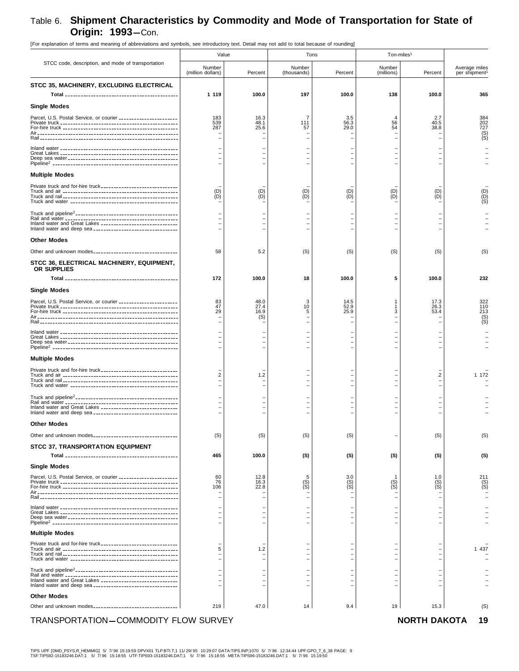| FUL Explanation of terms and meaning or abbieviations and symbols, see introductory text. Detail may not add to total because or rounding |                             |                                        |                       |              |                        |              |                                            |
|-------------------------------------------------------------------------------------------------------------------------------------------|-----------------------------|----------------------------------------|-----------------------|--------------|------------------------|--------------|--------------------------------------------|
|                                                                                                                                           | Value                       |                                        | Tons                  |              | Ton-miles <sup>1</sup> |              |                                            |
| STCC code, description, and mode of transportation                                                                                        | Number<br>(million dollars) | Percent                                | Number<br>(thousands) | Percent      | Number<br>(millions)   | Percent      | Average miles<br>per shipment <sup>1</sup> |
| STCC 35, MACHINERY, EXCLUDING ELECTRICAL                                                                                                  |                             |                                        |                       |              |                        |              |                                            |
|                                                                                                                                           | 1 1 1 9                     | 100.0                                  | 197                   | 100.0        | 138                    | 100.0        | 365                                        |
| <b>Single Modes</b>                                                                                                                       |                             |                                        |                       |              |                        |              |                                            |
|                                                                                                                                           | 183                         | 16.3                                   | 7                     |              | $\overline{4}$         |              |                                            |
| Parcel, U.S. Postal Service, or courier ______________________                                                                            | 539                         | 48.1                                   | 111                   | 3.5<br>56.3  | 56                     | 2.7<br>40.5  | 384<br>202                                 |
|                                                                                                                                           | 287                         | 25.6                                   | 57                    | 29.0         | 54                     | 38.8         | $727$<br>(S)<br>(S)                        |
|                                                                                                                                           |                             |                                        |                       |              |                        |              |                                            |
|                                                                                                                                           |                             |                                        |                       |              |                        |              |                                            |
|                                                                                                                                           |                             |                                        |                       |              |                        |              |                                            |
|                                                                                                                                           |                             |                                        |                       |              |                        |              |                                            |
| <b>Multiple Modes</b>                                                                                                                     |                             |                                        |                       |              |                        |              |                                            |
|                                                                                                                                           | (D)                         |                                        |                       | (D)          | (D)                    | (D)          |                                            |
|                                                                                                                                           | (D)                         | $\begin{pmatrix} D \\ D \end{pmatrix}$ | $\binom{D}{D}$        | (D)          | (D)                    | (D)          |                                            |
|                                                                                                                                           |                             |                                        |                       |              |                        |              |                                            |
|                                                                                                                                           |                             |                                        |                       |              |                        |              |                                            |
| Inland water and Great Lakes _______________________________                                                                              |                             |                                        |                       |              |                        |              |                                            |
| <b>Other Modes</b>                                                                                                                        |                             |                                        |                       |              |                        |              |                                            |
|                                                                                                                                           |                             |                                        |                       |              |                        |              |                                            |
| Other and unknown modes__________________________________                                                                                 | 58                          | 5.2                                    | (S)                   | (S)          | (S)                    | (S)          | (S)                                        |
| STCC 36, ELECTRICAL MACHINERY, EQUIPMENT,<br>OR SUPPLIES                                                                                  |                             |                                        |                       |              |                        |              |                                            |
|                                                                                                                                           | 172                         | 100.0                                  | 18                    | 100.0        | 5                      | 100.0        | 232                                        |
|                                                                                                                                           |                             |                                        |                       |              |                        |              |                                            |
| <b>Single Modes</b>                                                                                                                       |                             |                                        |                       |              |                        |              |                                            |
| Parcel, U.S. Postal Service, or courier ______________________                                                                            | 83<br>47                    | 48.0<br>27.4                           | 10                    | 14.5<br>52.9 |                        | 17.3<br>26.3 | 322<br>110                                 |
|                                                                                                                                           | 29                          | 16.9<br>(S)                            | 5                     | 25.9         | 3                      | 53.4         | 213                                        |
|                                                                                                                                           |                             |                                        |                       |              |                        |              | $S($ S)                                    |
|                                                                                                                                           |                             |                                        |                       |              |                        |              |                                            |
|                                                                                                                                           |                             |                                        |                       |              |                        |              |                                            |
|                                                                                                                                           |                             |                                        |                       |              |                        |              |                                            |
| <b>Multiple Modes</b>                                                                                                                     |                             |                                        |                       |              |                        |              |                                            |
| Private truck and for-hire truck-------------------------------                                                                           | 2                           | 1.2                                    |                       |              |                        | .2           | 1 172                                      |
|                                                                                                                                           |                             |                                        |                       |              |                        |              |                                            |
|                                                                                                                                           |                             |                                        |                       |              |                        |              |                                            |
|                                                                                                                                           |                             |                                        |                       |              |                        |              |                                            |
| Inland water and Great Lakes ______________________________                                                                               |                             |                                        |                       |              |                        |              |                                            |
|                                                                                                                                           |                             |                                        |                       |              |                        |              |                                            |
| <b>Other Modes</b>                                                                                                                        |                             |                                        |                       |              |                        |              |                                            |
| Other and unknown modes_________________________________                                                                                  | (S)                         | (S)                                    | (S)                   | (S)          |                        | (S)          | (S)                                        |
| STCC 37, TRANSPORTATION EQUIPMENT                                                                                                         |                             |                                        |                       |              |                        |              |                                            |
|                                                                                                                                           | 465                         | 100.0                                  | (S)                   | (S)          | (S)                    | (S)          | (S)                                        |
| <b>Single Modes</b>                                                                                                                       |                             |                                        |                       |              |                        |              |                                            |
| Parcel, U.S. Postal Service, or courier ______________________                                                                            | 60<br>76                    | 12.8<br>16.3                           |                       | 3.0          |                        | 1.0          | 211                                        |
|                                                                                                                                           | 106                         | 22.8                                   | (S)<br>(S)            | (S)<br>(S)   | $(S)$<br>$(S)$         | $S($ S)      | ÌSÍ                                        |
|                                                                                                                                           |                             |                                        |                       |              |                        |              |                                            |
|                                                                                                                                           |                             |                                        |                       |              |                        |              |                                            |
|                                                                                                                                           |                             |                                        |                       |              |                        |              |                                            |
|                                                                                                                                           |                             |                                        |                       |              |                        |              |                                            |
| <b>Multiple Modes</b>                                                                                                                     |                             |                                        |                       |              |                        |              |                                            |
| Private truck and for-hire truck_______________________________                                                                           |                             |                                        |                       |              |                        |              | 1 437                                      |
|                                                                                                                                           | 5                           | 1.2                                    |                       |              |                        |              |                                            |
|                                                                                                                                           |                             |                                        |                       |              |                        |              |                                            |
|                                                                                                                                           |                             |                                        |                       |              |                        |              |                                            |
| Inland water and Great Lakes _______________________________                                                                              |                             |                                        |                       |              |                        |              |                                            |
|                                                                                                                                           |                             |                                        |                       |              |                        |              |                                            |
| <b>Other Modes</b>                                                                                                                        |                             |                                        |                       |              |                        |              |                                            |
| Other and unknown modes___________________________________                                                                                | 219                         | 47.0                                   | 14                    | 9.4          | 19                     | 15.3         | (S)                                        |

[For explanation of terms and meaning of abbreviations and symbols, see introductory text. Detail may not add to total because of rounding]

### TRANSPORTATION-COMMODITY FLOW SURVEY **NORTH DAKOTA 19**

TIPS UPF [DMD\_PSYS,R\_HEMMIG] 5/ 7/96 15:19:59 DPVX01 TLP:BTI.T;1 11/29/95 10:29:07 DATA:TIPS.INP;1070 5/ 7/96 12:34:44 UPF:GPO\_T\_6\_38 PAGE: 9<br>TSF:TIPS92-15183246.DAT;1 5/ 7/96 15:18:55 UTF:TIPS93-15183246.DAT;1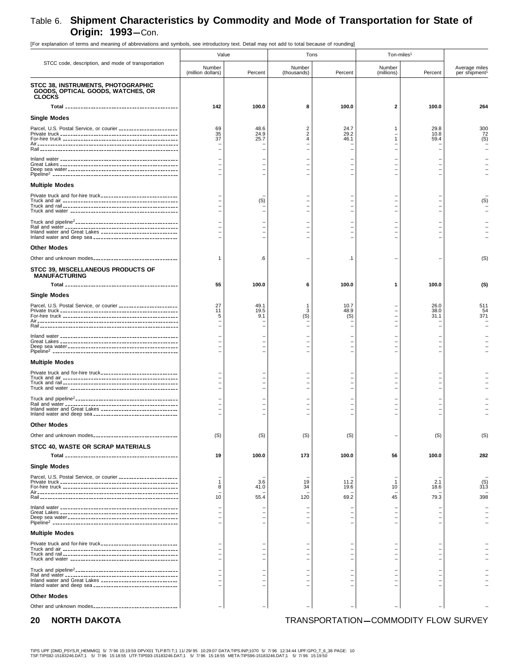[For explanation of terms and meaning of abbreviations and symbols, see introductory text. Detail may not add to total because of rounding] STCC code, description, and mode of transportation Value **Tons** Tons and Ton-miles<sup>1</sup> Number (million dollars) Percent Number (thousands) Percent Numbe (millions) Percent Average miles per shipment<sup>1</sup> **STCC 38, INSTRUMENTS, PHOTOGRAPHIC GOODS, OPTICAL GOODS, WATCHES, OR CLOCKS Total 142** -------------------------------------------- **100.0 8 100.0 2 100.0 264 Single Modes** Parcel, U.S. Postal Service, or courier 69 ----------------------- 48.6 2 24.7 1 29.8 300 Private truck 35 ---------------------------------------------- 24.9 2 29.2 – 10.8 72 For-hire truck 37 --------------------------------------------- 25.7 4 46.1 1 59.4 (S) Air------------------------------------------------------- – ––––– – Rail ------------------------------------------------------ – ––––– – Inland water – ---------------------------------------------- ––––– – Great Lakes – ---------------------------------------------- ––––– – Deep sea water – ------------------------------------------- ––––– – Pipeline2 ------------------------------------------------- – ––––– – **Multiple Modes** Private truck and for-hire truck – ------------------------------ ––––– – Truck and air – --------------------------------------------- (S) – – – – (S) Truck and rail – --------------------------------------------- ––––– – Truck and water – ------------------------------------------ ––––– – Truck and pipeline2---------------------------------------- – ––––– – Rail and water – -------------------------------------------- ––––– – Inland water and Great Lakes – ------------------------------ ––––– – Inland water and deep sea – --------------------------------- ––––– – **Other Modes** Other and unknown modes 1 --------------------------------- .6 – .1 – – (S) **STCC 39, MISCELLANEOUS PRODUCTS OF MANUFACTURING Total 55** -------------------------------------------- **100.0 6 100.0 1 100.0 (S) Single Modes** Parcel, U.S. Postal Service, or courier 27 ----------------------- 49.1 1 10.7 – 26.0 511 Private truck 11 ---------------------------------------------- 19.5 3 48.9 – 38.0 54 For-hire truck 5 --------------------------------------------- 9.1 (S) (S) – 31.1 371 Air------------------------------------------------------- – ––––– – Rail ------------------------------------------------------ – ––––– – Inland water – ---------------------------------------------- ––––– – Great Lakes – ---------------------------------------------- ––––– – Deep sea water – ------------------------------------------- ––––– – Pipeline2 ------------------------------------------------- – ––––– – **Multiple Modes** Private truck and for-hire truck – ------------------------------ ––––– – Truck and air – --------------------------------------------- ––––– – Truck and rail – --------------------------------------------- ––––– – Truck and water – ------------------------------------------ ––––– – Truck and pipeline2---------------------------------------- – ––––– – Rail and water – -------------------------------------------- ––––– – Inland water and Great Lakes – ------------------------------ ––––– – Inland water and deep sea – --------------------------------- ––––– – **Other Modes** Other and unknown modes \_\_\_\_\_\_\_\_\_\_\_\_\_\_\_\_\_\_\_\_\_\_\_\_\_\_\_\_\_\_\_| (S) | (S) | (S) | (S) | (S) | (S) | (S) | (S) **STCC 40, WASTE OR SCRAP MATERIALS Total 19** -------------------------------------------- **100.0 173 100.0 56 100.0 282 Single Modes** Parcel, U.S. Postal Service, or courier – ----------------------- ––––– – Private truck 1 ---------------------------------------------- 3.6 19 11.2 1 2.1 (S) For-hire truck 8 --------------------------------------------- 41.0 34 19.6 10 18.6 313 Air------------------------------------------------------- – ––––– – Rail ------------------------------------------------------ <sup>10</sup> 55.4 120 69.2 45 79.3 398 Inland water – ---------------------------------------------- ––––– – Great Lakes – ---------------------------------------------- ––––– – Deep sea water – ------------------------------------------- ––––– – Pipeline2 ------------------------------------------------- – ––––– – **Multiple Modes** Private truck and for-hire truck – ------------------------------ ––––– – Truck and air – --------------------------------------------- ––––– – Truck and rail – --------------------------------------------- ––––– – Truck and water – ------------------------------------------ ––––– – Truck and pipeline<sup>2</sup>---------------------------------Rail and water – -------------------------------------------- ––––– – Inland water and Great Lakes – ------------------------------ ––––– – Inland water and deep sea – --------------------------------- ––––– – **Other Modes** Other and unknown modes – --------------------------------- ––––– –

#### **20 NORTH DAKOTA TRANSPORTATION—COMMODITY FLOW SURVEY**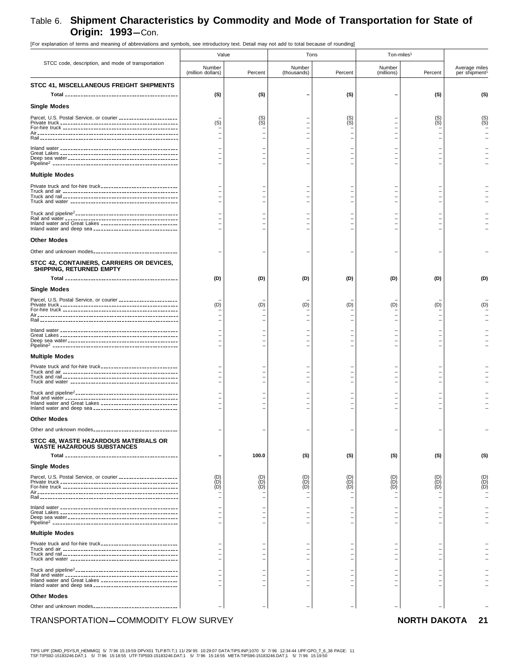| [For explanation of terms and meaning of abbreviations and symbols, see introductory text. Detail may not add to total because of rounding] |                                                        |                                        |                       |                          |                        |                                        |                               |
|---------------------------------------------------------------------------------------------------------------------------------------------|--------------------------------------------------------|----------------------------------------|-----------------------|--------------------------|------------------------|----------------------------------------|-------------------------------|
|                                                                                                                                             | Value                                                  |                                        | Tons                  |                          | Ton-miles <sup>1</sup> |                                        |                               |
| STCC code, description, and mode of transportation                                                                                          | Number<br>(million dollars)                            | Percent                                | Number<br>(thousands) | Percent                  | Number<br>(millions)   | Percent                                | Average miles<br>per shipment |
| STCC 41, MISCELLANEOUS FREIGHT SHIPMENTS                                                                                                    |                                                        |                                        |                       |                          |                        |                                        |                               |
|                                                                                                                                             | (S)                                                    | (S)                                    |                       | (S)                      |                        | (S)                                    | (S)                           |
| <b>Single Modes</b>                                                                                                                         |                                                        |                                        |                       |                          |                        |                                        |                               |
| Parcel, U.S. Postal Service, or courier ______________________                                                                              | (S)                                                    | $(S)$<br>$(S)$                         |                       | (S)<br>(S)               |                        | $(S)$<br>$(S)$                         | (S)<br>(S)                    |
|                                                                                                                                             |                                                        |                                        |                       |                          |                        |                                        |                               |
|                                                                                                                                             |                                                        |                                        |                       |                          |                        |                                        |                               |
|                                                                                                                                             |                                                        |                                        |                       |                          |                        |                                        |                               |
|                                                                                                                                             |                                                        |                                        |                       |                          |                        |                                        |                               |
| <b>Multiple Modes</b>                                                                                                                       |                                                        |                                        |                       |                          |                        |                                        |                               |
|                                                                                                                                             |                                                        |                                        |                       |                          |                        |                                        |                               |
|                                                                                                                                             |                                                        |                                        |                       | $\overline{\phantom{0}}$ |                        |                                        |                               |
|                                                                                                                                             |                                                        |                                        |                       |                          |                        |                                        |                               |
|                                                                                                                                             |                                                        |                                        |                       |                          |                        |                                        |                               |
| Inland water and Great Lakes _______________________________                                                                                |                                                        |                                        |                       |                          |                        |                                        |                               |
|                                                                                                                                             |                                                        |                                        |                       |                          |                        |                                        |                               |
| <b>Other Modes</b>                                                                                                                          |                                                        |                                        |                       |                          |                        |                                        |                               |
|                                                                                                                                             |                                                        |                                        |                       |                          |                        |                                        |                               |
| STCC 42, CONTAINERS, CARRIERS OR DEVICES,<br>SHIPPING, RETURNED EMPTY                                                                       |                                                        |                                        |                       |                          |                        |                                        |                               |
|                                                                                                                                             | (D)                                                    | (D)                                    | (D)                   | (D)                      | (D)                    | (D)                                    | (D)                           |
| <b>Single Modes</b>                                                                                                                         |                                                        |                                        |                       |                          |                        |                                        |                               |
| Parcel, U.S. Postal Service, or courier _____________________                                                                               |                                                        | (D)                                    |                       |                          |                        |                                        |                               |
|                                                                                                                                             | (D)                                                    |                                        | (D)                   | (D)                      | (D)                    | (D)                                    | (D)                           |
|                                                                                                                                             |                                                        |                                        |                       |                          |                        |                                        |                               |
|                                                                                                                                             |                                                        |                                        |                       |                          |                        |                                        |                               |
|                                                                                                                                             |                                                        |                                        |                       |                          |                        |                                        |                               |
| <b>Multiple Modes</b>                                                                                                                       |                                                        |                                        |                       |                          |                        |                                        |                               |
|                                                                                                                                             |                                                        |                                        |                       |                          |                        |                                        |                               |
|                                                                                                                                             |                                                        |                                        |                       |                          |                        |                                        |                               |
|                                                                                                                                             |                                                        |                                        |                       |                          |                        |                                        |                               |
|                                                                                                                                             |                                                        |                                        |                       |                          |                        |                                        |                               |
| Inland water and Great Lakes ________________________________                                                                               |                                                        |                                        |                       |                          |                        |                                        |                               |
| <b>Other Modes</b>                                                                                                                          |                                                        |                                        |                       |                          |                        |                                        |                               |
|                                                                                                                                             |                                                        |                                        |                       |                          |                        |                                        |                               |
| STCC 48, WASTE HAZARDOUS MATERIALS OR                                                                                                       |                                                        |                                        |                       |                          |                        |                                        |                               |
| <b>WASTE HAZARDOUS SUBSTANCES</b>                                                                                                           |                                                        |                                        |                       |                          |                        |                                        |                               |
|                                                                                                                                             |                                                        | 100.0                                  | (S)                   | (S)                      | (S)                    | (S)                                    | (S)                           |
| <b>Single Modes</b>                                                                                                                         |                                                        |                                        |                       |                          |                        |                                        |                               |
| Parcel, U.S. Postal Service, or courier                                                                                                     | $\begin{matrix} \text{(D)} \\ \text{(D)} \end{matrix}$ | $\begin{pmatrix} D \\ D \end{pmatrix}$ | (D)                   | (D)                      | (D)<br>(D)             | $\begin{pmatrix} D \\ D \end{pmatrix}$ | $(D)$<br>$(D)$                |
|                                                                                                                                             | (D)                                                    | (D)                                    | (D)                   | (D)                      | (D)                    | (D)                                    |                               |
|                                                                                                                                             |                                                        |                                        |                       |                          |                        |                                        |                               |
|                                                                                                                                             |                                                        |                                        |                       |                          |                        |                                        |                               |
|                                                                                                                                             |                                                        |                                        |                       |                          |                        |                                        |                               |
| <b>Multiple Modes</b>                                                                                                                       |                                                        |                                        |                       |                          |                        |                                        |                               |
|                                                                                                                                             |                                                        |                                        |                       |                          |                        |                                        |                               |
|                                                                                                                                             |                                                        |                                        |                       |                          |                        |                                        |                               |
|                                                                                                                                             |                                                        |                                        |                       |                          |                        |                                        |                               |
|                                                                                                                                             |                                                        |                                        |                       |                          |                        |                                        |                               |
| Inland water and Great Lakes _______________________________                                                                                |                                                        |                                        |                       |                          |                        |                                        |                               |
| <b>Other Modes</b>                                                                                                                          |                                                        |                                        |                       |                          |                        |                                        |                               |
| Other and unknown modes                                                                                                                     |                                                        |                                        |                       |                          |                        |                                        |                               |
| TRANSPORTATION-COMMODITY FLOW SURVEY                                                                                                        |                                                        |                                        |                       |                          |                        | <b>NORTH DAKOTA</b> 21                 |                               |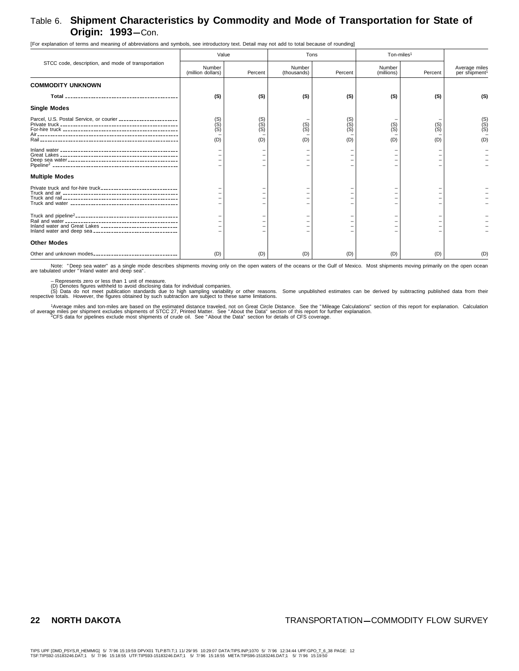[For explanation of terms and meaning of abbreviations and symbols, see introductory text. Detail may not add to total because of rounding]

|                                                                        | Value                          |                          | Tons                  |                          | Ton-miles <sup>1</sup> |                       |                                            |
|------------------------------------------------------------------------|--------------------------------|--------------------------|-----------------------|--------------------------|------------------------|-----------------------|--------------------------------------------|
| STCC code, description, and mode of transportation                     | Number<br>(million dollars)    | Percent                  | Number<br>(thousands) | Percent                  | Number<br>(millions)   | Percent               | Average miles<br>per shipment <sup>1</sup> |
| <b>COMMODITY UNKNOWN</b>                                               |                                |                          |                       |                          |                        |                       |                                            |
|                                                                        | (S)                            | (S)                      | (S)                   | (S)                      | (S)                    | (S)                   | (S)                                        |
| <b>Single Modes</b>                                                    |                                |                          |                       |                          |                        |                       |                                            |
| Parcel, U.S. Postal Service, or courier ______________________<br>Rail | $(S)$<br>$(S)$<br>$(S)$<br>(D) | (S)<br>(S)<br>(S)<br>(D) | $(S)$<br>$(S)$<br>(D) | (S)<br>(S)<br>(S)<br>(D) | (S)<br>(S)<br>(D)      | $(S)$<br>$(S)$<br>(D) | $(S)$<br>$(S)$<br>$(S)$<br>(D)             |
|                                                                        |                                |                          |                       |                          |                        |                       |                                            |
| <b>Multiple Modes</b>                                                  |                                |                          |                       |                          |                        |                       |                                            |
|                                                                        |                                |                          |                       |                          |                        |                       |                                            |
| Inland water and Great Lakes _______________________________           |                                |                          |                       |                          |                        |                       |                                            |
| <b>Other Modes</b>                                                     |                                |                          |                       |                          |                        |                       |                                            |
|                                                                        | (D)                            | (D)                      | (D)                   | (D)                      | (D)                    | (D)                   | (D)                                        |

Note: "Deep sea water" as a single mode describes shipments moving only on the open waters of the oceans or the Gulf of Mexico. Most shipments moving primarily on the open ocean<br>are tabulated under "Inland water and deep s

– Represents zero or less than 1 unit of measure.<br>(D) Denotes figures withheld to avoid disclosing data for individual companies.<br>respective totals. do not meet publication standards due to high sampling variability or oth

1Average miles and ton-miles are based on the estimated distance traveled, not on Great Circle Distance. See the "Mileage Calculations" section of this report for explanation. Calculation<br>of average miles per shipment excl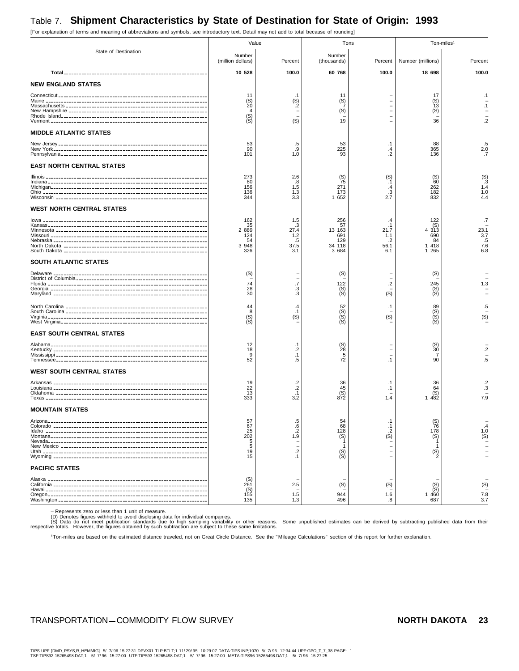# Table 7. **Shipment Characteristics by State of Destination for State of Origin: 1993**

State of Destination Value **Ton-miles1** Tons Ton-miles<sup>1</sup> Number (million dollars) Percent Number (thousands) Percent Number (millions) Percent **Total**-------------------------------------------------------- **10 528 100.0 60 768 100.0 18 698 100.0 NEW ENGLAND STATES** Connecticut ---------------------------------------------------------- 11 .1 11 – 17 .1 Maine --------------------------------------------------------------- (S) (S) (S) – (S) – Massachusetts ------------------------------------------------------- 20 .2 7 – 13 .1 New Hampshire ------------------------------------------------------ 4 – (S) – (S) – Rhode Island--------------------------------------------------------- (S) –––– – Vermont ------------------------------------------------------------- (S) (S) 19 – 36 .2 **MIDDLE ATLANTIC STATES** New Jersey ---------------------------------------------------------- 53 .5 53 .1 88 .5 New York------------------------------------------------------------ 90 .9 225 .4 365 2.0 Pennsylvania--------------------------------------------------------- 101 1.0 93 .2 136 .7 **EAST NORTH CENTRAL STATES** Illinois --------------------------------------------------------------- 273 2.6 (S) (S) (S) (S) Indiana -------------------------------------------------------------- 80 .8 75 .1 60 .3 Michigan------------------------------------------------------------- 156 1.5 271 .4 262 1.4 Ohio ---------------------------------------------------------------- 136 1.3 173 .3 182 1.0 Wisconsin ----------------------------------------------------------- 344 3.3 1 652 2.7 832 4.4 **WEST NORTH CENTRAL STATES** Iowa ---------------------------------------------------------------- 162 1.5 256 .4 122 .7 Kansas -------------------------------------------------------------- 35 .3 57 .1 (S) – Minnesota ----------------------------------------------------------- 2 889 27.4 13 163 21.7 4 313 23.1 Missouri ------------------------------------------------------------- 124 1.2 691 1.1 690 3.7 Nebraska ------------------------------------------------------------ 54 .5 129 .2 84 .5 North Dakota -------------------------------------------------------- 3 948 37.5 34 118 56.1 1 418 7.6 South Dakota -------------------------------------------------------- 326 3.1 3 684 6.1 1 265 6.8 **SOUTH ATLANTIC STATES** Delaware ------------------------------------------------------------ (S) – (S) – (S) – District of Columbia --------------------------------------------------- – –––– – Florida -------------------------------------------------------------- 74 .7 122 .2 245 1.3 Georgia ------------------------------------------------------------- 28 .3 (S) – (S) – Maryland ------------------------------------------------------------ 30 .3 (S) (S) (S) – North Carolina ------------------------------------------------------- 44 .4 52 .1 89 .5 South Carolina ------------------------------------------------------- 8 .1 (S) – (S) – Virginia -------------------------------------------------------------- (S) (S) (S) (S) (S) (S) West Virginia--------------------------------------------------------- (S) – (S) – (S) – **EAST SOUTH CENTRAL STATES** Alabama------------------------------------------------------------- 12 .1 (S) – (S) – Kentucky ------------------------------------------------------------ <sup>18</sup> .2 28 – 30 .2 Mississippi ----------------------------------------------------------- <sup>9</sup> .1 5 – 7 – Tennessee----------------------------------------------------------- <sup>52</sup> .5 72 .1 90 .5 **WEST SOUTH CENTRAL STATES** Arkansas ------------------------------------------------------------ <sup>19</sup> .2 36 .1 36 .2 Louisiana ------------------------------------------------------------ <sup>22</sup> .2 45 .1 64 .3 Oklahoma ----------------------------------------------------------- <sup>13</sup> .1 (S) – (S) – Texas --------------------------------------------------------------- <sup>333</sup> 3.2 872 1.4 1 482 7.9 **MOUNTAIN STATES** Arizona-------------------------------------------------------------- 57 .5 54 .1 (S) – Colorado ------------------------------------------------------------ <sup>67</sup> .6 68 .1 76 .4 Idaho --------------------------------------------------------------- <sup>25</sup> .2 128 .2 178 1.0 Montana------------------------------------------------------------- <sup>202</sup> 1.9 (S) (S) (S) (S) Nevada-------------------------------------------------------------- <sup>5</sup> –1–1 – New Mexico --------------------------------------------------------- <sup>5</sup> –1–1 – Utah ---------------------------------------------------------------- <sup>19</sup> .2 (S) – (S) – Wyoming ------------------------------------------------------------ 15 .1 (S) – 2 – **PACIFIC STATES** Alaska -------------------------------------------------------------- (S) –––– – California ------------------------------------------------------------ <sup>261</sup> 2.5 (S) (S) (S) (S) Hawaii--------------------------------------------------------------- (S) – – – (S) – Oregon -------------------------------------------------------------- <sup>155</sup> 1.5 944 1.6 1 460 7.8 Washington ---------------------------------------------------------- <sup>135</sup> 1.3 496 .8 687 3.7

[For explanation of terms and meaning of abbreviations and symbols, see introductory text. Detail may not add to total because of rounding]

– Represents zero or less than 1 unit of measure.<br>(D) Denotes figures withheld to avoid disclosing data for individual companies.<br>(S) Data do not meet publication standards due to high sampling variability or other reasons

1Ton-miles are based on the estimated distance traveled, not on Great Circle Distance. See the " Mileage Calculations" section of this report for further explanation.

## TRANSPORTATION-COMMODITY FLOW SURVEY **NORTH DAKOTA 23**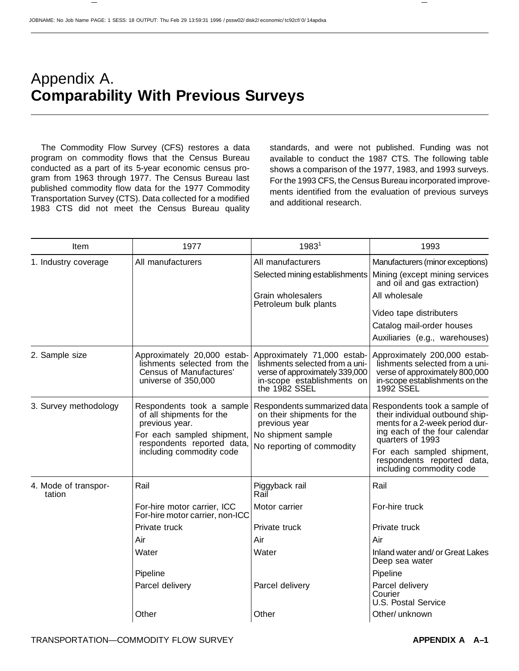# Appendix A. **Comparability With Previous Surveys**

The Commodity Flow Survey (CFS) restores a data program on commodity flows that the Census Bureau conducted as a part of its 5-year economic census program from 1963 through 1977. The Census Bureau last published commodity flow data for the 1977 Commodity Transportation Survey (CTS). Data collected for a modified 1983 CTS did not meet the Census Bureau quality standards, and were not published. Funding was not available to conduct the 1987 CTS. The following table shows a comparison of the 1977, 1983, and 1993 surveys. For the 1993 CFS, the Census Bureau incorporated improvements identified from the evaluation of previous surveys and additional research.

| Item                           | 1977                                                                                                                                                            | 1983 <sup>1</sup>                                                                                                                              | 1993                                                                                                                                                                                                                                           |
|--------------------------------|-----------------------------------------------------------------------------------------------------------------------------------------------------------------|------------------------------------------------------------------------------------------------------------------------------------------------|------------------------------------------------------------------------------------------------------------------------------------------------------------------------------------------------------------------------------------------------|
| 1. Industry coverage           | All manufacturers                                                                                                                                               | All manufacturers                                                                                                                              | Manufacturers (minor exceptions)                                                                                                                                                                                                               |
|                                |                                                                                                                                                                 | Selected mining establishments                                                                                                                 | Mining (except mining services<br>and oil and gas extraction)                                                                                                                                                                                  |
|                                |                                                                                                                                                                 | Grain wholesalers<br>Petroleum bulk plants                                                                                                     | All wholesale                                                                                                                                                                                                                                  |
|                                |                                                                                                                                                                 |                                                                                                                                                | Video tape distributers                                                                                                                                                                                                                        |
|                                |                                                                                                                                                                 |                                                                                                                                                | Catalog mail-order houses                                                                                                                                                                                                                      |
|                                |                                                                                                                                                                 |                                                                                                                                                | Auxiliaries (e.g., warehouses)                                                                                                                                                                                                                 |
| 2. Sample size                 | Approximately 20,000 estab-<br>lishments selected from the<br>Census of Manufactures'<br>universe of 350,000                                                    | Approximately 71,000 estab-<br>lishments selected from a uni-<br>verse of approximately 339,000<br>in-scope establishments on<br>the 1982 SSEL | Approximately 200,000 estab-<br>lishments selected from a uni-<br>verse of approximately 800,000<br>in-scope establishments on the<br>1992 SSEL                                                                                                |
| 3. Survey methodology          | Respondents took a sample<br>of all shipments for the<br>previous year.<br>For each sampled shipment,<br>respondents reported data,<br>including commodity code | Respondents summarized data<br>on their shipments for the<br>previous year<br>No shipment sample<br>No reporting of commodity                  | Respondents took a sample of<br>their individual outbound ship-<br>ments for a 2-week period dur-<br>ing each of the four calendar<br>quarters of 1993<br>For each sampled shipment,<br>respondents reported data,<br>including commodity code |
| 4. Mode of transpor-<br>tation | Rail                                                                                                                                                            | Piggyback rail<br>Rail                                                                                                                         | Rail                                                                                                                                                                                                                                           |
|                                | For-hire motor carrier, ICC<br>For-hire motor carrier, non-ICC                                                                                                  | Motor carrier                                                                                                                                  | For-hire truck                                                                                                                                                                                                                                 |
|                                | Private truck                                                                                                                                                   | Private truck                                                                                                                                  | Private truck                                                                                                                                                                                                                                  |
|                                | Air                                                                                                                                                             | Air                                                                                                                                            | Air                                                                                                                                                                                                                                            |
|                                | Water                                                                                                                                                           | Water                                                                                                                                          | Inland water and/ or Great Lakes<br>Deep sea water                                                                                                                                                                                             |
|                                | Pipeline                                                                                                                                                        |                                                                                                                                                | Pipeline                                                                                                                                                                                                                                       |
|                                | Parcel delivery                                                                                                                                                 | Parcel delivery                                                                                                                                | Parcel delivery<br>Courier<br><b>U.S. Postal Service</b>                                                                                                                                                                                       |
|                                | Other                                                                                                                                                           | Other                                                                                                                                          | Other/ unknown                                                                                                                                                                                                                                 |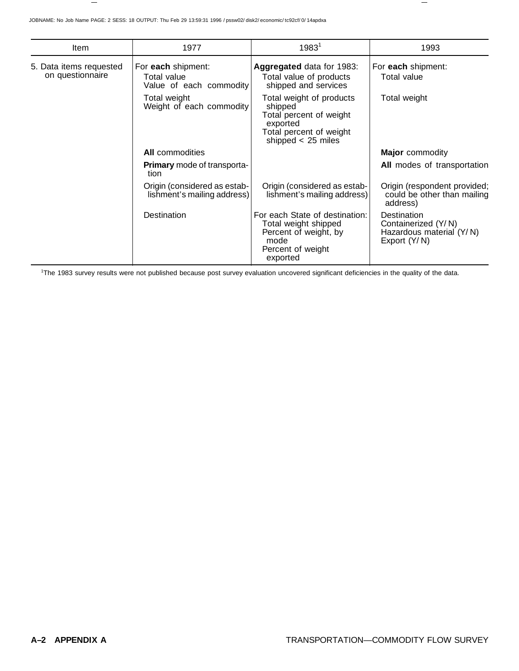| <b>Item</b>                                 | 1977                                                         | 1983 <sup>1</sup>                                                                                                             | 1993                                                                           |
|---------------------------------------------|--------------------------------------------------------------|-------------------------------------------------------------------------------------------------------------------------------|--------------------------------------------------------------------------------|
| 5. Data items requested<br>on questionnaire | For each shipment:<br>Total value<br>Value of each commodity | Aggregated data for 1983:<br>Total value of products<br>shipped and services                                                  | For each shipment:<br>Total value                                              |
|                                             | Total weight<br>Weight of each commodity                     | Total weight of products<br>shipped<br>Total percent of weight<br>exported<br>Total percent of weight<br>shipped $<$ 25 miles | Total weight                                                                   |
|                                             | <b>All</b> commodities                                       |                                                                                                                               | <b>Major</b> commodity                                                         |
|                                             | <b>Primary</b> mode of transporta-<br>tion                   |                                                                                                                               | All modes of transportation                                                    |
|                                             | Origin (considered as estab-<br>lishment's mailing address)  | Origin (considered as estab-<br>lishment's mailing address)                                                                   | Origin (respondent provided;<br>could be other than mailing<br>address)        |
|                                             | Destination                                                  | For each State of destination:<br>Total weight shipped<br>Percent of weight, by<br>mode<br>Percent of weight<br>exported      | Destination<br>Containerized (Y/N)<br>Hazardous material (Y/N)<br>Export (Y/N) |

1 The 1983 survey results were not published because post survey evaluation uncovered significant deficiencies in the quality of the data.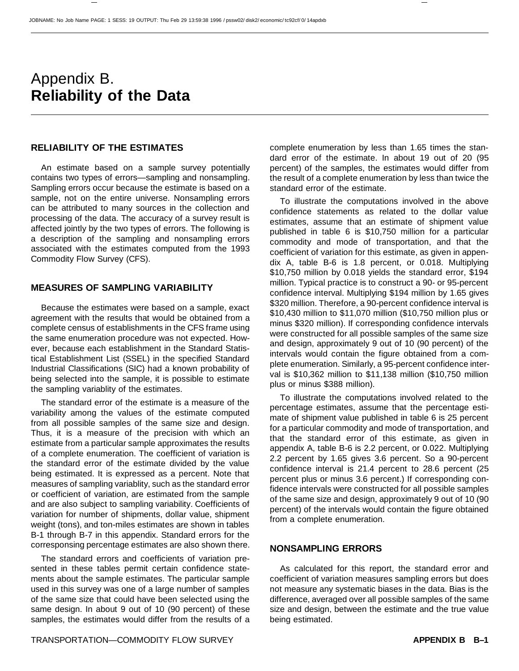# Appendix B. **Reliability of the Data**

#### **RELIABILITY OF THE ESTIMATES**

An estimate based on a sample survey potentially contains two types of errors—sampling and nonsampling. Sampling errors occur because the estimate is based on a sample, not on the entire universe. Nonsampling errors can be attributed to many sources in the collection and processing of the data. The accuracy of a survey result is affected jointly by the two types of errors. The following is a description of the sampling and nonsampling errors associated with the estimates computed from the 1993 Commodity Flow Survey (CFS).

### **MEASURES OF SAMPLING VARIABILITY**

Because the estimates were based on a sample, exact agreement with the results that would be obtained from a complete census of establishments in the CFS frame using the same enumeration procedure was not expected. However, because each establishment in the Standard Statistical Establishment List (SSEL) in the specified Standard Industrial Classifications (SIC) had a known probability of being selected into the sample, it is possible to estimate the sampling variablity of the estimates.

The standard error of the estimate is a measure of the variability among the values of the estimate computed from all possible samples of the same size and design. Thus, it is a measure of the precision with which an estimate from a particular sample approximates the results of a complete enumeration. The coefficient of variation is the standard error of the estimate divided by the value being estimated. It is expressed as a percent. Note that measures of sampling variablity, such as the standard error or coefficient of variation, are estimated from the sample and are also subject to sampling variability. Coefficients of variation for number of shipments, dollar value, shipment weight (tons), and ton-miles estimates are shown in tables B-1 through B-7 in this appendix. Standard errors for the corresponsing percentage estimates are also shown there.

The standard errors and coefficients of variation presented in these tables permit certain confidence statements about the sample estimates. The particular sample used in this survey was one of a large number of samples of the same size that could have been selected using the same design. In about 9 out of 10 (90 percent) of these samples, the estimates would differ from the results of a complete enumeration by less than 1.65 times the standard error of the estimate. In about 19 out of 20 (95 percent) of the samples, the estimates would differ from the result of a complete enumeration by less than twice the standard error of the estimate.

To illustrate the computations involved in the above confidence statements as related to the dollar value estimates, assume that an estimate of shipment value published in table 6 is \$10,750 million for a particular commodity and mode of transportation, and that the coefficient of variation for this estimate, as given in appendix A, table B-6 is 1.8 percent, or 0.018. Multiplying \$10,750 million by 0.018 yields the standard error, \$194 million. Typical practice is to construct a 90- or 95-percent confidence interval. Multiplying \$194 million by 1.65 gives \$320 million. Therefore, a 90-percent confidence interval is \$10,430 million to \$11,070 million (\$10,750 million plus or minus \$320 million). If corresponding confidence intervals were constructed for all possible samples of the same size and design, approximately 9 out of 10 (90 percent) of the intervals would contain the figure obtained from a complete enumeration. Similarly, a 95-percent confidence interval is \$10,362 million to \$11,138 million (\$10,750 million plus or minus \$388 million).

To illustrate the computations involved related to the percentage estimates, assume that the percentage estimate of shipment value published in table 6 is 25 percent for a particular commodity and mode of transportation, and that the standard error of this estimate, as given in appendix A, table B-6 is 2.2 percent, or 0.022. Multiplying 2.2 percent by 1.65 gives 3.6 percent. So a 90-percent confidence interval is 21.4 percent to 28.6 percent (25 percent plus or minus 3.6 percent.) If corresponding confidence intervals were constructed for all possible samples of the same size and design, approximately 9 out of 10 (90 percent) of the intervals would contain the figure obtained from a complete enumeration.

#### **NONSAMPLING ERRORS**

As calculated for this report, the standard error and coefficient of variation measures sampling errors but does not measure any systematic biases in the data. Bias is the difference, averaged over all possible samples of the same size and design, between the estimate and the true value being estimated.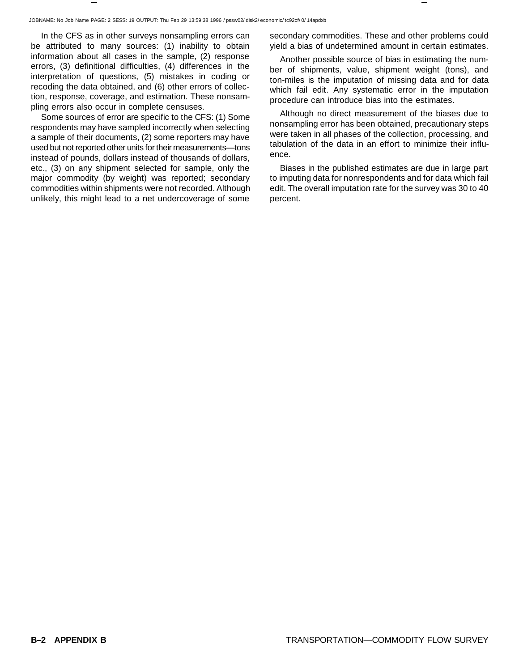In the CFS as in other surveys nonsampling errors can be attributed to many sources: (1) inability to obtain information about all cases in the sample, (2) response errors, (3) definitional difficulties, (4) differences in the interpretation of questions, (5) mistakes in coding or recoding the data obtained, and (6) other errors of collection, response, coverage, and estimation. These nonsampling errors also occur in complete censuses.

Some sources of error are specific to the CFS: (1) Some respondents may have sampled incorrectly when selecting a sample of their documents, (2) some reporters may have used but not reported other units for their measurements—tons instead of pounds, dollars instead of thousands of dollars, etc., (3) on any shipment selected for sample, only the major commodity (by weight) was reported; secondary commodities within shipments were not recorded. Although unlikely, this might lead to a net undercoverage of some

secondary commodities. These and other problems could yield a bias of undetermined amount in certain estimates.

Another possible source of bias in estimating the number of shipments, value, shipment weight (tons), and ton-miles is the imputation of missing data and for data which fail edit. Any systematic error in the imputation procedure can introduce bias into the estimates.

Although no direct measurement of the biases due to nonsampling error has been obtained, precautionary steps were taken in all phases of the collection, processing, and tabulation of the data in an effort to minimize their influence.

Biases in the published estimates are due in large part to imputing data for nonrespondents and for data which fail edit. The overall imputation rate for the survey was 30 to 40 percent.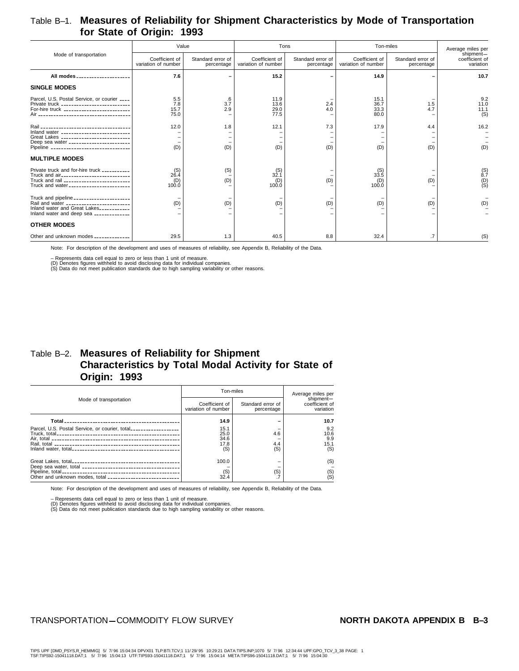### Table B–1. **Measures of Reliability for Shipment Characteristics by Mode of Transportation for State of Origin: 1993**

|                                                                                                                                                                                    | Value                                 |                                 | Tons                                  |                                 | Ton-miles                             |                                 | Average miles per                        |
|------------------------------------------------------------------------------------------------------------------------------------------------------------------------------------|---------------------------------------|---------------------------------|---------------------------------------|---------------------------------|---------------------------------------|---------------------------------|------------------------------------------|
| Mode of transportation                                                                                                                                                             | Coefficient of<br>variation of number | Standard error of<br>percentage | Coefficient of<br>variation of number | Standard error of<br>percentage | Coefficient of<br>variation of number | Standard error of<br>percentage | shipment-<br>coefficient of<br>variation |
| All modes _____________________                                                                                                                                                    | 7.6                                   |                                 | 15.2                                  |                                 | 14.9                                  |                                 | 10.7                                     |
| <b>SINGLE MODES</b>                                                                                                                                                                |                                       |                                 |                                       |                                 |                                       |                                 |                                          |
| Parcel, U.S. Postal Service, or courier ____<br>Private truck ___________________________<br>For-hire truck ___________________________                                            | 5.5<br>7.8<br>15.7<br>75.0            | .6<br>3.7<br>2.9                | 11.9<br>13.6<br>29.0<br>77.5          | 2.4<br>4.0                      | 15.1<br>36.7<br>33.3<br>80.0          | 1.5<br>4.7                      | 9.2<br>11.0<br>11.1<br>(S)               |
| Inland water ____________________________<br>Great Lakes ____________________________<br>Deep sea water _______________________<br>Pipeline _______________________________        | 12.0<br>(D)                           | 1.8<br>(D)                      | 12.1<br>(D)                           | 7.3<br>(D)                      | 17.9<br>(D)                           | 4.4<br>(D)                      | 16.2<br>(D)                              |
| <b>MULTIPLE MODES</b>                                                                                                                                                              |                                       |                                 |                                       |                                 |                                       |                                 |                                          |
| Private truck and for-hire truck __________<br>Truck and air____________________________<br>Truck and rail ___________________________<br>Truck and water ________________________ | (S)<br>26.4<br>(D)<br>100.0           | (S)<br>(D)                      | (S)<br>32.1<br>(D)<br>100.0           | (D)                             | $^{(S)}_{33.5}$<br>(D)<br>100.0       | (D)                             | $^{(S)}_{8.7}$<br>$\binom{D}{S}$         |
| Truck and pipeline ______________________<br>Rail and water ________________________<br>Inland water and Great Lakes___________<br>Inland water and deep sea _____________         | (D)                                   | (D)                             | (D)                                   | (D)                             | (D)                                   | (D)                             | (D)                                      |
| <b>OTHER MODES</b>                                                                                                                                                                 |                                       |                                 |                                       |                                 |                                       |                                 |                                          |
| Other and unknown modes _____________                                                                                                                                              | 29.5                                  | 1.3                             | 40.5                                  | 8.8                             | 32.4                                  | .7                              | (S)                                      |

Note: For description of the development and uses of measures of reliability, see Appendix B, Reliability of the Data.

– Represents data cell equal to zero or less than 1 unit of measure.<br>(D) Denotes figures withheld to avoid disclosing data for individual companies.<br>(S) Data do not meet publication standards due to high sampling variabili

### Table B–2. **Measures of Reliability for Shipment Characteristics by Total Modal Activity for State of Origin: 1993**

|                                                                  | Ton-miles                             | Average miles per               |                                          |
|------------------------------------------------------------------|---------------------------------------|---------------------------------|------------------------------------------|
| Mode of transportation                                           | Coefficient of<br>variation of number | Standard error of<br>percentage | shipment-<br>coefficient of<br>variation |
|                                                                  | 14.9                                  |                                 | 10.7                                     |
| Parcel, U.S. Postal Service, or courier, total__________________ | 15.1<br>25.0<br>34.6<br>17.8<br>(S)   | 4.6<br>4.4<br>(S)               | 9.2<br>10.6<br>9.9<br>15.1<br>(S)        |
|                                                                  | 100.0                                 |                                 | (S)                                      |
| Other and unknown modes, total ____________________________      | $(S)$<br>32.4                         | (S)                             | $(S)$<br>$(S)$                           |

Note: For description of the development and uses of measures of reliability, see Appendix B, Reliability of the Data.

– Represents data cell equal to zero or less than 1 unit of measure.<br>(D) Denotes figures withheld to avoid disclosing data for individual companies.<br>(S) Data do not meet publication standards due to high sampling variabili

### TRANSPORTATION-COMMODITY FLOW SURVEY **NORTH DAKOTA APPENDIX B**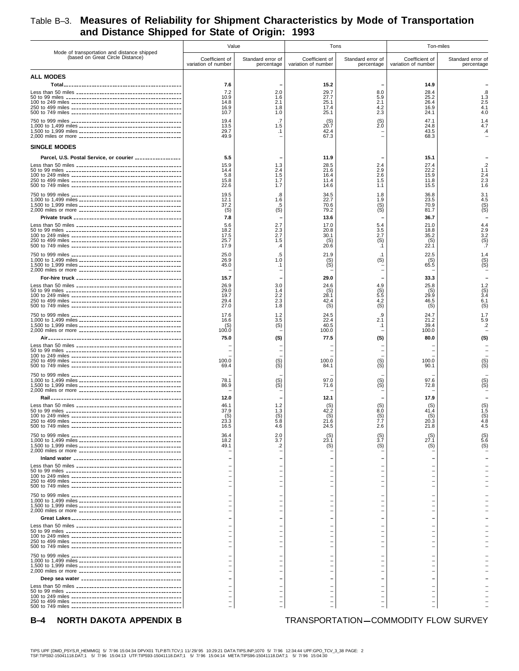## Table B–3. **Measures of Reliability for Shipment Characteristics by Mode of Transportation and Distance Shipped for State of Origin: 1993**

|                                                                                 | Value                                 |                                 | Tons                                  |                                 | Ton-miles                             |                                 |
|---------------------------------------------------------------------------------|---------------------------------------|---------------------------------|---------------------------------------|---------------------------------|---------------------------------------|---------------------------------|
| Mode of transportation and distance shipped<br>(based on Great Circle Distance) | Coefficient of<br>variation of number | Standard error of<br>percentage | Coefficient of<br>variation of number | Standard error of<br>percentage | Coefficient of<br>variation of number | Standard error of<br>percentage |
| <b>ALL MODES</b>                                                                |                                       |                                 |                                       |                                 |                                       |                                 |
|                                                                                 | 7.6                                   |                                 | 15.2                                  |                                 | 14.9                                  |                                 |
|                                                                                 | 7.2<br>10.9                           | 2.0<br>1.6                      | 29.7<br>27.7                          | 8.0<br>5.9                      | 28.4<br>25.2                          | .8<br>1.3                       |
|                                                                                 | 14.8<br>16.9                          | 2.1<br>1.8                      | 25.1<br>17.4                          | 2.1<br>4.2                      | 26.4<br>16.9                          | 2.5<br>4.1                      |
|                                                                                 | 10.7<br>19.4                          | 1.0<br>.7                       | 25.1<br>(S)                           | 2.3<br>(S)                      | 24.1<br>47.1                          | 4.0<br>1.4                      |
|                                                                                 | 13.5<br>29.7                          | 1.5<br>$\cdot$ 1                | 20.7<br>42.4                          | $\dot{2}.\dot{0}$               | 24.8<br>43.5                          | 4.7<br>$\mathcal{A}$            |
|                                                                                 | 49.9                                  |                                 | 67.3                                  |                                 | 68.3                                  |                                 |
| <b>SINGLE MODES</b>                                                             |                                       |                                 |                                       |                                 |                                       |                                 |
| Parcel, U.S. Postal Service, or courier ________________                        | 5.5<br>15.9                           | 1.3                             | 11.9<br>28.5                          | 2.4                             | 15.1<br>27.4                          | $\overline{2}$                  |
|                                                                                 | 14.4<br>5.8                           | 2.4                             | 21.6<br>16.4                          | 2.9<br>2.6                      | 22.2<br>15.9                          | 1.1<br>2.4                      |
|                                                                                 | 15.8<br>22.6                          | 1.5<br>1.7<br>1.7               | 11.4<br>14.6                          | 1.5<br>1.1                      | 11.8                                  | 2.3<br>1.6                      |
|                                                                                 | 19.5                                  | .8                              | 34.5                                  | 1.8                             | 15.5<br>36.8                          | 3.1                             |
|                                                                                 | 12.1<br>37.2                          | 1.6<br>.5                       | 22.7<br>70.6                          | 1.9                             | 23.5<br>70.9                          | 4.5                             |
|                                                                                 | (S)                                   | (S)                             | 79.2                                  | (S)<br>(S)                      | 81.7                                  | $(S)$<br>$(S)$                  |
|                                                                                 | 7.8<br>5.6                            | 2.7                             | 13.6<br>17.0                          | 5.4                             | 36.7<br>21.0                          | 4.4                             |
|                                                                                 | 18.2<br>17.5                          | 2.3<br>2.7                      | 20.8<br>30.1                          | 3.5<br>2.7                      | 18.8<br>35.2                          | 2.9                             |
|                                                                                 | 25.7<br>17.9                          | 1.5<br>.4                       | (S)<br>20.6                           | (S)<br>$\cdot$ 1                | $^{(S)}_{22.1}$                       | $3.2$<br>(S)<br>$7$             |
|                                                                                 | 25.0                                  | .5                              | 21.9                                  | . 1                             | 22.5                                  | 1.4                             |
|                                                                                 | 26.9<br>45.0                          | 1.0<br>$\cdot$ 1                | $(S)$<br>$(S)$                        | (S)                             | (S)<br>65.5                           | $(S)$<br>$(S)$                  |
|                                                                                 |                                       |                                 |                                       |                                 |                                       |                                 |
|                                                                                 | 15.7<br>26.9                          | 3.0                             | 29.0<br>24.6                          | 4.9                             | 33.3<br>25.8                          | 1.2                             |
|                                                                                 | 29.0<br>19.7                          | 1.4<br>2.2                      | (S)<br>28.1                           | (S)<br>5.5                      | (S)<br>29.9                           | $^{(S)}_{3.4}$                  |
|                                                                                 | 29.4<br>27.0                          | 2.3<br>1.8                      | 42.4<br>(S)                           | 4.2<br>(S)                      | 46.5<br>(S)                           | 6.1<br>(S)                      |
|                                                                                 | 17.6                                  | 1.2                             | 24.5                                  | .9                              | 24.7                                  | 1.7                             |
|                                                                                 | 16.6<br>(S)                           | 3.5<br>(S)                      | 22.4<br>40.5                          | 2.1<br>$\cdot$ 1                | 21.2<br>39.4                          | 5.9<br>$\cdot$                  |
|                                                                                 | 100.0                                 |                                 | 100.0                                 |                                 | 100.0                                 |                                 |
|                                                                                 | 75.0                                  | (S)                             | 77.5                                  | (S)                             | 80.0                                  | (S)                             |
|                                                                                 |                                       |                                 |                                       |                                 |                                       |                                 |
|                                                                                 | 100.0<br>69.4                         | (S)<br>(S)                      | 100.0<br>84.1                         | (S)<br>(S)                      | 100.0<br>90.1                         | $(S)$<br>$(S)$                  |
|                                                                                 |                                       |                                 |                                       |                                 |                                       |                                 |
|                                                                                 | 78.1<br>86.9                          | (S)<br>∖Š)                      | 97.0<br>71.6                          | (S)<br>(S)                      | 97.6<br>72.8                          | $S_{\rm (S)}^{(S)}$             |
|                                                                                 | 12.0                                  |                                 | 12.1                                  |                                 | 17.9                                  |                                 |
|                                                                                 | 46.1                                  | 1.2                             |                                       |                                 | (S)                                   | $^{(S)}_{1.5}$                  |
|                                                                                 | 37.9<br>(S)                           | 1.3<br>(S)                      | 42.2<br>(S)                           | 8.0<br>(S)                      | 41.4<br>(S)                           | (S)                             |
| 250 to 499 miles                                                                | 23.3<br>16.5                          | 4.6                             | 21.6<br>24.5                          | 2.6                             | 20.3<br>21.8                          | 4.8<br>4.5                      |
|                                                                                 | 36.4                                  | 2.0                             | $^{(S)}_{23.1}$                       | $\binom{S}{3.7}$                | $^{(S)}_{27.1}$                       | $^{(S)}_{5.6}$                  |
|                                                                                 | 18.2<br>49.1                          | 3.7<br>.2                       | (S)                                   | (S)                             | (S)                                   | (S)                             |
|                                                                                 |                                       |                                 |                                       |                                 |                                       |                                 |
|                                                                                 |                                       |                                 |                                       |                                 |                                       |                                 |
|                                                                                 |                                       | $\qquad \qquad \longleftarrow$  | $\overline{\phantom{0}}$              |                                 |                                       |                                 |
|                                                                                 |                                       | $\qquad \qquad \longleftarrow$  | $\overline{\phantom{0}}$              |                                 |                                       |                                 |
|                                                                                 |                                       |                                 |                                       |                                 |                                       |                                 |
|                                                                                 |                                       |                                 |                                       |                                 |                                       |                                 |
|                                                                                 |                                       |                                 |                                       |                                 |                                       |                                 |
|                                                                                 |                                       |                                 |                                       |                                 |                                       |                                 |
|                                                                                 |                                       |                                 |                                       |                                 |                                       |                                 |
|                                                                                 |                                       |                                 |                                       |                                 |                                       |                                 |
|                                                                                 |                                       |                                 |                                       |                                 |                                       |                                 |
|                                                                                 |                                       |                                 |                                       |                                 |                                       |                                 |
|                                                                                 |                                       |                                 |                                       |                                 |                                       |                                 |
|                                                                                 |                                       |                                 |                                       |                                 |                                       |                                 |
|                                                                                 |                                       |                                 |                                       |                                 |                                       |                                 |
|                                                                                 |                                       |                                 |                                       |                                 |                                       |                                 |
| NORTH DAKOTA APPENDIX B<br><b>B</b> -4                                          |                                       |                                 |                                       |                                 | TRANSPORTATION-COMMODITY FLOW SURVEY  |                                 |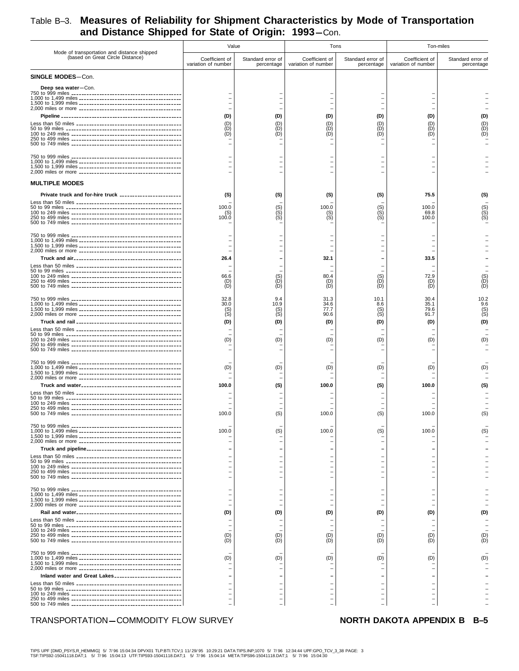## Table B–3. **Measures of Reliability for Shipment Characteristics by Mode of Transportation** and Distance Shipped for State of Origin: 1993-Con.

|                                                                                 | Value                                 |                                  | Tons                                  |                                      | Ton-miles                             |                                      |
|---------------------------------------------------------------------------------|---------------------------------------|----------------------------------|---------------------------------------|--------------------------------------|---------------------------------------|--------------------------------------|
| Mode of transportation and distance shipped<br>(based on Great Circle Distance) | Coefficient of<br>variation of number | Standard error of<br>percentage  | Coefficient of<br>variation of number | Standard error of<br>percentage      | Coefficient of<br>variation of number | Standard error of<br>percentage      |
| <b>SINGLE MODES-Con.</b>                                                        |                                       |                                  |                                       |                                      |                                       |                                      |
| Deep sea water-Con.                                                             | (D)<br>(D)<br>(D)                     | (D)<br>(D)<br>(D)                | (D)<br>(D)<br>(D)<br>(D)              | (D)<br>(D)<br>(D)<br>(D)             | (D)<br>(D)<br>(D)                     | (D)<br>(D)<br>(D)<br>ÌDÍ             |
|                                                                                 |                                       |                                  |                                       |                                      |                                       |                                      |
| <b>MULTIPLE MODES</b>                                                           |                                       |                                  |                                       |                                      |                                       |                                      |
| Private truck and for-hire truck _______________________                        | (S)                                   | (S)                              | (S)                                   | (S)                                  | 75.5                                  | (S)                                  |
|                                                                                 | 100.0<br>(S)<br>100.0                 | (S)<br>(Š)<br>(S)                | 100.0<br>$S($ S)                      | (S)<br>(S)<br>(S)                    | 100.0<br>69.8<br>100.0                | (S)<br>(S)<br>(S)                    |
|                                                                                 | 26.4                                  |                                  | 32.1                                  |                                      | 33.5                                  |                                      |
|                                                                                 | 66.6<br>(D)<br>(D)                    | (S)<br>(D)<br>(D)                | 80.4<br>(D)<br>(D)                    | (S)<br>(D)<br>(D)                    | 72.9<br>(D)<br>(D)                    | $(S)$<br>$(D)$<br>ÌDÍ                |
|                                                                                 | 32.8<br>30.0<br>(S)<br>(S)<br>(D)     | 9.4<br>10.9<br>(S)<br>(S)<br>(D) | 31.3<br>34.6<br>77.7<br>90.6<br>(D)   | 10.1<br>8.6<br>$(S)$<br>$(S)$<br>(D) | 30.4<br>35.1<br>79.6<br>91.7<br>(D)   | 10.2<br>9.6<br>$(S)$<br>$(S)$<br>(D) |
|                                                                                 | (D)                                   | (D)                              | (D)                                   | (D)                                  | (D)                                   | (D)                                  |
|                                                                                 | (D)                                   | (D)                              | (D)                                   | (D)                                  | (D)                                   | (D)                                  |
|                                                                                 | 100.0                                 | (S)                              | 100.0                                 | (S)                                  | 100.0                                 | (S)                                  |
|                                                                                 | 100.0                                 | (S)                              | 100.0                                 | (S)                                  | 100.0                                 | (S)                                  |
|                                                                                 | 100.0                                 | (S)                              | 100.0                                 | (S)                                  | 100.0                                 |                                      |
|                                                                                 |                                       |                                  |                                       |                                      |                                       |                                      |
|                                                                                 | (D)                                   | (D)                              | (D)                                   | (D)                                  | (D)                                   | (D)                                  |
|                                                                                 | (D)<br>(D)                            | (D)<br>(D)                       | (D)<br>(D)                            | (D)<br>(D)                           | (D)<br>(D)                            | (D)<br>ÌDÍ                           |
| Inland water and Great Lakes                                                    | (D)                                   | (D)                              | (D)                                   | (D)                                  | (D)                                   | (D)                                  |
|                                                                                 |                                       |                                  |                                       |                                      |                                       |                                      |

### TRANSPORTATION-COMMODITY FLOW SURVEY **NORTH DAKOTA APPENDIX B**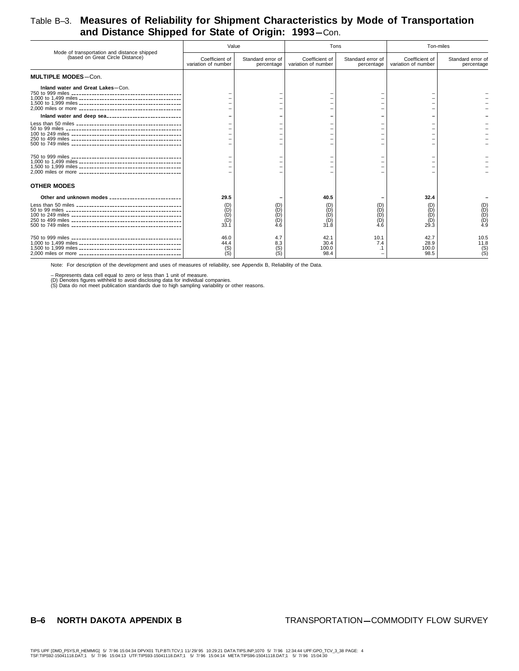### Table B–3. **Measures of Reliability for Shipment Characteristics by Mode of Transportation** and Distance Shipped for State of Origin: 1993-Con.

| Mode of transportation and distance shipped                | Value                                   |                                                                                                     |                                          | Tons                                       | Ton-miles                             |                                 |
|------------------------------------------------------------|-----------------------------------------|-----------------------------------------------------------------------------------------------------|------------------------------------------|--------------------------------------------|---------------------------------------|---------------------------------|
| (based on Great Circle Distance)                           | Coefficient of<br>variation of number   | Standard error of<br>percentage                                                                     | Coefficient of<br>variation of number    | Standard error of<br>percentage            | Coefficient of<br>variation of number | Standard error of<br>percentage |
| <b>MULTIPLE MODES-Con.</b>                                 |                                         |                                                                                                     |                                          |                                            |                                       |                                 |
| Inland water and Great Lakes-Con.                          |                                         |                                                                                                     |                                          |                                            |                                       |                                 |
| Inland water and deep sea ________________________________ |                                         |                                                                                                     |                                          |                                            |                                       |                                 |
|                                                            |                                         |                                                                                                     |                                          |                                            |                                       |                                 |
|                                                            |                                         |                                                                                                     |                                          |                                            |                                       |                                 |
| <b>OTHER MODES</b>                                         |                                         |                                                                                                     |                                          |                                            |                                       |                                 |
| Other and unknown modes _____________________________      | 29.5<br>(D)<br>(D)<br>ÌΡ<br>(D)<br>33.1 | $\begin{array}{c} \text{(D)} \ \text{(D)} \ \text{(D)} \end{array}$<br>(D)<br>(D)<br>$\mathbf{4.6}$ | 40.5<br>(D)<br>(D)<br>(D)<br>(D)<br>31.8 | (D)<br>(D)<br>(D)<br>(D)<br>$\mathbf{4.6}$ | 32.4<br>(D)<br>(D)<br>(D)<br>29.3     | (D)<br>(D)<br>4.9               |
|                                                            | 46.0<br>44.4<br>(S)                     | 4.7<br>8.3<br>$(S)$<br>$(S)$                                                                        | 42.1<br>30.4<br>100.0<br>98.4            | 10.1<br>7.4                                | 42.7<br>28.9<br>100.0<br>98.5         | 10.5<br>11.8<br>$\binom{S}{S}$  |

Note: For description of the development and uses of measures of reliability, see Appendix B, Reliability of the Data.

– Represents data cell equal to zero or less than 1 unit of measure.<br>(D) Denotes figures withheld to avoid disclosing data for individual companies.<br>(S) Data do not meet publication standards due to high sampling variabili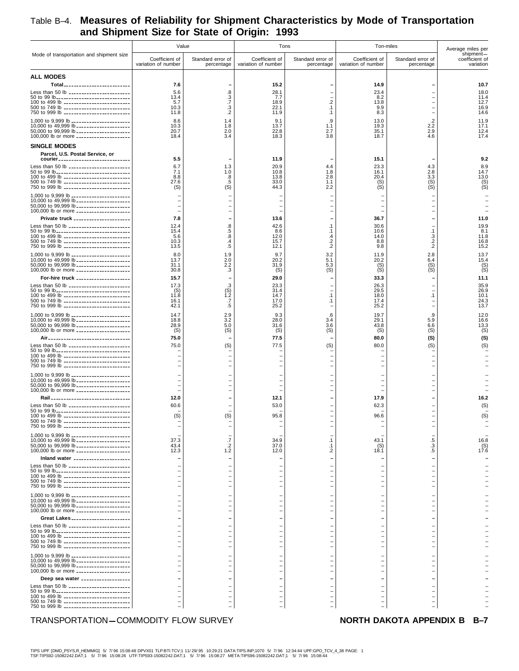### Table B–4. **Measures of Reliability for Shipment Characteristics by Mode of Transportation and Shipment Size for State of Origin: 1993**

|                                                                                          | Value                                 |                                                      | Tons                                                     |                                                      | Ton-miles                                            |                                 | Average miles per                        |
|------------------------------------------------------------------------------------------|---------------------------------------|------------------------------------------------------|----------------------------------------------------------|------------------------------------------------------|------------------------------------------------------|---------------------------------|------------------------------------------|
| Mode of transportation and shipment size                                                 | Coefficient of<br>variation of number | Standard error of<br>percentage                      | Coefficient of<br>variation of number                    | Standard error of<br>percentage                      | Coefficient of<br>variation of number                | Standard error of<br>percentage | shipment-<br>coefficient of<br>variation |
| <b>ALL MODES</b>                                                                         |                                       |                                                      |                                                          |                                                      |                                                      |                                 |                                          |
| Total <sub>--------------------------</sub><br>Less than 50 lb _________________________ | 7.6<br>5.6                            | 8.                                                   | 15.2<br>28.1                                             |                                                      | 14.9<br>23.4                                         |                                 | 10.7<br>18.0                             |
| 50 to 99 lb_______________________________<br>100 to 499 lb ___________________________  | 13.4<br>5.7                           | $\frac{3}{7}$                                        | 7.7<br>18.9                                              | $\overline{2}$                                       | 8.2<br>13.8                                          |                                 | 11.4<br>12.7                             |
| 500 to 749 lb ______________________________                                             | 10.3                                  | $\frac{.3}{.2}$                                      | 22.1                                                     | $\cdot$ 1                                            | 9.9                                                  |                                 | 16.9                                     |
| 750 to 999 lb ___________________________<br>1,000 to 9,999 lb _______________________   | 11.8<br>8.6                           | 1.4                                                  | 11.9<br>9.1                                              | $\cdot$ 1<br>.9                                      | 8.3<br>13.0                                          | .2                              | 14.6<br>11.9                             |
| 10,000 to 49,999 lb _____________________<br>50,000 to 99,999 lb _____________________   | 10.3<br>20.7                          | 1.8<br>2.0                                           | 13.7<br>22.8                                             | 1.1<br>2.7                                           | 19.3<br>35.1                                         | 2.2<br>2.9                      | 17.1<br>12.4                             |
| 100,000 lb or more _____________________                                                 | 18.4                                  | 3.4                                                  | 18.3                                                     | 3.8                                                  | 18.7                                                 | 4.6                             | 17.4                                     |
| <b>SINGLE MODES</b>                                                                      |                                       |                                                      |                                                          |                                                      |                                                      |                                 |                                          |
| Parcel, U.S. Postal Service, or<br>courier _____________________________                 | 5.5                                   |                                                      | 11.9                                                     |                                                      | 15.1                                                 |                                 | 9.2                                      |
| Less than 50 lb ________________________                                                 | 6.7                                   | 1.3                                                  | 20.9                                                     | 4.4                                                  | 23.3                                                 | 4.3                             | 8.9                                      |
| 50 to 99 lb------------------------------<br>100 to 499 lb ___________________________   | 7.1<br>8.8                            | 1.0<br>.8                                            | 10.8<br>13.8                                             | 1.8<br>2.8                                           | 16.1<br>20.4                                         | 2.8<br>3.3                      | 14.7<br>13.0                             |
| 500 to 749 lb ___________________________<br>750 to 999 lb ___________________________   | 27.6<br>(S)                           | .5<br>(S)                                            | 33.0<br>44.3                                             | 1.1<br>2.2                                           | $(S)$<br>$(S)$                                       | (S)<br>(S)                      | $(S)$<br>$(S)$                           |
| 1,000 to 9,999 lb _______________________<br>10,000 to 49,999 lb _____________________   |                                       |                                                      | $\overline{\phantom{m}}$                                 | $\overline{\phantom{0}}$<br>$\overline{\phantom{0}}$ | $\qquad \qquad -$                                    | $\overline{\phantom{0}}$        |                                          |
| 50,000 to 99,999 lb _____________________<br>100,000 lb or more _____________________    |                                       | $\overline{\phantom{a}}$                             | $\overline{\phantom{m}}$                                 | $\overline{\phantom{a}}$<br>$\overline{\phantom{0}}$ | $\overline{\phantom{m}}$<br>$\qquad \qquad -$        | $\overline{\phantom{0}}$        |                                          |
| Private truck _____________________                                                      | 7.8                                   |                                                      | 13.6                                                     |                                                      | 36.7                                                 |                                 | 11.0                                     |
| Less than 50 lb ________________________                                                 | 12.4                                  | 8.                                                   | 42.6                                                     | $\cdot$ 1                                            | 30.6                                                 |                                 | 19.9                                     |
| 50 to 99 lb______________________________<br>100 to 499 lb ___________________________   | 15.4<br>5.6                           | .5<br>.8                                             | 8.6<br>12.0                                              | $\cdot$ 1<br>.4                                      | 10.6<br>14.0                                         | $\cdot$ 1<br>.3                 | 8.1<br>11.8                              |
| 500 to 749 lb ___________________________<br>750 to 999 lb __________________________    | 10.3<br>13.5                          | .4<br>.5                                             | 15.7<br>12.1                                             | $\frac{.2}{.2}$                                      | 8.8<br>9.8                                           | $\frac{.2}{.2}$                 | 16.8<br>15.2                             |
| 1,000 to 9,999 lb _______________________                                                | 8.0                                   | 1.9                                                  | 9.7                                                      | 3.2                                                  | 11.9                                                 | 2.8                             | 13.7                                     |
| 10,000 to 49,999 lb _____________________<br>50,000 to 99,999 lb _____________________   | 13.7<br>31.1                          | 2.0<br>2.2                                           | 20.2<br>31.9                                             | 5.1<br>5.3                                           | 20.2<br>$(S)$<br>$(S)$                               | 6.4<br>$(S)$<br>$(S)$           | 15.4<br>(S)                              |
| 100,000 lb or more _____________________<br>For-hire truck ____________________          | 30.8<br>15.7                          | .3                                                   | (S)<br>29.0                                              | (S)                                                  | 33.3                                                 |                                 | 11.1                                     |
| Less than 50 lb ________________________                                                 | 17.3                                  |                                                      | 23.3                                                     |                                                      | 26.3                                                 |                                 | 35.9                                     |
| 50 to 99 lb______________________________<br>100 to 499 lb __________________________    | (S)<br>11.8                           | $^{(S)}_{1.2}$                                       | 31.4<br>14.7                                             | $\overline{\phantom{a}}$<br>$\cdot$ 1                | 29.5<br>18.0                                         | $\cdot$ 1                       | 26.9<br>10.1                             |
| 500 to 749 lb ___________________________<br>750 to 999 lb ___________________________   | 16.1<br>42.1                          | .7<br>.5                                             | 17.0<br>25.2                                             | $\cdot$ 1                                            | 17.4<br>25.2                                         |                                 | 24.3<br>13.7                             |
| 1,000 to 9,999 lb _______________________                                                | 14.7                                  | 2.9                                                  | 9.3                                                      | .6                                                   | 19.7                                                 | .9                              | 12.0                                     |
| 10,000 to 49,999 lb _____________________<br>50,000 to 99,999 lb _____________________   | 18.8<br>28.9                          | 3.2<br>5.0                                           | 28.0<br>31.6                                             | 3.4<br>3.6                                           | 29.1<br>43.8                                         | 5.9<br>6.6                      | 16.6<br>13.3                             |
| 100,000 lb or more _____________________<br>Air__________________________________        | (S)<br>75.0                           | (S)                                                  | (S)<br>77.5                                              | (S)                                                  | (S)<br>80.0                                          | (S)<br>(S)                      | (S)<br>(S)                               |
| Less than 50 lb ________________________                                                 | 75.0                                  | (S)                                                  | 77.5                                                     | (S)                                                  | 80.0                                                 | (S)                             | (S)                                      |
| 50 to 99 lb______________________________<br>100 to 499 lb __________________________    |                                       | $\overline{\phantom{a}}$                             | $\overline{\phantom{0}}$                                 | $\overline{\phantom{0}}$                             | $\overline{\phantom{0}}$                             |                                 |                                          |
| 500 to 749 lb __________________________<br>750 to 999 lb ___________________________    |                                       | $\overline{\phantom{a}}$<br>$\overline{\phantom{0}}$ | $\overline{\phantom{0}}$<br>$\qquad \qquad -$            | $\overline{\phantom{a}}$                             | $\overline{\phantom{m}}$                             |                                 |                                          |
| 1,000 to 9,999 lb ________________________                                               |                                       |                                                      |                                                          |                                                      |                                                      |                                 |                                          |
| 10,000 to 49,999 lb _____________________<br>50,000 to 99,999 lb _____________________   |                                       | $\overline{\phantom{a}}$<br>$\overline{\phantom{a}}$ | $\overline{\phantom{0}}$<br>$\overline{\phantom{0}}$     |                                                      | $\overline{\phantom{0}}$<br>$\overline{\phantom{0}}$ |                                 |                                          |
| 100,000 lb or more _____________________                                                 |                                       |                                                      |                                                          |                                                      |                                                      |                                 |                                          |
| Rail _________________________________<br>Less than 50 lb ________________________       | 12.0<br>60.6                          |                                                      | 12.1<br>53.0                                             |                                                      | 17.9<br>62.3                                         |                                 | 16.2<br>(S)                              |
| 50 to 99 lb_______________________________<br>100 to 499 lb ___________________________  | (S)                                   | (S)                                                  | 95.8                                                     |                                                      | 96.6                                                 |                                 | (S)                                      |
| 500 to 749 lb _________________________<br>750 to 999 lb ____________________________    |                                       |                                                      |                                                          |                                                      |                                                      |                                 |                                          |
| 1,000 to 9,999 lb _______________________                                                |                                       |                                                      |                                                          |                                                      |                                                      |                                 |                                          |
| 10,000 to 49,999 lb _____________________<br>50,000 to 99,999 lb _____________________   | 37.3<br>43.4                          | .7<br>$\cdot$ .2                                     | 34.9<br>37.0                                             | $\cdot$ 1<br>.1                                      | 43.1<br>(S)                                          | $3.3$<br>$.5$                   | 16.8<br>$(5)$<br>17.6                    |
| 100,000 lb or more _____________________<br>Inland water _____________________           | 12.3                                  | 1.2                                                  | 12.0                                                     | .2<br>$\overline{\phantom{a}}$                       | 18.1                                                 |                                 |                                          |
| Less than 50 lb ________________________                                                 |                                       |                                                      |                                                          |                                                      |                                                      |                                 |                                          |
| 50 to 99 lb_______________________________<br>100 to 499 lb ____________________________ |                                       |                                                      | $\overline{\phantom{m}}$                                 |                                                      |                                                      |                                 |                                          |
| 500 to 749 lb __________________________<br>750 to 999 lb ___________________________    |                                       |                                                      | $\overline{\phantom{m}}$<br>$\overline{\phantom{m}}$     | $\overline{\phantom{a}}$                             |                                                      |                                 |                                          |
| 1,000 to 9,999 lb _______________________                                                |                                       |                                                      | $\qquad \qquad -$                                        | $\overline{\phantom{0}}$                             | $\qquad \qquad -$                                    |                                 |                                          |
| 10,000 to 49,999 lb _____________________<br>50,000 to 99,999 lb _____________________   |                                       | $\overline{\phantom{a}}$                             | $\overline{\phantom{m}}$<br>$\qquad \qquad -$            | $\overline{\phantom{0}}$<br>$\overline{\phantom{a}}$ | $\overline{\phantom{m}}$<br>-                        |                                 |                                          |
| 100,000 lb or more _____________________                                                 |                                       | $\overline{\phantom{0}}$                             | $\overline{\phantom{m}}$                                 | $\overline{\phantom{a}}$                             |                                                      |                                 |                                          |
| Great Lakes _______________________<br>Less than 50 lb ________________________          |                                       |                                                      | $\overline{\phantom{m}}$<br>$\qquad \qquad \blacksquare$ | $\overline{\phantom{0}}$<br>-                        | $\qquad \qquad -$                                    |                                 |                                          |
| 50 to 99 lb______________________________<br>100 to 499 lb __________________________    |                                       | $\overline{\phantom{0}}$<br>$\overline{\phantom{0}}$ | $\overline{\phantom{a}}$<br>$\overline{\phantom{a}}$     | $\overline{\phantom{0}}$<br>$\overline{\phantom{0}}$ | $\qquad \qquad -$<br>$\qquad \qquad -$               |                                 |                                          |
| 500 to 749 lb ___________________________<br>750 to 999 lb __________________________    |                                       | $\overline{\phantom{0}}$<br>$\overline{\phantom{0}}$ | $\overline{\phantom{a}}$<br>$\overline{\phantom{m}}$     | $\overline{\phantom{0}}$<br>$\overline{\phantom{a}}$ | $\qquad \qquad -$                                    |                                 |                                          |
| 1,000 to 9,999 lb _______________________                                                |                                       |                                                      |                                                          |                                                      |                                                      |                                 |                                          |
| 10,000 to 49,999 lb _____________________<br>50,000 to 99,999 lb _____________________   |                                       |                                                      | $\overline{\phantom{0}}$<br>$\overline{\phantom{0}}$     | $\overline{\phantom{0}}$                             |                                                      |                                 |                                          |
| 100,000 lb or more _____________________                                                 |                                       | $\overline{\phantom{0}}$                             | $\overline{\phantom{0}}$                                 |                                                      |                                                      |                                 |                                          |
| Deep sea water __________________<br>Less than 50 lb ------------------------            |                                       |                                                      |                                                          |                                                      |                                                      |                                 |                                          |
| 50 to 99 lb------------------------------<br>100 to 499 lb ___________________________   | $\equiv$<br>$\equiv$                  | $\overline{\phantom{0}}$<br>$\overline{\phantom{a}}$ | $\qquad \qquad -$<br>$\qquad \qquad -$                   | $\overline{\phantom{0}}$                             | $\qquad \qquad -$<br>$\qquad \qquad -$               |                                 |                                          |
| 500 to 749 lb ___________________________<br>750 to 999 lb ___________________________   | $\qquad \qquad -$                     | f<br>$\equiv$                                        | $\qquad \qquad -$                                        |                                                      | $\qquad \qquad -$                                    | $\overline{a}$                  |                                          |
|                                                                                          |                                       |                                                      |                                                          |                                                      |                                                      |                                 |                                          |

### TRANSPORTATION-COMMODITY FLOW SURVEY **NORTH DAKOTA APPENDIX B**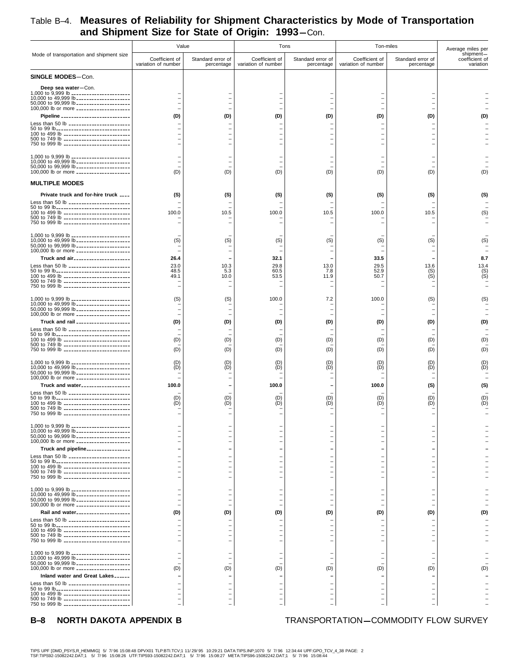|                                                                                                                                                                                                                                | Value                                    |                                                                        | Tons                                                   |                                    | Ton-miles                                                                    |                                                      | Average miles per                        |  |
|--------------------------------------------------------------------------------------------------------------------------------------------------------------------------------------------------------------------------------|------------------------------------------|------------------------------------------------------------------------|--------------------------------------------------------|------------------------------------|------------------------------------------------------------------------------|------------------------------------------------------|------------------------------------------|--|
| Mode of transportation and shipment size                                                                                                                                                                                       | Coefficient of<br>variation of number    | Standard error of<br>percentage                                        | Coefficient of<br>variation of number                  | Standard error of<br>percentage    | Coefficient of<br>variation of number                                        | Standard error of<br>percentage                      | shipment-<br>coefficient of<br>variation |  |
| <b>SINGLE MODES-Con.</b>                                                                                                                                                                                                       |                                          |                                                                        |                                                        |                                    |                                                                              |                                                      |                                          |  |
| Deep sea water-Con.<br>1,000 to 9,999 lb ________________________<br>10,000 to 49,999 lb ______________________<br>50,000 to 99,999 lb _____________________<br>100,000 lb or more _____________________                       |                                          | $\overline{\phantom{0}}$<br>$\overline{\phantom{0}}$<br>$\blacksquare$ | $\equiv$<br>$\equiv$<br>$\equiv$                       | $\overline{a}$<br>$\sim$           | $\overline{\phantom{0}}$<br>$\overline{\phantom{0}}$<br>$\equiv$             |                                                      |                                          |  |
| Pipeline __________________________<br>Less than 50 lb ------------------------                                                                                                                                                | (D)                                      | (D)                                                                    | (D)                                                    | (D)                                | (D)                                                                          | (D)                                                  |                                          |  |
| 50 to 99 lb_______________________________<br>100 to 499 lb ___________________________<br>500 to 749 lb ___________________________<br>750 to 999 lb ___________________________                                              |                                          | $\overline{\phantom{a}}$                                               | $\equiv$<br>-<br>$\equiv$                              |                                    | $\equiv$<br>$\equiv$                                                         | $\overline{\phantom{0}}$                             |                                          |  |
| 1,000 to 9,999 lb _______________________<br>10,000 to 49,999 lb _____________________<br>50,000 to 99,999 lb _____________________<br>100,000 lb or more _____________________                                                | (D)                                      | (D)                                                                    | $\equiv$<br>(D)                                        | (D)                                | $\overline{\phantom{0}}$<br>(D)                                              | (D)                                                  |                                          |  |
| <b>MULTIPLE MODES</b>                                                                                                                                                                                                          |                                          |                                                                        |                                                        |                                    |                                                                              |                                                      |                                          |  |
| Private truck and for-hire truck ____<br>Less than 50 lb _________________________<br>50 to 99 lb-----------------------------                                                                                                 | (S)                                      | (S)                                                                    | (S)                                                    | (S)                                | (S)                                                                          | (S)                                                  | (S)                                      |  |
| 100 to 499 lb ___________________________<br>500 to 749 lb ___________________________<br>750 to 999 lb ___________________________                                                                                            | 100.0                                    | 10.5                                                                   | 100.0                                                  | 10.5                               | 100.0<br>$\equiv$                                                            | 10.5                                                 |                                          |  |
| 1,000 to 9,999 lb _______________________<br>10,000 to 49,999 lb _____________________<br>50,000 to 99,999 lb _____________________<br>100,000 lb or more _____________________                                                | (S)                                      | (S)                                                                    | (S)                                                    | (S)                                | (S)<br>$\overline{\phantom{0}}$                                              | (S)                                                  | (S)                                      |  |
| Truck and air<br>Less than 50 lb ________________________                                                                                                                                                                      | 26.4<br>23.0                             | 10.3                                                                   | 32.1<br>29.8                                           | 13.0                               | 33.5<br>29.5                                                                 | 13.6                                                 | 8.7<br>13.4                              |  |
| 50 to 99 lb-------------------------------<br>100 to 499 lb ___________________________<br>500 to 749 lb ___________________________<br>750 to 999 lb ___________________________                                              | 48.5<br>49.1<br>$\overline{\phantom{0}}$ | 5.3<br>10.0<br>$\overline{\phantom{a}}$                                | 60.5<br>53.5<br>$\equiv$                               | 7.8<br>11.9<br>÷.                  | 52.9<br>50.7<br>$\overline{\phantom{0}}$                                     | $S($ S)                                              | $S($ S)                                  |  |
| 1,000 to 9,999 lb _______________________<br>10,000 to 49,999 lb _____________________<br>50,000 to 99,999 lb _____________________<br>100,000 lb or more _____________________                                                | (S)<br>$\equiv$                          | (S)                                                                    | 100.0<br>$\equiv$                                      | 7.2<br>$\sim$                      | 100.0<br>$\overline{\phantom{0}}$                                            | (S)                                                  | (S)                                      |  |
| Truck and rail _____________________                                                                                                                                                                                           | (D)                                      | (D)                                                                    | (D)                                                    | (D)                                | (D)                                                                          | (D)                                                  | (D)                                      |  |
| Less than 50 lb -------------------------<br>50 to 99 lb_______________________________<br>100 to 499 lb ___________________________<br>500 to 749 lb ___________________________<br>750 to 999 lb ___________________________ | (D)<br>(D)                               | (D)<br>(D)                                                             | (D)<br>(D)                                             | (D)<br>(D)                         | (D)<br>(D)                                                                   | (D)<br>(D)                                           | (D)                                      |  |
| 1,000 to 9,999 lb _______________________<br>10,000 to 49,999 lb ______________________<br>50,000 to 99,999 lb _____________________<br>100,000 lb or more ____________________                                                | (D)<br>(D)                               | (D)<br>(D)                                                             | (D)<br>(D)                                             | (D)<br>(D)                         | (D)                                                                          | (D)<br>(D)                                           | (D)                                      |  |
| Truck and water__________________                                                                                                                                                                                              | 100.0                                    |                                                                        | 100.0                                                  |                                    | 100.0                                                                        | (S)                                                  | (S)                                      |  |
| Less than 50 lb -------------------------<br>50 to 99 lb-------------------------------<br>100 to 499 lb ___________________________<br>500 to 749 lb ___________________________<br>750 to 999 lb __________________________  | (D)<br>(D)                               | (D)<br>(D)                                                             | (D)<br>(D)                                             | (D)<br>(D)                         | (D)<br>(D)                                                                   | (D)<br>(D)                                           | (D)                                      |  |
| 1,000 to 9,999 lb ________________________<br>10,000 to 49,999 lb _____________________<br>50,000 to 99,999 lb _____________________                                                                                           | $\equiv$<br>$\equiv$                     | $\blacksquare$<br>$\blacksquare$                                       | $\overline{\phantom{0}}$<br>÷,                         |                                    | $\overline{\phantom{0}}$<br>$\equiv$                                         | $\equiv$<br>$\overline{\phantom{0}}$                 |                                          |  |
| 100,000 lb or more _____________________<br>Truck and pipeline                                                                                                                                                                 |                                          | $\overline{\phantom{a}}$                                               | $\equiv$<br>-                                          |                                    | $\overline{\phantom{0}}$                                                     |                                                      |                                          |  |
| Less than 50 lb ________________________<br>50 to 99 lb------------------------------<br>100 to 499 lb ___________________________<br>500 to 749 lb ___________________________                                                |                                          | $\blacksquare$<br>$\sim$<br>$\blacksquare$                             | $\equiv$<br>$\overline{\phantom{0}}$<br>÷,<br>$\equiv$ | $\sim$                             | $\equiv$<br>$\equiv$<br>$\overline{\phantom{0}}$                             | $\overline{\phantom{0}}$<br>$\overline{\phantom{0}}$ |                                          |  |
| 750 to 999 lb ___________________________                                                                                                                                                                                      |                                          | $\overline{\phantom{a}}$                                               | $\equiv$                                               |                                    | $\overline{\phantom{0}}$                                                     |                                                      |                                          |  |
| 1,000 to 9,999 lb _______________________<br>10,000 to 49,999 lb _____________________<br>50,000 to 99,999 lb _____________________<br>100,000 lb or more _____________________                                                | $\equiv$                                 | $\blacksquare$<br>$\overline{\phantom{a}}$                             | $\overline{\phantom{m}}$<br>$\equiv$<br>$\equiv$       | $\overline{a}$                     | $\overline{\phantom{0}}$<br>$\equiv$                                         |                                                      |                                          |  |
| Rail and water____________________<br>Less than 50 lb _________________________                                                                                                                                                | (D)                                      | (D)                                                                    | (D)                                                    | (D)                                | (D)                                                                          | (D)                                                  | m                                        |  |
| 50 to 99 lb------------------------------<br>100 to 499 lb ___________________________<br>500 to 749 lb ___________________________<br>750 to 999 lb ___________________________                                               |                                          | $\overline{\phantom{a}}$                                               | $\equiv$<br>$\equiv$<br>-<br>$\equiv$                  |                                    | $\equiv$<br>$\overline{\phantom{0}}$<br>$\overline{\phantom{0}}$<br>$\equiv$ |                                                      |                                          |  |
| 1,000 to 9,999 lb _______________________<br>10,000 to 49,999 lb _____________________                                                                                                                                         | $\overline{\phantom{0}}$<br>$\equiv$     | $\overline{\phantom{0}}$                                               | $\qquad \qquad -$<br>$\qquad \qquad -$                 | $\overline{\phantom{0}}$<br>$\sim$ | $\overline{\phantom{0}}$<br>$\overline{\phantom{0}}$                         |                                                      |                                          |  |
| 50,000 to 99,999 lb _____________________<br>100,000 lb or more _____________________                                                                                                                                          | (D)                                      | (D)                                                                    | (D)                                                    | i.<br>(D)                          | (D)                                                                          | (D)                                                  |                                          |  |
| Inland water and Great Lakes<br>Less than 50 lb -----------------------                                                                                                                                                        |                                          |                                                                        | $\overline{\phantom{0}}$                               |                                    |                                                                              |                                                      |                                          |  |
| 50 to 99 lb------------------------------<br>100 to 499 lb ___________________________<br>500 to 749 lb ___________________________<br>750 to 999 lb ___________________________                                               | $\equiv$<br>-<br>$\equiv$                | $\overline{\phantom{0}}$<br>$\overline{\phantom{a}}$<br>$\sim$         | $\equiv$<br>$\qquad \qquad -$                          |                                    | $\overline{\phantom{0}}$<br>$\equiv$                                         | $\qquad \qquad -$<br>$\qquad \qquad -$<br>$\equiv$   |                                          |  |

## Table B–4. **Measures of Reliability for Shipment Characteristics by Mode of Transportation** and Shipment Size for State of Origin: 1993-Con.

**B-8 NORTH DAKOTA APPENDIX B** TRANSPORTATION-COMMODITY FLOW SURVEY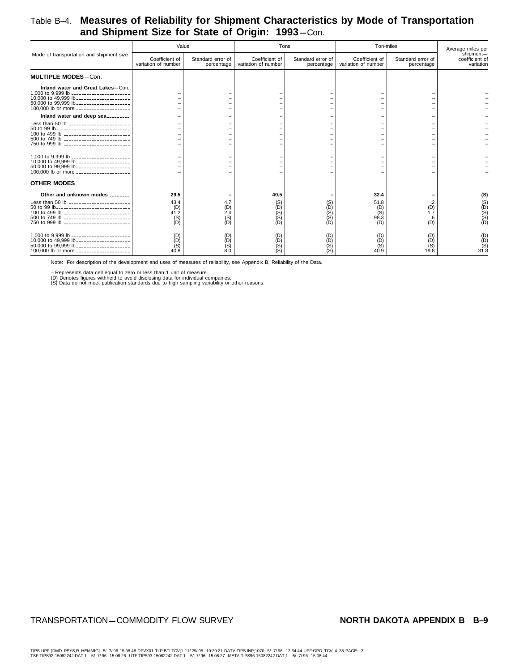### Table B–4. **Measures of Reliability for Shipment Characteristics by Mode of Transportation** and Shipment Size for State of Origin: 1993-Con.

|                                                                                                                                                                                                                                                                   | Value                                                   |                                                                 | Tons                                   |                                                      | Ton-miles                                 |                                 | Average miles per                        |
|-------------------------------------------------------------------------------------------------------------------------------------------------------------------------------------------------------------------------------------------------------------------|---------------------------------------------------------|-----------------------------------------------------------------|----------------------------------------|------------------------------------------------------|-------------------------------------------|---------------------------------|------------------------------------------|
| Mode of transportation and shipment size                                                                                                                                                                                                                          | Coefficient of<br>variation of number                   | Standard error of<br>percentage                                 | Coefficient of<br>variation of number  | Standard error of<br>percentage                      | Coefficient of<br>variation of number     | Standard error of<br>percentage | shipment-<br>coefficient of<br>variation |
| <b>MULTIPLE MODES-Con.</b>                                                                                                                                                                                                                                        |                                                         |                                                                 |                                        |                                                      |                                           |                                 |                                          |
| Inland water and Great Lakes-Con.<br>1,000 to 9,999 lb ________________________<br>10,000 to 49,999 lb ______________________<br>50,000 to 99,999 lb _____________________<br>100,000 lb or more _____________________                                            |                                                         |                                                                 |                                        |                                                      |                                           |                                 |                                          |
| Inland water and deep sea                                                                                                                                                                                                                                         |                                                         |                                                                 |                                        |                                                      |                                           |                                 |                                          |
| Less than 50 lb _________________________<br>50 to 99 lb------------------------------<br>100 to 499 lb ___________________________<br>500 to 749 lb ____________________________<br>750 to 999 lb ___________________________                                    |                                                         |                                                                 |                                        |                                                      |                                           |                                 |                                          |
| 1,000 to 9,999 lb ________________________<br>10,000 to 49,999 lb _____________________<br>50,000 to 99,999 lb _____________________<br>100,000 lb or more _____________________                                                                                  |                                                         |                                                                 |                                        |                                                      |                                           |                                 |                                          |
| <b>OTHER MODES</b>                                                                                                                                                                                                                                                |                                                         |                                                                 |                                        |                                                      |                                           |                                 |                                          |
| Other and unknown modes _______<br>Less than 50 lb ________________________<br>50 to 99 lb_______________________________<br>100 to 499 lb ____________________________<br>500 to 749 lb ___________________________<br>750 to 999 lb ___________________________ | 29.5<br>43.4<br>(D)<br>41.2<br>$\binom{S}{D}$           | 4.7<br>$_{2.4}^{(D)}$<br>$\begin{pmatrix} S \\ D \end{pmatrix}$ | 40.5<br>(S)<br>$(D)$<br>$(D)$<br>$(D)$ | $\binom{S}{D}$<br>$\binom{S}{S}$<br>ÌDÍ              | 32.4<br>51.8<br>(D)<br>(S)<br>98.3<br>(D) | $\binom{D}{1.7}$<br>.6<br>(D)   | (S)<br>(S)<br>(D)<br>(D)                 |
| 1,000 to 9,999 lb _______________________<br>10,000 to 49,999 lb ______________________<br>50,000 to 99,999 lb _____________________<br>100,000 lb or more _____________________                                                                                  | $\begin{matrix} 10 \\ 0 \\ 0 \\ 0 \end{matrix}$<br>40.8 | $(D)$<br>$(D)$<br>$(0)$<br>$(0)$                                | $O(5)$<br>$O(5)$                       | $\begin{pmatrix} D \\ D \end{pmatrix}$<br>(S)<br>(S) | $O(10)$<br>$O(10)$<br>40.9                | (D)<br>(D)<br>(S)<br>19.8       | $(D)$<br>(B)<br>(S)<br>31.8              |

Note: For description of the development and uses of measures of reliability, see Appendix B, Reliability of the Data.

– Represents data cell equal to zero or less than 1 unit of measure.<br>(D) Denotes figures withheld to avoid disclosing data for individual companies.<br>(S) Data do not meet publication standards due to high sampling variabili

#### TRANSPORTATION-COMMODITY FLOW SURVEY **NORTH DAKOTA APPENDIX B**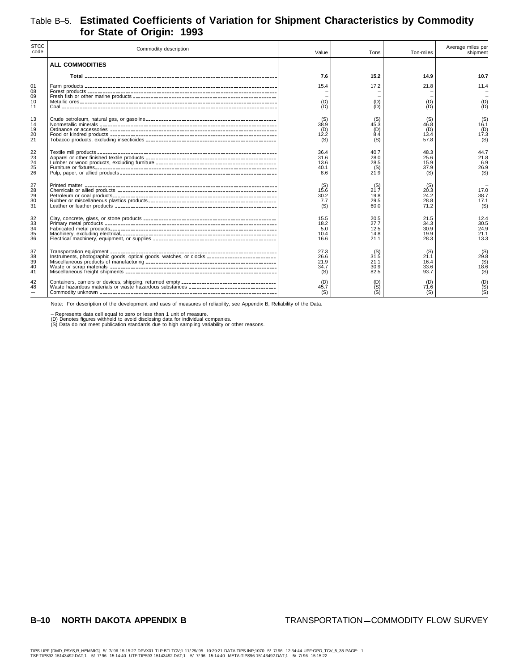## Table B–5. **Estimated Coefficients of Variation for Shipment Characteristics by Commodity for State of Origin: 1993**

| <b>STCC</b><br>code                     | Commodity description                                                                         | Value                               | Tons                                 | Ton-miles                               | Average miles per<br>shipment          |
|-----------------------------------------|-----------------------------------------------------------------------------------------------|-------------------------------------|--------------------------------------|-----------------------------------------|----------------------------------------|
|                                         | <b>ALL COMMODITIES</b>                                                                        |                                     |                                      |                                         |                                        |
|                                         |                                                                                               | 7.6                                 | 15.2                                 | 14.9                                    | 10.7                                   |
| 01<br>08<br>09                          |                                                                                               | 15.4                                | 17.2                                 | 21.8                                    | 11.4                                   |
| 10<br>11                                |                                                                                               | (D)<br>ÌDÍ                          | (D)<br>ÌDÍ                           | (D)<br>ÌDÍ                              | $\begin{pmatrix} D \\ D \end{pmatrix}$ |
| 13<br>14<br>19<br>20<br>21              |                                                                                               | (S)<br>38.9<br>(D)<br>12.2<br>(S)   | (S)<br>45.3<br>(D)<br>8.4<br>(S)     | (S)<br>46.8<br>(D)<br>13.4<br>57.8      | $($ S) $16.1$<br>(D)<br>17.3<br>(S)    |
| 22<br>$\overline{23}$<br>24<br>25<br>26 |                                                                                               | 36.4<br>31.6<br>13.6<br>40.1<br>8.6 | 40.7<br>28.0<br>28.5<br>(S)<br>21.9  | 48.3<br>25.6<br>15.9<br>37.9<br>(S)     | 44.7<br>21.8<br>6.9<br>26.9<br>(S)     |
| 27<br>28<br>29<br>30<br>31              |                                                                                               | (S)<br>15.6<br>30.2<br>7.7<br>(S)   | (S)<br>21.7<br>19.8<br>29.5<br>60.0  | (S)<br>20.3<br>24.2<br>28.8<br>71.2     | 17.0<br>38.7<br>17.1<br>(S)            |
| 32<br>33<br>34<br>35<br>36              |                                                                                               | 15.5<br>18.2<br>5.0<br>10.4<br>16.6 | 20.5<br>27.7<br>12.5<br>14.8<br>21.1 | 21.5<br>34.3<br>30.9<br>19.9<br>28.3    | 12.4<br>30.5<br>24.9<br>21.1<br>13.3   |
| 37<br>38<br>39<br>40<br>41              | Instruments, photographic goods, optical goods, watches, or clocks __________________________ | 27.3<br>26.6<br>21.9<br>34.7<br>(S) | (S)<br>31.5<br>21.1<br>30.9<br>82.5  | $^{(S)}_{21.1}$<br>16.4<br>33.6<br>93.7 | $^{(S)}_{29.8}$<br>(S)<br>18.6<br>(S)  |
| 42<br>48                                | Waste hazardous materials or waste hazardous substances _______________________________       | (D)<br>45.7<br>(S)                  | $O($ S)<br>$O($ S)                   | (D)<br>71.6<br>(S)                      | $O(S)$<br>$(S)$                        |

Note: For description of the development and uses of measures of reliability, see Appendix B, Reliability of the Data.

– Represents data cell equal to zero or less than 1 unit of measure.<br>(D) Denotes figures withheld to avoid disclosing data for individual companies.<br>(S) Data do not meet publication standards due to high sampling variabili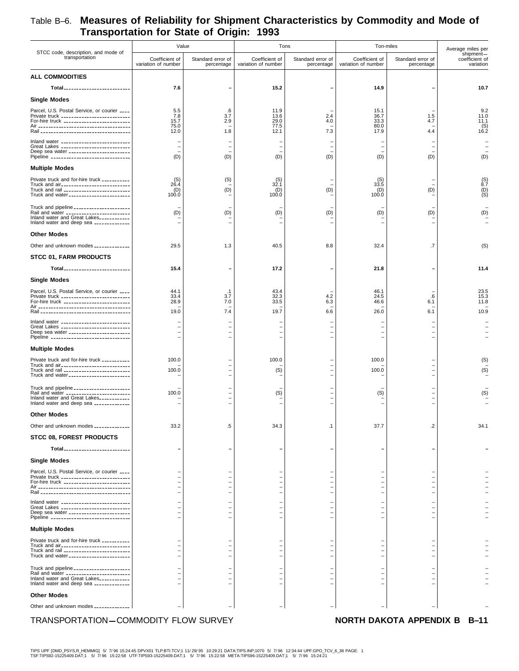|                                                                                                                                                                                    | Value                                 |                                            | Tons                                  |                                                            | Ton-miles                             |                                 | Average miles per                        |
|------------------------------------------------------------------------------------------------------------------------------------------------------------------------------------|---------------------------------------|--------------------------------------------|---------------------------------------|------------------------------------------------------------|---------------------------------------|---------------------------------|------------------------------------------|
| STCC code, description, and mode of<br>transportation                                                                                                                              | Coefficient of<br>variation of number | Standard error of<br>percentage            | Coefficient of<br>variation of number | Standard error of<br>percentage                            | Coefficient of<br>variation of number | Standard error of<br>percentage | shipment-<br>coefficient of<br>variation |
| <b>ALL COMMODITIES</b>                                                                                                                                                             |                                       |                                            |                                       |                                                            |                                       |                                 |                                          |
| Total <sub>--------------------------</sub>                                                                                                                                        | 7.6                                   | $\overline{\phantom{0}}$                   | 15.2                                  |                                                            | 14.9                                  |                                 | 10.7                                     |
| <b>Single Modes</b>                                                                                                                                                                |                                       |                                            |                                       |                                                            |                                       |                                 |                                          |
| Parcel, U.S. Postal Service, or courier ____<br>Private truck ____________________________<br>For-hire truck ___________________________                                           | 5.5<br>7.8<br>15.7<br>75.0<br>12.0    | .6<br>3.7<br>2.9<br>1.8                    | 11.9<br>13.6<br>29.0<br>77.5<br>12.1  | 2.4<br>4.0<br>7.3                                          | 15.1<br>36.7<br>33.3<br>80.0<br>17.9  | 1.5<br>4.7<br>4.4               | 9.2<br>11.0<br>11.1<br>$($ S) $16.2$     |
| Inland water ____________________________<br>Great Lakes ____________________________<br>Deep sea water _______________________<br>Pipeline ________________________________       | (D)                                   | $\overline{a}$<br>(D)                      | $\qquad \qquad -$<br>(D)              | $\overline{\phantom{0}}$<br>(D)                            | (D)                                   | (D)                             | (D)                                      |
| <b>Multiple Modes</b>                                                                                                                                                              |                                       |                                            |                                       |                                                            |                                       |                                 |                                          |
| Private truck and for-hire truck __________<br>Truck and air____________________________<br>Truck and rail ___________________________<br>Truck and water ________________________ | $^{(S)}_{26.4}$<br>(D)<br>100.0       | (S)<br>(D)                                 | $^{(S)}_{32.1}$<br>(D)<br>100.0       | (D)                                                        | $^{(S)}_{33.5}$<br>(D)<br>100.0       | (D)                             | $^{(S)}_{8.7}$<br>$\binom{D}{S}$         |
| Truck and pipeline _____________________<br>Rail and water ________________________<br>Inland water and Great Lakes___________<br>Inland water and deep sea _____________          | (D)                                   | (D)                                        | (D)                                   | (D)                                                        | (D)                                   | (D)                             | (D)                                      |
| <b>Other Modes</b>                                                                                                                                                                 |                                       |                                            |                                       |                                                            |                                       |                                 |                                          |
| Other and unknown modes _____________                                                                                                                                              | 29.5                                  | 1.3                                        | 40.5                                  | 8.8                                                        | 32.4                                  | .7                              | (S)                                      |
| <b>STCC 01, FARM PRODUCTS</b>                                                                                                                                                      |                                       |                                            |                                       |                                                            |                                       |                                 |                                          |
| Total                                                                                                                                                                              | 15.4                                  | $\overline{\phantom{0}}$                   | 17.2                                  |                                                            | 21.8                                  |                                 | 11.4                                     |
| <b>Single Modes</b>                                                                                                                                                                |                                       |                                            |                                       |                                                            |                                       |                                 |                                          |
| Parcel, U.S. Postal Service, or courier ____<br>Private truck ____________________________<br>For-hire truck ___________________________                                           | 44.1<br>33.4<br>28.9<br>19.0          | $\cdot$ 1<br>3.7<br>7.0<br>7.4             | 43.4<br>32.3<br>33.5<br>19.7          | 4.2<br>6.3<br>6.6                                          | 46.1<br>24.5<br>46.6<br>26.0          | .6<br>6.1<br>6.1                | 23.5<br>15.3<br>11.8<br>10.9             |
| Inland water ____________________________<br>Great Lakes ____________________________<br>Deep sea water ________________________<br>Pipeline ________________________________      |                                       |                                            |                                       |                                                            |                                       |                                 |                                          |
| <b>Multiple Modes</b>                                                                                                                                                              |                                       |                                            |                                       |                                                            |                                       |                                 |                                          |
| Private truck and for-hire truck __________<br>Truck and air____________________________<br>Truck and rail __________________________<br>Truck and water ________________________  | 100.0<br>100.0                        | $\overline{a}$<br>$\overline{\phantom{a}}$ | 100.0<br>(S)                          | $\overline{\phantom{a}}$<br>L,<br>$\overline{\phantom{a}}$ | 100.0<br>100.0                        |                                 | (S)<br>(S)                               |
| Truck and pipeline _____________________<br>Rail and water ________________________<br>Inland water and Great Lakes___________<br>Inland water and deep sea _____________          | 100.0                                 | $\overline{\phantom{0}}$                   | (S)                                   |                                                            | (S)                                   |                                 | (S)                                      |
| <b>Other Modes</b>                                                                                                                                                                 |                                       |                                            |                                       |                                                            |                                       |                                 |                                          |
| Other and unknown modes _____________                                                                                                                                              | 33.2                                  | .5                                         | 34.3                                  | .1                                                         | 37.7                                  | .2                              | 34.1                                     |
| <b>STCC 08, FOREST PRODUCTS</b>                                                                                                                                                    |                                       |                                            |                                       |                                                            |                                       |                                 |                                          |
| Total_________________________                                                                                                                                                     |                                       |                                            |                                       |                                                            |                                       |                                 |                                          |
| <b>Single Modes</b>                                                                                                                                                                |                                       |                                            |                                       |                                                            |                                       |                                 |                                          |
| Parcel, U.S. Postal Service, or courier ____<br>Private truck ____________________________<br>For-hire truck ___________________________                                           |                                       |                                            |                                       |                                                            |                                       |                                 |                                          |
| Inland water _____________________________                                                                                                                                         |                                       |                                            |                                       |                                                            |                                       |                                 |                                          |
| Great Lakes ____________________________<br>Deep sea water _______________________<br>Pipeline ________________________________                                                    |                                       |                                            |                                       |                                                            |                                       |                                 |                                          |
| <b>Multiple Modes</b>                                                                                                                                                              |                                       |                                            |                                       |                                                            |                                       |                                 |                                          |
| Private truck and for-hire truck __________<br>Truck and air____________________________<br>Truck and rail __________________________<br>Truck and water ________________________  |                                       |                                            |                                       |                                                            |                                       |                                 |                                          |
| Truck and pipeline _____________________                                                                                                                                           |                                       |                                            |                                       |                                                            |                                       |                                 |                                          |
| Rail and water _________________________<br>Inland water and Great Lakes___________<br>Inland water and deep sea _____________                                                     |                                       |                                            |                                       |                                                            |                                       |                                 |                                          |
| <b>Other Modes</b>                                                                                                                                                                 |                                       |                                            |                                       |                                                            |                                       |                                 |                                          |
| Other and unknown modes _____________                                                                                                                                              |                                       |                                            |                                       |                                                            |                                       |                                 |                                          |
| TRANSPORTATION-COMMODITY FLOW SURVEY                                                                                                                                               |                                       |                                            |                                       |                                                            |                                       | NORTH DAKOTA APPENDIX B B-11    |                                          |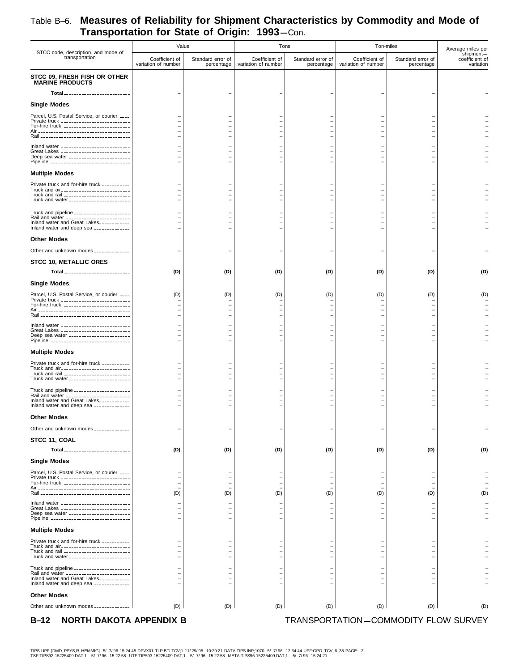|                                                                                            | Value                                 |                                 | Tons                                  |                                 | Ton-miles                             |                                      | Average miles per                        |
|--------------------------------------------------------------------------------------------|---------------------------------------|---------------------------------|---------------------------------------|---------------------------------|---------------------------------------|--------------------------------------|------------------------------------------|
| STCC code, description, and mode of<br>transportation                                      | Coefficient of<br>variation of number | Standard error of<br>percentage | Coefficient of<br>variation of number | Standard error of<br>percentage | Coefficient of<br>variation of number | Standard error of<br>percentage      | shipment-<br>coefficient of<br>variation |
| STCC 09, FRESH FISH OR OTHER<br><b>MARINE PRODUCTS</b>                                     |                                       |                                 |                                       |                                 |                                       |                                      |                                          |
| Total <sub>---------------------------</sub>                                               |                                       |                                 |                                       |                                 |                                       |                                      |                                          |
| <b>Single Modes</b>                                                                        |                                       |                                 |                                       |                                 |                                       |                                      |                                          |
| Parcel, U.S. Postal Service, or courier ____                                               |                                       |                                 |                                       |                                 |                                       |                                      |                                          |
| Private truck ___________________________<br>For-hire truck ___________________________    |                                       |                                 |                                       |                                 |                                       |                                      |                                          |
|                                                                                            |                                       |                                 |                                       |                                 |                                       |                                      |                                          |
| Inland water ____________________________                                                  |                                       |                                 |                                       |                                 |                                       |                                      |                                          |
| Great Lakes ____________________________<br>Deep sea water ________________________        |                                       |                                 |                                       |                                 |                                       |                                      |                                          |
| Pipeline ________________________________                                                  |                                       |                                 |                                       |                                 |                                       |                                      |                                          |
| <b>Multiple Modes</b>                                                                      |                                       |                                 |                                       |                                 |                                       |                                      |                                          |
| Private truck and for-hire truck __________                                                |                                       |                                 |                                       |                                 |                                       |                                      |                                          |
| Truck and air___________________________<br>Truck and rail ___________________________     |                                       | $\overline{\phantom{0}}$        |                                       |                                 |                                       |                                      |                                          |
| Truck and water ________________________                                                   |                                       | $\overline{\phantom{0}}$        |                                       |                                 |                                       |                                      |                                          |
| Truck and pipeline _____________________<br>Rail and water _________________________       |                                       |                                 |                                       |                                 |                                       |                                      |                                          |
| Inland water and Great Lakes___________<br>Inland water and deep sea _____________         |                                       |                                 |                                       |                                 |                                       |                                      |                                          |
| <b>Other Modes</b>                                                                         |                                       |                                 |                                       |                                 |                                       |                                      |                                          |
| Other and unknown modes _____________                                                      |                                       |                                 |                                       |                                 |                                       |                                      |                                          |
|                                                                                            |                                       |                                 |                                       |                                 |                                       |                                      |                                          |
| <b>STCC 10, METALLIC ORES</b><br>Total__________________________                           |                                       |                                 |                                       |                                 |                                       |                                      | (D)                                      |
|                                                                                            | (D)                                   | (D)                             | (D)                                   | (D)                             | (D)                                   | (D)                                  |                                          |
| <b>Single Modes</b>                                                                        |                                       |                                 |                                       |                                 |                                       |                                      |                                          |
| Parcel, U.S. Postal Service, or courier ____<br>Private truck ____________________________ | (D)                                   | (D)                             | (D)                                   | (D)                             | (D)                                   | (D)                                  | (D)                                      |
| For-hire truck __________________________                                                  |                                       |                                 |                                       | Ξ<br>$\overline{a}$             |                                       |                                      |                                          |
|                                                                                            |                                       |                                 |                                       | L,                              |                                       |                                      |                                          |
| Inland water ____________________________<br>Great Lakes ____________________________      |                                       | $\overline{\phantom{0}}$        |                                       | $\overline{\phantom{0}}$        |                                       |                                      |                                          |
| Deep sea water _______________________<br>Pipeline ________________________________        |                                       | $\overline{\phantom{0}}$        |                                       | $\overline{a}$                  |                                       |                                      |                                          |
| <b>Multiple Modes</b>                                                                      |                                       |                                 |                                       |                                 |                                       |                                      |                                          |
| Private truck and for-hire truck __________                                                |                                       |                                 |                                       |                                 |                                       |                                      |                                          |
| Truck and air____________________________<br>Truck and rail __________________________     |                                       |                                 |                                       | $\overline{a}$                  |                                       |                                      |                                          |
| Truck and water ________________________                                                   |                                       |                                 |                                       |                                 |                                       |                                      |                                          |
| Truck and pipeline ______________________                                                  |                                       |                                 |                                       |                                 |                                       |                                      |                                          |
| Rail and water _________________________<br>Inland water and Great Lakes___________        |                                       | -                               |                                       | ÷                               |                                       |                                      |                                          |
| Inland water and deep sea _____________                                                    |                                       |                                 |                                       |                                 |                                       | $\overline{\phantom{0}}$             |                                          |
| <b>Other Modes</b>                                                                         |                                       |                                 |                                       |                                 |                                       |                                      |                                          |
| Other and unknown modes _____________                                                      |                                       |                                 |                                       |                                 |                                       |                                      |                                          |
| STCC 11, COAL                                                                              |                                       |                                 |                                       |                                 |                                       |                                      |                                          |
| Total ___________________________                                                          | (D)                                   | (D)                             | (D)                                   | (D)                             | (D)                                   | (D)                                  | (D)                                      |
| <b>Single Modes</b>                                                                        |                                       |                                 |                                       |                                 |                                       |                                      |                                          |
| Parcel, U.S. Postal Service, or courier ____                                               |                                       |                                 |                                       | $\overline{\phantom{0}}$        |                                       |                                      |                                          |
| Private truck ___________________________<br>For-hire truck ___________________________    |                                       | $\overline{\phantom{0}}$        |                                       | $\overline{a}$                  | $\qquad \qquad -$                     |                                      |                                          |
|                                                                                            | (D)                                   | (D)                             | (D)                                   | (D)                             | (D)                                   | (D)                                  | (D)                                      |
| Inland water ____________________________                                                  |                                       |                                 |                                       | $\overline{\phantom{0}}$        |                                       |                                      |                                          |
| Great Lakes ____________________________<br>Deep sea water _______________________         |                                       |                                 |                                       | $\overline{\phantom{0}}$        |                                       |                                      |                                          |
| Pipeline ________________________________                                                  |                                       |                                 |                                       |                                 |                                       |                                      |                                          |
| <b>Multiple Modes</b>                                                                      |                                       |                                 |                                       |                                 |                                       |                                      |                                          |
| Private truck and for-hire truck __________<br>Truck and air___________________________    |                                       |                                 |                                       |                                 |                                       |                                      |                                          |
| Truck and rail __________________________<br>Truck and water _______________________       |                                       |                                 |                                       | $\overline{\phantom{0}}$        |                                       |                                      |                                          |
| Truck and pipeline ______________________                                                  |                                       |                                 |                                       |                                 |                                       |                                      |                                          |
| Rail and water __________________________<br>Inland water and Great Lakes                  |                                       |                                 |                                       |                                 |                                       |                                      |                                          |
| Inland water and deep sea _____________                                                    |                                       |                                 |                                       |                                 |                                       |                                      |                                          |
| <b>Other Modes</b>                                                                         |                                       |                                 |                                       |                                 |                                       |                                      |                                          |
| Other and unknown modes _____________                                                      | (D)                                   | (D)                             | (D)                                   | (D)                             | (D)                                   | (D)                                  | (D)                                      |
| NORTH DAKOTA APPENDIX B<br>$B-12$                                                          |                                       |                                 |                                       |                                 |                                       | TRANSPORTATION-COMMODITY FLOW SURVEY |                                          |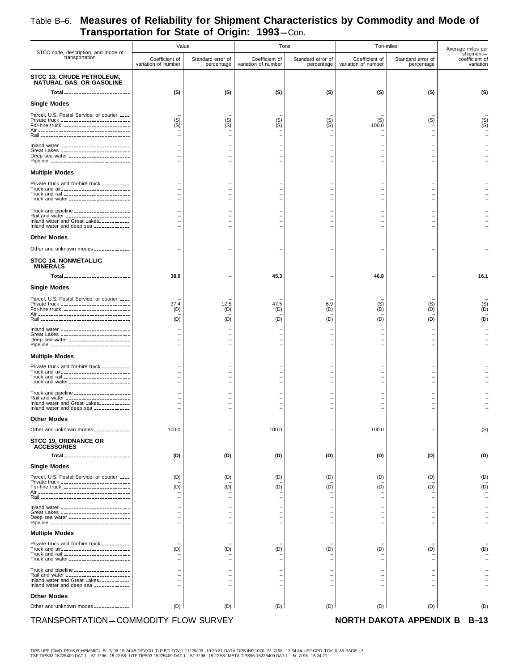| STCC code, description, and mode of                                                                                                                  | Value                                 |                                                      |                                                      | Tons                            |                                          | Ton-miles                       | Average miles per                        |
|------------------------------------------------------------------------------------------------------------------------------------------------------|---------------------------------------|------------------------------------------------------|------------------------------------------------------|---------------------------------|------------------------------------------|---------------------------------|------------------------------------------|
| transportation                                                                                                                                       | Coefficient of<br>variation of number | Standard error of<br>percentage                      | Coefficient of<br>variation of number                | Standard error of<br>percentage | Coefficient of<br>variation of number    | Standard error of<br>percentage | shipment-<br>coefficient of<br>variation |
| STCC 13, CRUDE PETROLEUM,<br>NATURAL GAS, OR GASOLINE<br>Total                                                                                       | (S)                                   | (S)                                                  | (S)                                                  | (S)                             | (S)                                      | (S)                             | (S)                                      |
| <b>Single Modes</b>                                                                                                                                  |                                       |                                                      |                                                      |                                 |                                          |                                 |                                          |
|                                                                                                                                                      |                                       |                                                      |                                                      |                                 |                                          |                                 |                                          |
| Parcel, U.S. Postal Service, or courier ____<br>Private truck ___________________________<br>For-hire truck __________________________               | $(S)$<br>$(S)$                        | $(S)$<br>$(S)$                                       | $(S)$<br>$(S)$                                       | $(S)$<br>$(S)$                  | (S)<br>100.0<br>$\overline{\phantom{0}}$ | (S)                             | $(S)$<br>$(S)$                           |
| Inland water ____________________________                                                                                                            |                                       |                                                      |                                                      |                                 |                                          |                                 |                                          |
| Great Lakes ____________________________<br>Deep sea water _______________________<br>Pipeline ________________________________                      |                                       |                                                      | $\overline{\phantom{0}}$<br>$\overline{\phantom{m}}$ |                                 |                                          |                                 |                                          |
| <b>Multiple Modes</b>                                                                                                                                |                                       |                                                      |                                                      |                                 |                                          |                                 |                                          |
| Private truck and for-hire truck __________<br>Truck and air<br>Truck and rail __________________________<br>Truck and water_______________________  |                                       | $\overline{\phantom{0}}$<br>$\overline{\phantom{0}}$ | $\overline{\phantom{0}}$<br>$\overline{\phantom{0}}$ |                                 | $\overline{\phantom{0}}$                 |                                 |                                          |
| Truck and pipeline _____________________                                                                                                             |                                       |                                                      |                                                      |                                 |                                          |                                 |                                          |
| Rail and water ________________________<br>Inland water and Great Lakes___________<br>Inland water and deep sea _____________                        |                                       |                                                      |                                                      |                                 |                                          |                                 |                                          |
| <b>Other Modes</b>                                                                                                                                   |                                       |                                                      |                                                      |                                 |                                          |                                 |                                          |
| Other and unknown modes _____________                                                                                                                |                                       |                                                      |                                                      |                                 |                                          |                                 |                                          |
| <b>STCC 14, NONMETALLIC</b><br><b>MINERALS</b>                                                                                                       |                                       |                                                      |                                                      |                                 |                                          |                                 |                                          |
| Total <sub>----------------------------</sub>                                                                                                        | 38.9                                  |                                                      | 45.3                                                 |                                 | 46.8                                     |                                 | 16.1                                     |
| <b>Single Modes</b>                                                                                                                                  |                                       |                                                      |                                                      |                                 |                                          |                                 |                                          |
| Parcel, U.S. Postal Service, or courier ____<br>Private truck ____________________________<br>For-hire truck ___________________________             | 37.4<br>(D)<br>(D)                    | 12.5<br>(D)<br>(D)                                   | 47.5<br>(D)<br>(D)                                   | 6.9<br>(D)<br>(D)               | $\binom{S}{D}$<br>(D)                    | (S)<br>(D)<br>(D)               | $\binom{S}{D}$<br>(D)                    |
| Inland water _____________________________                                                                                                           |                                       |                                                      |                                                      |                                 |                                          |                                 |                                          |
| Great Lakes ----------------------------<br>Deep sea water _______________________<br>Pipeline ________________________________                      |                                       |                                                      |                                                      |                                 |                                          |                                 |                                          |
| <b>Multiple Modes</b>                                                                                                                                |                                       |                                                      |                                                      |                                 |                                          |                                 |                                          |
| Private truck and for-hire truck __________<br>Truck and air<br>Truck and rail __________________________<br>Truck and water________________________ |                                       |                                                      | $\overline{\phantom{0}}$<br>$\overline{\phantom{0}}$ |                                 | -                                        |                                 |                                          |
| Truck and pipeline ______________________                                                                                                            |                                       |                                                      |                                                      |                                 |                                          |                                 |                                          |
| Rail and water __________________________<br>Inland water and Great Lakes___________<br>Inland water and deep sea _____________                      |                                       |                                                      | $\overline{\phantom{0}}$                             |                                 | $\overline{\phantom{0}}$                 |                                 |                                          |
| <b>Other Modes</b>                                                                                                                                   |                                       |                                                      |                                                      |                                 |                                          |                                 |                                          |
| Other and unknown modes _____________                                                                                                                | 100.0                                 |                                                      | 100.0                                                |                                 | 100.0                                    |                                 | (S)                                      |
| <b>STCC 19. ORDNANCE OR</b><br><b>ACCESSORIES</b>                                                                                                    |                                       |                                                      |                                                      |                                 |                                          |                                 |                                          |
| Total__________________________                                                                                                                      | (D)                                   | (D)                                                  | (D)                                                  | (D)                             | (D)                                      | (D)                             | (D)                                      |
| <b>Single Modes</b>                                                                                                                                  |                                       |                                                      |                                                      |                                 |                                          |                                 |                                          |
| Parcel, U.S. Postal Service, or courier ____<br>Private truck ____________________________                                                           | (D)                                   | (D)                                                  | (D)                                                  | (D)                             | (D)                                      | (D)                             | (D)                                      |
| For-hire truck ____________________________                                                                                                          | (D)                                   | (D)                                                  | (D)                                                  | (D)                             | (D)                                      | (D)                             | (D)                                      |
| Inland water _____________________________<br>Great Lakes _____________________________                                                              |                                       |                                                      |                                                      |                                 |                                          |                                 |                                          |
| Deep sea water ________________________<br>Pipeline ________________________________                                                                 |                                       |                                                      |                                                      |                                 |                                          |                                 |                                          |
| <b>Multiple Modes</b>                                                                                                                                |                                       |                                                      |                                                      |                                 |                                          |                                 |                                          |
| Private truck and for-hire truck __________                                                                                                          |                                       |                                                      |                                                      |                                 |                                          |                                 |                                          |
| Truck and air____________________________<br>Truck and rail __________________________<br>Truck and water _______________________                    | (D)                                   | (D)                                                  | (D)                                                  | (D)                             | (D)                                      | (D)                             | (D)                                      |
| Truck and pipeline ______________________<br>Rail and water _________________________                                                                |                                       |                                                      | $\overline{\phantom{0}}$                             |                                 |                                          |                                 |                                          |
| Inland water and Great Lakes<br>Inland water and deep sea _____________                                                                              |                                       |                                                      | -                                                    |                                 |                                          |                                 |                                          |
| <b>Other Modes</b>                                                                                                                                   |                                       |                                                      |                                                      |                                 |                                          |                                 |                                          |
| Other and unknown modes _____________                                                                                                                | (D)                                   | (D)                                                  | (D)                                                  | (D)                             | (D)                                      | (D)                             | (D)                                      |
| TRANSPORTATION-COMMODITY FLOW SURVEY                                                                                                                 |                                       |                                                      |                                                      |                                 |                                          | NORTH DAKOTA APPENDIX B         | $B-13$                                   |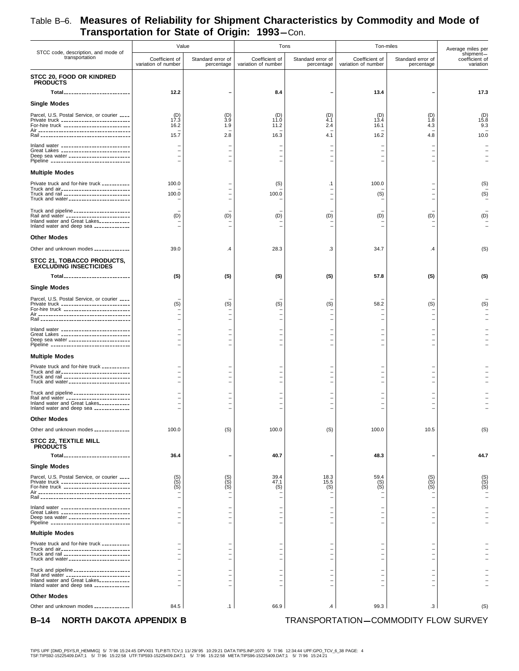|                                                                                                                                                                                    | Value                                 |                                                                                  | Tons                                  |                                                         | Ton-miles                             |                                 | Average miles per                        |
|------------------------------------------------------------------------------------------------------------------------------------------------------------------------------------|---------------------------------------|----------------------------------------------------------------------------------|---------------------------------------|---------------------------------------------------------|---------------------------------------|---------------------------------|------------------------------------------|
| STCC code, description, and mode of<br>transportation                                                                                                                              | Coefficient of<br>variation of number | Standard error of<br>percentage                                                  | Coefficient of<br>variation of number | Standard error of<br>percentage                         | Coefficient of<br>variation of number | Standard error of<br>percentage | shipment-<br>coefficient of<br>variation |
| STCC 20, FOOD OR KINDRED<br><b>PRODUCTS</b>                                                                                                                                        |                                       |                                                                                  |                                       |                                                         |                                       |                                 |                                          |
| Total                                                                                                                                                                              | 12.2                                  |                                                                                  | 8.4                                   |                                                         | 13.4                                  |                                 | 17.3                                     |
| <b>Single Modes</b>                                                                                                                                                                |                                       |                                                                                  |                                       |                                                         |                                       |                                 |                                          |
| Parcel, U.S. Postal Service, or courier ____<br>Private truck ___________________________<br>For-hire truck ___________________________                                            | (D)<br>17.3<br>16.2                   | (D)<br>3.9<br>1.9                                                                | (D)<br>11.0<br>11.2                   | $_{4.1}^{(D)}$<br>2.4                                   | (D)<br>13.4<br>16.1                   | (D)<br>1.8<br>4.3               | (D)<br>15.8<br>9.3                       |
|                                                                                                                                                                                    | 15.7                                  | 2.8                                                                              | 16.3                                  | 4.1                                                     | 16.2                                  | 4.8                             | 10.0                                     |
| Inland water _____________________________<br>Great Lakes ____________________________<br>Deep sea water _______________________<br>Pipeline ________________________________      | $\overline{\phantom{0}}$              |                                                                                  |                                       | $\blacksquare$                                          | $\overline{\phantom{0}}$              |                                 |                                          |
| <b>Multiple Modes</b>                                                                                                                                                              |                                       |                                                                                  |                                       |                                                         |                                       |                                 |                                          |
| Private truck and for-hire truck __________<br>Truck and air___________________________<br>Truck and rail __________________________<br>Truck and water ________________________   | 100.0<br>100.0                        | $\overline{\phantom{0}}$<br>$\overline{\phantom{0}}$                             | (S)<br>100.0                          | $\cdot$ 1<br>$\overline{\phantom{0}}$<br>$\blacksquare$ | 100.0<br>(S)                          |                                 | (S)<br>(S)                               |
| Truck and pipeline _____________________<br>Rail and water<br>Inland water and Great Lakes<br>Inland water and deep sea _____________                                              | (D)                                   | (D)                                                                              | (D)                                   | (D)                                                     | (D)                                   | (D)                             | (D)                                      |
| <b>Other Modes</b>                                                                                                                                                                 |                                       |                                                                                  |                                       |                                                         |                                       |                                 |                                          |
| Other and unknown modes _____________                                                                                                                                              | 39.0                                  | .4                                                                               | 28.3                                  | .3                                                      | 34.7                                  | .4                              | (S)                                      |
| STCC 21, TOBACCO PRODUCTS,<br><b>EXCLUDING INSECTICIDES</b>                                                                                                                        |                                       |                                                                                  |                                       |                                                         |                                       |                                 |                                          |
| Total <sub>---------------------------</sub>                                                                                                                                       | (S)                                   | (S)                                                                              | (S)                                   | (S)                                                     | 57.8                                  | (S)                             | (S)                                      |
| <b>Single Modes</b>                                                                                                                                                                |                                       |                                                                                  |                                       |                                                         |                                       |                                 |                                          |
| Parcel, U.S. Postal Service, or courier ____<br>Private truck ___________________________<br>For-hire truck ___________________________                                            | (S)                                   | (S)                                                                              | (S)                                   | (S)                                                     | 58.2                                  | (S)                             | (S)                                      |
|                                                                                                                                                                                    |                                       |                                                                                  |                                       |                                                         |                                       |                                 |                                          |
| Inland water ____________________________<br>Great Lakes ____________________________<br>Deep sea water _______________________<br>Pipeline _______________________________        |                                       |                                                                                  |                                       |                                                         |                                       |                                 |                                          |
| <b>Multiple Modes</b>                                                                                                                                                              |                                       |                                                                                  |                                       |                                                         |                                       |                                 |                                          |
| Private truck and for-hire truck __________<br>Truck and air<br>Truck and rail __________________________<br>Truck and water ________________________                              | $\equiv$<br>$\equiv$                  | $\overline{\phantom{0}}$<br>$\overline{\phantom{0}}$<br>$\overline{\phantom{0}}$ |                                       | $\blacksquare$<br>$\blacksquare$                        |                                       |                                 |                                          |
| Truck and pipeline _____________________<br>Rail and water _________________________<br>Inland water and Great Lakes___________<br>Inland water and deep sea _____________         |                                       |                                                                                  |                                       | $\overline{\phantom{0}}$                                |                                       |                                 |                                          |
| <b>Other Modes</b>                                                                                                                                                                 |                                       |                                                                                  |                                       |                                                         |                                       |                                 |                                          |
| Other and unknown modes _____________                                                                                                                                              | 100.0                                 | (S)                                                                              | 100.0                                 | (S)                                                     | 100.0                                 | 10.5                            | (S)                                      |
| <b>STCC 22, TEXTILE MILL</b><br><b>PRODUCTS</b>                                                                                                                                    |                                       |                                                                                  |                                       |                                                         | 48.3                                  |                                 |                                          |
| Total__________________________<br><b>Single Modes</b>                                                                                                                             | 36.4                                  |                                                                                  | 40.7                                  |                                                         |                                       |                                 | 44.7                                     |
| Parcel, U.S. Postal Service, or courier ____<br>Private truck ____________________________<br>For-hire truck ___________________________                                           | (S)<br>(S)                            | (S)<br>(S)<br>(S)                                                                | 39.4<br>47.1<br>(S)                   | 18.3<br>15.5<br>(S)                                     | 59.4<br>$(S)$<br>$(S)$                | $(S)$<br>$(S)$<br>$(S)$         | (S)<br>(S)<br>(S)                        |
| Inland water ____________________________<br>Great Lakes _____________________________<br>Deep sea water ________________________<br>Pipeline ________________________________     |                                       |                                                                                  |                                       |                                                         |                                       |                                 |                                          |
| <b>Multiple Modes</b>                                                                                                                                                              |                                       |                                                                                  |                                       |                                                         |                                       |                                 |                                          |
| Private truck and for-hire truck __________<br>Truck and air____________________________<br>Truck and rail ___________________________<br>Truck and water ________________________ |                                       |                                                                                  |                                       |                                                         |                                       |                                 |                                          |
| Truck and pipeline ______________________<br>Rail and water _________________________<br>Inland water and Great Lakes___________<br>Inland water and deep sea _____________        |                                       |                                                                                  |                                       |                                                         |                                       |                                 |                                          |
| <b>Other Modes</b>                                                                                                                                                                 |                                       |                                                                                  |                                       |                                                         |                                       |                                 |                                          |
| Other and unknown modes _____________                                                                                                                                              | 84.5                                  | $\cdot$ 1                                                                        | 66.9                                  | .4                                                      | 99.3                                  | .3                              | (S)                                      |
| <b>NORTH DAKOTA APPENDIX B</b><br>$B-14$                                                                                                                                           |                                       |                                                                                  |                                       |                                                         |                                       |                                 | TRANSPORTATION-COMMODITY FLOW SURVEY     |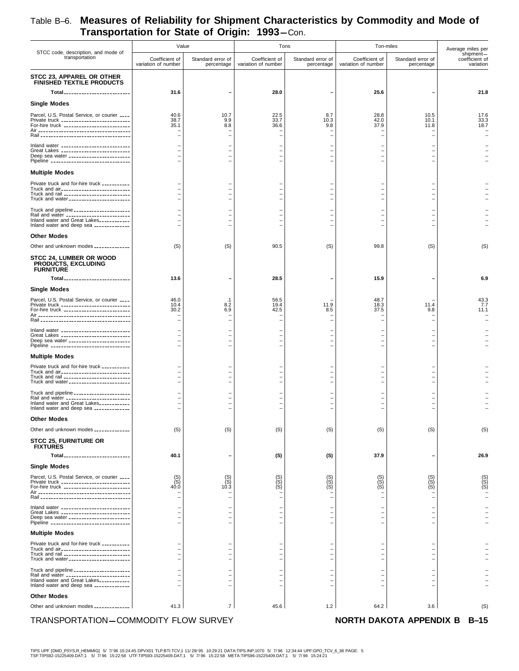|                                                                                                                                                                                   | Value                                 |                                                                                  | Tons                                                                             |                                                      |                                                  | Ton-miles                       | Average miles per                        |
|-----------------------------------------------------------------------------------------------------------------------------------------------------------------------------------|---------------------------------------|----------------------------------------------------------------------------------|----------------------------------------------------------------------------------|------------------------------------------------------|--------------------------------------------------|---------------------------------|------------------------------------------|
| STCC code, description, and mode of<br>transportation                                                                                                                             | Coefficient of<br>variation of number | Standard error of<br>percentage                                                  | Coefficient of<br>variation of number                                            | Standard error of<br>percentage                      | Coefficient of<br>variation of number            | Standard error of<br>percentage | shipment-<br>coefficient of<br>variation |
| STCC 23, APPAREL OR OTHER<br><b>FINISHED TEXTILE PRODUCTS</b><br>Total__________________________                                                                                  | 31.6                                  | $\overline{\phantom{a}}$                                                         | 28.0                                                                             |                                                      | 25.6                                             |                                 | 21.8                                     |
|                                                                                                                                                                                   |                                       |                                                                                  |                                                                                  |                                                      |                                                  |                                 |                                          |
| <b>Single Modes</b><br>Parcel, U.S. Postal Service, or courier ____<br>Private truck ___________________________<br>For-hire truck __________________________                     | 40.6<br>38.7<br>35.1                  | 10.7<br>9.9<br>8.8                                                               | 22.5<br>33.7<br>36.6                                                             | 8.7<br>10.3<br>9.8                                   | 28.8<br>42.0<br>37.9                             | 10.5<br>10.1<br>11.8            | 17.6<br>33.3<br>18.7                     |
|                                                                                                                                                                                   |                                       |                                                                                  | $\overline{\phantom{m}}$                                                         | $\overline{\phantom{a}}$                             |                                                  |                                 |                                          |
| Inland water ____________________________<br>Great Lakes ____________________________<br>Deep sea water _______________________<br>Pipeline ________________________________      |                                       | $\overline{\phantom{0}}$                                                         | $\overline{\phantom{m}}$                                                         |                                                      |                                                  |                                 |                                          |
| <b>Multiple Modes</b>                                                                                                                                                             |                                       |                                                                                  |                                                                                  |                                                      |                                                  |                                 |                                          |
| Private truck and for-hire truck __________<br>Truck and air____________________________<br>Truck and rail __________________________<br>Truck and water ________________________ |                                       | $\overline{\phantom{0}}$<br>$\overline{\phantom{0}}$<br>$\overline{\phantom{0}}$ | $\overline{\phantom{m}}$<br>$\overline{\phantom{m}}$<br>$\overline{\phantom{m}}$ | $\blacksquare$<br>$\overline{\phantom{a}}$           |                                                  |                                 |                                          |
| Truck and pipeline ______________________<br>Rail and water _________________________<br>Inland water and Great Lakes------------                                                 |                                       |                                                                                  |                                                                                  |                                                      |                                                  |                                 |                                          |
| Inland water and deep sea _____________<br><b>Other Modes</b>                                                                                                                     |                                       |                                                                                  |                                                                                  |                                                      |                                                  |                                 |                                          |
| Other and unknown modes _____________                                                                                                                                             | (S)                                   | (S)                                                                              | 90.5                                                                             | (S)                                                  | 99.8                                             | (S)                             | (S)                                      |
| STCC 24, LUMBER OR WOOD<br><b>PRODUCTS, EXCLUDING</b><br><b>FURNITURE</b>                                                                                                         |                                       |                                                                                  |                                                                                  |                                                      |                                                  |                                 |                                          |
| Total                                                                                                                                                                             | 13.6                                  | $\overline{\phantom{0}}$                                                         | 28.5                                                                             |                                                      | 15.9                                             |                                 | 6.9                                      |
| <b>Single Modes</b>                                                                                                                                                               |                                       |                                                                                  |                                                                                  |                                                      |                                                  |                                 |                                          |
| Parcel, U.S. Postal Service, or courier ____<br>Private truck ___________________________<br>For-hire truck ___________________________                                           | 46.0<br>10.4<br>30.2                  | .1<br>8.2<br>6.9                                                                 | 56.5<br>19.4<br>42.5                                                             | 11.9<br>8.5<br>$\overline{\phantom{0}}$              | 48.7<br>18.3<br>37.5<br>$\overline{\phantom{0}}$ | 11.4<br>9.8                     | 43.3<br>7.7<br>11.1                      |
| Inland water ____________________________                                                                                                                                         |                                       |                                                                                  |                                                                                  |                                                      |                                                  |                                 |                                          |
| Great Lakes ____________________________<br>Deep sea water _______________________<br>Pipeline ________________________________                                                   |                                       | $\overline{\phantom{a}}$                                                         | $\overline{\phantom{0}}$                                                         |                                                      |                                                  |                                 |                                          |
| <b>Multiple Modes</b>                                                                                                                                                             |                                       |                                                                                  |                                                                                  |                                                      |                                                  |                                 |                                          |
| Private truck and for-hire truck __________<br>Truck and air____________________________<br>Truck and rail __________________________<br>Truck and water ________________________ |                                       | $\overline{\phantom{0}}$<br>$\overline{\phantom{0}}$<br>$\overline{\phantom{0}}$ | $\overline{\phantom{m}}$<br>$\overline{\phantom{m}}$                             | $\overline{\phantom{0}}$<br>$\overline{\phantom{a}}$ |                                                  |                                 |                                          |
| Truck and pipeline ______________________<br>Rail and water _________________________<br>Inland water and Great Lakes___________<br>Inland water and deep sea _____________       |                                       |                                                                                  |                                                                                  |                                                      |                                                  |                                 |                                          |
| <b>Other Modes</b>                                                                                                                                                                |                                       |                                                                                  |                                                                                  |                                                      |                                                  |                                 |                                          |
| Other and unknown modes _____________                                                                                                                                             | (S)                                   | (S)                                                                              | (S)                                                                              | (S)                                                  | (S)                                              | (S)                             | (S)                                      |
| <b>STCC 25, FURNITURE OR</b><br><b>FIXTURES</b>                                                                                                                                   |                                       |                                                                                  |                                                                                  |                                                      |                                                  |                                 |                                          |
| Total                                                                                                                                                                             | 40.1                                  |                                                                                  | (S)                                                                              | (S)                                                  | 37.9                                             |                                 | 26.9                                     |
| <b>Single Modes</b><br>Parcel, U.S. Postal Service, or courier ____<br>Private truck ____________________________<br>For-hire truck ___________________________                   | $(S)$<br>$(S)$<br>40.0                | $(S)$<br>$(S)$<br>10.3                                                           | $(S)$<br>$(S)$<br>$(S)$                                                          | $(S)$<br>$(S)$<br>$(S)$                              | $(S)$<br>$(S)$<br>$(S)$                          | $(S)$<br>$(S)$                  | (S)<br>(S)<br>(S)                        |
| Inland water ____________________________<br>Great Lakes _____________________________<br>Deep sea water ________________________                                                 |                                       |                                                                                  |                                                                                  |                                                      |                                                  |                                 |                                          |
| Pipeline ________________________________<br><b>Multiple Modes</b>                                                                                                                |                                       |                                                                                  |                                                                                  |                                                      |                                                  |                                 |                                          |
| Private truck and for-hire truck __________<br>Truck and air___________________________                                                                                           |                                       |                                                                                  |                                                                                  |                                                      |                                                  |                                 |                                          |
| Truck and rail __________________________<br>Truck and water _______________________                                                                                              |                                       |                                                                                  |                                                                                  |                                                      |                                                  |                                 |                                          |
| Truck and pipeline ______________________<br>Rail and water ________________________<br>Inland water and Great Lakes___________<br>Inland water and deep sea _____________        |                                       |                                                                                  | $\overline{\phantom{m}}$                                                         |                                                      |                                                  |                                 |                                          |
| <b>Other Modes</b>                                                                                                                                                                |                                       |                                                                                  |                                                                                  |                                                      |                                                  |                                 |                                          |
| Other and unknown modes _____________                                                                                                                                             | 41.3                                  | $\cdot$ 7                                                                        | 45.6                                                                             | 1.2                                                  | 64.2                                             | 3.6                             | (S)                                      |
| TRANSPORTATION-COMMODITY FLOW SURVEY                                                                                                                                              |                                       |                                                                                  |                                                                                  |                                                      |                                                  | NORTH DAKOTA APPENDIX B B-15    |                                          |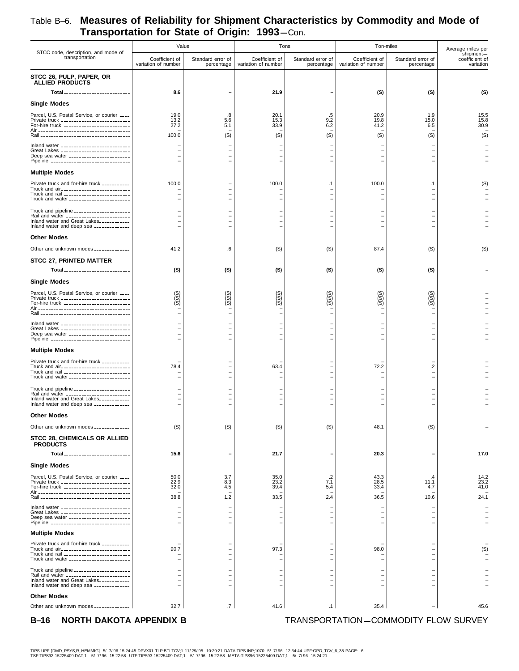#### **Transportation for State of Origin: 1993**-Con. STCC code, description, and mode of transportation Value Tons Ton-miles Coefficient of variation of number Standard error of percentage Coefficient of variation of number Standard error of percentage Coefficient of variation of number Standard error of percentage Average miles per shipment coefficient of variation **STCC 26, PULP, PAPER, OR ALLIED PRODUCTS Total 2.6 – Total 3.6** – (S) – (S) (S) (S) (S) (S) **Single Modes** Parcel, U.S. Postal Service, or courier 19.0 ---- .8 20.1 .5 20.9 1.9 15.5 Private truck 13.2 --------------------------- 5.6 15.3 9.2 19.8 15.0 15.8 For-hire truck 27.2 -------------------------- 5.1 33.9 6.2 41.2 6.5 30.9 Air – ------------------------------------ ––––– – Rail <sub>----------------------------</sub> Inland water – --------------------------- ––––– – Great Lakes – --------------------------- ––––– – Deep sea water – ------------------------ ––––– – Pipeline – ------------------------------- ––––– – **Multiple Modes** Private truck and for-hire truck ------------ | 100.0  $-$  | 100.0  $-$  | 100.0  $-$  | 100.0  $-$  | 100.0  $-$  | 100.0  $-$  | 100.0  $-$  | 100.0  $-$  | 100.0  $-$  | 100.0  $-$  | 100.0  $-$  | 100.0  $-$  | 100.0  $-$  | 100.0  $-$  | 100.0 Truck and air – --------------------------- ––––– – Truck and rail – -------------------------- ––––– – Truck and water – ------------------------ ––––– – Truck and pipeline – ---------------------- ––––– – Rail and water – ------------------------- ––––– – Inland water and Great Lakes – ------------ ––––– – Inland water and deep sea – -------------- ––––– – **Other Modes** Other and unknown modes \_\_\_\_\_\_\_\_\_\_\_\_| 41.2  $\vert$  6  $\vert$  (S)  $\vert$  67.4 (S) 87.4 (S) (S) **STCC 27, PRINTED MATTER Total (S)** -------------------------- **(S) (S) (S) (S) (S) – Single Modes** Parcel, U.S. Postal Service, or courier (S) ---- (S) (S) (S) (S) (S) – Private truck (S) --------------------------- (S) (S) (S) (S) (S) – For-hire truck (S) -------------------------- (S) (S) (S) (S) (S) – Air – ------------------------------------ ––––– – Rail – ----------------------------------- ––––– – Inland water – --------------------------- ––––– – – بعد المستخدم – المستخدم – المستخدم – المستخدم – المستخدم – المستخدم – المستخدم – المستخدم – المستخدم – المست<br>|- المستخدم – المستخدم – المستخدم – المستخدم – المستخدم – المستخدم – المستخدم – المستخدم – المستخدم – المستخدم Deep sea water <sub>-----------------------</sub> Pipeline <sub>-------------------------------</sub> **Multiple Modes** Private truck and for-hire truck – ----------- ––––– – Truck and air 78.4 --------------------------- – 63.4 – 72.2 .2 – Truck and rail – -------------------------- ––––– – Truck and water <sub>-----------------------</sub> Truck and pipeline – ---------------------- ––––– – Rail and water – ------------------------- ––––– – Inland water and Great Lakes – ------------ ––––– – Inland water and deep sea – -------------- ––––– – **Other Modes** Other and unknown modes \_\_\_\_\_\_\_\_\_\_\_\_| (S) (S) (S) (S) (S) (S) (S) (S) 48.1 (S) **STCC 28, CHEMICALS OR ALLIED PRODUCTS Total 15.6** -------------------------- **– 21.7 – 20.3 – 17.0 Single Modes** Parcel, U.S. Postal Service, or courier 50.0 ---- 3.7 35.0 .2 43.3 .4 14.2 Private truck 22.9 --------------------------- 8.3 23.2 7.1 28.5 11.1 23.2 For-hire truck 32.0 -------------------------- 4.5 39.4 5.4 33.4 4.7 41.0 Air – ------------------------------------ ––––– – Rail 38.8 ----------------------------------- 1.2 33.5 2.4 36.5 10.6 24.1 Inland water – --------------------------- ––––– – Great Lakes – --------------------------- ––––– – Deep sea water – ------------------------ ––––– – Pipeline – ------------------------------- ––––– –

Private truck and for-hire truck – ----------- ––––– – Truck and air 90.7 --------------------------- – 97.3 – 98.0 – (S) Truck and rail – -------------------------- ––––– – Truck and water – ------------------------ ––––– –

Truck and pipeline – ---------------------- ––––– – Rail and water – ------------------------- ––––– – Inland water and Great Lakes – ------------ ––––– – Inland water and deep sea – -------------- ––––– –

Other and unknown modes \_\_\_\_\_\_\_\_\_\_\_\_\_| 32.7 | 1.7 | 41.6 | 1.1 | 35.4 | 45.6

# Table B–6. **Measures of Reliability for Shipment Characteristics by Commodity and Mode of**

**Multiple Modes**

**Other Modes**

**B-16 NORTH DAKOTA APPENDIX B TRANSPORTATION-COMMODITY FLOW SURVEY**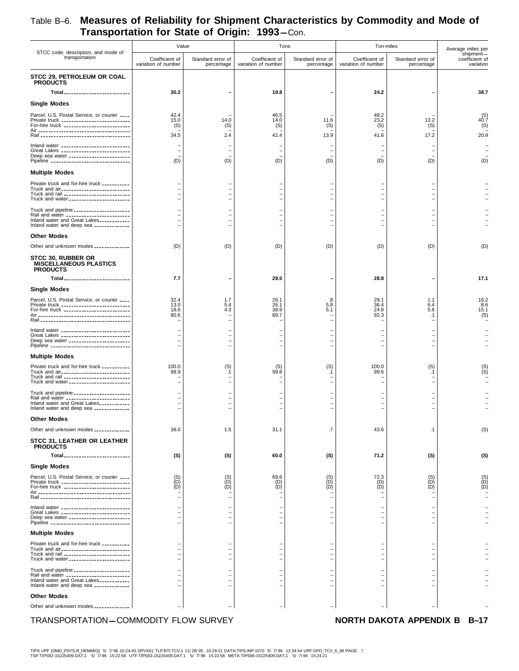|                                                                                                                                                                                   | Value                                                |                                               | Tons                                             |                                 | Ton-miles                                            | Average miles per               |                                          |
|-----------------------------------------------------------------------------------------------------------------------------------------------------------------------------------|------------------------------------------------------|-----------------------------------------------|--------------------------------------------------|---------------------------------|------------------------------------------------------|---------------------------------|------------------------------------------|
| STCC code, description, and mode of<br>transportation                                                                                                                             | Coefficient of<br>variation of number                | Standard error of<br>percentage               | Coefficient of<br>variation of number            | Standard error of<br>percentage | Coefficient of<br>variation of number                | Standard error of<br>percentage | shipment-<br>coefficient of<br>variation |
| STCC 29, PETROLEUM OR COAL<br><b>PRODUCTS</b>                                                                                                                                     |                                                      |                                               |                                                  |                                 |                                                      |                                 |                                          |
| Total                                                                                                                                                                             | 30.2                                                 |                                               | 19.8                                             |                                 | 24.2                                                 |                                 | 38.7                                     |
| <b>Single Modes</b>                                                                                                                                                               |                                                      |                                               |                                                  |                                 |                                                      |                                 |                                          |
| Parcel, U.S. Postal Service, or courier ____<br>Private truck ____________________________<br>For-hire truck ___________________________                                          | 42.4<br>15.0<br>(S)<br>34.5                          | 14.0<br>(S)<br>2.4                            | 46.5<br>14.0<br>(S)<br>42.4                      | 11.6<br>(S)<br>13.9             | 48.2<br>23.2<br>(S)<br>41.6                          | 13.2<br>(S)<br>17.2             | $^{(S)}_{40.7}$<br>(S)<br>20.9           |
| Inland water ____________________________<br>Great Lakes ____________________________<br>Deep sea water _______________________<br>Pipeline _______________________________       | (D)                                                  | (D)                                           | $\qquad \qquad -$<br>(D)                         | (D)                             | (D)                                                  | (D)                             | (D)                                      |
| <b>Multiple Modes</b>                                                                                                                                                             |                                                      |                                               |                                                  |                                 |                                                      |                                 |                                          |
| Private truck and for-hire truck __________<br>Truck and air____________________________<br>Truck and rail ___________________________<br>Truck and water_______________________  |                                                      |                                               | $\qquad \qquad -$                                |                                 |                                                      |                                 |                                          |
| Truck and pipeline _____________________<br>Rail and water _________________________<br>Inland water and Great Lakes___________<br>Inland water and deep sea _____________        |                                                      |                                               | $\qquad \qquad -$<br>$\qquad \qquad -$<br>-      |                                 |                                                      |                                 |                                          |
| <b>Other Modes</b>                                                                                                                                                                |                                                      |                                               |                                                  |                                 |                                                      |                                 |                                          |
| Other and unknown modes _____________                                                                                                                                             | (D)                                                  | (D)                                           | (D)                                              | (D)                             | (D)                                                  | (D)                             | (D)                                      |
| STCC 30, RUBBER OR<br><b>MISCELLANEOUS PLASTICS</b><br><b>PRODUCTS</b>                                                                                                            |                                                      |                                               |                                                  |                                 |                                                      |                                 |                                          |
| Total                                                                                                                                                                             | 7.7                                                  |                                               | 29.5                                             |                                 | 28.8                                                 |                                 | 17.1                                     |
| <b>Single Modes</b><br>Parcel, U.S. Postal Service, or courier ____<br>Private truck ____________________________<br>For-hire truck ___________________________                   | 32.4<br>13.0<br>18.6<br>80.6                         | 1.7<br>5.4<br>4.3<br>$\overline{\phantom{a}}$ | 26.1<br>26.1<br>38.9<br>89.7                     | .8<br>5.8<br>5.1                | 29.1<br>36.4<br>24.8<br>92.3                         | 1.1<br>6.4<br>5.6<br>.1         | 16.2<br>8.6<br>15.1<br>(S)               |
| Inland water ___________________________<br>Great Lakes ____________________________<br>Deep sea water _______________________<br>Pipeline ________________________________       |                                                      | $\overline{\phantom{a}}$                      | $\overline{\phantom{0}}$<br>$\equiv$<br>$\equiv$ |                                 | $\overline{\phantom{0}}$<br>$\equiv$                 |                                 |                                          |
| <b>Multiple Modes</b>                                                                                                                                                             |                                                      |                                               |                                                  |                                 |                                                      |                                 |                                          |
| Private truck and for-hire truck __________<br>Truck and air____________________________<br>Truck and rail ___________________________<br>Truck and water________________________ | 100.0<br>98.9                                        | (S)<br>.1                                     | $^{(S)}_{99.8}$                                  | (S)<br>.1                       | 100.0<br>99.6                                        | (S)<br>.1                       |                                          |
| Truck and pipeline ______________________<br>Rail and water _________________________<br>Inland water and Great Lakes___________<br>Inland water and deep sea _____________       |                                                      |                                               | $\qquad \qquad -$<br>$\qquad \qquad -$           |                                 | $\overline{\phantom{0}}$<br>$\overline{\phantom{a}}$ |                                 |                                          |
| <b>Other Modes</b>                                                                                                                                                                |                                                      |                                               |                                                  |                                 |                                                      |                                 |                                          |
| Other and unknown modes _____________                                                                                                                                             | 38.0                                                 | 1.5                                           | 31.1                                             | .7                              | 43.6                                                 | $\cdot$ 1                       | (S)                                      |
| STCC 31, LEATHER OR LEATHER<br><b>PRODUCTS</b><br>Total                                                                                                                           | (S)                                                  | (S)                                           | 60.0                                             | (S)                             | 71.2                                                 | (S)                             | (S)                                      |
|                                                                                                                                                                                   |                                                      |                                               |                                                  |                                 |                                                      |                                 |                                          |
| <b>Single Modes</b><br>Parcel, U.S. Postal Service, or courier ____<br>Private truck ____________________________<br>For-hire truck ___________________________                   | $\overline{(\mathsf{D})}$<br>$(\mathsf{D})$          | (S)<br>(D)<br>(D)                             | 69.6<br>(D)<br>(D)                               | $\binom{S}{D}$<br>(D)           | 72.3<br>$\binom{D}{D}$                               | $\binom{S}{D}$<br>(D)           | $\overline{D}$<br>(D)                    |
| Inland water _____________________________<br>Great Lakes ____________________________<br>Deep sea water ________________________<br>Pipeline ________________________________    |                                                      |                                               | $\qquad \qquad -$<br>$\qquad \qquad -$<br>-      |                                 |                                                      |                                 |                                          |
| <b>Multiple Modes</b>                                                                                                                                                             |                                                      |                                               |                                                  |                                 |                                                      |                                 |                                          |
| Private truck and for-hire truck __________<br>Truck and air___________________________<br>Truck and rail __________________________<br>Truck and water _______________________   | $\overline{\phantom{0}}$<br>$\overline{\phantom{0}}$ | $\overline{\phantom{a}}$                      | $\equiv$<br>$\equiv$<br>$\overline{\phantom{0}}$ |                                 |                                                      |                                 |                                          |
| Truck and pipeline ______________________<br>Rail and water ________________________<br>Inland water and Great Lakes___________<br>Inland water and deep sea _____________        |                                                      |                                               |                                                  |                                 |                                                      |                                 |                                          |
| <b>Other Modes</b>                                                                                                                                                                |                                                      |                                               |                                                  |                                 |                                                      |                                 |                                          |
| Other and unknown modes _____________                                                                                                                                             |                                                      |                                               |                                                  |                                 |                                                      |                                 |                                          |

### TRANSPORTATION-COMMODITY FLOW SURVEY **NORTH DAKOTA APPENDIX B**

TIPS UPF [DMD\_PSYS,R\_HEMMIG] 5/ 7/96 15:24:45 DPVX01 TLP:BTI.TCV;1 11/29/95 10:29:21 DATA:TIPS.INP;1070 5/ 7/96 12:34:44 UPF:GPO\_TCV\_6\_38 PAGE: 7<br>TSF:TIPS92-15225409.DAT;1 5/ 7/96 15:22:58 UTF:TIPS93-15225409.DA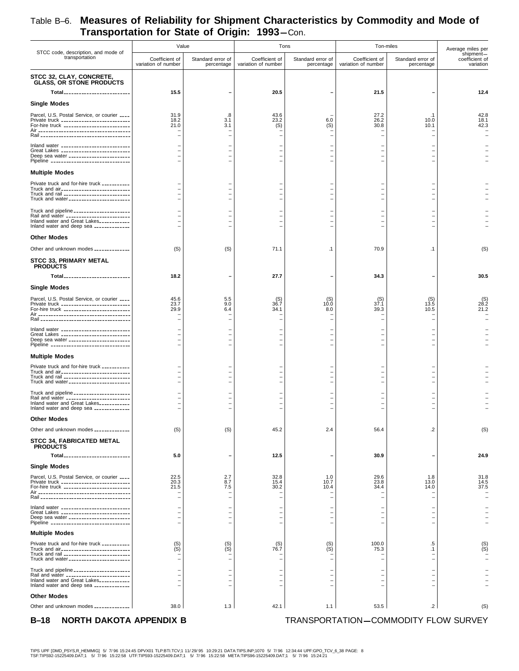| STCC code, description, and mode of                                                                                                                                               | Value                                 |                                                      | Tons                                                 |                                 |                                                      | Ton-miles                       | Average miles per                        |
|-----------------------------------------------------------------------------------------------------------------------------------------------------------------------------------|---------------------------------------|------------------------------------------------------|------------------------------------------------------|---------------------------------|------------------------------------------------------|---------------------------------|------------------------------------------|
| transportation                                                                                                                                                                    | Coefficient of<br>variation of number | Standard error of<br>percentage                      | Coefficient of<br>variation of number                | Standard error of<br>percentage | Coefficient of<br>variation of number                | Standard error of<br>percentage | shipment-<br>coefficient of<br>variation |
| STCC 32, CLAY, CONCRETE,<br><b>GLASS, OR STONE PRODUCTS</b>                                                                                                                       |                                       |                                                      |                                                      |                                 |                                                      |                                 |                                          |
| Total                                                                                                                                                                             | 15.5                                  |                                                      | 20.5                                                 |                                 | 21.5                                                 |                                 | 12.4                                     |
| <b>Single Modes</b>                                                                                                                                                               |                                       |                                                      |                                                      |                                 |                                                      |                                 |                                          |
| Parcel, U.S. Postal Service, or courier ____<br>Private truck ____________________________<br>For-hire truck ___________________________                                          | 31.9<br>18.2<br>21.0                  | .8<br>3.1<br>3.1                                     | 43.6<br>23.2<br>(S)                                  | 6.0<br>(S)                      | 27.2<br>26.2<br>30.8                                 | . 1<br>10.0<br>10.1             | 42.8<br>18.1<br>42.3                     |
|                                                                                                                                                                                   |                                       |                                                      | $\overline{\phantom{0}}$                             |                                 |                                                      |                                 |                                          |
| Inland water ____________________________<br>Great Lakes ____________________________<br>Deep sea water _______________________<br>Pipeline _______________________________       |                                       |                                                      |                                                      |                                 |                                                      |                                 |                                          |
| <b>Multiple Modes</b>                                                                                                                                                             |                                       |                                                      |                                                      |                                 |                                                      |                                 |                                          |
| Private truck and for-hire truck __________<br>Truck and air____________________________<br>Truck and rail ___________________________<br>Truck and water_______________________  |                                       |                                                      |                                                      |                                 |                                                      |                                 |                                          |
| Truck and pipeline _____________________                                                                                                                                          |                                       |                                                      |                                                      |                                 |                                                      |                                 |                                          |
| Rail and water _________________________<br>Inland water and Great Lakes___________<br>Inland water and deep sea _____________                                                    |                                       |                                                      | $\equiv$<br>$\equiv$                                 |                                 |                                                      |                                 |                                          |
| <b>Other Modes</b>                                                                                                                                                                |                                       |                                                      |                                                      |                                 |                                                      |                                 |                                          |
| Other and unknown modes _____________                                                                                                                                             | (S)                                   | (S)                                                  | 71.1                                                 | $\cdot$ 1                       | 70.9                                                 | $\cdot$ 1                       | (S)                                      |
| STCC 33, PRIMARY METAL<br><b>PRODUCTS</b>                                                                                                                                         |                                       |                                                      |                                                      |                                 |                                                      |                                 |                                          |
| Total <sub>--------------------------</sub>                                                                                                                                       | 18.2                                  |                                                      | 27.7                                                 |                                 | 34.3                                                 |                                 | 30.5                                     |
| <b>Single Modes</b>                                                                                                                                                               |                                       |                                                      |                                                      |                                 |                                                      |                                 |                                          |
| Parcel, U.S. Postal Service, or courier ____<br>Private truck ____________________________<br>For-hire truck __________________________                                           | 45.6<br>23.7<br>29.9                  | 5.5<br>9.0<br>6.4                                    | (S)<br>36.7<br>34.1                                  | $^{(S)}_{10.0}$<br>8.0          | $^{(S)}_{37.1}$<br>39.3<br>$\overline{\phantom{0}}$  | (S)<br>13.5<br>10.5             | 28.2<br>21.2                             |
| Inland water ____________________________                                                                                                                                         |                                       |                                                      |                                                      |                                 |                                                      |                                 |                                          |
| Great Lakes ____________________________<br>Deep sea water ________________________<br>Pipeline ________________________________                                                  |                                       |                                                      | $\qquad \qquad -$<br>$\qquad \qquad -$<br>-          |                                 |                                                      |                                 |                                          |
| <b>Multiple Modes</b>                                                                                                                                                             |                                       |                                                      |                                                      |                                 |                                                      |                                 |                                          |
| Private truck and for-hire truck __________<br>Truck and air____________________________<br>Truck and rail __________________________<br>Truck and water ________________________ |                                       |                                                      | $\overline{\phantom{0}}$                             |                                 |                                                      |                                 |                                          |
| Truck and pipeline _____________________<br>Rail and water _________________________<br>Inland water and Great Lakes___________<br>Inland water and deep sea _____________        |                                       |                                                      | $\qquad \qquad -$<br>$\qquad \qquad -$               |                                 |                                                      |                                 |                                          |
| <b>Other Modes</b>                                                                                                                                                                |                                       |                                                      |                                                      |                                 |                                                      |                                 |                                          |
| Other and unknown modes _____________                                                                                                                                             | (S)                                   | (S)                                                  | 45.2                                                 | 2.4                             | 56.4                                                 | $\cdot$                         | (S)                                      |
| <b>STCC 34. FABRICATED METAL</b><br><b>PRODUCTS</b>                                                                                                                               |                                       |                                                      |                                                      |                                 |                                                      |                                 |                                          |
| Total                                                                                                                                                                             | 5.0                                   |                                                      | 12.5                                                 |                                 | 30.9                                                 |                                 | 24.9                                     |
| <b>Single Modes</b>                                                                                                                                                               |                                       |                                                      |                                                      |                                 |                                                      |                                 |                                          |
| Parcel, U.S. Postal Service, or courier ____<br>Private truck ____________________________<br>For-hire truck ___________________________                                          | 22.5<br>20.3<br>21.5                  | 2.7<br>8.7<br>7.5<br>$\blacksquare$                  | 32.8<br>15.4<br>30.2<br>$\equiv$                     | 1.0<br>10.7<br>10.4             | 29.6<br>23.8<br>34.4<br>$\overline{\phantom{0}}$     | 1.8<br>13.0<br>14.0             | 31.8<br>14.5<br>37.5                     |
| Inland water _____________________________                                                                                                                                        |                                       |                                                      |                                                      |                                 |                                                      |                                 |                                          |
| Great Lakes _____________________________<br>Deep sea water ________________________<br>Pipeline ________________________________                                                 |                                       | $\overline{\phantom{0}}$<br>$\overline{\phantom{0}}$ | $\qquad \qquad -$<br>$\qquad \qquad -$<br>$\equiv$   |                                 | $\overline{\phantom{0}}$<br>$\overline{\phantom{0}}$ |                                 |                                          |
| <b>Multiple Modes</b>                                                                                                                                                             |                                       |                                                      |                                                      |                                 |                                                      |                                 |                                          |
| Private truck and for-hire truck __________<br>Truck and air____________________________<br>Truck and rail ___________________________<br>Truck and water _______________________ | $(S)$<br>$(S)$                        | $(S)$<br>$(S)$                                       | (S)<br>76.7<br>$\equiv$                              | $(S)$<br>$(S)$                  | 100.0<br>75.3<br>$\overline{\phantom{0}}$            | .5<br>$\cdot$ 1                 | (S)                                      |
| Truck and pipeline ______________________<br>Rail and water ________________________<br>Inland water and Great Lakes___________<br>Inland water and deep sea _____________        |                                       |                                                      | $\overline{\phantom{0}}$<br>$\overline{\phantom{0}}$ |                                 |                                                      |                                 |                                          |
| <b>Other Modes</b><br>Other and unknown modes _____________                                                                                                                       | 38.0                                  | 1.3                                                  | 42.1                                                 | 1.1                             | 53.5                                                 | $\cdot$ 2                       | (S)                                      |

**B-18** NORTH DAKOTA APPENDIX B TRANSPORTATION-COMMODITY FLOW SURVEY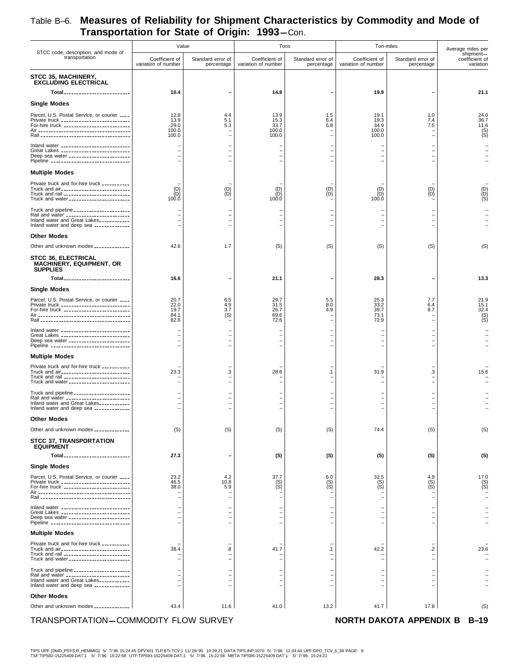|                                                                                                                                                                                   | Value                                                |                                                                                  | Tons                                          |                                                         |                                        | Ton-miles                                     | Average miles per                        |
|-----------------------------------------------------------------------------------------------------------------------------------------------------------------------------------|------------------------------------------------------|----------------------------------------------------------------------------------|-----------------------------------------------|---------------------------------------------------------|----------------------------------------|-----------------------------------------------|------------------------------------------|
| STCC code, description, and mode of<br>transportation                                                                                                                             | Coefficient of<br>variation of number                | Standard error of<br>percentage                                                  | Coefficient of<br>variation of number         | Standard error of<br>percentage                         | Coefficient of<br>variation of number  | Standard error of<br>percentage               | shipment-<br>coefficient of<br>variation |
| STCC 35, MACHINERY,<br><b>EXCLUDING ELECTRICAL</b><br>Total__________________________                                                                                             | 10.4                                                 |                                                                                  | 14.8                                          |                                                         | 19.9                                   |                                               | 21.1                                     |
| <b>Single Modes</b>                                                                                                                                                               |                                                      |                                                                                  |                                               |                                                         |                                        |                                               |                                          |
| Parcel, U.S. Postal Service, or courier ____<br>Private truck ___________________________<br>For-hire truck __________________________                                            | 12.8<br>13.9<br>29.0<br>100.0<br>100.0               | 4.4<br>5.1<br>5.3<br>$\overline{\phantom{0}}$                                    | 13.9<br>15.3<br>33.7<br>100.0<br>100.0        | 1.5<br>6.4<br>5.8<br>$\overline{\phantom{a}}$           | 19.1<br>19.3<br>34.9<br>100.0<br>100.0 | 1.0<br>7.4<br>7.5<br>$\overline{\phantom{0}}$ | 24.0<br>36.7<br>11.6<br>$(S)$<br>$(S)$   |
| Inland water ____________________________<br>Great Lakes ___________________________<br>Deep sea water ________________________<br>Pipeline _______________________________       |                                                      | $\overline{\phantom{0}}$<br>$\overline{\phantom{0}}$<br>$\overline{\phantom{0}}$ | $\qquad \qquad -$<br>$\qquad \qquad -$        | $\blacksquare$<br>$\blacksquare$                        |                                        |                                               |                                          |
| <b>Multiple Modes</b>                                                                                                                                                             |                                                      |                                                                                  |                                               |                                                         |                                        |                                               |                                          |
| Private truck and for-hire truck __________<br>Truck and air___________________________<br>Truck and rail __________________________<br>Truck and water ________________________  | (D)<br>(D)<br>100.0                                  | (D)<br>(D)                                                                       | (D)<br>ÌDÍ<br>100.0                           | (D)<br>(D)                                              | (D)<br>(D)<br>100.0                    | (D)<br>(D)                                    | $(D)$<br>$(D)$<br>$(S)$                  |
| Truck and pipeline ______________________<br>Rail and water ________________________<br>Inland water and Great Lakes___________<br>Inland water and deep sea _____________        |                                                      |                                                                                  |                                               |                                                         |                                        |                                               |                                          |
| <b>Other Modes</b>                                                                                                                                                                |                                                      |                                                                                  |                                               |                                                         |                                        |                                               |                                          |
| Other and unknown modes _____________<br><b>STCC 36, ELECTRICAL</b><br><b>MACHINERY, EQUIPMENT, OR</b>                                                                            | 42.6                                                 | 1.7                                                                              | (S)                                           | (S)                                                     | (S)                                    | (S)                                           | (S)                                      |
| <b>SUPPLIES</b><br>Total                                                                                                                                                          | 16.6                                                 |                                                                                  | 21.1                                          |                                                         | 28.3                                   |                                               | 13.3                                     |
| <b>Single Modes</b>                                                                                                                                                               |                                                      |                                                                                  |                                               |                                                         |                                        |                                               |                                          |
| Parcel, U.S. Postal Service, or courier ____<br>Private truck ___________________________<br>For-hire truck __________________________                                            | 20.7<br>22.0<br>19.7<br>84.1<br>82.6                 | 6.5<br>4.9<br>3.7<br>(S)                                                         | 29.7<br>31.5<br>26.7<br>69.6<br>72.6          | 5.5<br>8.0<br>4.9<br>$\overline{\phantom{0}}$           | 25.3<br>33.2<br>39.7<br>73.1<br>72.9   | 7.7<br>6.4<br>8.7                             | 21.9<br>15.1<br>32.4<br>(S)              |
| Inland water ____________________________<br>Great Lakes ____________________________<br>Deep sea water _______________________<br>Pipeline ________________________________      | $\overline{\phantom{0}}$<br>$\overline{\phantom{0}}$ | $\overline{\phantom{0}}$<br>$\overline{\phantom{0}}$<br>$\overline{\phantom{0}}$ | $\overline{\phantom{0}}$<br>$\qquad \qquad -$ | $\overline{\phantom{a}}$<br>$\overline{\phantom{a}}$    |                                        |                                               |                                          |
| <b>Multiple Modes</b>                                                                                                                                                             |                                                      |                                                                                  |                                               |                                                         |                                        |                                               |                                          |
| Private truck and for-hire truck __________<br>Truck and air____________________________<br>Truck and rail ___________________________<br>Truck and water________________________ | 23.3<br>$\overline{\phantom{0}}$                     | .3<br>$\overline{\phantom{0}}$                                                   | 28.6                                          | $\cdot$ 1<br>$\overline{\phantom{0}}$<br>$\blacksquare$ | 31.9                                   | .3                                            | 15.6                                     |
| Truck and pipeline ______________________<br>Rail and water _________________________<br>Inland water and Great Lakes___________<br>Inland water and deep sea _____________       |                                                      | $\overline{\phantom{0}}$                                                         |                                               | $\overline{\phantom{a}}$                                |                                        |                                               |                                          |
| <b>Other Modes</b>                                                                                                                                                                |                                                      |                                                                                  |                                               |                                                         |                                        |                                               |                                          |
| Other and unknown modes _____________                                                                                                                                             | (S)                                                  | (S)                                                                              | (S)                                           | (S)                                                     | 74.4                                   | (S)                                           | (S)                                      |
| <b>STCC 37, TRANSPORTATION</b><br><b>EQUIPMENT</b><br>Total                                                                                                                       | 27.3                                                 |                                                                                  | (S)                                           | (S)                                                     | (S)                                    | (S)                                           | (S)                                      |
| <b>Single Modes</b>                                                                                                                                                               |                                                      |                                                                                  |                                               |                                                         |                                        |                                               |                                          |
| Parcel, U.S. Postal Service, or courier ____<br>Private truck ____________________________<br>For-hire truck ___________________________                                          | 23.2<br>46.5<br>38.0                                 | 4.2<br>10.8<br>5.9                                                               | 37.7<br>$(S)$<br>$(S)$                        | 6.0<br>$(S)$<br>$(S)$                                   | 32.5<br>$S($ S)                        | 4.9<br>$(S)$<br>$(S)$                         | 17.0<br>$(S)$<br>$(S)$                   |
| Inland water _____________________________<br>Great Lakes ____________________________<br>Deep sea water _______________________<br>Pipeline ________________________________     |                                                      |                                                                                  |                                               |                                                         |                                        |                                               |                                          |
| <b>Multiple Modes</b>                                                                                                                                                             |                                                      |                                                                                  |                                               |                                                         |                                        |                                               |                                          |
| Private truck and for-hire truck __________<br>Truck and air___________________________<br>Truck and rail __________________________<br>Truck and water _______________________   | 38.4                                                 | 8.                                                                               | 41.7                                          | $\cdot$ 1                                               | 42.2                                   | .2                                            | 23.6                                     |
| Truck and pipeline ______________________<br>Rail and water ________________________<br>Inland water and Great Lakes___________<br>Inland water and deep sea _____________        |                                                      | $\overline{\phantom{0}}$<br>$\overline{\phantom{0}}$                             |                                               |                                                         |                                        |                                               |                                          |
| <b>Other Modes</b>                                                                                                                                                                |                                                      |                                                                                  |                                               |                                                         |                                        |                                               |                                          |
| Other and unknown modes _____________                                                                                                                                             | 43.4                                                 | 11.6                                                                             | 41.0                                          | 13.2                                                    | 41.7                                   | 17.8                                          | (S)                                      |
| TRANSPORTATION-COMMODITY FLOW SURVEY                                                                                                                                              |                                                      |                                                                                  |                                               |                                                         |                                        | NORTH DAKOTA APPENDIX B B-19                  |                                          |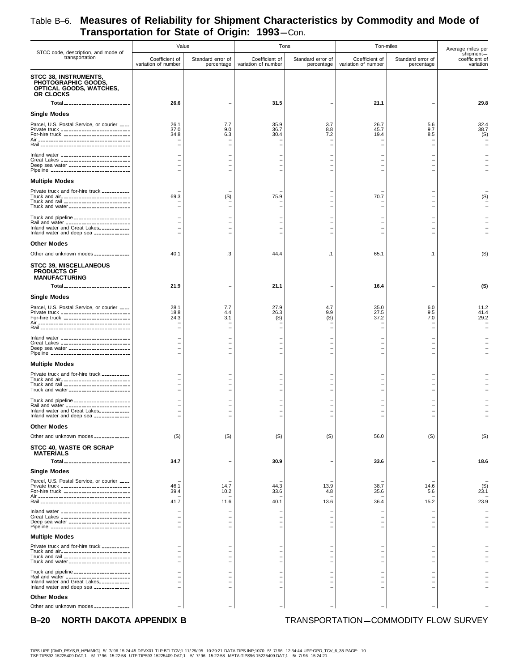|                                                                                                                                                                                     | Value                                 |                                                      | Tons                                                 |                                                                                  | Ton-miles                             |                                      | Average miles per                        |
|-------------------------------------------------------------------------------------------------------------------------------------------------------------------------------------|---------------------------------------|------------------------------------------------------|------------------------------------------------------|----------------------------------------------------------------------------------|---------------------------------------|--------------------------------------|------------------------------------------|
| STCC code, description, and mode of<br>transportation                                                                                                                               | Coefficient of<br>variation of number | Standard error of<br>percentage                      | Coefficient of<br>variation of number                | Standard error of<br>percentage                                                  | Coefficient of<br>variation of number | Standard error of<br>percentage      | shipment-<br>coefficient of<br>variation |
| <b>STCC 38, INSTRUMENTS,</b><br>PHOTOGRAPHIC GOODS,<br>OPTICAL GOODS, WATCHES,<br>OR CLOCKS                                                                                         | 26.6                                  |                                                      |                                                      |                                                                                  | 21.1                                  |                                      | 29.8                                     |
| Total<br>Single Modes                                                                                                                                                               |                                       |                                                      | 31.5                                                 |                                                                                  |                                       |                                      |                                          |
| Parcel, U.S. Postal Service, or courier ____                                                                                                                                        | 26.1                                  | 7.7                                                  | 35.9                                                 | 3.7                                                                              | 26.7                                  | 5.6                                  | 32.4                                     |
| Private truck ___________________________<br>For-hire truck ___________________________                                                                                             | 37.0<br>34.8                          | 9.0<br>6.3                                           | 36.7<br>30.4                                         | 8.8<br>7.2<br>$\overline{\phantom{0}}$                                           | 45.7<br>19.4                          | 9.7<br>8.5                           | 38.7<br>(S)                              |
| Inland water ___________________________                                                                                                                                            |                                       |                                                      |                                                      |                                                                                  |                                       |                                      |                                          |
| Great Lakes ____________________________<br>Deep sea water ________________________<br>Pipeline _______________________________                                                     |                                       |                                                      |                                                      |                                                                                  |                                       |                                      |                                          |
| <b>Multiple Modes</b>                                                                                                                                                               |                                       |                                                      |                                                      |                                                                                  |                                       |                                      |                                          |
| Private truck and for-hire truck ___________<br>Truck and air____________________________<br>Truck and rail ___________________________<br>Truck and water ________________________ | 69.3<br>$\rightarrow$                 | (S)                                                  | 75.9<br>$\overline{\phantom{0}}$                     | $\overline{\phantom{0}}$<br>$\overline{\phantom{0}}$<br>$\overline{\phantom{0}}$ | 70.7                                  |                                      | (S)                                      |
| Truck and pipeline _____________________                                                                                                                                            |                                       |                                                      |                                                      |                                                                                  |                                       |                                      |                                          |
| Rail and water ________________________<br>Inland water and Great Lakes___________                                                                                                  |                                       |                                                      |                                                      |                                                                                  |                                       |                                      |                                          |
| Inland water and deep sea _____________                                                                                                                                             |                                       |                                                      |                                                      |                                                                                  |                                       |                                      |                                          |
| <b>Other Modes</b>                                                                                                                                                                  |                                       |                                                      |                                                      |                                                                                  |                                       |                                      |                                          |
| Other and unknown modes _____________                                                                                                                                               | 40.1                                  | .3                                                   | 44.4                                                 | $\cdot$ 1                                                                        | 65.1                                  | $\cdot$ 1                            | (S)                                      |
| <b>STCC 39, MISCELLANEOUS</b><br><b>PRODUCTS OF</b><br><b>MANUFACTURING</b>                                                                                                         |                                       |                                                      |                                                      |                                                                                  |                                       |                                      |                                          |
| Total <sub>--------------------------</sub>                                                                                                                                         | 21.9                                  |                                                      | 21.1                                                 |                                                                                  | 16.4                                  |                                      | (S)                                      |
| Single Modes                                                                                                                                                                        |                                       |                                                      |                                                      |                                                                                  |                                       |                                      |                                          |
| Parcel, U.S. Postal Service, or courier ____<br>Private truck ___________________________<br>For-hire truck __________________________                                              | 28.1<br>18.8<br>24.3                  | 7.7<br>4.4<br>3.1                                    | 27.9<br>26.3<br>(S)                                  | 4.7<br>9.9<br>(S)                                                                | 35.0<br>27.5<br>37.2                  | 6.0<br>9.5<br>7.0                    | 11.2<br>41.4<br>29.2                     |
| Inland water ____________________________                                                                                                                                           |                                       |                                                      |                                                      |                                                                                  |                                       |                                      |                                          |
| Great Lakes ____________________________<br>Deep sea water ________________________<br>Pipeline ________________________________                                                    |                                       |                                                      |                                                      |                                                                                  |                                       |                                      |                                          |
| <b>Multiple Modes</b>                                                                                                                                                               |                                       |                                                      |                                                      |                                                                                  |                                       |                                      |                                          |
| Private truck and for-hire truck __________                                                                                                                                         |                                       |                                                      |                                                      |                                                                                  |                                       |                                      |                                          |
| Truck and air___________________________<br>Truck and rail __________________________                                                                                               | $\overline{\phantom{0}}$              | $\overline{\phantom{0}}$<br>$\overline{\phantom{0}}$ | $\overline{\phantom{0}}$<br>$\overline{\phantom{0}}$ | $\overline{\phantom{0}}$<br>$\overline{\phantom{0}}$                             |                                       |                                      |                                          |
| Truck and water ________________________                                                                                                                                            |                                       | $\overline{\phantom{0}}$                             |                                                      |                                                                                  |                                       |                                      |                                          |
| Truck and pipeline ______________________<br>Rail and water _________________________<br>Inland water and Great Lakes___________                                                    |                                       |                                                      |                                                      |                                                                                  |                                       |                                      |                                          |
| Inland water and deep sea _____________                                                                                                                                             |                                       |                                                      |                                                      |                                                                                  |                                       |                                      |                                          |
| <b>Other Modes</b>                                                                                                                                                                  |                                       |                                                      |                                                      |                                                                                  |                                       |                                      |                                          |
| Other and unknown modes _____________                                                                                                                                               | (S)                                   | (S)                                                  | (S)                                                  | (S)                                                                              | 56.0                                  | (S)                                  | (S)                                      |
| <b>STCC 40, WASTE OR SCRAP</b><br><b>MATERIALS</b><br>Total                                                                                                                         | 34.7                                  | $\overline{\phantom{0}}$                             | 30.9                                                 |                                                                                  | 33.6                                  |                                      | 18.6                                     |
| <b>Single Modes</b>                                                                                                                                                                 |                                       |                                                      |                                                      |                                                                                  |                                       |                                      |                                          |
| Parcel, U.S. Postal Service, or courier ____<br>Private truck ___________________________                                                                                           | 46.1                                  | 14.7                                                 | 44.3                                                 | 13.9                                                                             | 38.7                                  | 14.6                                 | (S)                                      |
| For-hire truck ___________________________                                                                                                                                          | 39.4                                  | 10.2                                                 | 33.6                                                 | 4.8                                                                              | 35.6                                  | 5.6                                  | 23.1                                     |
|                                                                                                                                                                                     | 41.7                                  | 11.6                                                 | 40.1                                                 | 13.6                                                                             | 36.4                                  | 15.2                                 | 23.9                                     |
| Inland water ___________________________<br>Great Lakes ____________________________<br>Deep sea water _______________________<br>Pipeline ________________________________         |                                       |                                                      |                                                      | $\overline{\phantom{0}}$<br>$\overline{\phantom{0}}$                             |                                       |                                      |                                          |
| <b>Multiple Modes</b>                                                                                                                                                               |                                       |                                                      |                                                      |                                                                                  |                                       |                                      |                                          |
| Private truck and for-hire truck __________<br>Truck and air____________________________                                                                                            |                                       |                                                      |                                                      |                                                                                  |                                       |                                      |                                          |
| Truck and rail ___________________________<br>Truck and water ________________________                                                                                              |                                       |                                                      |                                                      |                                                                                  |                                       |                                      |                                          |
| Truck and pipeline _____________________                                                                                                                                            |                                       |                                                      |                                                      |                                                                                  |                                       |                                      |                                          |
| Rail and water _________________________<br>Inland water and Great Lakes___________<br>Inland water and deep sea _____________                                                      |                                       |                                                      |                                                      |                                                                                  |                                       |                                      |                                          |
| <b>Other Modes</b><br>Other and unknown modes _____________                                                                                                                         |                                       |                                                      |                                                      |                                                                                  |                                       |                                      |                                          |
|                                                                                                                                                                                     |                                       |                                                      |                                                      |                                                                                  |                                       |                                      |                                          |
| NORTH DAKOTA APPENDIX B<br>$B-20$                                                                                                                                                   |                                       |                                                      |                                                      |                                                                                  |                                       | TRANSPORTATION-COMMODITY FLOW SURVEY |                                          |

TIPS UPF [DMD\_PSYS,R\_HEMMIG] 5/ 7/96 15:24:45 DPVX01 TLP:BTI.TCV;1 11/29/95 10:29:21 DATA:TIPS.INP;1070 5/ 7/96 12:34:44 UPF:GPO\_TCV\_6\_38 PAGE: 10<br>TSF:TIPS92-15225409.DAT;1 5/ 7/96 15:22:58 UTF:TIPS93-15225409.DAT;1 5/ 7/9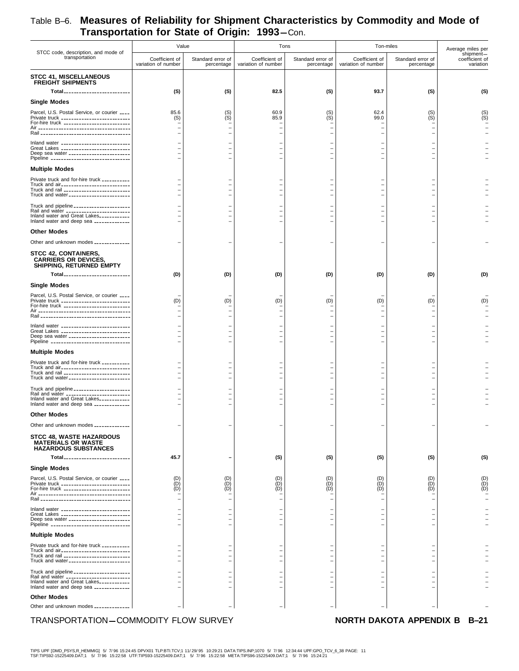| STCC code, description, and mode of                                                                                                                                               |                                                      | Value                                                | Tons                                          |                                               | Ton-miles                             |                                 | Average miles per                        |
|-----------------------------------------------------------------------------------------------------------------------------------------------------------------------------------|------------------------------------------------------|------------------------------------------------------|-----------------------------------------------|-----------------------------------------------|---------------------------------------|---------------------------------|------------------------------------------|
| transportation                                                                                                                                                                    | Coefficient of<br>variation of number                | Standard error of<br>percentage                      | Coefficient of<br>variation of number         | Standard error of<br>percentage               | Coefficient of<br>variation of number | Standard error of<br>percentage | shipment-<br>coefficient of<br>variation |
| <b>STCC 41, MISCELLANEOUS</b><br><b>FREIGHT SHIPMENTS</b>                                                                                                                         |                                                      |                                                      |                                               |                                               |                                       |                                 |                                          |
| Total__________________________                                                                                                                                                   | (S)                                                  | (S)                                                  | 82.5                                          | (S)                                           | 93.7                                  | (S)                             | (S)                                      |
| <b>Single Modes</b>                                                                                                                                                               |                                                      |                                                      |                                               |                                               |                                       |                                 |                                          |
| Parcel, U.S. Postal Service, or courier ____<br>Private truck ____________________________<br>For-hire truck ___________________________                                          | 85.6<br>(S)                                          | $S($ S)                                              | 60.9<br>85.9                                  | $(S)$<br>$(S)$                                | 62.4<br>99.0                          | (S)<br>(S)                      | (S)<br>(S)                               |
|                                                                                                                                                                                   |                                                      |                                                      |                                               |                                               |                                       |                                 |                                          |
| Inland water ____________________________<br>Great Lakes ____________________________<br>Deep sea water _______________________                                                   |                                                      |                                                      |                                               |                                               |                                       |                                 |                                          |
| Pipeline ________________________________                                                                                                                                         |                                                      |                                                      |                                               |                                               |                                       |                                 |                                          |
| <b>Multiple Modes</b>                                                                                                                                                             |                                                      |                                                      |                                               |                                               |                                       |                                 |                                          |
| Private truck and for-hire truck __________<br>Truck and air____________________________<br>Truck and rail __________________________<br>Truck and water ________________________ |                                                      | $\overline{\phantom{0}}$<br>$\overline{\phantom{0}}$ |                                               | $\overline{\phantom{0}}$                      |                                       |                                 |                                          |
| Truck and pipeline _____________________                                                                                                                                          |                                                      |                                                      |                                               |                                               |                                       |                                 |                                          |
| Rail and water ________________________<br>Inland water and Great Lakes___________<br>Inland water and deep sea _____________                                                     |                                                      | $\overline{\phantom{0}}$<br>$\overline{\phantom{0}}$ |                                               |                                               |                                       |                                 |                                          |
| <b>Other Modes</b>                                                                                                                                                                |                                                      |                                                      |                                               |                                               |                                       |                                 |                                          |
| Other and unknown modes _____________                                                                                                                                             |                                                      |                                                      |                                               |                                               |                                       |                                 |                                          |
| <b>STCC 42, CONTAINERS,</b><br><b>CARRIERS OR DEVICES,</b><br>SHIPPING, RETURNED EMPTY                                                                                            |                                                      |                                                      |                                               |                                               |                                       |                                 |                                          |
| Total <sub>--------------------------</sub>                                                                                                                                       | (D)                                                  | (D)                                                  | (D)                                           | (D)                                           | (D)                                   | (D)                             | (D)                                      |
| <b>Single Modes</b>                                                                                                                                                               |                                                      |                                                      |                                               |                                               |                                       |                                 |                                          |
| Parcel, U.S. Postal Service, or courier ____<br>Private truck ____________________________<br>For-hire truck ___________________________                                          | (D)                                                  | (D)                                                  | (D)                                           | (D)                                           | (D)                                   | (D)                             | (D)                                      |
|                                                                                                                                                                                   |                                                      |                                                      |                                               |                                               |                                       |                                 |                                          |
| Inland water ____________________________<br>Great Lakes ____________________________<br>Deep sea water _______________________<br>Pipeline _______________________________       |                                                      |                                                      |                                               |                                               |                                       |                                 |                                          |
| <b>Multiple Modes</b>                                                                                                                                                             |                                                      |                                                      |                                               |                                               |                                       |                                 |                                          |
| Private truck and for-hire truck __________                                                                                                                                       |                                                      |                                                      |                                               |                                               |                                       |                                 |                                          |
| Truck and air____________________________<br>Truck and rail __________________________<br>Truck and water ________________________                                                | $\overline{\phantom{0}}$<br>$\overline{\phantom{0}}$ | $\overline{\phantom{0}}$<br>$\overline{\phantom{0}}$ |                                               | $\overline{\phantom{0}}$                      |                                       |                                 |                                          |
| Truck and pipeline ______________________                                                                                                                                         | $\overline{\phantom{0}}$                             |                                                      |                                               |                                               |                                       |                                 |                                          |
| Rail and water ________________________<br>Inland water and Great Lakes___________<br>Inland water and deep sea _____________                                                     | $\equiv$                                             | $\overline{\phantom{0}}$<br>$\overline{\phantom{0}}$ |                                               |                                               | $\overline{\phantom{0}}$              |                                 |                                          |
| <b>Other Modes</b>                                                                                                                                                                |                                                      |                                                      |                                               |                                               |                                       |                                 |                                          |
| Other and unknown modes _____________                                                                                                                                             |                                                      |                                                      |                                               |                                               |                                       |                                 |                                          |
| <b>STCC 48, WASTE HAZARDOUS</b><br><b>MATERIALS OR WASTE</b><br><b>HAZARDOUS SUBSTANCES</b>                                                                                       |                                                      |                                                      |                                               |                                               |                                       |                                 |                                          |
| Total__________________________                                                                                                                                                   | 45.7                                                 |                                                      | (S)                                           | (S)                                           | (S)                                   | (S)                             | (S)                                      |
| <b>Single Modes</b>                                                                                                                                                               |                                                      |                                                      |                                               |                                               |                                       |                                 |                                          |
| Parcel, U.S. Postal Service, or courier ____<br>Private truck ____________________________<br>For-hire truck ___________________________                                          | (D)<br>(D)<br>(D)                                    | $\begin{matrix} 10 \\ 0 \\ 0 \\ 0 \end{matrix}$      | $\begin{pmatrix} D \\ D \end{pmatrix}$<br>(D) | $\begin{pmatrix} D \\ D \end{pmatrix}$<br>(D) | (D)<br>(D)<br>(D)                     | (D)<br>(D)<br>(D)               | $(D)$<br>$(D)$<br>$(D)$                  |
| Inland water ____________________________                                                                                                                                         |                                                      |                                                      |                                               |                                               |                                       |                                 |                                          |
| Great Lakes ____________________________<br>Deep sea water ________________________<br>Pipeline _______________________________                                                   |                                                      |                                                      |                                               |                                               |                                       |                                 |                                          |
| <b>Multiple Modes</b>                                                                                                                                                             |                                                      |                                                      |                                               |                                               |                                       |                                 |                                          |
| Private truck and for-hire truck __________<br>Truck and air____________________________                                                                                          |                                                      |                                                      |                                               |                                               |                                       |                                 |                                          |
| Truck and rail __________________________<br>Truck and water ________________________                                                                                             |                                                      |                                                      |                                               |                                               |                                       |                                 |                                          |
| Truck and pipeline ______________________<br>Rail and water ________________________<br>Inland water and Great Lakes___________                                                   |                                                      |                                                      |                                               |                                               |                                       |                                 |                                          |
| Inland water and deep sea _____________<br><b>Other Modes</b>                                                                                                                     |                                                      |                                                      |                                               |                                               |                                       |                                 |                                          |
| Other and unknown modes _____________                                                                                                                                             |                                                      |                                                      |                                               |                                               |                                       |                                 |                                          |
| TRANSPORTATION-COMMODITY FLOW SURVEY                                                                                                                                              |                                                      |                                                      |                                               |                                               |                                       | NORTH DAKOTA APPENDIX B B-21    |                                          |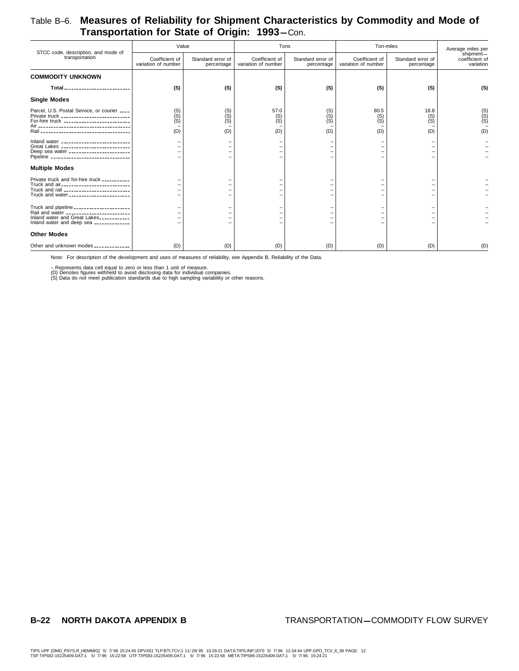| STCC code, description, and mode of                                                                                                                                                         | Value                                 |                                 | Tons                                  |                                 | Ton-miles                             |                                 | Average miles per                        |
|---------------------------------------------------------------------------------------------------------------------------------------------------------------------------------------------|---------------------------------------|---------------------------------|---------------------------------------|---------------------------------|---------------------------------------|---------------------------------|------------------------------------------|
| transportation                                                                                                                                                                              | Coefficient of<br>variation of number | Standard error of<br>percentage | Coefficient of<br>variation of number | Standard error of<br>percentage | Coefficient of<br>variation of number | Standard error of<br>percentage | shipment-<br>coefficient of<br>variation |
| <b>COMMODITY UNKNOWN</b>                                                                                                                                                                    |                                       |                                 |                                       |                                 |                                       |                                 |                                          |
| Total <sub>-------------------------</sub>                                                                                                                                                  | (S)                                   | (S)                             | (S)                                   | (S)                             | (S)                                   | (S)                             | (S)                                      |
| <b>Single Modes</b>                                                                                                                                                                         |                                       |                                 |                                       |                                 |                                       |                                 |                                          |
| Parcel, U.S. Postal Service, or courier ____<br>Private truck ____________________________<br>For-hire truck ___________________________<br>$Rain_{--}$<br>-------------------------------- | $(S)$<br>$(S)$<br>$(S)$<br>(D)        | $(S)$<br>$(S)$<br>$(S)$<br>(D)  | 57.0<br>$(S)$<br>$(S)$<br>(D)         | $(S)$<br>$(S)$<br>$(S)$<br>(D)  | 80.5<br>$(S)$<br>$(S)$<br>(D)         | 18.8<br>(S)<br>(S)<br>(D)       | $(S)$<br>$(S)$<br>(D)                    |
| Inland water ____________________________<br>Great Lakes ____________________________<br>Deep sea water _______________________<br>Pipeline _______________________________                 |                                       |                                 |                                       |                                 |                                       |                                 |                                          |
| <b>Multiple Modes</b>                                                                                                                                                                       |                                       |                                 |                                       |                                 |                                       |                                 |                                          |
| Private truck and for-hire truck __________<br>Truck and air____________________________<br>Truck and rail ___________________________<br>Truck and water ________________________          |                                       |                                 |                                       |                                 |                                       |                                 |                                          |
| Truck and pipeline _____________________<br>Rail and water _________________________<br>Inland water and Great Lakes___________<br>Inland water and deep sea _____________                  |                                       |                                 |                                       |                                 |                                       |                                 |                                          |
| <b>Other Modes</b>                                                                                                                                                                          |                                       |                                 |                                       |                                 |                                       |                                 |                                          |
| Other and unknown modes _____________                                                                                                                                                       | (D)                                   | (D)                             | (D)                                   | (D)                             | (D)                                   | (D)                             | (D)                                      |

Note: For description of the development and uses of measures of reliability, see Appendix B, Reliability of the Data.

– Represents data cell equal to zero or less than 1 unit of measure.<br>(D) Denotes figures withheld to avoid disclosing data for individual companies.<br>(S) Data do not meet publication standards due to high sampling variabili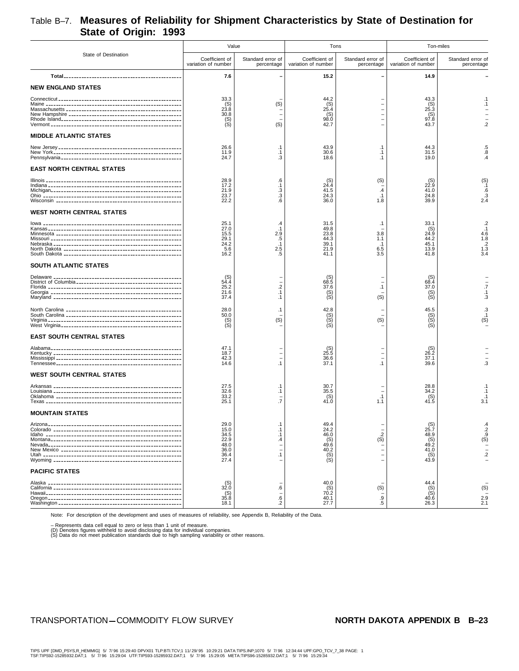## Table B–7. **Measures of Reliability for Shipment Characteristics by State of Destination for State of Origin: 1993**

|                                                  | Value                                                        |                                                            | Tons                                                              |                                                    | Ton-miles                                                         |                                                           |
|--------------------------------------------------|--------------------------------------------------------------|------------------------------------------------------------|-------------------------------------------------------------------|----------------------------------------------------|-------------------------------------------------------------------|-----------------------------------------------------------|
| State of Destination                             | Coefficient of<br>variation of number                        | Standard error of<br>percentage                            | Coefficient of<br>variation of number                             | Standard error of<br>percentage                    | Coefficient of<br>variation of number                             | Standard error of<br>percentage                           |
|                                                  | 7.6                                                          |                                                            | 15.2                                                              |                                                    | 14.9                                                              |                                                           |
| <b>NEW ENGLAND STATES</b>                        |                                                              |                                                            |                                                                   |                                                    |                                                                   |                                                           |
|                                                  | 33.3<br>$^{(S)}_{23.8}$<br>30.8<br>$S($ S)                   | (S)<br>(S)                                                 | 44.2<br>(S)<br>25.4<br>(S)<br>98.0<br>42.7                        |                                                    | 43.3<br>$^{(S)}_{25.3}$<br>(S)<br>97.8<br>43.7                    | $\cdot$ 1<br>$\cdot$ 1<br>$\overline{2}$                  |
| <b>MIDDLE ATLANTIC STATES</b>                    |                                                              |                                                            |                                                                   |                                                    |                                                                   |                                                           |
|                                                  | 26.6<br>11.9<br>24.7                                         | $\cdot$ 1<br>$\cdot$ 1<br>.3                               | 43.9<br>30.6<br>18.6                                              | $\cdot$ 1<br>$\cdot$ 1<br>$\cdot$ 1                | 44.3<br>31.5<br>19.0                                              | $\frac{.5}{.8}$<br>$\mathcal{A}$                          |
| <b>EAST NORTH CENTRAL STATES</b>                 |                                                              |                                                            |                                                                   |                                                    |                                                                   |                                                           |
|                                                  | 28.9<br>17.2<br>21.9<br>23.7<br>22.2                         | .6<br>$\cdot$ 1<br>$\cdot$ 3<br>.3<br>.6                   | $^{(S)}_{24.4}$<br>41.5<br>24.3<br>36.0                           | (S)<br>$\cdot$ 4<br>$\cdot$ 1<br>1.8               | $^{(S)}_{22.9}$<br>41.0<br>24.8<br>39.9                           | $(S)$ <sub>1</sub><br>.6<br>$\frac{3}{2.4}$               |
| <b>WEST NORTH CENTRAL STATES</b>                 |                                                              |                                                            |                                                                   |                                                    |                                                                   |                                                           |
|                                                  | 25.1<br>27.0<br>15.5<br>29.1<br>24.2<br>5.6<br>16.2          | .4<br>$\cdot$ 1<br>2.9<br>.5<br>$\cdot$ 1<br>$2.5\,$<br>.5 | 31.5<br>49.8<br>23.8<br>44.3<br>39.1<br>21.9<br>41.1              | $\cdot$ 1<br>3.8<br>1.1<br>$\cdot$ 1<br>6.5<br>3.5 | 33.1<br>$^{(S)}_{24.9}$<br>44.2<br>45.1<br>13.9<br>41.8           | $2.1$<br>$4.6$<br>$1.8$<br>$2.3$<br>$1.3$<br>$3.4$        |
| SOUTH ATLANTIC STATES                            |                                                              |                                                            |                                                                   |                                                    |                                                                   |                                                           |
|                                                  | $(S)$<br>54.4<br>25.2<br>21.6<br>37.4                        | $\cdot$<br>$\cdot$ 1<br>$\cdot$ 1                          | $^{(S)}_{68.5}$<br>37.6<br>(S)                                    | $\cdot$ 1<br>(S)                                   | (S)<br>68.4<br>37.0<br>$S($ S)                                    | $\overline{.7}$<br>$\cdot$ 1<br>$\cdot$ 3                 |
|                                                  | 28.0<br>50.0<br>$(S)$<br>$(S)$                               | $\cdot$ 1<br>(S)                                           | 42.8<br>$(S)$<br>$(S)$<br>$(S)$                                   | (S)                                                | 45.5<br>$(S)$<br>$(S)$<br>$(S)$                                   | .3<br>$\dot{s}$ <sup>1</sup>                              |
| <b>EAST SOUTH CENTRAL STATES</b>                 |                                                              |                                                            |                                                                   |                                                    |                                                                   |                                                           |
|                                                  | 47.1<br>18.7<br>42.3<br>14.6                                 | $\cdot$ 1                                                  | $^{(S)}_{25.5}$<br>36.6<br>37.1                                   | $\cdot$ 1                                          | $^{(S)}_{26.2}$<br>37.1<br>39.6                                   | $\overline{3}$                                            |
| <b>WEST SOUTH CENTRAL STATES</b>                 |                                                              |                                                            |                                                                   |                                                    |                                                                   |                                                           |
|                                                  | 27.5<br>32.6<br>33.2<br>25.1                                 | $\cdot$ 1<br>$\cdot$ 1<br>$\overline{.7}$                  | 30.7<br>35.5<br>$^{(S)}_{41.0}$                                   | .1<br>1.1                                          | 28.8<br>34.2<br>$^{(S)}_{41.5}$                                   | $\cdot$ 1<br>.1<br>$\frac{1}{3.1}$                        |
| <b>MOUNTAIN STATES</b>                           |                                                              |                                                            |                                                                   |                                                    |                                                                   |                                                           |
| Arizona <sub>--</sub><br>----------------------- | 29.0<br>15.0<br>34.5<br>22.9<br>48.0<br>36.0<br>36.4<br>27.4 | $\cdot$ 1<br>$\cdot$ 1<br>.4<br>$\cdot$ 1                  | 49.4<br>24.2<br>46.0<br>$^{(S)}_{49.6}$<br>40.2<br>$(S)$<br>$(S)$ | $\frac{.2}{(S)}$                                   | (S)<br>25.7<br>48.9<br>$^{(S)}_{49.2}$<br>41.0<br>$^{(S)}_{43.9}$ | $\frac{.4}{.2}$<br>(S)<br>$\frac{1}{2}$<br>$\overline{2}$ |
| <b>PACIFIC STATES</b>                            |                                                              |                                                            |                                                                   |                                                    |                                                                   |                                                           |
|                                                  | $^{(S)}_{32.0}$<br>$^{(S)}_{35.8}$<br>18.1                   | .6<br>$\frac{0.6}{0.2}$                                    | 40.0<br>$^{(S)}_{70.2}$<br>40.1<br>27.7                           | (S)<br>.9<br>$.5\,$                                | 44.4<br>(S)<br>40.6<br>26.3                                       | (S)<br>$^{2.9}_{2.1}$                                     |

Note: For description of the development and uses of measures of reliability, see Appendix B, Reliability of the Data.

– Represents data cell equal to zero or less than 1 unit of measure.<br>(D) Denotes figures withheld to avoid disclosing data for individual companies.<br>(S) Data do not meet publication standards due to high sampling variabili

### TRANSPORTATION-COMMODITY FLOW SURVEY **NORTH DAKOTA APPENDIX B** B-23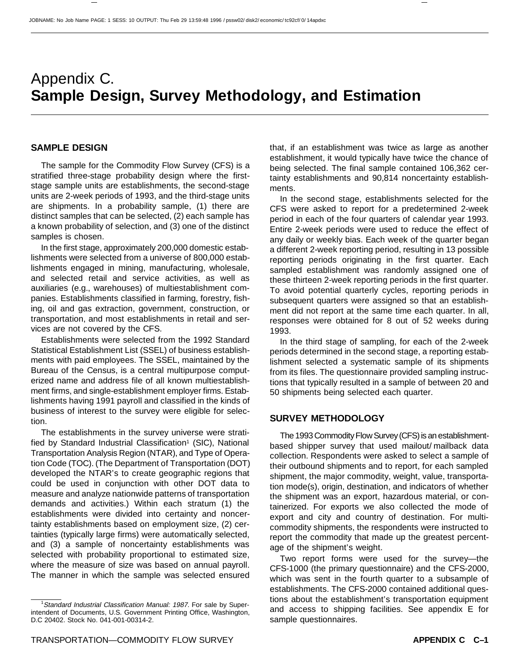# Appendix C. **Sample Design, Survey Methodology, and Estimation**

### **SAMPLE DESIGN**

The sample for the Commodity Flow Survey (CFS) is a stratified three-stage probability design where the firststage sample units are establishments, the second-stage units are 2-week periods of 1993, and the third-stage units are shipments. In a probability sample, (1) there are distinct samples that can be selected, (2) each sample has a known probability of selection, and (3) one of the distinct samples is chosen.

In the first stage, approximately 200,000 domestic establishments were selected from a universe of 800,000 establishments engaged in mining, manufacturing, wholesale, and selected retail and service activities, as well as auxiliaries (e.g., warehouses) of multiestablishment companies. Establishments classified in farming, forestry, fishing, oil and gas extraction, government, construction, or transportation, and most establishments in retail and services are not covered by the CFS.

Establishments were selected from the 1992 Standard Statistical Establishment List (SSEL) of business establishments with paid employees. The SSEL, maintained by the Bureau of the Census, is a central multipurpose computerized name and address file of all known multiestablishment firms, and single-establishment employer firms. Establishments having 1991 payroll and classified in the kinds of business of interest to the survey were eligible for selection.

The establishments in the survey universe were stratified by Standard Industrial Classification<sup>1</sup> (SIC), National Transportation Analysis Region (NTAR), and Type of Operation Code (TOC). (The Department of Transportation (DOT) developed the NTAR's to create geographic regions that could be used in conjunction with other DOT data to measure and analyze nationwide patterns of transportation demands and activities.) Within each stratum (1) the establishments were divided into certainty and noncertainty establishments based on employment size, (2) certainties (typically large firms) were automatically selected, and (3) a sample of noncertainty establishments was selected with probability proportional to estimated size, where the measure of size was based on annual payroll. The manner in which the sample was selected ensured that, if an establishment was twice as large as another establishment, it would typically have twice the chance of being selected. The final sample contained 106,362 certainty establishments and 90,814 noncertainty establishments.

In the second stage, establishments selected for the CFS were asked to report for a predetermined 2-week period in each of the four quarters of calendar year 1993. Entire 2-week periods were used to reduce the effect of any daily or weekly bias. Each week of the quarter began a different 2-week reporting period, resulting in 13 possible reporting periods originating in the first quarter. Each sampled establishment was randomly assigned one of these thirteen 2-week reporting periods in the first quarter. To avoid potential quarterly cycles, reporting periods in subsequent quarters were assigned so that an establishment did not report at the same time each quarter. In all, responses were obtained for 8 out of 52 weeks during 1993.

In the third stage of sampling, for each of the 2-week periods determined in the second stage, a reporting establishment selected a systematic sample of its shipments from its files. The questionnaire provided sampling instructions that typically resulted in a sample of between 20 and 50 shipments being selected each quarter.

### **SURVEY METHODOLOGY**

The 1993 Commodity Flow Survey (CFS) is an establishmentbased shipper survey that used mailout/ mailback data collection. Respondents were asked to select a sample of their outbound shipments and to report, for each sampled shipment, the major commodity, weight, value, transportation mode(s), origin, destination, and indicators of whether the shipment was an export, hazardous material, or containerized. For exports we also collected the mode of export and city and country of destination. For multicommodity shipments, the respondents were instructed to report the commodity that made up the greatest percentage of the shipment's weight.

Two report forms were used for the survey—the CFS-1000 (the primary questionnaire) and the CFS-2000, which was sent in the fourth quarter to a subsample of establishments. The CFS-2000 contained additional questions about the establishment's transportation equipment and access to shipping facilities. See appendix E for sample questionnaires.

<sup>&</sup>lt;sup>1</sup>Standard Industrial Classification Manual: 1987. For sale by Superintendent of Documents, U.S. Government Printing Office, Washington, D.C 20402. Stock No. 041-001-00314-2.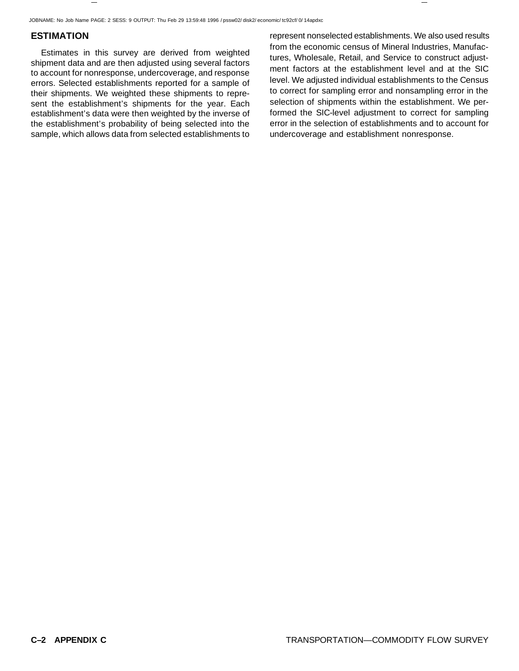JOBNAME: No Job Name PAGE: 2 SESS: 9 OUTPUT: Thu Feb 29 13:59:48 1996 / pssw02/ disk2/ economic/ tc92cf/ 0/ 14apdxc

### **ESTIMATION**

Estimates in this survey are derived from weighted shipment data and are then adjusted using several factors to account for nonresponse, undercoverage, and response errors. Selected establishments reported for a sample of their shipments. We weighted these shipments to represent the establishment's shipments for the year. Each establishment's data were then weighted by the inverse of the establishment's probability of being selected into the sample, which allows data from selected establishments to represent nonselected establishments. We also used results from the economic census of Mineral Industries, Manufactures, Wholesale, Retail, and Service to construct adjustment factors at the establishment level and at the SIC level. We adjusted individual establishments to the Census to correct for sampling error and nonsampling error in the selection of shipments within the establishment. We performed the SIC-level adjustment to correct for sampling error in the selection of establishments and to account for undercoverage and establishment nonresponse.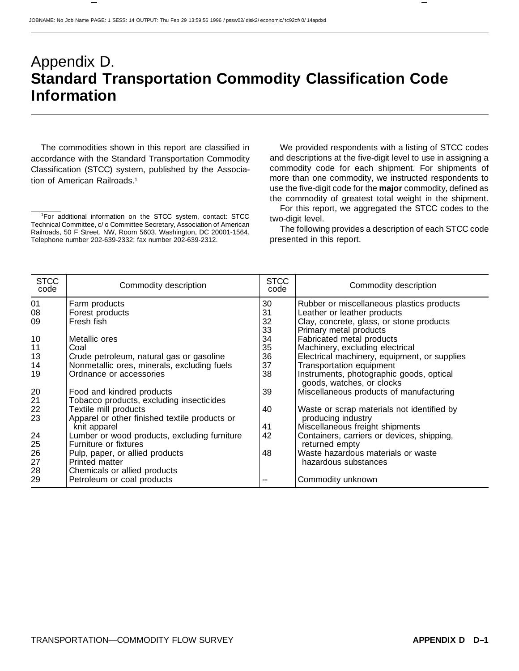# Appendix D. **Standard Transportation Commodity Classification Code Information**

The commodities shown in this report are classified in accordance with the Standard Transportation Commodity Classification (STCC) system, published by the Association of American Railroads.1

We provided respondents with a listing of STCC codes and descriptions at the five-digit level to use in assigning a commodity code for each shipment. For shipments of more than one commodity, we instructed respondents to use the five-digit code for the **major** commodity, defined as the commodity of greatest total weight in the shipment.

For this report, we aggregated the STCC codes to the two-digit level.

The following provides a description of each STCC code presented in this report.

| <b>STCC</b><br>code | Commodity description                         | <b>STCC</b><br>code | Commodity description                                                 |
|---------------------|-----------------------------------------------|---------------------|-----------------------------------------------------------------------|
| 01                  | Farm products                                 | 30                  | Rubber or miscellaneous plastics products                             |
| 08                  | Forest products                               | 31                  | Leather or leather products                                           |
| 09                  | Fresh fish                                    | 32                  | Clay, concrete, glass, or stone products                              |
|                     |                                               | 33                  | Primary metal products                                                |
| 10                  | Metallic ores                                 | 34                  | Fabricated metal products                                             |
| 11                  | Coal                                          | 35                  | Machinery, excluding electrical                                       |
| 13                  | Crude petroleum, natural gas or gasoline      | 36                  | Electrical machinery, equipment, or supplies                          |
| 14                  | Nonmetallic ores, minerals, excluding fuels   | 37                  | <b>Transportation equipment</b>                                       |
| 19                  | Ordnance or accessories                       | 38                  | Instruments, photographic goods, optical<br>goods, watches, or clocks |
| 20                  | Food and kindred products                     | 39                  | Miscellaneous products of manufacturing                               |
| 21                  | Tobacco products, excluding insecticides      |                     |                                                                       |
| 22                  | Textile mill products                         | 40                  | Waste or scrap materials not identified by                            |
| 23                  | Apparel or other finished textile products or |                     | producing industry                                                    |
|                     | knit apparel                                  | 41                  | Miscellaneous freight shipments                                       |
| 24                  | Lumber or wood products, excluding furniture  | 42                  | Containers, carriers or devices, shipping,                            |
| 25                  | Furniture or fixtures                         |                     | returned empty                                                        |
| 26                  | Pulp, paper, or allied products               | 48                  | Waste hazardous materials or waste                                    |
| 27                  | Printed matter                                |                     | hazardous substances                                                  |
| 28                  | Chemicals or allied products                  |                     |                                                                       |
| 29                  | Petroleum or coal products                    | --                  | Commodity unknown                                                     |

<sup>1</sup> For additional information on the STCC system, contact: STCC Technical Committee, c/ o Committee Secretary, Association of American Railroads, 50 F Street, NW, Room 5603, Washington, DC 20001-1564. Telephone number 202-639-2332; fax number 202-639-2312.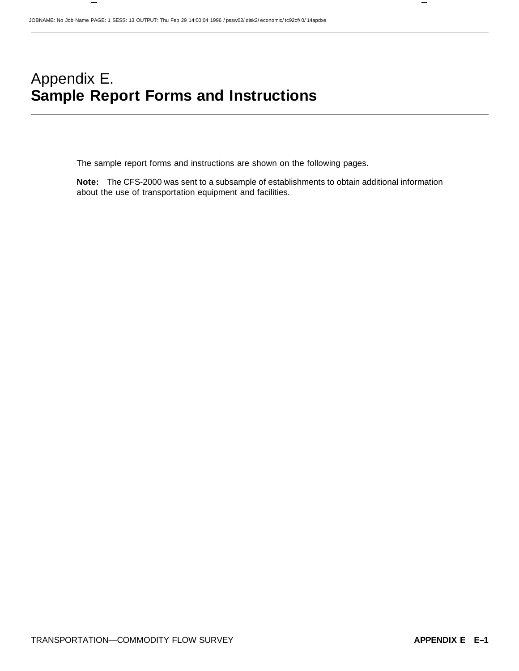# Appendix E. **Sample Report Forms and Instructions**

The sample report forms and instructions are shown on the following pages.

**Note:** The CFS-2000 was sent to a subsample of establishments to obtain additional information about the use of transportation equipment and facilities.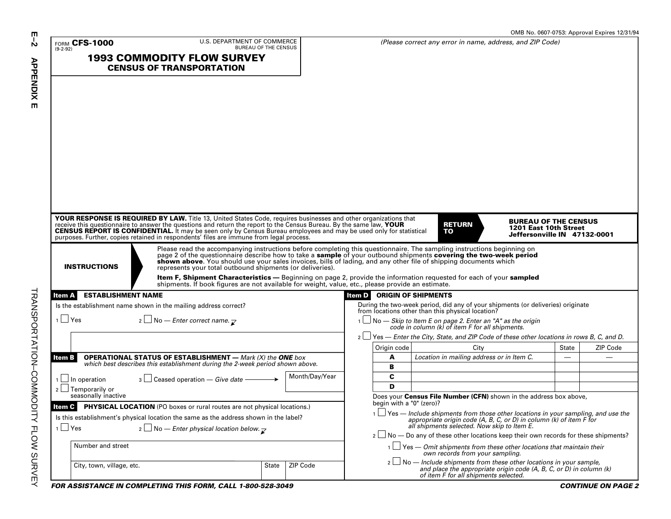|                                     | U.S. DEPARTMENT OF COMMERCE                                                                                                                                                                                                                                                                                                                           |                |                                   |                                                                                                                                                                                                             |                                                                                      |       | OMB No. 0607-0753: Approval Expires 12/31/94 |
|-------------------------------------|-------------------------------------------------------------------------------------------------------------------------------------------------------------------------------------------------------------------------------------------------------------------------------------------------------------------------------------------------------|----------------|-----------------------------------|-------------------------------------------------------------------------------------------------------------------------------------------------------------------------------------------------------------|--------------------------------------------------------------------------------------|-------|----------------------------------------------|
| <b>FORM CFS-1000</b><br>$(9-2-92)$  | BUREAU OF THE CENSUS                                                                                                                                                                                                                                                                                                                                  |                |                                   | (Please correct any error in name, address, and ZIP Code)                                                                                                                                                   |                                                                                      |       |                                              |
|                                     | <b>1993 COMMODITY FLOW SURVEY</b><br><b>CENSUS OF TRANSPORTATION</b>                                                                                                                                                                                                                                                                                  |                |                                   |                                                                                                                                                                                                             |                                                                                      |       |                                              |
|                                     |                                                                                                                                                                                                                                                                                                                                                       |                |                                   |                                                                                                                                                                                                             |                                                                                      |       |                                              |
|                                     |                                                                                                                                                                                                                                                                                                                                                       |                |                                   |                                                                                                                                                                                                             |                                                                                      |       |                                              |
|                                     |                                                                                                                                                                                                                                                                                                                                                       |                |                                   |                                                                                                                                                                                                             |                                                                                      |       |                                              |
|                                     |                                                                                                                                                                                                                                                                                                                                                       |                |                                   |                                                                                                                                                                                                             |                                                                                      |       |                                              |
|                                     |                                                                                                                                                                                                                                                                                                                                                       |                |                                   |                                                                                                                                                                                                             |                                                                                      |       |                                              |
|                                     |                                                                                                                                                                                                                                                                                                                                                       |                |                                   |                                                                                                                                                                                                             |                                                                                      |       |                                              |
|                                     |                                                                                                                                                                                                                                                                                                                                                       |                |                                   |                                                                                                                                                                                                             |                                                                                      |       |                                              |
|                                     |                                                                                                                                                                                                                                                                                                                                                       |                |                                   |                                                                                                                                                                                                             |                                                                                      |       |                                              |
|                                     |                                                                                                                                                                                                                                                                                                                                                       |                |                                   |                                                                                                                                                                                                             |                                                                                      |       |                                              |
|                                     |                                                                                                                                                                                                                                                                                                                                                       |                |                                   |                                                                                                                                                                                                             |                                                                                      |       |                                              |
|                                     | YOUR RESPONSE IS REQUIRED BY LAW. Title 13, United States Code, requires businesses and other organizations that<br>receive this questionnaire to answer the questions and return the report to the Census Bureau. By the same law, YOUR<br>CENSUS REPORT IS CONFIDENTIAL. It may be seen only by Census Bureau employees and may be used only for st |                |                                   | <b>RETURN</b><br>TO                                                                                                                                                                                         | <b>BUREAU OF THE CENSUS</b><br>1201 East 10th Street<br>Jeffersonville IN 47132-0001 |       |                                              |
|                                     | Please read the accompanying instructions before completing this questionnaire. The sampling instructions beginning on<br>page 2 of the questionnaire describe how to take a sample of your outbound shipments covering the two-w                                                                                                                     |                |                                   |                                                                                                                                                                                                             |                                                                                      |       |                                              |
| <b>INSTRUCTIONS</b>                 | shown above. You should use your sales invoices, bills of lading, and any other file of shipping documents which<br>represents your total outbound shipments (or deliveries).                                                                                                                                                                         |                |                                   |                                                                                                                                                                                                             |                                                                                      |       |                                              |
|                                     | Item F, Shipment Characteristics - Beginning on page 2, provide the information requested for each of your sampled<br>shipments. If book figures are not available for weight, value, etc., please provide an estimate.                                                                                                                               |                |                                   |                                                                                                                                                                                                             |                                                                                      |       |                                              |
| <b>ESTABLISHMENT NAME</b><br>ltem A |                                                                                                                                                                                                                                                                                                                                                       |                | <b>Item D ORIGIN OF SHIPMENTS</b> |                                                                                                                                                                                                             |                                                                                      |       |                                              |
|                                     | Is the establishment name shown in the mailing address correct?                                                                                                                                                                                                                                                                                       |                |                                   | During the two-week period, did any of your shipments (or deliveries) originate<br>from locations other than this physical location?                                                                        |                                                                                      |       |                                              |
| $1 \cup Y$ es                       | 2 No - Enter correct name. $\nabla$                                                                                                                                                                                                                                                                                                                   |                |                                   | 1 <u>□</u> No — Skip to Item E on page 2. Enter an "A" as the origin code in column (k) of item F for all shipments.                                                                                        |                                                                                      |       |                                              |
|                                     |                                                                                                                                                                                                                                                                                                                                                       |                |                                   | $2 \cup$ Yes — Enter the City, State, and ZIP Code of these other locations in rows B, C, and D.                                                                                                            |                                                                                      |       |                                              |
|                                     | <b>OPERATIONAL STATUS OF ESTABLISHMENT</b> - Mark (X) the ONE box                                                                                                                                                                                                                                                                                     |                | Origin code                       | City                                                                                                                                                                                                        |                                                                                      | State | ZIP Code                                     |
| ltem B                              | which best describes this establishment during the 2-week period shown above.                                                                                                                                                                                                                                                                         |                | A<br>B                            | Location in mailing address or in Item C.                                                                                                                                                                   |                                                                                      |       |                                              |
| 1 In operation                      | $\frac{1}{3}$ Ceased operation – Give date –                                                                                                                                                                                                                                                                                                          | Month/Day/Year | C                                 |                                                                                                                                                                                                             |                                                                                      |       |                                              |
| $2 \Box$ Temporarily or             |                                                                                                                                                                                                                                                                                                                                                       |                | D                                 |                                                                                                                                                                                                             |                                                                                      |       |                                              |
| seasonally inactive                 |                                                                                                                                                                                                                                                                                                                                                       |                | begin with a "0" (zero)?          | Does your Census File Number (CFN) shown in the address box above,                                                                                                                                          |                                                                                      |       |                                              |
|                                     | Item C PHYSICAL LOCATION (PO boxes or rural routes are not physical locations.)<br>Is this establishment's physical location the same as the address shown in the label?                                                                                                                                                                              |                |                                   | $1 \n\Box$ Yes — Include shipments from those other locations in your sampling, and use the appropriate origin code (A, B, C, or D) in column (k) of item F for all shipments selected. Now skip to Item E. |                                                                                      |       |                                              |
| $1 \Box$ Yes                        | $\lfloor$ 2 $\lfloor$ No – Enter physical location below. $\lceil$                                                                                                                                                                                                                                                                                    |                |                                   | $2 \Box$ No - Do any of these other locations keep their own records for these shipments?                                                                                                                   |                                                                                      |       |                                              |
| Number and street                   |                                                                                                                                                                                                                                                                                                                                                       |                |                                   | $1 \cup$ Yes — Omit shipments from these other locations that maintain their<br>own records from your sampling.                                                                                             |                                                                                      |       |                                              |
| City, town, village, etc.           | State                                                                                                                                                                                                                                                                                                                                                 | ZIP Code       |                                   | $2 \square$ No — Include shipments from these other locations in your sample,<br>and place the appropriate origin code (A, B, C, or D) in column (k)<br>of item F for all shipments selected.               |                                                                                      |       |                                              |
|                                     | FOR ASSISTANCE IN COMPLETING THIS FORM, CALL 1-800-528-3049                                                                                                                                                                                                                                                                                           |                |                                   |                                                                                                                                                                                                             |                                                                                      |       | <b>CONTINUE ON PAGE 2</b>                    |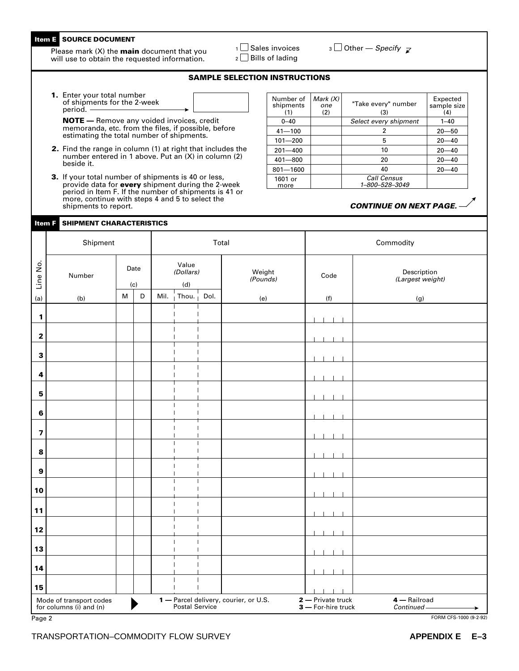### **Item E SOURCE DOCUMENT**

Please mark (X) the **main** document that you will use to obtain the requested information.

 $1 \square$  Sales invoices  $2 \square$  Bills of lading

 $\overline{\mathcal{S}}$  Other — Specify  $\overline{\mathcal{S}}$ 

#### **SAMPLE SELECTION INSTRUCTIONS**

**1.** Enter your total number of shipments for the 2-week period.

**Item F SHIPMENT CHARACTERISTICS**

**NOTE —** Remove any voided invoices, credit memoranda, etc. from the files, if possible, before estimating the total number of shipments.

- **2.** Find the range in column (1) at right that includes the number entered in 1 above. Put an (X) in column (2) beside it.
- **3.** If your total number of shipments is 40 or less, provide data for **every** shipment during the 2-week period in Item F. If the number of shipments is 41 or more, continue with steps 4 and 5 to select the shipments to report.

Number of shipments<br>(1) Mark (X) one  $(2)$ "Take every" number (3) Expected sample size  $(1)$   $(2)$   $(3)$   $(4)$  $0 - 40$ 41—100 101—200 201—400 401—800 801—1600 2 5 10 20 40 Call Census 1–800–528–3049  $1 - 40$ 20—50 20—40 20—40 20—40 20—40 Select every shipment 1601 or more

#### **CONTINUE ON NEXT PAGE.** —

|                                                    | Shipment |                                                                                       |             |                           |                                                                | Total                          | Commodity          |                                         |                                 |  |
|----------------------------------------------------|----------|---------------------------------------------------------------------------------------|-------------|---------------------------|----------------------------------------------------------------|--------------------------------|--------------------|-----------------------------------------|---------------------------------|--|
| Line No.                                           | Number   | Date<br>(c)                                                                           |             | Value<br>(Dollars)<br>(d) |                                                                |                                | Weight<br>(Pounds) | Code                                    | Description<br>(Largest weight) |  |
| (a)                                                | (b)      | $\mathsf{M}% _{T}=\mathsf{M}_{T}\!\left( a,b\right) ,\ \mathsf{M}_{T}=\mathsf{M}_{T}$ | $\mathsf D$ |                           | Mil. Thou. $\frac{1}{1}$                                       | Dol.                           | (e)                | (f)                                     | (g)                             |  |
|                                                    |          |                                                                                       |             |                           |                                                                |                                |                    |                                         |                                 |  |
| 1                                                  |          |                                                                                       |             |                           | $\mathbf{I}$                                                   | $\mathbf{I}$                   |                    |                                         |                                 |  |
| $\mathbf 2$                                        |          |                                                                                       |             |                           | ı                                                              | $\mathbf{I}$                   |                    |                                         |                                 |  |
| $\mathbf 3$                                        |          |                                                                                       |             |                           |                                                                | $\mathbf{I}$                   |                    |                                         |                                 |  |
| 4                                                  |          |                                                                                       |             |                           | $\overline{1}$                                                 | $\mathbf{I}$<br>$\overline{1}$ |                    |                                         |                                 |  |
| ${\bf 5}$                                          |          |                                                                                       |             |                           |                                                                | $\mathbf{I}$                   |                    |                                         |                                 |  |
| $\bf 6$                                            |          |                                                                                       |             |                           |                                                                | $\mathbf{I}$<br>$\mathbf{I}$   |                    |                                         |                                 |  |
| $\overline{\mathbf{z}}$                            |          |                                                                                       |             |                           |                                                                |                                |                    |                                         |                                 |  |
| $\bf8$                                             |          |                                                                                       |             |                           |                                                                | $\mathbf{I}$                   |                    |                                         |                                 |  |
| $\boldsymbol{9}$                                   |          |                                                                                       |             |                           |                                                                |                                |                    |                                         |                                 |  |
| ${\bf 10}$                                         |          |                                                                                       |             |                           |                                                                | $\mathbf{I}$                   |                    |                                         |                                 |  |
| 11                                                 |          |                                                                                       |             |                           |                                                                | $\mathbf{I}$                   |                    |                                         |                                 |  |
| 12                                                 |          |                                                                                       |             |                           |                                                                | $\mathbf{I}$                   |                    |                                         |                                 |  |
| 13                                                 |          |                                                                                       |             |                           | $\mathbf{I}$<br>$\overline{\phantom{a}}$                       | $\mathbf{I}$<br>$\mathbf{I}$   |                    |                                         |                                 |  |
| 14                                                 |          |                                                                                       |             |                           | $\overline{\phantom{a}}$                                       |                                |                    |                                         |                                 |  |
| 15                                                 |          |                                                                                       |             |                           |                                                                | $\mathbf{I}$<br>$\mathbf{I}$   |                    |                                         |                                 |  |
| Mode of transport codes<br>for columns (i) and (n) |          |                                                                                       |             |                           | <b>1</b> - Parcel delivery, courier, or U.S.<br>Postal Service |                                |                    | 2 - Private truck<br>3 - For-hire truck | 4 - Railroad<br>Continued       |  |
| Page 2                                             |          |                                                                                       |             |                           |                                                                |                                |                    |                                         | FORM CFS-1000 (9-2-92)          |  |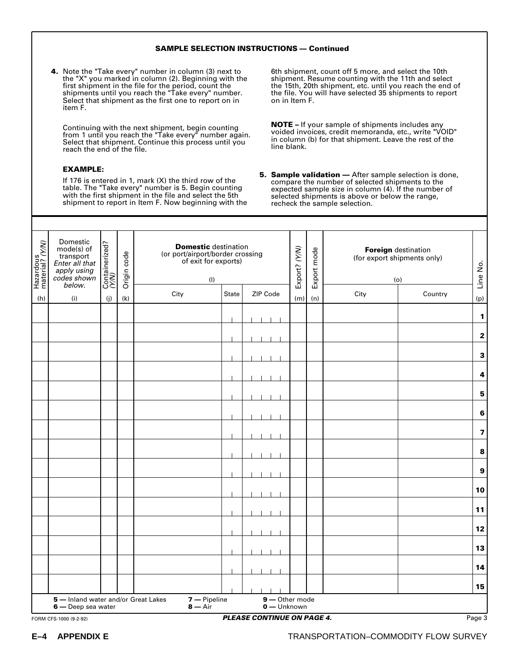#### **SAMPLE SELECTION INSTRUCTIONS — Continued**

**4.** Note the "Take every" number in column (3) next to the "X" you marked in column (2). Beginning with the first shipment in the file for the period, count the shipments until you reach the "Take every" number. Select that shipment as the first one to report on in item F.

Continuing with the next shipment, begin counting from 1 until you reach the "Take every" number again. Select that shipment. Continue this process until you reach the end of the file.

#### **EXAMPLE:**

If 176 is entered in 1, mark (X) the third row of the table. The "Take every" number is 5. Begin counting with the first shipment in the file and select the 5th shipment to report in Item F. Now beginning with the

6th shipment, count off 5 more, and select the 10th shipment. Resume counting with the 11th and select the 15th, 20th shipment, etc. until you reach the end of the file. You will have selected 35 shipments to report on in Item F.

**NOTE –** If your sample of shipments includes any voided invoices, credit memoranda, etc., write "VOID" in column (b) for that shipment. Leave the rest of the line blank.

**5. Sample validation —** After sample selection is done, compare the number of selected shipments to the expected sample size in column (4). If the number of selected shipments is above or below the range, recheck the sample selection.

| Hazardous<br>material? (Y/W) | Domestic<br>mode(s) of<br>transport<br>Enter all that<br>apply using<br>codes shown |     | Containerized?<br>(Y/N) |                           | Origin code | <b>Domestic</b> destination<br>(or port/airport/border crossing<br>of exit for exports)<br>(1) |     |     | Export? (Y/N) | Export mode | Foreign destination<br>(for export shipments only)<br>(o) |  | Line No. |
|------------------------------|-------------------------------------------------------------------------------------|-----|-------------------------|---------------------------|-------------|------------------------------------------------------------------------------------------------|-----|-----|---------------|-------------|-----------------------------------------------------------|--|----------|
| (h)                          | below.<br>(i)                                                                       | (j) | (k)                     | City                      |             | ZIP Code<br>State                                                                              |     | (n) | City          | Country     | (p)                                                       |  |          |
|                              |                                                                                     |     |                         |                           |             |                                                                                                | (m) |     |               |             | $\mathbf{1}$                                              |  |          |
|                              |                                                                                     |     |                         |                           |             |                                                                                                |     |     |               |             | $\mathbf 2$                                               |  |          |
|                              |                                                                                     |     |                         |                           |             |                                                                                                |     |     |               |             | $\mathbf 3$                                               |  |          |
|                              |                                                                                     |     |                         |                           |             |                                                                                                |     |     |               |             | $\pmb{4}$                                                 |  |          |
|                              |                                                                                     |     |                         |                           |             |                                                                                                |     |     |               |             | ${\bf 5}$                                                 |  |          |
|                              |                                                                                     |     |                         |                           |             |                                                                                                |     |     |               |             | $\bf 6$                                                   |  |          |
|                              |                                                                                     |     |                         |                           |             |                                                                                                |     |     |               |             | $\overline{\mathbf{z}}$                                   |  |          |
|                              |                                                                                     |     |                         |                           |             |                                                                                                |     |     |               |             | 8                                                         |  |          |
|                              |                                                                                     |     |                         |                           |             |                                                                                                |     |     |               |             | $\boldsymbol{9}$                                          |  |          |
|                              |                                                                                     |     |                         |                           |             |                                                                                                |     |     |               |             | ${\bf 10}$                                                |  |          |
|                              |                                                                                     |     |                         |                           |             |                                                                                                |     |     |               |             | $11$                                                      |  |          |
|                              |                                                                                     |     |                         |                           |             |                                                                                                |     |     |               |             | 12                                                        |  |          |
|                              |                                                                                     |     |                         |                           |             |                                                                                                |     |     |               |             | 13                                                        |  |          |
|                              |                                                                                     |     |                         |                           |             |                                                                                                |     |     |               |             | 14                                                        |  |          |
|                              |                                                                                     |     |                         |                           |             |                                                                                                |     |     |               |             | 15                                                        |  |          |
|                              | 5 - Inland water and/or Great Lakes<br>6 — Deep sea water                           |     |                         | 7 - Pipeline<br>$8 - Air$ |             | 9-Other mode<br>0 - Unknown                                                                    |     |     |               |             |                                                           |  |          |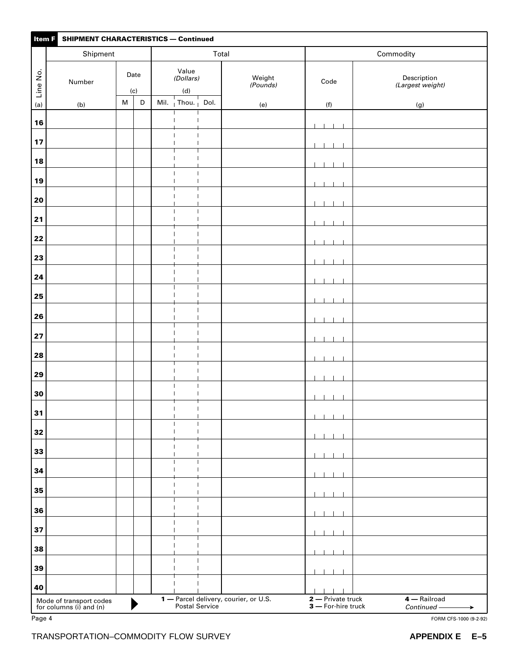| <b>SHIPMENT CHARACTERISTICS - Continued</b><br>Item F |                                                    |           |             |                           |                                                      |       |                                       |           |                                         |                                 |  |  |
|-------------------------------------------------------|----------------------------------------------------|-----------|-------------|---------------------------|------------------------------------------------------|-------|---------------------------------------|-----------|-----------------------------------------|---------------------------------|--|--|
|                                                       | Shipment                                           |           |             |                           |                                                      | Total |                                       | Commodity |                                         |                                 |  |  |
| Line No.                                              | Date<br>Number<br>(c)                              |           |             | Value<br>(Dollars)<br>(d) |                                                      |       | Weight<br>(Pounds)                    | Code      |                                         | Description<br>(Largest weight) |  |  |
| (a)                                                   | (b)                                                | ${\sf M}$ | $\mathsf D$ |                           | Mil. Thou. Dol.                                      |       | (e)                                   |           | (f)                                     | (g)                             |  |  |
| 16                                                    |                                                    |           |             |                           | $\mathbf{I}$                                         |       |                                       |           |                                         |                                 |  |  |
| 17                                                    |                                                    |           |             |                           | $\overline{1}$<br>$\overline{\phantom{a}}$           |       |                                       |           |                                         |                                 |  |  |
|                                                       |                                                    |           |             |                           |                                                      |       |                                       |           |                                         |                                 |  |  |
| 18                                                    |                                                    |           |             |                           | $\mathbf{I}$<br>$\overline{\phantom{a}}$             |       |                                       |           |                                         |                                 |  |  |
| 19                                                    |                                                    |           |             |                           | $\overline{\phantom{a}}$                             |       |                                       |           |                                         |                                 |  |  |
| 20                                                    |                                                    |           |             |                           | $\overline{\phantom{a}}$<br>$\mathbf{I}$             |       |                                       |           |                                         |                                 |  |  |
| 21                                                    |                                                    |           |             |                           | $\mathbf{I}$                                         |       |                                       |           |                                         |                                 |  |  |
| 22                                                    |                                                    |           |             |                           | $\mathbf{I}$<br>$\mathbf{I}$                         |       |                                       |           |                                         |                                 |  |  |
| 23                                                    |                                                    |           |             |                           | $\overline{\phantom{a}}$                             |       |                                       |           |                                         |                                 |  |  |
| 24                                                    |                                                    |           |             |                           |                                                      |       |                                       |           |                                         |                                 |  |  |
| 25                                                    |                                                    |           |             |                           |                                                      |       |                                       |           |                                         |                                 |  |  |
|                                                       |                                                    |           |             |                           |                                                      |       |                                       |           |                                         |                                 |  |  |
| 26                                                    |                                                    |           |             |                           |                                                      |       |                                       |           |                                         |                                 |  |  |
| 27                                                    |                                                    |           |             |                           | $\mathbf{I}$                                         |       |                                       |           |                                         |                                 |  |  |
| 28                                                    |                                                    |           |             |                           | I                                                    |       |                                       |           |                                         |                                 |  |  |
| 29                                                    |                                                    |           |             |                           |                                                      |       |                                       |           |                                         |                                 |  |  |
| 30                                                    |                                                    |           |             |                           | $\overline{\phantom{a}}$<br>$\overline{\phantom{a}}$ |       |                                       |           |                                         |                                 |  |  |
| 31                                                    |                                                    |           |             |                           | $\mathbf{I}$                                         |       |                                       |           |                                         |                                 |  |  |
| 32                                                    |                                                    |           |             |                           |                                                      |       |                                       |           |                                         |                                 |  |  |
| 33                                                    |                                                    |           |             |                           |                                                      |       |                                       |           |                                         |                                 |  |  |
|                                                       |                                                    |           |             |                           |                                                      |       |                                       |           |                                         |                                 |  |  |
| 34                                                    |                                                    |           |             |                           |                                                      |       |                                       |           |                                         |                                 |  |  |
| 35                                                    |                                                    |           |             |                           |                                                      |       |                                       |           |                                         |                                 |  |  |
| 36                                                    |                                                    |           |             |                           |                                                      |       |                                       |           |                                         |                                 |  |  |
| 37                                                    |                                                    |           |             |                           |                                                      |       |                                       |           |                                         |                                 |  |  |
| 38                                                    |                                                    |           |             |                           |                                                      |       |                                       |           | $\overline{\phantom{a}}$                |                                 |  |  |
| 39                                                    |                                                    |           |             |                           | $\mathbf{I}$                                         |       |                                       |           |                                         |                                 |  |  |
| 40                                                    |                                                    |           |             |                           |                                                      |       |                                       |           |                                         |                                 |  |  |
|                                                       | Mode of transport codes<br>for columns (i) and (n) |           |             |                           | Postal Service                                       |       | 1 - Parcel delivery, courier, or U.S. |           | 2 - Private truck<br>3 - For-hire truck | 4 - Railroad<br>Continued -     |  |  |
| Page 4                                                |                                                    |           |             |                           |                                                      |       |                                       |           |                                         | FORM CFS-1000 (9-2-92)          |  |  |
|                                                       | TRANSPORTATION-COMMODITY FLOW SURVEY               |           |             |                           |                                                      |       |                                       |           |                                         | <b>APPENDIX E</b><br>$E-5$      |  |  |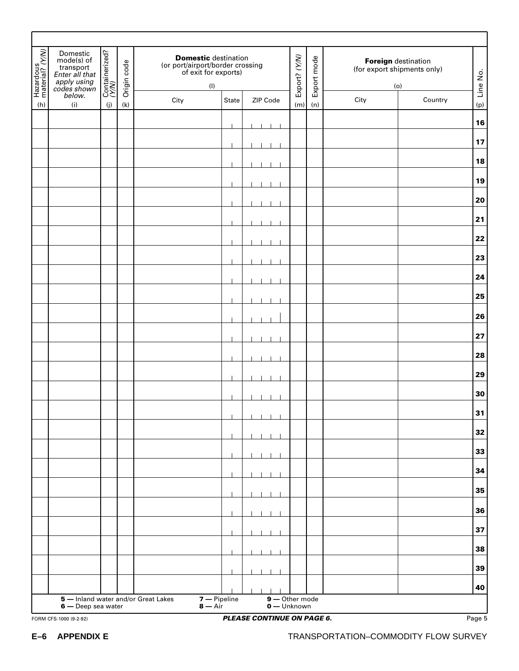| Hazardous<br>material? (Y/W) | Domestic<br>$mode(s)$ of<br>transport<br>Enter all that<br>apply using<br>codes shown | Containerized?<br>(Y/N) | Origin code | (or port/airport/border crossing<br>of exit for exports) | <b>Domestic</b> destination<br>(1) |                                                  | Export? (Y/N) | Export mode |      | Foreign destination<br>(for export shipments only)<br>(0) | Line No. |
|------------------------------|---------------------------------------------------------------------------------------|-------------------------|-------------|----------------------------------------------------------|------------------------------------|--------------------------------------------------|---------------|-------------|------|-----------------------------------------------------------|----------|
| (h)                          | below.<br>(i)                                                                         | (j)                     | (k)         | City                                                     | State                              | ZIP Code                                         | (m)           | (n)         | City | Country                                                   | (p)      |
|                              |                                                                                       |                         |             |                                                          |                                    |                                                  |               |             |      |                                                           | 16       |
|                              |                                                                                       |                         |             |                                                          |                                    |                                                  |               |             |      |                                                           | 17       |
|                              |                                                                                       |                         |             |                                                          |                                    |                                                  |               |             |      |                                                           | 18       |
|                              |                                                                                       |                         |             |                                                          |                                    |                                                  |               |             |      |                                                           | 19       |
|                              |                                                                                       |                         |             |                                                          |                                    |                                                  |               |             |      |                                                           | 20       |
|                              |                                                                                       |                         |             |                                                          |                                    |                                                  |               |             |      |                                                           | 21       |
|                              |                                                                                       |                         |             |                                                          |                                    |                                                  |               |             |      |                                                           | 22       |
|                              |                                                                                       |                         |             |                                                          |                                    |                                                  |               |             |      |                                                           | 23       |
|                              |                                                                                       |                         |             |                                                          |                                    |                                                  |               |             |      |                                                           | 24       |
|                              |                                                                                       |                         |             |                                                          |                                    |                                                  |               |             |      |                                                           | 25       |
|                              |                                                                                       |                         |             |                                                          |                                    |                                                  |               |             |      |                                                           | 26       |
|                              |                                                                                       |                         |             |                                                          |                                    |                                                  |               |             |      |                                                           | 27       |
|                              |                                                                                       |                         |             |                                                          |                                    |                                                  |               |             |      |                                                           | 28       |
|                              |                                                                                       |                         |             |                                                          |                                    |                                                  |               |             |      |                                                           | 29       |
|                              |                                                                                       |                         |             |                                                          |                                    |                                                  |               |             |      |                                                           | 30       |
|                              |                                                                                       |                         |             |                                                          |                                    |                                                  |               |             |      |                                                           | 31       |
|                              |                                                                                       |                         |             |                                                          |                                    |                                                  |               |             |      |                                                           | 32       |
|                              |                                                                                       |                         |             |                                                          |                                    |                                                  |               |             |      |                                                           | 33       |
|                              |                                                                                       |                         |             |                                                          |                                    |                                                  |               |             |      |                                                           | 34       |
|                              |                                                                                       |                         |             |                                                          |                                    |                                                  |               |             |      |                                                           | 35       |
|                              |                                                                                       |                         |             |                                                          |                                    |                                                  |               |             |      |                                                           | 36       |
|                              |                                                                                       |                         |             |                                                          |                                    |                                                  |               |             |      |                                                           | 37       |
|                              |                                                                                       |                         |             |                                                          |                                    |                                                  |               |             |      |                                                           | 38       |
|                              |                                                                                       |                         |             |                                                          |                                    |                                                  |               |             |      |                                                           |          |
|                              |                                                                                       |                         |             |                                                          |                                    |                                                  |               |             |      |                                                           | 39       |
|                              |                                                                                       |                         |             | 5 - Inland water and/or Great Lakes                      | $7 -$ Pipeline                     | 9-Other mode                                     |               |             |      |                                                           | 40       |
|                              | 6 - Deep sea water<br>FORM CFS-1000 (9-2-92)                                          |                         |             |                                                          | $8 - Air$                          | 0 - Unknown<br><b>PLEASE CONTINUE ON PAGE 6.</b> |               |             |      |                                                           | Page 5   |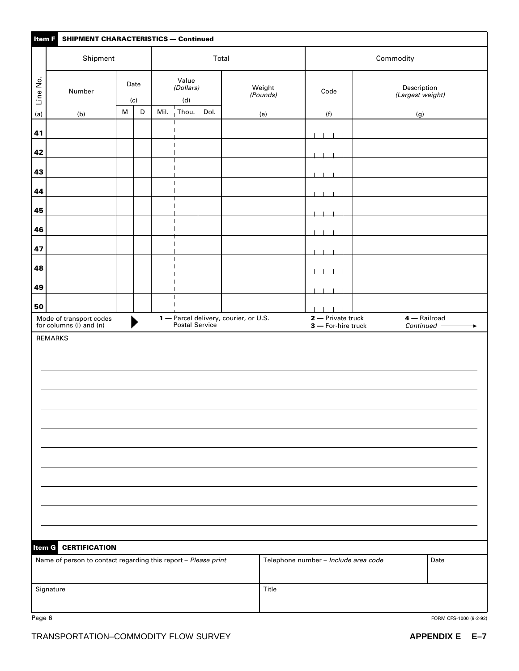| Item F   | <b>SHIPMENT CHARACTERISTICS - Continued</b>                                            |           |             |  |                                                              |      |                                                         |                                         |                                 |  |  |  |
|----------|----------------------------------------------------------------------------------------|-----------|-------------|--|--------------------------------------------------------------|------|---------------------------------------------------------|-----------------------------------------|---------------------------------|--|--|--|
|          | Shipment                                                                               |           |             |  |                                                              |      | Total                                                   |                                         | Commodity                       |  |  |  |
| Line No. | Number                                                                                 |           | Date<br>(c) |  | Value<br>(Dollars)<br>(d)                                    |      | Weight<br>(Pounds)                                      | Code                                    | Description<br>(Largest weight) |  |  |  |
| (a)      | (b)                                                                                    | ${\sf M}$ | $\mathsf D$ |  | Mil. $\overline{\phantom{a}}$ Thou. $\overline{\phantom{a}}$ | Dol. | (e)                                                     | (f)                                     | (g)                             |  |  |  |
| 41       |                                                                                        |           |             |  |                                                              |      |                                                         | - 1                                     |                                 |  |  |  |
| 42       |                                                                                        |           |             |  | $\mathbf{I}$<br>$\overline{\phantom{a}}$                     |      |                                                         |                                         |                                 |  |  |  |
| 43       |                                                                                        |           |             |  |                                                              |      |                                                         |                                         |                                 |  |  |  |
|          |                                                                                        |           |             |  | $\mathbf{I}$                                                 |      |                                                         |                                         |                                 |  |  |  |
| 44       |                                                                                        |           |             |  | $\overline{\phantom{a}}$<br>$\mathbf{I}$                     |      |                                                         |                                         |                                 |  |  |  |
| 45       |                                                                                        |           |             |  | $\mathbf{I}$                                                 |      |                                                         |                                         |                                 |  |  |  |
| 46       |                                                                                        |           |             |  | $\overline{\phantom{a}}$                                     |      |                                                         |                                         |                                 |  |  |  |
| 47       |                                                                                        |           |             |  |                                                              |      |                                                         |                                         |                                 |  |  |  |
| 48       |                                                                                        |           |             |  |                                                              |      |                                                         |                                         |                                 |  |  |  |
| 49       |                                                                                        |           |             |  | $\mathbf{I}$                                                 |      |                                                         |                                         |                                 |  |  |  |
| 50       |                                                                                        |           |             |  |                                                              |      |                                                         |                                         |                                 |  |  |  |
|          | Mode of transport codes<br>for columns (i) and (n)                                     |           |             |  |                                                              |      | 1 – Parcel delivery, courier, or U.S.<br>Postal Service | 2 - Private truck<br>3 - For-hire truck | 4 — Railroad<br>Continued -     |  |  |  |
|          | <b>REMARKS</b>                                                                         |           |             |  |                                                              |      |                                                         |                                         |                                 |  |  |  |
|          |                                                                                        |           |             |  |                                                              |      |                                                         |                                         |                                 |  |  |  |
| Item G   | <b>CERTIFICATION</b><br>Name of person to contact regarding this report - Please print |           |             |  |                                                              |      |                                                         | Telephone number - Include area code    | Date                            |  |  |  |
|          | Signature                                                                              |           |             |  |                                                              |      | Title                                                   |                                         |                                 |  |  |  |

Page 6 FORM CFS-1000 (9-2-92)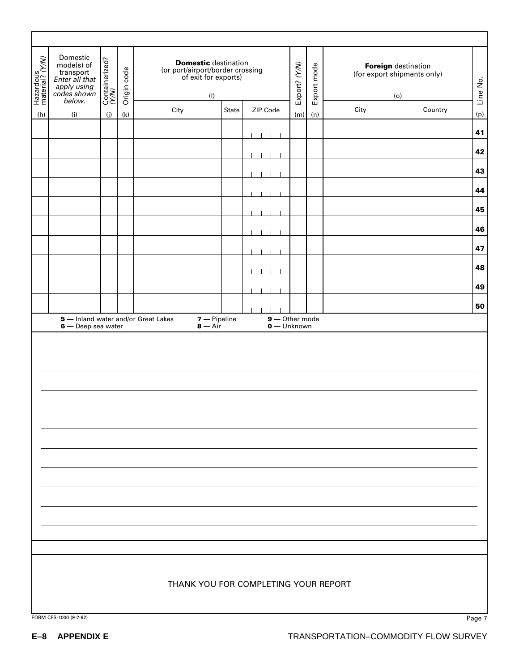| Hazardous<br>material? (Y/W) | Domestic<br>mode(s) of<br>transport<br>Enter all that<br>apply using<br>codes shown<br>below. | Containerized?<br>(Y/N) | Origin code | <b>Domestic destination</b><br>(or port/airport/border crossing<br>of exit for exports)<br>(1) |       |                                 | Export? (Y/N) | Export mode | <b>Foreign</b> destination<br>(for export shipments only)<br>(o) |         | Line No. |
|------------------------------|-----------------------------------------------------------------------------------------------|-------------------------|-------------|------------------------------------------------------------------------------------------------|-------|---------------------------------|---------------|-------------|------------------------------------------------------------------|---------|----------|
| (h)                          | (i)                                                                                           | (j)                     | (k)         | City                                                                                           | State | ZIP Code                        | (m)           | (n)         | City                                                             | Country | (p)      |
|                              |                                                                                               |                         |             |                                                                                                |       |                                 |               |             |                                                                  |         | 41       |
|                              |                                                                                               |                         |             |                                                                                                |       |                                 |               |             |                                                                  |         |          |
|                              |                                                                                               |                         |             |                                                                                                |       |                                 |               |             |                                                                  |         | 42       |
|                              |                                                                                               |                         |             |                                                                                                |       |                                 |               |             |                                                                  |         | 43       |
|                              |                                                                                               |                         |             |                                                                                                |       |                                 |               |             |                                                                  |         | 44       |
|                              |                                                                                               |                         |             |                                                                                                |       |                                 |               |             |                                                                  |         | 45       |
|                              |                                                                                               |                         |             |                                                                                                |       |                                 |               |             |                                                                  |         | 46       |
|                              |                                                                                               |                         |             |                                                                                                |       |                                 |               |             |                                                                  |         | 47       |
|                              |                                                                                               |                         |             |                                                                                                |       |                                 |               |             |                                                                  |         | 48       |
|                              |                                                                                               |                         |             |                                                                                                |       |                                 |               |             |                                                                  |         | 49       |
|                              |                                                                                               |                         |             |                                                                                                |       |                                 |               |             |                                                                  |         | 50       |
|                              | 6 - Deep sea water                                                                            |                         |             | $7 -$ Pipeline<br>5 - Inland water and/or Great Lakes<br>$8 - Air$                             |       | $9 -$ Other mode<br>0 — Unknown |               |             |                                                                  |         |          |
|                              |                                                                                               |                         |             |                                                                                                |       |                                 |               |             |                                                                  |         |          |
|                              |                                                                                               |                         |             |                                                                                                |       |                                 |               |             |                                                                  |         |          |
|                              | FORM CFS-1000 (9-2-92)                                                                        |                         |             | THANK YOU FOR COMPLETING YOUR REPORT                                                           |       |                                 |               |             |                                                                  |         | Page 7   |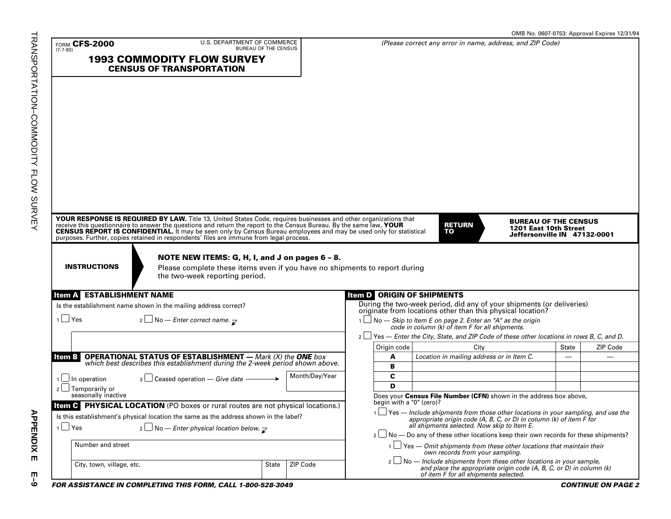| <b>FORM CFS-2000</b><br>$(7 - 7 - 93)$                                  | U.S. DEPARTMENT OF COMMERCE<br><b>BUREAU OF THE CENSUS</b>                                                                                                                                                                     |                |                                   | (Please correct any error in name, address, and ZIP Code)                                                                                                                                                                                                                                                     |                                                                                      |              |          |
|-------------------------------------------------------------------------|--------------------------------------------------------------------------------------------------------------------------------------------------------------------------------------------------------------------------------|----------------|-----------------------------------|---------------------------------------------------------------------------------------------------------------------------------------------------------------------------------------------------------------------------------------------------------------------------------------------------------------|--------------------------------------------------------------------------------------|--------------|----------|
|                                                                         | <b>1993 COMMODITY FLOW SURVEY</b><br><b>CENSUS OF TRANSPORTATION</b>                                                                                                                                                           |                |                                   |                                                                                                                                                                                                                                                                                                               |                                                                                      |              |          |
|                                                                         |                                                                                                                                                                                                                                |                |                                   |                                                                                                                                                                                                                                                                                                               |                                                                                      |              |          |
|                                                                         | YOUR RESPONSE IS REQUIRED BY LAW. Title 13, United States Code, requires businesses and other organizations that receive this questionnaire to answer the questions and return the report to the Census Bureau. By the same la |                |                                   | <b>RETURN</b><br>TO                                                                                                                                                                                                                                                                                           | <b>BUREAU OF THE CENSUS</b><br>1201 East 10th Street<br>Jeffersonville IN 47132-0001 |              |          |
|                                                                         |                                                                                                                                                                                                                                |                |                                   |                                                                                                                                                                                                                                                                                                               |                                                                                      |              |          |
| <b>INSTRUCTIONS</b>                                                     | NOTE NEW ITEMS: G, H, I, and J on pages 6 - 8.<br>Please complete these items even if you have no shipments to report during<br>the two-week reporting period.                                                                 |                |                                   |                                                                                                                                                                                                                                                                                                               |                                                                                      |              |          |
|                                                                         |                                                                                                                                                                                                                                |                | <b>Item D</b> ORIGIN OF SHIPMENTS |                                                                                                                                                                                                                                                                                                               |                                                                                      |              |          |
| <b>Item A ESTABLISHMENT NAME</b>                                        | Is the establishment name shown in the mailing address correct?                                                                                                                                                                |                |                                   | During the two-week period, did any of your shipments (or deliveries) originate from locations other than this physical location?                                                                                                                                                                             |                                                                                      |              |          |
| $1$ Yes                                                                 | $\frac{1}{2}$ No – Enter correct name. $\frac{1}{\sqrt{2}}$                                                                                                                                                                    |                |                                   | $\Box$ No — Skip to Item E on page 2. Enter an "A" as the origin<br>code in column (k) of item F for all shipments.                                                                                                                                                                                           |                                                                                      |              |          |
|                                                                         |                                                                                                                                                                                                                                |                |                                   | $2 \Box$ Yes — Enter the City, State, and ZIP Code of these other locations in rows B, C, and D.                                                                                                                                                                                                              |                                                                                      |              |          |
|                                                                         |                                                                                                                                                                                                                                |                | Origin code                       | City                                                                                                                                                                                                                                                                                                          |                                                                                      | <b>State</b> | ZIP Code |
|                                                                         |                                                                                                                                                                                                                                |                | A                                 | Location in mailing address or in Item C.                                                                                                                                                                                                                                                                     |                                                                                      |              | ▃        |
| ltem B                                                                  | <b>OPERATIONAL STATUS OF ESTABLISHMENT</b> — Mark (X) the <b>ONE</b> box which best describes this establishment during the 2-week period shown above.                                                                         |                | B                                 |                                                                                                                                                                                                                                                                                                               |                                                                                      |              |          |
|                                                                         | $\sqrt{3}$ Ceased operation – Give date –                                                                                                                                                                                      | Month/Day/Year | C                                 |                                                                                                                                                                                                                                                                                                               |                                                                                      |              |          |
| $1 \Box$ In operation<br>$2 \Box$ Temporarily or<br>seasonally inactive |                                                                                                                                                                                                                                |                | D                                 |                                                                                                                                                                                                                                                                                                               |                                                                                      |              |          |
|                                                                         |                                                                                                                                                                                                                                |                | begin with a "0" (zero)?          | Does your Census File Number (CFN) shown in the address box above,                                                                                                                                                                                                                                            |                                                                                      |              |          |
| $1 \cup Y$ es                                                           | Item C PHYSICAL LOCATION (PO boxes or rural routes are not physical locations.)<br>Is this establishment's physical location the same as the address shown in the label?                                                       |                |                                   | $1 \square$ Yes — Include shipments from those other locations in your sampling, and use the appropriate origin code (A, B, C, or D) in column (k) of item F for all shipments selected. Now skip to Item E.                                                                                                  |                                                                                      |              |          |
|                                                                         | $\lfloor$ No – Enter physical location below. $\lceil$                                                                                                                                                                         |                |                                   | $2 \Box$ No — Do any of these other locations keep their own records for these shipments?                                                                                                                                                                                                                     |                                                                                      |              |          |
| Number and street                                                       |                                                                                                                                                                                                                                |                |                                   | $1 \cup$ Yes — Omit shipments from these other locations that maintain their<br>own records from your sampling.<br>$2 \Box$ No — Include shipments from these other locations in your sample,<br>and place the appropriate origin code (A, B, C, or D) in column (k)<br>of item F for all shipments selected. |                                                                                      |              |          |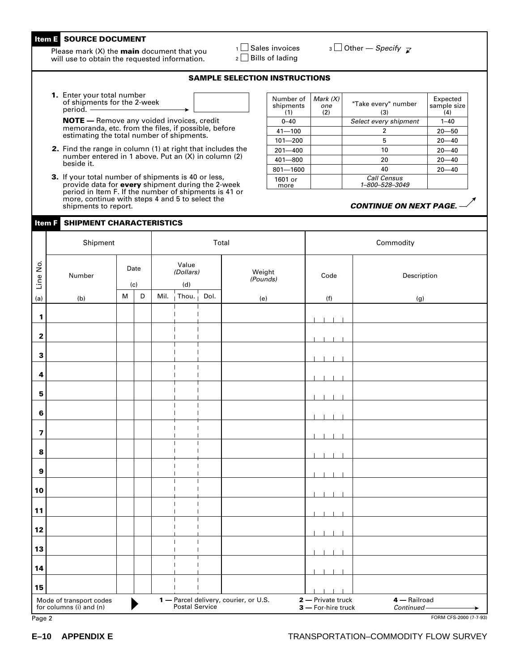#### **Item E SOURCE DOCUMENT**

Please mark (X) the **main** document that you will use to obtain the requested information.

 $1 \square$  Sales invoices  $2 \square$  Bills of lading

 $\overline{\mathcal{S}}$  Other — Specify  $\overline{\mathcal{S}}$ 

#### **SAMPLE SELECTION INSTRUCTIONS**

**1.** Enter your total number of shipments for the 2-week period.

**NOTE —** Remove any voided invoices, credit memoranda, etc. from the files, if possible, before estimating the total number of shipments.

- **2.** Find the range in column (1) at right that includes the number entered in 1 above. Put an (X) in column (2) beside it.
- **3.** If your total number of shipments is 40 or less, provide data for **every** shipment during the 2-week period in Item F. If the number of shipments is 41 or more, continue with steps 4 and 5 to select the shipments to report.

#### **Item F SHIPMENT CHARACTERISTICS**

| Number of<br>shipments<br>(1) | Mark $(X)$<br>one<br>(2) | "Take every" number<br>(3)           | Expected<br>sample size<br>(4) |
|-------------------------------|--------------------------|--------------------------------------|--------------------------------|
| $0 - 40$                      |                          | Select every shipment                | $1 - 40$                       |
| $41 - 100$                    |                          | 2                                    | $20 - 50$                      |
| $101 - 200$                   |                          | 5                                    | $20 - 40$                      |
| $201 - 400$                   |                          | 10                                   | $20 - 40$                      |
| $401 - 800$                   |                          | 20                                   | $20 - 40$                      |
| $801 - 1600$                  |                          | 40                                   | $20 - 40$                      |
| 1601 or<br>more               |                          | <b>Call Census</b><br>1–800–528–3049 |                                |

#### **CONTINUE ON NEXT PAGE.** —

|                  | Shipment                                           |                                                                                                            |             |                                  |      | Total                                                   |                                         | Commodity                 |
|------------------|----------------------------------------------------|------------------------------------------------------------------------------------------------------------|-------------|----------------------------------|------|---------------------------------------------------------|-----------------------------------------|---------------------------|
| Line No.         | Number                                             |                                                                                                            | Date<br>(c) | Value<br>(Dollars)<br>(d)        |      | Weight<br>(Pounds)                                      | Code                                    | Description               |
| (a)              | (b)                                                | $\mathsf{M}% _{T}=\mathsf{M}_{T}\!\left( a,b\right) ,\ \mathsf{M}_{T}=\mathsf{M}_{T}\!\left( a,b\right) ,$ | $\mathsf D$ | Mil. Thou.                       | Dol. | (e)                                                     | (f)                                     | (g)                       |
| 1                |                                                    |                                                                                                            |             |                                  |      |                                                         |                                         |                           |
| 2                |                                                    |                                                                                                            |             |                                  |      |                                                         |                                         |                           |
| $\mathbf 3$      |                                                    |                                                                                                            |             |                                  |      |                                                         |                                         |                           |
| 4                |                                                    |                                                                                                            |             | $\overline{\phantom{a}}$         |      |                                                         |                                         |                           |
| 5                |                                                    |                                                                                                            |             |                                  |      |                                                         |                                         |                           |
| 6                |                                                    |                                                                                                            |             | $\mathbf{I}$<br>$\mathbf{I}$     |      |                                                         |                                         |                           |
| 7                |                                                    |                                                                                                            |             | $\overline{\phantom{a}}$         |      |                                                         |                                         |                           |
| 8                |                                                    |                                                                                                            |             |                                  |      |                                                         |                                         |                           |
| $\boldsymbol{9}$ |                                                    |                                                                                                            |             |                                  |      |                                                         |                                         |                           |
| 10               |                                                    |                                                                                                            |             |                                  |      |                                                         |                                         |                           |
| 11               |                                                    |                                                                                                            |             | $\overline{\phantom{a}}$         |      |                                                         |                                         |                           |
| 12               |                                                    |                                                                                                            |             |                                  |      |                                                         |                                         |                           |
| 13               |                                                    |                                                                                                            |             | $\overline{1}$<br>$\mathbf{I}$   |      |                                                         |                                         |                           |
| 14               |                                                    |                                                                                                            |             |                                  |      |                                                         |                                         |                           |
| 15               |                                                    |                                                                                                            |             | $\overline{1}$<br>$\overline{1}$ |      |                                                         |                                         |                           |
|                  | Mode of transport codes<br>for columns (i) and (n) |                                                                                                            |             |                                  |      | 1 – Parcel delivery, courier, or U.S.<br>Postal Service | 2 - Private truck<br>3 - For-hire truck | 4 - Railroad<br>Continued |
| Page 2           |                                                    |                                                                                                            |             |                                  |      |                                                         | FORM CFS-2000 (7-7-93)                  |                           |

#### **E–10 APPENDIX E** TRANSPORTATION–COMMODITY FLOW SURVEY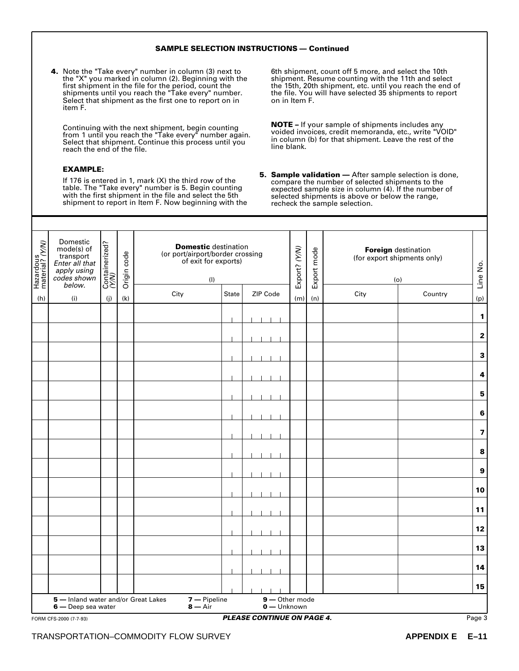#### **SAMPLE SELECTION INSTRUCTIONS — Continued**

**4.** Note the "Take every" number in column (3) next to the "X" you marked in column (2). Beginning with the first shipment in the file for the period, count the shipments until you reach the "Take every" number. Select that shipment as the first one to report on in item F.

Continuing with the next shipment, begin counting from 1 until you reach the "Take every" number again. Select that shipment. Continue this process until you reach the end of the file.

#### **EXAMPLE:**

If 176 is entered in 1, mark (X) the third row of the table. The "Take every" number is 5. Begin counting with the first shipment in the file and select the 5th shipment to report in Item F. Now beginning with the

6th shipment, count off 5 more, and select the 10th shipment. Resume counting with the 11th and select the 15th, 20th shipment, etc. until you reach the end of the file. You will have selected 35 shipments to report on in Item F.

**NOTE –** If your sample of shipments includes any voided invoices, credit memoranda, etc., write "VOID" in column (b) for that shipment. Leave the rest of the line blank.

**5. Sample validation —** After sample selection is done, compare the number of selected shipments to the expected sample size in column (4). If the number of selected shipments is above or below the range, recheck the sample selection.

| Hazardous<br>material? (Y/W) | Domestic<br>mode(s) of<br>transport<br>Enter all that<br>apply using<br>codes shown<br>below. | Containerized?<br>(Y/N) | Origin code | <b>Domestic</b> destination<br>(or port/airport/border crossing<br>of exit for exports)<br>(1) |              |                             | Export? (Y/N) | Export mode | <b>Foreign</b> destination<br>(for export shipments only)<br>(o) |         | Line No.                |
|------------------------------|-----------------------------------------------------------------------------------------------|-------------------------|-------------|------------------------------------------------------------------------------------------------|--------------|-----------------------------|---------------|-------------|------------------------------------------------------------------|---------|-------------------------|
| (h)                          | (i)                                                                                           | (j)                     | (k)         | City                                                                                           | <b>State</b> | ZIP Code                    | (m)           | (n)         | City                                                             | Country | (p)                     |
|                              |                                                                                               |                         |             |                                                                                                |              |                             |               |             |                                                                  |         |                         |
|                              |                                                                                               |                         |             |                                                                                                |              |                             |               |             |                                                                  |         | $\mathbf{1}$            |
|                              |                                                                                               |                         |             |                                                                                                |              |                             |               |             |                                                                  |         | $\mathbf 2$             |
|                              |                                                                                               |                         |             |                                                                                                |              |                             |               |             |                                                                  |         | $\mathbf 3$             |
|                              |                                                                                               |                         |             |                                                                                                |              |                             |               |             |                                                                  |         |                         |
|                              |                                                                                               |                         |             |                                                                                                |              |                             |               |             |                                                                  |         | $\overline{\mathbf{4}}$ |
|                              |                                                                                               |                         |             |                                                                                                |              |                             |               |             |                                                                  |         | 5                       |
|                              |                                                                                               |                         |             |                                                                                                |              |                             |               |             |                                                                  |         | $\bf 6$                 |
|                              |                                                                                               |                         |             |                                                                                                |              |                             |               |             |                                                                  |         |                         |
|                              |                                                                                               |                         |             |                                                                                                |              |                             |               |             |                                                                  |         | $\overline{\mathbf{7}}$ |
|                              |                                                                                               |                         |             |                                                                                                |              |                             |               |             |                                                                  |         | 8                       |
|                              |                                                                                               |                         |             |                                                                                                |              |                             |               |             |                                                                  |         | $\boldsymbol{9}$        |
|                              |                                                                                               |                         |             |                                                                                                |              |                             |               |             |                                                                  |         |                         |
|                              |                                                                                               |                         |             |                                                                                                |              |                             |               |             |                                                                  |         | 10                      |
|                              |                                                                                               |                         |             |                                                                                                |              |                             |               |             |                                                                  |         | 11                      |
|                              |                                                                                               |                         |             |                                                                                                |              |                             |               |             |                                                                  |         | $12$                    |
|                              |                                                                                               |                         |             |                                                                                                |              |                             |               |             |                                                                  |         | 13                      |
|                              |                                                                                               |                         |             |                                                                                                |              |                             |               |             |                                                                  |         |                         |
|                              |                                                                                               |                         |             |                                                                                                |              |                             |               |             |                                                                  |         | 14                      |
|                              |                                                                                               |                         |             |                                                                                                |              |                             |               |             |                                                                  |         | 15                      |
|                              | 5 - Inland water and/or Great Lakes<br>6 — Deep sea water                                     |                         |             | 7 - Pipeline<br>$8 - Air$                                                                      |              | 9-Other mode<br>0 - Unknown |               |             |                                                                  |         |                         |
|                              |                                                                                               |                         |             |                                                                                                |              |                             |               |             |                                                                  |         |                         |

#### FORM CFS-2000 (7-7-93) Page 3 **PLEASE CONTINUE ON PAGE 4.**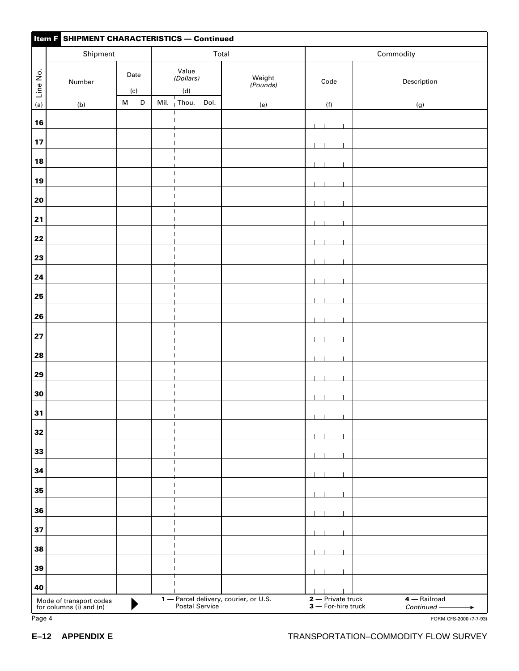|            | <b>Item F SHIPMENT CHARACTERISTICS - Continued</b> |                                                                                       |             |      |                                                      |                   |                                       |                                |                                      |                        |  |
|------------|----------------------------------------------------|---------------------------------------------------------------------------------------|-------------|------|------------------------------------------------------|-------------------|---------------------------------------|--------------------------------|--------------------------------------|------------------------|--|
|            | Shipment                                           |                                                                                       |             |      |                                                      | Total             |                                       |                                | Commodity                            |                        |  |
| Line No.   | Number                                             |                                                                                       | Date<br>(c) |      | Value<br>(Dollars)<br>$(\mathsf{d})$                 |                   | Weight<br>(Pounds)                    | Code                           | Description                          |                        |  |
| (a)        | (b)                                                | $\mathsf{M}% _{T}=\mathsf{M}_{T}\!\left( a,b\right) ,\ \mathsf{M}_{T}=\mathsf{M}_{T}$ | D           | Mil. | Thou. $\frac{1}{1}$                                  | Dol.              | (e)                                   | (f)                            | (g)                                  |                        |  |
| 16         |                                                    |                                                                                       |             |      |                                                      |                   |                                       |                                |                                      |                        |  |
| 17         |                                                    |                                                                                       |             |      |                                                      |                   |                                       |                                |                                      |                        |  |
| 18         |                                                    |                                                                                       |             |      |                                                      |                   |                                       |                                |                                      |                        |  |
| 19         |                                                    |                                                                                       |             |      | $\overline{\phantom{a}}$<br>$\overline{\phantom{a}}$ | T<br>$\mathbf{I}$ |                                       |                                |                                      |                        |  |
| 20         |                                                    |                                                                                       |             |      |                                                      |                   |                                       |                                |                                      |                        |  |
| 21         |                                                    |                                                                                       |             |      | $\overline{\phantom{a}}$                             |                   |                                       |                                |                                      |                        |  |
| 22         |                                                    |                                                                                       |             |      |                                                      |                   |                                       |                                |                                      |                        |  |
| 23         |                                                    |                                                                                       |             |      |                                                      |                   |                                       |                                |                                      |                        |  |
| 24         |                                                    |                                                                                       |             |      |                                                      |                   |                                       |                                |                                      |                        |  |
| 25         |                                                    |                                                                                       |             |      |                                                      |                   |                                       |                                |                                      |                        |  |
| 26         |                                                    |                                                                                       |             |      |                                                      |                   |                                       |                                |                                      |                        |  |
| ${\bf 27}$ |                                                    |                                                                                       |             |      |                                                      |                   |                                       |                                |                                      |                        |  |
| 28         |                                                    |                                                                                       |             |      |                                                      |                   |                                       |                                |                                      |                        |  |
| 29         |                                                    |                                                                                       |             |      | $\overline{\phantom{a}}$                             | $\mathbf{I}$      |                                       |                                |                                      |                        |  |
| 30         |                                                    |                                                                                       |             |      | $\blacksquare$                                       | $\mathbf{I}$      |                                       |                                |                                      |                        |  |
| 31         |                                                    |                                                                                       |             |      | $\overline{\phantom{a}}$                             | $\mathbf{I}$      |                                       |                                |                                      |                        |  |
| 32         |                                                    |                                                                                       |             |      |                                                      |                   |                                       |                                |                                      |                        |  |
| 33         |                                                    |                                                                                       |             |      |                                                      |                   |                                       |                                |                                      |                        |  |
| 34         |                                                    |                                                                                       |             |      |                                                      |                   |                                       |                                |                                      |                        |  |
| 35         |                                                    |                                                                                       |             |      |                                                      |                   |                                       |                                |                                      |                        |  |
| 36         |                                                    |                                                                                       |             |      |                                                      |                   |                                       |                                |                                      |                        |  |
| 37         |                                                    |                                                                                       |             |      |                                                      |                   |                                       |                                |                                      |                        |  |
| 38         |                                                    |                                                                                       |             |      |                                                      |                   |                                       |                                |                                      |                        |  |
| 39         |                                                    |                                                                                       |             |      |                                                      |                   |                                       |                                |                                      |                        |  |
| 40         | Mode of transport codes<br>for columns (i) and (n) |                                                                                       |             |      |                                                      |                   | 1 - Parcel delivery, courier, or U.S. | $\overline{2}$ - Private truck | 4 - Railroad                         |                        |  |
| Page 4     |                                                    |                                                                                       |             |      | Postal Service                                       |                   |                                       | 3 - For-hire truck             | Continued-                           | FORM CFS-2000 (7-7-93) |  |
| $E-12$     | <b>APPENDIX E</b>                                  |                                                                                       |             |      |                                                      |                   |                                       |                                | TRANSPORTATION-COMMODITY FLOW SURVEY |                        |  |

| апс |  |
|-----|--|
|-----|--|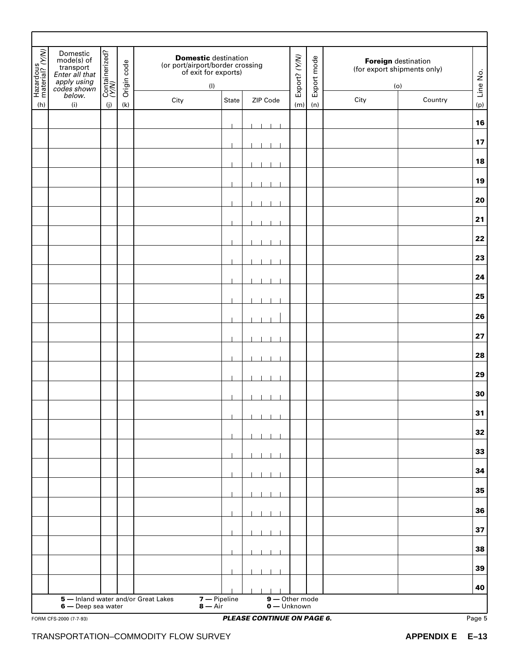| Hazardous<br>material? (Y/W) | Domestic<br>mode(s) of<br>transport<br>Enter all that<br>apply using<br>codes shown | Containerized?<br>(Y/N) | Origin code | <b>Domestic destination</b><br>(or port/airport/border crossing<br>of exit for exports) | (1)                       |                                   | Export? (Y/N) | Export mode | <b>Foreign</b> destination<br>(for export shipments only)<br>(o) |                   | Line No.         |
|------------------------------|-------------------------------------------------------------------------------------|-------------------------|-------------|-----------------------------------------------------------------------------------------|---------------------------|-----------------------------------|---------------|-------------|------------------------------------------------------------------|-------------------|------------------|
| (h)                          | below.<br>(i)                                                                       | (j)                     | (k)         | City                                                                                    | State                     | ZIP Code                          | (m)           | (n)         | City                                                             | Country           | (p)              |
|                              |                                                                                     |                         |             |                                                                                         |                           |                                   |               |             |                                                                  |                   | 16               |
|                              |                                                                                     |                         |             |                                                                                         |                           |                                   |               |             |                                                                  |                   | 17               |
|                              |                                                                                     |                         |             |                                                                                         |                           |                                   |               |             |                                                                  |                   | 18               |
|                              |                                                                                     |                         |             |                                                                                         |                           |                                   |               |             |                                                                  |                   | 19               |
|                              |                                                                                     |                         |             |                                                                                         |                           |                                   |               |             |                                                                  |                   | 20               |
|                              |                                                                                     |                         |             |                                                                                         |                           |                                   |               |             |                                                                  |                   | 21               |
|                              |                                                                                     |                         |             |                                                                                         |                           |                                   |               |             |                                                                  |                   | 22               |
|                              |                                                                                     |                         |             |                                                                                         |                           |                                   |               |             |                                                                  |                   | 23               |
|                              |                                                                                     |                         |             |                                                                                         |                           |                                   |               |             |                                                                  |                   | ${\bf 24}$       |
|                              |                                                                                     |                         |             |                                                                                         |                           |                                   |               |             |                                                                  |                   | 25               |
|                              |                                                                                     |                         |             |                                                                                         |                           |                                   |               |             |                                                                  |                   | 26               |
|                              |                                                                                     |                         |             |                                                                                         |                           |                                   |               |             |                                                                  |                   |                  |
|                              |                                                                                     |                         |             |                                                                                         |                           |                                   |               |             |                                                                  |                   | 27               |
|                              |                                                                                     |                         |             |                                                                                         |                           |                                   |               |             |                                                                  |                   | 28               |
|                              |                                                                                     |                         |             |                                                                                         |                           |                                   |               |             |                                                                  |                   | 29               |
|                              |                                                                                     |                         |             |                                                                                         |                           |                                   |               |             |                                                                  |                   | 30               |
|                              |                                                                                     |                         |             |                                                                                         |                           |                                   |               |             |                                                                  |                   | 31               |
|                              |                                                                                     |                         |             |                                                                                         |                           |                                   |               |             |                                                                  |                   | 32               |
|                              |                                                                                     |                         |             |                                                                                         |                           |                                   |               |             |                                                                  |                   | 33               |
|                              |                                                                                     |                         |             |                                                                                         |                           |                                   |               |             |                                                                  |                   | 34               |
|                              |                                                                                     |                         |             |                                                                                         |                           |                                   |               |             |                                                                  |                   | 35               |
|                              |                                                                                     |                         |             |                                                                                         |                           |                                   |               |             |                                                                  |                   | 36               |
|                              |                                                                                     |                         |             |                                                                                         |                           |                                   |               |             |                                                                  |                   | 37               |
|                              |                                                                                     |                         |             |                                                                                         |                           |                                   |               |             |                                                                  |                   | 38               |
|                              |                                                                                     |                         |             |                                                                                         |                           |                                   |               |             |                                                                  |                   | 39               |
|                              |                                                                                     |                         |             |                                                                                         |                           |                                   |               |             |                                                                  |                   | 40               |
|                              | 6 - Deep sea water                                                                  |                         |             | 5 - Inland water and/or Great Lakes                                                     | 7 - Pipeline<br>$8 - Air$ | $9 -$ Other mode<br>0 — Unknown   |               |             |                                                                  |                   |                  |
|                              | FORM CFS-2000 (7-7-93)                                                              |                         |             | TRANSPORTATION-COMMODITY FLOW SURVEY                                                    |                           | <b>PLEASE CONTINUE ON PAGE 6.</b> |               |             |                                                                  | <b>APPENDIX E</b> | Page 5<br>$E-13$ |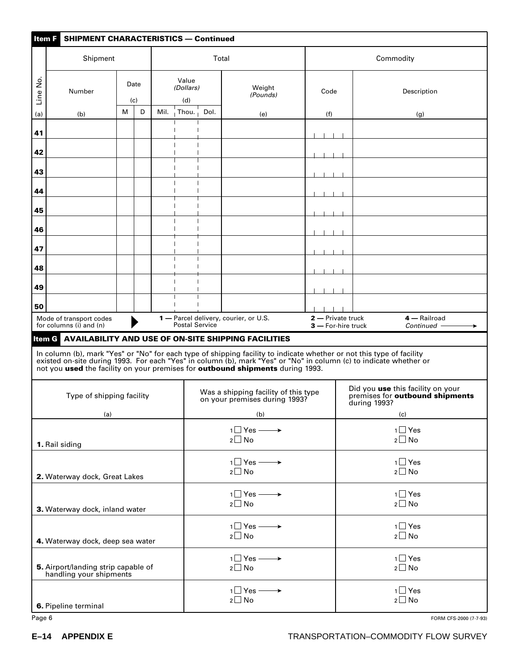| Item F<br><b>SHIPMENT CHARACTERISTICS - Continued</b>          |                                                    |   |             |      |                           |      |                                                                                       |                   |                                                                                                                                                                                                                                  |  |  |
|----------------------------------------------------------------|----------------------------------------------------|---|-------------|------|---------------------------|------|---------------------------------------------------------------------------------------|-------------------|----------------------------------------------------------------------------------------------------------------------------------------------------------------------------------------------------------------------------------|--|--|
|                                                                | Shipment                                           |   |             |      |                           |      | Total                                                                                 |                   | Commodity                                                                                                                                                                                                                        |  |  |
| 2<br>S<br>Line                                                 | Number                                             |   | Date<br>(c) |      | Value<br>(Dollars)<br>(d) |      | Weight<br>(Pounds)                                                                    | Code              | Description                                                                                                                                                                                                                      |  |  |
| (a)                                                            | (b)                                                | м | D           | Mil. | Thou. $\frac{1}{1}$       | Dol. | (e)                                                                                   | (f)               | (g)                                                                                                                                                                                                                              |  |  |
| 41                                                             |                                                    |   |             |      |                           |      |                                                                                       |                   |                                                                                                                                                                                                                                  |  |  |
|                                                                |                                                    |   |             |      |                           |      |                                                                                       |                   |                                                                                                                                                                                                                                  |  |  |
| 42                                                             |                                                    |   |             |      |                           |      |                                                                                       |                   |                                                                                                                                                                                                                                  |  |  |
| 43                                                             |                                                    |   |             |      |                           |      |                                                                                       |                   |                                                                                                                                                                                                                                  |  |  |
| 44                                                             |                                                    |   |             |      |                           |      |                                                                                       |                   |                                                                                                                                                                                                                                  |  |  |
| 45                                                             |                                                    |   |             |      |                           |      |                                                                                       |                   |                                                                                                                                                                                                                                  |  |  |
| 46                                                             |                                                    |   |             |      |                           |      |                                                                                       |                   |                                                                                                                                                                                                                                  |  |  |
|                                                                |                                                    |   |             |      |                           |      |                                                                                       |                   |                                                                                                                                                                                                                                  |  |  |
| 47                                                             |                                                    |   |             |      |                           |      |                                                                                       |                   |                                                                                                                                                                                                                                  |  |  |
| 48                                                             |                                                    |   |             |      |                           |      |                                                                                       |                   |                                                                                                                                                                                                                                  |  |  |
| 49                                                             |                                                    |   |             |      |                           |      |                                                                                       |                   |                                                                                                                                                                                                                                  |  |  |
| 50                                                             |                                                    |   |             |      |                           |      |                                                                                       |                   |                                                                                                                                                                                                                                  |  |  |
|                                                                | Mode of transport codes<br>for columns (i) and (n) |   |             |      | Postal Service            |      | 1 - Parcel delivery, courier, or U.S.                                                 | 2 - Private truck | 4 - Railroad<br>$3 -$ For-hire truck<br>Continued -                                                                                                                                                                              |  |  |
| ltem G                                                         |                                                    |   |             |      |                           |      | <b>AVAILABILITY AND USE OF ON-SITE SHIPPING FACILITIES</b>                            |                   |                                                                                                                                                                                                                                  |  |  |
|                                                                |                                                    |   |             |      |                           |      | not you used the facility on your premises for <b>outbound shipments</b> during 1993. |                   | In column (b), mark "Yes" or "No" for each type of shipping facility to indicate whether or not this type of facility<br>existed on-site during 1993. For each "Yes" in column (b), mark "Yes" or "No" in column (c) to indicate |  |  |
|                                                                | Type of shipping facility                          |   |             |      |                           |      | Was a shipping facility of this type<br>on your premises during 1993?                 |                   | Did you use this facility on your<br>premises for outbound shipments<br>during 1993?                                                                                                                                             |  |  |
|                                                                | (a)                                                |   |             |      |                           |      | (b)                                                                                   |                   | (c)                                                                                                                                                                                                                              |  |  |
|                                                                | 1. Rail siding                                     |   |             |      |                           |      | $1 \Box$ Yes $\longrightarrow$<br>$2\square$ No                                       |                   | $1 \square$ Yes<br>$2 \square$ No                                                                                                                                                                                                |  |  |
|                                                                | 2. Waterway dock, Great Lakes                      |   |             |      |                           |      | $1 \Box Y$ es $\longrightarrow$<br>$2 \square$ No                                     |                   | $1 \square$ Yes<br>$2 \square$ No                                                                                                                                                                                                |  |  |
|                                                                | 3. Waterway dock, inland water                     |   |             |      |                           |      | $1 \square$ Yes $\longrightarrow$<br>$2 \square$ No                                   |                   | $1 \square$ Yes<br>$2 \square$ No                                                                                                                                                                                                |  |  |
| 4. Waterway dock, deep sea water                               |                                                    |   |             |      |                           |      | $1 \square$ Yes $\longrightarrow$<br>$2 \square$ No                                   |                   | $1 \square$ Yes<br>$2 \square$ No                                                                                                                                                                                                |  |  |
| 5. Airport/landing strip capable of<br>handling your shipments |                                                    |   |             |      |                           |      | $1 \square$ Yes $\longrightarrow$<br>$2\square$ No                                    |                   | $1 \square$ Yes<br>$2 \square$ No                                                                                                                                                                                                |  |  |
|                                                                | 6. Pipeline terminal                               |   |             |      |                           |      | $1 \square$ Yes $\longrightarrow$<br>$2 \square$ No                                   |                   | $1 \square$ Yes<br>$2 \Box$ No                                                                                                                                                                                                   |  |  |
| Page 6                                                         |                                                    |   |             |      |                           |      |                                                                                       |                   | FORM CFS-2000 (7-7-93)                                                                                                                                                                                                           |  |  |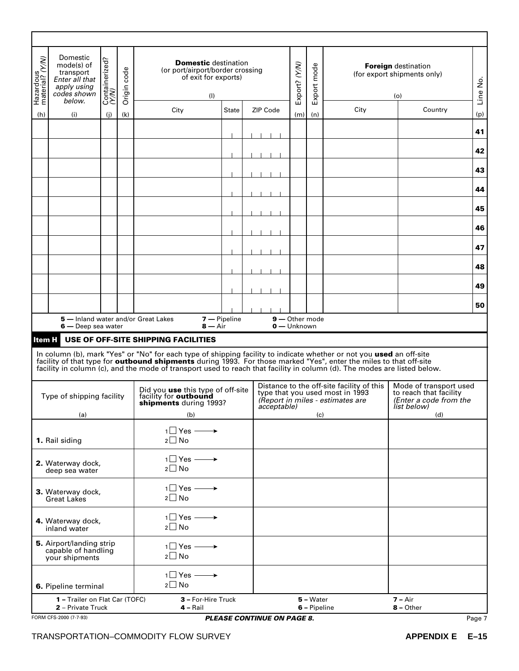| Hazardous<br>material? (Y/W) | Domestic<br>mode(s) of<br>transport<br>Enter all that<br>apply using<br>codes shown<br>below. | Containerized?<br>(Y/N)                             | Origin code | <b>Domestic destination</b><br>(or port/airport/border crossing<br>of exit for exports)<br>(1)                                                                                                                                                                                                                                                                                                                       |                    |  | Export? (Y/N)                     | Export mode |                             | <b>Foreign</b> destination<br>(for export shipments only)<br>(o)                                                 | Line No.                                                                                  |        |
|------------------------------|-----------------------------------------------------------------------------------------------|-----------------------------------------------------|-------------|----------------------------------------------------------------------------------------------------------------------------------------------------------------------------------------------------------------------------------------------------------------------------------------------------------------------------------------------------------------------------------------------------------------------|--------------------|--|-----------------------------------|-------------|-----------------------------|------------------------------------------------------------------------------------------------------------------|-------------------------------------------------------------------------------------------|--------|
| (h)                          | (i)                                                                                           | (i)                                                 | (k)         | City                                                                                                                                                                                                                                                                                                                                                                                                                 | <b>State</b>       |  | <b>ZIP Code</b>                   | (m)         | (n)                         | City                                                                                                             | Country                                                                                   | (p)    |
|                              |                                                                                               |                                                     |             |                                                                                                                                                                                                                                                                                                                                                                                                                      |                    |  |                                   |             |                             |                                                                                                                  |                                                                                           | 41     |
|                              |                                                                                               |                                                     |             |                                                                                                                                                                                                                                                                                                                                                                                                                      |                    |  |                                   |             |                             |                                                                                                                  |                                                                                           |        |
|                              |                                                                                               |                                                     |             |                                                                                                                                                                                                                                                                                                                                                                                                                      |                    |  |                                   |             |                             |                                                                                                                  |                                                                                           | 42     |
|                              |                                                                                               |                                                     |             |                                                                                                                                                                                                                                                                                                                                                                                                                      |                    |  |                                   |             |                             |                                                                                                                  |                                                                                           | 43     |
|                              |                                                                                               |                                                     |             |                                                                                                                                                                                                                                                                                                                                                                                                                      |                    |  |                                   |             |                             |                                                                                                                  |                                                                                           | 44     |
|                              |                                                                                               |                                                     |             |                                                                                                                                                                                                                                                                                                                                                                                                                      |                    |  |                                   |             |                             |                                                                                                                  |                                                                                           | 45     |
|                              |                                                                                               |                                                     |             |                                                                                                                                                                                                                                                                                                                                                                                                                      |                    |  |                                   |             |                             |                                                                                                                  |                                                                                           | 46     |
|                              |                                                                                               |                                                     |             |                                                                                                                                                                                                                                                                                                                                                                                                                      |                    |  |                                   |             |                             |                                                                                                                  |                                                                                           | 47     |
|                              |                                                                                               |                                                     |             |                                                                                                                                                                                                                                                                                                                                                                                                                      |                    |  |                                   |             |                             |                                                                                                                  |                                                                                           | 48     |
|                              |                                                                                               |                                                     |             |                                                                                                                                                                                                                                                                                                                                                                                                                      |                    |  |                                   |             |                             |                                                                                                                  |                                                                                           | 49     |
|                              |                                                                                               |                                                     |             |                                                                                                                                                                                                                                                                                                                                                                                                                      |                    |  |                                   |             |                             |                                                                                                                  |                                                                                           |        |
|                              |                                                                                               |                                                     |             | 5 - Inland water and/or Great Lakes                                                                                                                                                                                                                                                                                                                                                                                  | $7 -$ Pipeline     |  | 9-Other mode                      |             |                             |                                                                                                                  |                                                                                           | 50     |
|                              | 6 — Deep sea water                                                                            |                                                     |             | $8 - Air$                                                                                                                                                                                                                                                                                                                                                                                                            |                    |  | 0 - Unknown                       |             |                             |                                                                                                                  |                                                                                           |        |
| <b>Item H</b>                |                                                                                               |                                                     |             | USE OF OFF-SITE SHIPPING FACILITIES<br>In column (b), mark "Yes" or "No" for each type of shipping facility to indicate whether or not you used an off-site<br>facility of that type for <b>outbound shipments</b> during 1993. For those marked "Yes", enter the miles to that off-site<br>facility in column (c), and the mode of transport used to reach that facility in column (d). The modes are listed below. |                    |  |                                   |             |                             |                                                                                                                  |                                                                                           |        |
|                              | Type of shipping facility                                                                     |                                                     |             | Did you use this type of off-site<br>facility for outbound<br>shipments during 1993?                                                                                                                                                                                                                                                                                                                                 |                    |  | <i>acceptable</i> )               |             |                             | Distance to the off-site facility of this<br>type that you used most in 1993<br>(Report in miles - estimates are | Mode of transport used<br>to reach that facility<br>(Enter a code from the<br>list below) |        |
|                              | (a)                                                                                           |                                                     |             | (b)                                                                                                                                                                                                                                                                                                                                                                                                                  |                    |  |                                   |             | (c)                         |                                                                                                                  | (d)                                                                                       |        |
|                              | 1. Rail siding                                                                                |                                                     |             | $1 \square$ Yes $\longrightarrow$<br>$2 \square$ No                                                                                                                                                                                                                                                                                                                                                                  |                    |  |                                   |             |                             |                                                                                                                  |                                                                                           |        |
|                              | 2. Waterway dock,<br>deep sea water                                                           |                                                     |             | $1 \square$ Yes $\longrightarrow$<br>$2 \square$ No                                                                                                                                                                                                                                                                                                                                                                  |                    |  |                                   |             |                             |                                                                                                                  |                                                                                           |        |
|                              | 3. Waterway dock,<br><b>Great Lakes</b>                                                       |                                                     |             | $1$ Yes $\longrightarrow$<br>$2 \square$ No                                                                                                                                                                                                                                                                                                                                                                          |                    |  |                                   |             |                             |                                                                                                                  |                                                                                           |        |
|                              | 4. Waterway dock,<br>inland water                                                             | $1 \square$ Yes $\longrightarrow$<br>$2 \square$ No |             |                                                                                                                                                                                                                                                                                                                                                                                                                      |                    |  |                                   |             |                             |                                                                                                                  |                                                                                           |        |
|                              | 5. Airport/landing strip<br>capable of handling<br>your shipments                             |                                                     |             | $1$ Yes $\longrightarrow$<br>$2 \square$ No                                                                                                                                                                                                                                                                                                                                                                          |                    |  |                                   |             |                             |                                                                                                                  |                                                                                           |        |
|                              | 6. Pipeline terminal                                                                          |                                                     |             | $1 \square$ Yes $\longrightarrow$<br>$2 \square$ No                                                                                                                                                                                                                                                                                                                                                                  |                    |  |                                   |             |                             |                                                                                                                  |                                                                                           |        |
|                              | 1 - Trailer on Flat Car (TOFC)<br>2 - Private Truck                                           |                                                     |             | $4 -$ Rail                                                                                                                                                                                                                                                                                                                                                                                                           | 3 - For-Hire Truck |  |                                   |             | $5 - Water$<br>6 - Pipeline |                                                                                                                  | $7 - Air$<br>$8 -$ Other                                                                  |        |
|                              | FORM CFS-2000 (7-7-93)                                                                        |                                                     |             |                                                                                                                                                                                                                                                                                                                                                                                                                      |                    |  | <b>PLEASE CONTINUE ON PAGE 8.</b> |             |                             |                                                                                                                  |                                                                                           | Page 7 |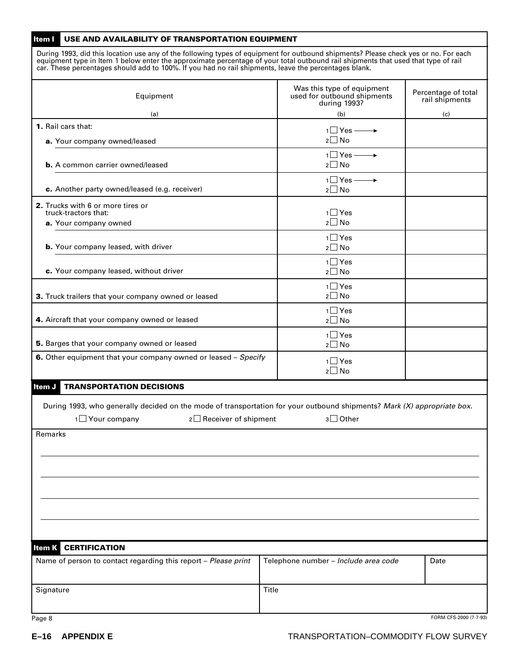| Item I<br>USE AND AVAILABILITY OF TRANSPORTATION EQUIPMENT                                                                                                                                                                                                                                                                                                                        |                                                                           |                                       |  |  |
|-----------------------------------------------------------------------------------------------------------------------------------------------------------------------------------------------------------------------------------------------------------------------------------------------------------------------------------------------------------------------------------|---------------------------------------------------------------------------|---------------------------------------|--|--|
| During 1993, did this location use any of the following types of equipment for outbound shipments? Please check yes or no. For each<br>equipment type in Item 1 below enter the approximate percentage of your total outbound rail shipments that used that type of rail<br>car. These percentages should add to 100%. If you had no rail shipments, leave the percentages blank. |                                                                           |                                       |  |  |
| Equipment                                                                                                                                                                                                                                                                                                                                                                         | Was this type of equipment<br>used for outbound shipments<br>during 1993? | Percentage of total<br>rail shipments |  |  |
| (a)                                                                                                                                                                                                                                                                                                                                                                               | (b)                                                                       | (c)                                   |  |  |
| 1. Rail cars that:<br>a. Your company owned/leased                                                                                                                                                                                                                                                                                                                                | $1 \Box Y$ es $\longrightarrow$<br>$2 \square$ No                         |                                       |  |  |
| <b>b.</b> A common carrier owned/leased                                                                                                                                                                                                                                                                                                                                           | $1 \square$ Yes —<br>→<br>$2 \square$ No                                  |                                       |  |  |
| c. Another party owned/leased (e.g. receiver)                                                                                                                                                                                                                                                                                                                                     | $1 \square$ Yes $\longrightarrow$<br>$2 \Box$ No                          |                                       |  |  |
| 2. Trucks with 6 or more tires or<br>truck-tractors that:<br>a. Your company owned                                                                                                                                                                                                                                                                                                | $1 \square$ Yes<br>$2 \square$ No                                         |                                       |  |  |
| <b>b.</b> Your company leased, with driver                                                                                                                                                                                                                                                                                                                                        | $1 \square$ Yes<br>$2 \square$ No                                         |                                       |  |  |
| c. Your company leased, without driver                                                                                                                                                                                                                                                                                                                                            | $1 \square$ Yes<br>$2 \square$ No                                         |                                       |  |  |
| 3. Truck trailers that your company owned or leased                                                                                                                                                                                                                                                                                                                               | $1 \square$ Yes<br>$2 \square$ No                                         |                                       |  |  |
| 4. Aircraft that your company owned or leased                                                                                                                                                                                                                                                                                                                                     | $1 \square$ Yes<br>$2 \Box$ No                                            |                                       |  |  |
| 5. Barges that your company owned or leased                                                                                                                                                                                                                                                                                                                                       | $1 \square$ Yes<br>$2 \square$ No                                         |                                       |  |  |
| 6. Other equipment that your company owned or leased - Specify                                                                                                                                                                                                                                                                                                                    | $1 \square$ Yes<br>$2 \square$ No                                         |                                       |  |  |
| <b>TRANSPORTATION DECISIONS</b><br>Item J                                                                                                                                                                                                                                                                                                                                         |                                                                           |                                       |  |  |
| During 1993, who generally decided on the mode of transportation for your outbound shipments? Mark (X) appropriate box.<br>$1$ Your company<br>$2 \Box$ Receiver of shipment<br>$3 \Box$ Other                                                                                                                                                                                    |                                                                           |                                       |  |  |
| Remarks                                                                                                                                                                                                                                                                                                                                                                           |                                                                           |                                       |  |  |
|                                                                                                                                                                                                                                                                                                                                                                                   |                                                                           |                                       |  |  |
|                                                                                                                                                                                                                                                                                                                                                                                   |                                                                           |                                       |  |  |
|                                                                                                                                                                                                                                                                                                                                                                                   |                                                                           |                                       |  |  |
|                                                                                                                                                                                                                                                                                                                                                                                   |                                                                           |                                       |  |  |
| <b>Item K CERTIFICATION</b>                                                                                                                                                                                                                                                                                                                                                       |                                                                           |                                       |  |  |
| Name of person to contact regarding this report - Please print                                                                                                                                                                                                                                                                                                                    | Telephone number - Include area code                                      | Date                                  |  |  |
| Signature                                                                                                                                                                                                                                                                                                                                                                         | Title                                                                     |                                       |  |  |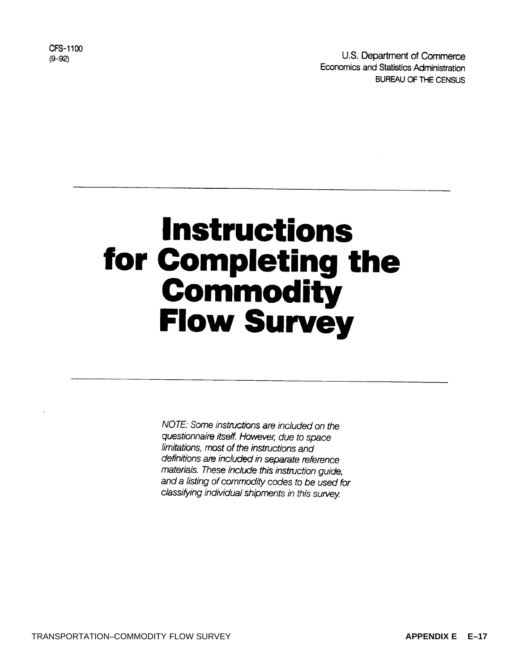U.S. Department of Commerce Economics and Statistics Administration BUREAU OF THE CENSUS

CFS-1100  $(9 - 92)$ 

# **Instructions** for Completing the Commodity **Flow Survey**

NOTE: Some instructions are included on the questionnaire itself. However, due to space limitations, most of the instructions and definitions are included in separate reference materials. These include this instruction guide, and a listing of commodity codes to be used for classifying individual shipments in this survey.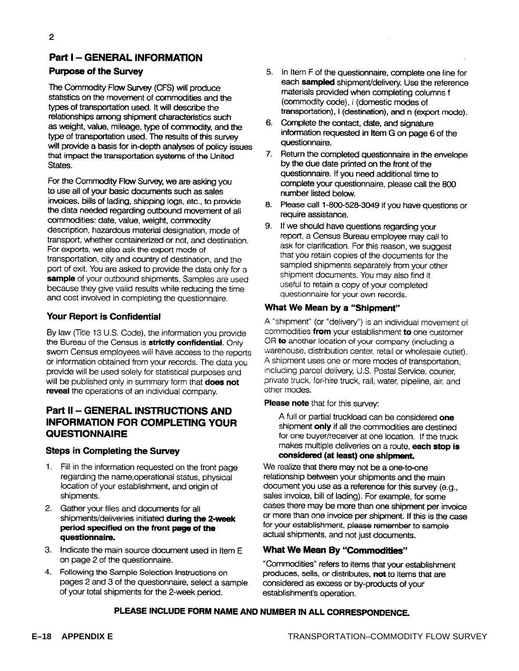### **Part I - GENERAL INFORMATION**

#### **Purpose of the Survey**

The Commodity Flow Survey (CFS) will produce statistics on the movement of commodities and the types of transportation used. It will describe the relationships among shipment characteristics such as weight, value, mileage, type of commodity, and the type of transportation used. The results of this survey will provide a basis for in-depth analyses of policy issues that impact the transportation systems of the United States.

For the Commodity Flow Survey, we are asking you to use all of your basic documents such as sales invoices, bills of lading, shipping logs, etc., to provide the data needed regarding outbound movement of all commodities: date, value, weight, commodity description, hazardous material designation, mode of transport, whether containerized or not, and destination. For exports, we also ask the export mode of transportation, city and country of destination, and the port of exit. You are asked to provide the data only for a sample of your outbound shipments. Samples are used because they give valid results while reducing the time and cost involved in completing the questionnaire.

#### Your Report is Confidential

By law (Title 13 U.S. Code), the information you provide the Bureau of the Census is strictly confidential. Only sworn Census employees will have access to the reports or information obtained from your records. The data you provide will be used solely for statistical purposes and will be published only in summary form that does not reveal the operations of an individual company.

#### **Part II - GENERAL INSTRUCTIONS AND INFORMATION FOR COMPLETING YOUR QUESTIONNAIRE**

#### **Steps in Completing the Survey**

- 1. Fill in the information requested on the front page regarding the name, operational status, physical location of your establishment, and origin of shipments.
- 2. Gather your files and documents for all shipments/deliveries initiated during the 2-week period specified on the front page of the questionnaire.
- 3. Indicate the main source document used in Item E on page 2 of the questionnaire.
- 4. Following the Sample Selection Instructions on pages 2 and 3 of the questionnaire, select a sample of your total shipments for the 2-week period.
- 5. In Item F of the questionnaire, complete one line for each sampled shipment/delivery. Use the reference materials provided when completing columns f (commodity code), i (domestic modes of transportation), I (destination), and n (export mode).
- 6. Complete the contact, date, and signature information requested in Item G on page 6 of the questionnaire.
- $7.$ Return the completed questionnaire in the envelope by the due date printed on the front of the questionnaire. If you need additional time to complete your questionnaire, please call the 800 number listed below.
- 8. Please call 1-800-528-3049 if you have questions or require assistance.
- 9. If we should have questions regarding your report, a Census Bureau employee may call to ask for clarification. For this reason, we suggest that you retain copies of the documents for the sampled shipments separately from your other shipment documents. You may also find it useful to retain a copy of your completed questionnaire for your own records.

#### What We Mean by a "Shipment"

A "shipment" (or "delivery") is an individual movement of commodities from your establishment to one customer OR to another location of your company (including a warehouse, distribution center, retail or wholesaie outlet). A shipment uses one or more modes of transportation. including parcel delivery, U.S. Postal Service, courier, private truck, for-hire truck, rail, water, pipeline, air, and other modes.

#### Please note that for this survey:

A full or partial truckload can be considered one shipment only if all the commodities are destined for one buyer/receiver at one location. If the truck makes multiple deliveries on a route, each stop is considered (at least) one shipment.

We realize that there may not be a one-to-one relationship between your shipments and the main document you use as a reference for this survey (e.g., sales invoice, bill of lading). For example, for some cases there may be more than one shipment per invoice or more than one invoice per shipment. If this is the case for your establishment, please remember to sample actual shipments, and not just documents.

#### What We Mean By "Commodities"

"Commodities" refers to items that your establishment produces, sells, or distributes, not to items that are considered as excess or by-products of your establishment's operation.

#### PLEASE INCLUDE FORM NAME AND NUMBER IN ALL CORRESPONDENCE.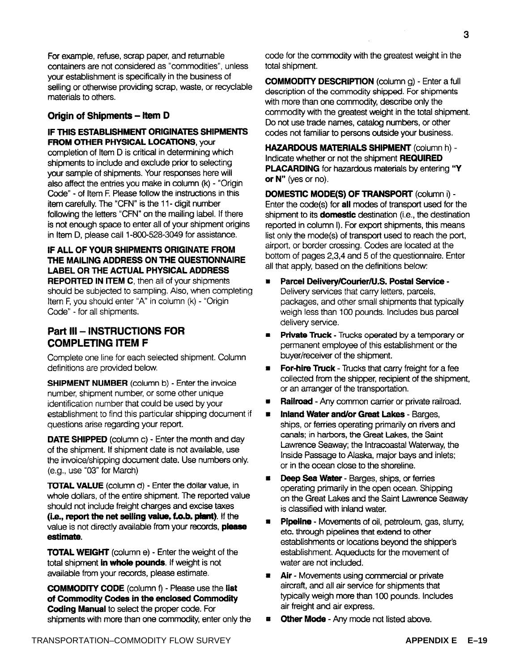For example, refuse, scrap paper, and returnable containers are not considered as "commodities", unless your establishment is specifically in the business of selling or otherwise providing scrap, waste, or recyclable materials to others.

#### Origin of Shipments - Item D

#### IF THIS ESTABLISHMENT ORIGINATES SHIPMENTS **FROM OTHER PHYSICAL LOCATIONS, your**

completion of Item D is critical in determining which shipments to include and exclude prior to selecting your sample of shipments. Your responses here will also affect the entries you make in column (k) - "Origin Code" - of Item F. Please follow the instructions in this item carefully. The "CFN" is the 11- digit number following the letters "CFN" on the mailing label. If there is not enough space to enter all of your shipment origins in Item D, please call 1-800-528-3049 for assistance.

#### IF ALL OF YOUR SHIPMENTS ORIGINATE FROM THE MAILING ADDRESS ON THE QUESTIONNAIRE **LABEL OR THE ACTUAL PHYSICAL ADDRESS REPORTED IN ITEM C.** then all of your shipments should be subjected to sampling. Also, when completing Item F, you should enter "A" in column (k) - "Origin Code" - for all shipments.

#### Part III - INSTRUCTIONS FOR **COMPLETING ITEM F**

Complete one line for each selected shipment. Column definitions are provided below.

**SHIPMENT NUMBER** (column b) - Enter the invoice number, shipment number, or some other unique identification number that could be used by your establishment to find this particular shipping document if questions arise regarding your report.

**DATE SHIPPED** (column c) - Enter the month and day of the shipment. If shipment date is not available, use the invoice/shipping document date. Use numbers only. (e.g., use "03" for March)

TOTAL VALUE (column d) - Enter the dollar value, in whole dollars, of the entire shipment. The reported value should not include freight charges and excise taxes (i.e., report the net selling value, f.o.b. plant). If the value is not directly available from your records, please estimate.

**TOTAL WEIGHT** (column e) - Enter the weight of the total shipment in whole pounds. If weight is not available from your records, please estimate.

**COMMODITY CODE** (column f) - Please use the list of Commodity Codes in the enclosed Commodity **Coding Manual to select the proper code. For** shipments with more than one commodity, enter only the code for the commodity with the greatest weight in the total shipment.

**COMMODITY DESCRIPTION** (column g) - Enter a full description of the commodity shipped. For shipments with more than one commodity, describe only the commodity with the greatest weight in the total shipment. Do not use trade names, catalog numbers, or other codes not familiar to persons outside your business.

**HAZARDOUS MATERIALS SHIPMENT (column h) -**Indicate whether or not the shipment REQUIRED PLACARDING for hazardous materials by entering "Y or  $N''$  (yes or no).

**DOMESTIC MODE(S) OF TRANSPORT (column i) -**Enter the code(s) for all modes of transport used for the shipment to its domestic destination (i.e., the destination reported in column I). For export shipments, this means list only the mode(s) of transport used to reach the port, airport, or border crossing. Codes are located at the bottom of pages 2,3,4 and 5 of the questionnaire. Enter all that apply, based on the definitions below:

- Parcel Delivery/Courier/U.S. Postal Service -Delivery services that carry letters, parcels, packages, and other small shipments that typically weigh less than 100 pounds. Includes bus parcel delivery service.
- Private Truck Trucks operated by a temporary or  $\blacksquare$ permanent employee of this establishment or the buver/receiver of the shipment.
- For-hire Truck Trucks that carry freight for a fee collected from the shipper, recipient of the shipment. or an arranger of the transportation.
- Railroad Any common carrier or private railroad.
- Inland Water and/or Great Lakes Barges,  $\blacksquare$ ships, or ferries operating primarily on rivers and canals; in harbors, the Great Lakes, the Saint Lawrence Seaway; the Intracoastal Waterway, the Inside Passage to Alaska, major bays and inlets; or in the ocean close to the shoreline.
- Deep Sea Water Barges, ships, or ferries  $\blacksquare$ operating primarily in the open ocean. Shipping on the Great Lakes and the Saint Lawrence Seaway is classified with inland water.
- Pipeline Movements of oil, petroleum, gas, slurry,  $\blacksquare$ etc. through pipelines that extend to other establishments or locations beyond the shipper's establishment. Aqueducts for the movement of water are not included.
- Air Movements using commercial or private  $\blacksquare$ aircraft, and all air service for shipments that typically weigh more than 100 pounds. Includes air freight and air express.
- Other Mode Any mode not listed above.  $\mathbf{r}$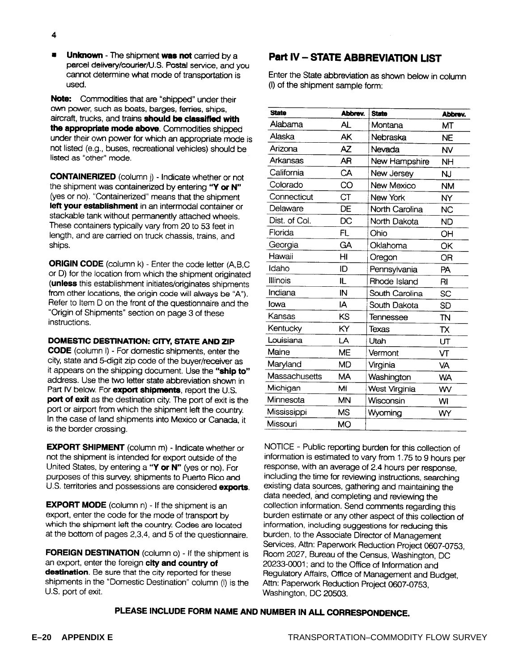Unknown - The shipment was not carried by a  $\blacksquare$ parcel delivery/courier/U.S. Postal service, and you cannot determine what mode of transportation is used.

Note: Commodities that are "shipped" under their own power, such as boats, barges, ferries, ships, aircraft, trucks, and trains should be classified with the appropriate mode above. Commodities shipped under their own power for which an appropriate mode is not listed (e.g., buses, recreational vehicles) should be listed as "other" mode.

**CONTAINERIZED** (column j) - Indicate whether or not the shipment was containerized by entering "Y or N" (yes or no). "Containerized" means that the shipment left your establishment in an intermodal container or stackable tank without permanently attached wheels. These containers typically vary from 20 to 53 feet in length, and are carried on truck chassis, trains, and ships.

**ORIGIN CODE** (column k) - Enter the code letter (A,B,C or D) for the location from which the shipment originated (unless this establishment initiates/originates shipments from other locations, the origin code will always be "A"). Refer to Item D on the front of the questionnaire and the "Origin of Shipments" section on page 3 of these instructions.

#### DOMESTIC DESTINATION: CITY, STATE AND ZIP

**CODE** (column I) - For domestic shipments, enter the city, state and 5-digit zip code of the buver/receiver as it appears on the shipping document. Use the "ship to" address. Use the two letter state abbreviation shown in Part IV below. For export shipments, report the U.S. port of exit as the destination city. The port of exit is the port or airport from which the shipment left the country. In the case of land shipments into Mexico or Canada, it is the border crossing.

**EXPORT SHIPMENT** (column m) - Indicate whether or not the shipment is intended for export outside of the United States, by entering a "Y or N" (yes or no). For purposes of this survey, shipments to Puerto Rico and U.S. territories and possessions are considered exports.

**EXPORT MODE** (column n) - If the shipment is an export, enter the code for the mode of transport by which the shipment left the country. Codes are located at the bottom of pages 2,3,4, and 5 of the questionnaire.

**FOREIGN DESTINATION** (column o) - If the shipment is an export, enter the foreign city and country of destination. Be sure that the city reported for these shipments in the "Domestic Destination" column (I) is the U.S. port of exit.

#### **Part IV - STATE ABBREVIATION LIST**

Enter the State abbreviation as shown below in column (I) of the shipment sample form:

| <b>State</b>  | Abbrev.   | <b>State</b>   | Abbrev.   |
|---------------|-----------|----------------|-----------|
| Alabama       | AL        | Montana        | ΜТ        |
| Alaska        | AK        | Nebraska       | <b>NE</b> |
| Arizona       | AZ        | Nevada         | <b>NV</b> |
| Arkansas      | AR        | New Hampshire  | <b>NH</b> |
| California    | CA        | New Jersey     | ΝJ        |
| Colorado      | CO        | New Mexico     | <b>NM</b> |
| Connecticut   | СT        | New York       | NY        |
| Delaware      | DE        | North Carolina | <b>NC</b> |
| Dist. of Col. | DC        | North Dakota   | ND        |
| Florida       | FL        | Ohio           | OH        |
| Georgia       | GA        | Oklahoma       | OK        |
| Hawaii        | ΗI        | Oregon         | OR        |
| Idaho         | ID        | Pennsylvania   | PA        |
| Illinois      | П.        | Rhode Island   | RI        |
| Indiana       | IN        | South Carolina | SC        |
| lowa          | IA        | South Dakota   | <b>SD</b> |
| Kansas        | KS        | Tennessee      | TN        |
| Kentucky      | ΚY        | Texas          | TX        |
| Louisiana     | LA        | Utah           | UT        |
| Maine         | ME        | Vermont        | VТ        |
| Maryland      | MD        | Virginia       | VA        |
| Massachusetts | MА        | Washington     | <b>WA</b> |
| Michigan      | MI        | West Virginia  | WV        |
| Minnesota     | <b>MN</b> | Wisconsin      | WI        |
| Mississippi   | <b>MS</b> | Wyoming        | WY        |
| Missouri      | <b>MO</b> |                |           |
|               |           |                |           |

NOTICE - Public reporting burden for this collection of information is estimated to vary from 1.75 to 9 hours per response, with an average of 2.4 hours per response. including the time for reviewing instructions, searching existing data sources, gathering and maintaining the data needed, and completing and reviewing the collection information. Send comments regarding this burden estimate or any other aspect of this collection of information, including suggestions for reducing this burden, to the Associate Director of Management Services, Attn: Paperwork Reduction Project 0607-0753, Room 2027, Bureau of the Census, Washington, DC 20233-0001; and to the Office of Information and Regulatory Affairs, Office of Management and Budget, Attn: Paperwork Reduction Project 0607-0753. Washington, DC 20503.

#### PLEASE INCLUDE FORM NAME AND NUMBER IN ALL CORRESPONDENCE.